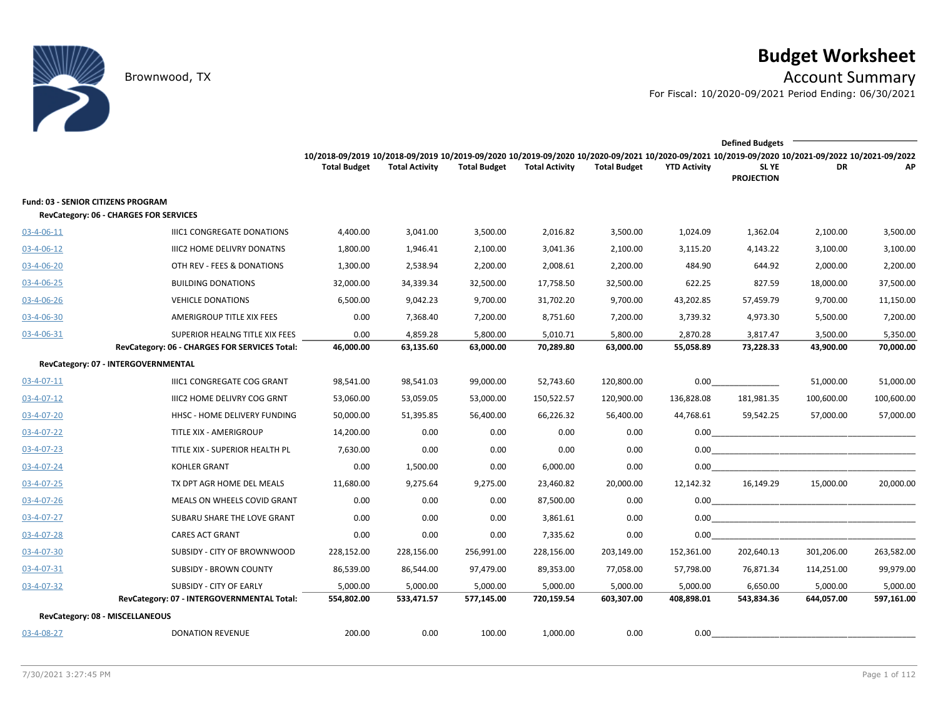# **Budget Worksheet**

Brownwood, TX Account Summary

For Fiscal: 10/2020-09/2021 Period Ending: 06/30/2021

|                                                                              |                                               |                                                                                                                                                                        |                       |                     |                       |                     |                     | <b>Defined Budgets</b>     |            |            |
|------------------------------------------------------------------------------|-----------------------------------------------|------------------------------------------------------------------------------------------------------------------------------------------------------------------------|-----------------------|---------------------|-----------------------|---------------------|---------------------|----------------------------|------------|------------|
|                                                                              |                                               | 10/2018-09/2019 10/2018-09/2019 10/2019-09/2020 10/2019-09/2020 10/2020-09/2021 10/2020-09/2021 10/2019-09/2020 10/2021-09/2022 10/2021-09/2022<br><b>Total Budget</b> | <b>Total Activity</b> | <b>Total Budget</b> | <b>Total Activity</b> | <b>Total Budget</b> | <b>YTD Activity</b> | SL YE<br><b>PROJECTION</b> | DR         | ΑP         |
| Fund: 03 - SENIOR CITIZENS PROGRAM<br>RevCategory: 06 - CHARGES FOR SERVICES |                                               |                                                                                                                                                                        |                       |                     |                       |                     |                     |                            |            |            |
| 03-4-06-11                                                                   | <b>IIIC1 CONGREGATE DONATIONS</b>             | 4,400.00                                                                                                                                                               | 3,041.00              | 3,500.00            | 2,016.82              | 3,500.00            | 1,024.09            | 1,362.04                   | 2,100.00   | 3,500.00   |
| $03 - 4 - 06 - 12$                                                           | <b>IIIC2 HOME DELIVRY DONATNS</b>             | 1,800.00                                                                                                                                                               | 1,946.41              | 2,100.00            | 3,041.36              | 2,100.00            | 3,115.20            | 4,143.22                   | 3,100.00   | 3,100.00   |
| 03-4-06-20                                                                   | OTH REV - FEES & DONATIONS                    | 1,300.00                                                                                                                                                               | 2,538.94              | 2,200.00            | 2,008.61              | 2,200.00            | 484.90              | 644.92                     | 2,000.00   | 2,200.00   |
| 03-4-06-25                                                                   | <b>BUILDING DONATIONS</b>                     | 32,000.00                                                                                                                                                              | 34,339.34             | 32,500.00           | 17,758.50             | 32,500.00           | 622.25              | 827.59                     | 18,000.00  | 37,500.00  |
| $03 - 4 - 06 - 26$                                                           | <b>VEHICLE DONATIONS</b>                      | 6,500.00                                                                                                                                                               | 9,042.23              | 9,700.00            | 31,702.20             | 9,700.00            | 43,202.85           | 57,459.79                  | 9,700.00   | 11,150.00  |
| 03-4-06-30                                                                   | AMERIGROUP TITLE XIX FEES                     | 0.00                                                                                                                                                                   | 7,368.40              | 7,200.00            | 8,751.60              | 7,200.00            | 3,739.32            | 4,973.30                   | 5,500.00   | 7,200.00   |
| 03-4-06-31                                                                   | SUPERIOR HEALNG TITLE XIX FEES                | 0.00                                                                                                                                                                   | 4,859.28              | 5,800.00            | 5,010.71              | 5,800.00            | 2,870.28            | 3,817.47                   | 3,500.00   | 5,350.00   |
|                                                                              | RevCategory: 06 - CHARGES FOR SERVICES Total: | 46,000.00                                                                                                                                                              | 63,135.60             | 63,000.00           | 70,289.80             | 63,000.00           | 55,058.89           | 73,228.33                  | 43,900.00  | 70,000.00  |
| RevCategory: 07 - INTERGOVERNMENTAL                                          |                                               |                                                                                                                                                                        |                       |                     |                       |                     |                     |                            |            |            |
| $03 - 4 - 07 - 11$                                                           | IIIC1 CONGREGATE COG GRANT                    | 98,541.00                                                                                                                                                              | 98,541.03             | 99,000.00           | 52,743.60             | 120,800.00          |                     | 0.00                       | 51,000.00  | 51,000.00  |
| $03 - 4 - 07 - 12$                                                           | IIIC2 HOME DELIVRY COG GRNT                   | 53,060.00                                                                                                                                                              | 53,059.05             | 53,000.00           | 150,522.57            | 120,900.00          | 136,828.08          | 181,981.35                 | 100,600.00 | 100,600.00 |
| 03-4-07-20                                                                   | HHSC - HOME DELIVERY FUNDING                  | 50,000.00                                                                                                                                                              | 51,395.85             | 56,400.00           | 66,226.32             | 56,400.00           | 44,768.61           | 59,542.25                  | 57,000.00  | 57,000.00  |
| 03-4-07-22                                                                   | TITLE XIX - AMERIGROUP                        | 14,200.00                                                                                                                                                              | 0.00                  | 0.00                | 0.00                  | 0.00                |                     |                            |            |            |
| $03 - 4 - 07 - 23$                                                           | TITLE XIX - SUPERIOR HEALTH PL                | 7,630.00                                                                                                                                                               | 0.00                  | 0.00                | 0.00                  | 0.00                |                     |                            |            |            |
| 03-4-07-24                                                                   | <b>KOHLER GRANT</b>                           | 0.00                                                                                                                                                                   | 1,500.00              | 0.00                | 6,000.00              | 0.00                |                     | 0.00                       |            |            |
| $03 - 4 - 07 - 25$                                                           | TX DPT AGR HOME DEL MEALS                     | 11,680.00                                                                                                                                                              | 9,275.64              | 9,275.00            | 23,460.82             | 20,000.00           | 12,142.32           | 16,149.29                  | 15,000.00  | 20,000.00  |
| 03-4-07-26                                                                   | MEALS ON WHEELS COVID GRANT                   | 0.00                                                                                                                                                                   | 0.00                  | 0.00                | 87,500.00             | 0.00                |                     |                            |            |            |
| 03-4-07-27                                                                   | SUBARU SHARE THE LOVE GRANT                   | 0.00                                                                                                                                                                   | 0.00                  | 0.00                | 3,861.61              | 0.00                |                     |                            |            |            |
| 03-4-07-28                                                                   | <b>CARES ACT GRANT</b>                        | 0.00                                                                                                                                                                   | 0.00                  | 0.00                | 7,335.62              | 0.00                | 0.00                |                            |            |            |
| 03-4-07-30                                                                   | SUBSIDY - CITY OF BROWNWOOD                   | 228,152.00                                                                                                                                                             | 228,156.00            | 256,991.00          | 228,156.00            | 203,149.00          | 152,361.00          | 202,640.13                 | 301,206.00 | 263,582.00 |
| 03-4-07-31                                                                   | <b>SUBSIDY - BROWN COUNTY</b>                 | 86,539.00                                                                                                                                                              | 86,544.00             | 97,479.00           | 89,353.00             | 77,058.00           | 57,798.00           | 76,871.34                  | 114,251.00 | 99,979.00  |
| 03-4-07-32                                                                   | <b>SUBSIDY - CITY OF EARLY</b>                | 5,000.00                                                                                                                                                               | 5,000.00              | 5,000.00            | 5,000.00              | 5,000.00            | 5,000.00            | 6,650.00                   | 5,000.00   | 5,000.00   |
|                                                                              | RevCategory: 07 - INTERGOVERNMENTAL Total:    | 554,802.00                                                                                                                                                             | 533,471.57            | 577,145.00          | 720,159.54            | 603,307.00          | 408,898.01          | 543,834.36                 | 644,057.00 | 597,161.00 |
| RevCategory: 08 - MISCELLANEOUS                                              |                                               |                                                                                                                                                                        |                       |                     |                       |                     |                     |                            |            |            |
| 03-4-08-27                                                                   | <b>DONATION REVENUE</b>                       | 200.00                                                                                                                                                                 | 0.00                  | 100.00              | 1,000.00              | 0.00                | 0.00                |                            |            |            |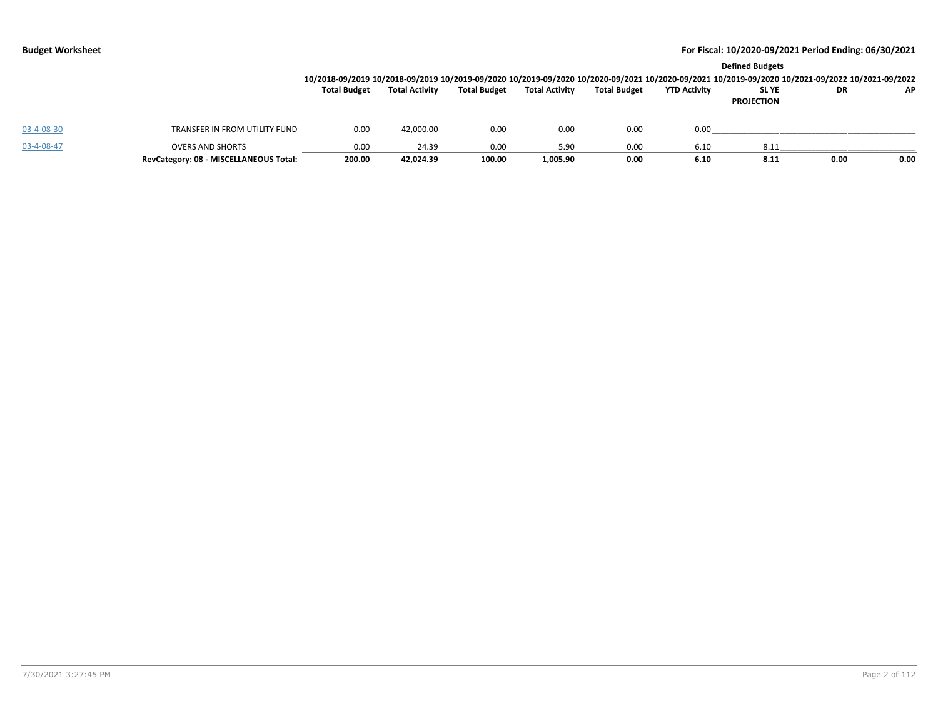|            |                                                                   |                     |                       |                     |                       |                     |                     | <b>Defined Budgets</b><br>10/2018-09/2019 10/2018-09/2019 10/2019-09/2020 10/2019-09/2020 10/2020-09/2021 10/2020-09/2021 10/2019-09/2020 10/2021-09/2022 10/2021-09/2022 |      |      |
|------------|-------------------------------------------------------------------|---------------------|-----------------------|---------------------|-----------------------|---------------------|---------------------|---------------------------------------------------------------------------------------------------------------------------------------------------------------------------|------|------|
|            |                                                                   | <b>Total Budget</b> | <b>Total Activity</b> | <b>Total Budget</b> | <b>Total Activity</b> | <b>Total Budget</b> | <b>YTD Activity</b> | <b>SLYE</b><br><b>PROJECTION</b>                                                                                                                                          | DR.  | AP.  |
| 03-4-08-30 | TRANSFER IN FROM UTILITY FUND                                     | 0.00                | 42,000.00             | 0.00                | 0.00                  | 0.00                | 0.00                |                                                                                                                                                                           |      |      |
| 03-4-08-47 | <b>OVERS AND SHORTS</b><br>RevCategory: 08 - MISCELLANEOUS Total: | 0.00<br>200.00      | 24.39<br>42,024.39    | 0.00<br>100.00      | 5.90<br>1,005.90      | 0.00<br>0.00        | 6.10<br>6.10        | 8.11<br>8.11                                                                                                                                                              | 0.00 | 0.00 |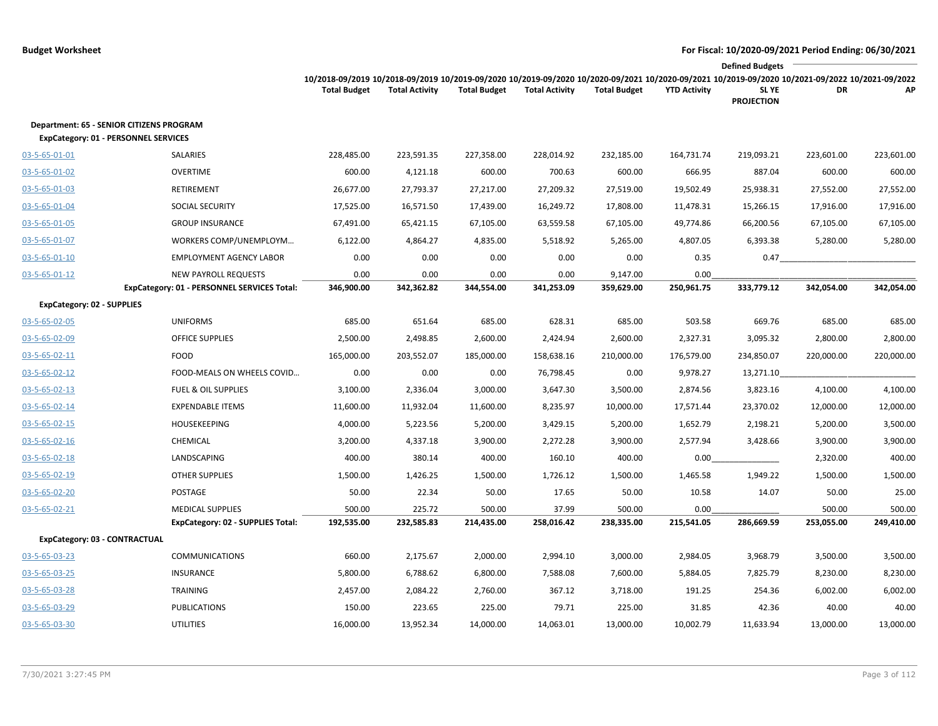|                                   |                                                                                                |                                                                                                                                                                        |                       |                     |                       |                     |                     | <b>Defined Budgets</b>           |            |            |
|-----------------------------------|------------------------------------------------------------------------------------------------|------------------------------------------------------------------------------------------------------------------------------------------------------------------------|-----------------------|---------------------|-----------------------|---------------------|---------------------|----------------------------------|------------|------------|
|                                   |                                                                                                | 10/2018-09/2019 10/2018-09/2019 10/2019-09/2020 10/2019-09/2020 10/2020-09/2021 10/2020-09/2021 10/2019-09/2020 10/2021-09/2022 10/2021-09/2022<br><b>Total Budget</b> | <b>Total Activity</b> | <b>Total Budget</b> | <b>Total Activity</b> | <b>Total Budget</b> | <b>YTD Activity</b> | <b>SLYE</b><br><b>PROJECTION</b> | DR         | AP         |
|                                   | <b>Department: 65 - SENIOR CITIZENS PROGRAM</b><br><b>ExpCategory: 01 - PERSONNEL SERVICES</b> |                                                                                                                                                                        |                       |                     |                       |                     |                     |                                  |            |            |
| 03-5-65-01-01                     | SALARIES                                                                                       | 228,485.00                                                                                                                                                             | 223,591.35            | 227,358.00          | 228,014.92            | 232,185.00          | 164,731.74          | 219,093.21                       | 223,601.00 | 223,601.00 |
| 03-5-65-01-02                     | <b>OVERTIME</b>                                                                                | 600.00                                                                                                                                                                 | 4,121.18              | 600.00              | 700.63                | 600.00              | 666.95              | 887.04                           | 600.00     | 600.00     |
| 03-5-65-01-03                     | <b>RETIREMENT</b>                                                                              | 26,677.00                                                                                                                                                              | 27,793.37             | 27,217.00           | 27,209.32             | 27,519.00           | 19,502.49           | 25,938.31                        | 27,552.00  | 27,552.00  |
| 03-5-65-01-04                     | <b>SOCIAL SECURITY</b>                                                                         | 17,525.00                                                                                                                                                              | 16,571.50             | 17,439.00           | 16,249.72             | 17,808.00           | 11,478.31           | 15,266.15                        | 17,916.00  | 17,916.00  |
| 03-5-65-01-05                     | <b>GROUP INSURANCE</b>                                                                         | 67,491.00                                                                                                                                                              | 65,421.15             | 67,105.00           | 63,559.58             | 67,105.00           | 49,774.86           | 66,200.56                        | 67,105.00  | 67,105.00  |
| 03-5-65-01-07                     | WORKERS COMP/UNEMPLOYM                                                                         | 6,122.00                                                                                                                                                               | 4,864.27              | 4,835.00            | 5,518.92              | 5,265.00            | 4,807.05            | 6,393.38                         | 5,280.00   | 5,280.00   |
| 03-5-65-01-10                     | <b>EMPLOYMENT AGENCY LABOR</b>                                                                 | 0.00                                                                                                                                                                   | 0.00                  | 0.00                | 0.00                  | 0.00                | 0.35                | 0.47                             |            |            |
| 03-5-65-01-12                     | <b>NEW PAYROLL REQUESTS</b>                                                                    | 0.00                                                                                                                                                                   | 0.00                  | 0.00                | 0.00                  | 9,147.00            | 0.00                |                                  |            |            |
|                                   | ExpCategory: 01 - PERSONNEL SERVICES Total:                                                    | 346,900.00                                                                                                                                                             | 342,362.82            | 344,554.00          | 341,253.09            | 359,629.00          | 250,961.75          | 333,779.12                       | 342,054.00 | 342,054.00 |
| <b>ExpCategory: 02 - SUPPLIES</b> |                                                                                                |                                                                                                                                                                        |                       |                     |                       |                     |                     |                                  |            |            |
| 03-5-65-02-05                     | <b>UNIFORMS</b>                                                                                | 685.00                                                                                                                                                                 | 651.64                | 685.00              | 628.31                | 685.00              | 503.58              | 669.76                           | 685.00     | 685.00     |
| 03-5-65-02-09                     | <b>OFFICE SUPPLIES</b>                                                                         | 2,500.00                                                                                                                                                               | 2,498.85              | 2,600.00            | 2,424.94              | 2,600.00            | 2,327.31            | 3,095.32                         | 2,800.00   | 2,800.00   |
| $03 - 5 - 65 - 02 - 11$           | FOOD                                                                                           | 165,000.00                                                                                                                                                             | 203,552.07            | 185,000.00          | 158,638.16            | 210,000.00          | 176,579.00          | 234,850.07                       | 220,000.00 | 220,000.00 |
| 03-5-65-02-12                     | FOOD-MEALS ON WHEELS COVID                                                                     | 0.00                                                                                                                                                                   | 0.00                  | 0.00                | 76,798.45             | 0.00                | 9,978.27            | 13,271.10                        |            |            |
| 03-5-65-02-13                     | <b>FUEL &amp; OIL SUPPLIES</b>                                                                 | 3,100.00                                                                                                                                                               | 2,336.04              | 3,000.00            | 3,647.30              | 3,500.00            | 2,874.56            | 3,823.16                         | 4,100.00   | 4,100.00   |
| 03-5-65-02-14                     | <b>EXPENDABLE ITEMS</b>                                                                        | 11,600.00                                                                                                                                                              | 11,932.04             | 11,600.00           | 8,235.97              | 10,000.00           | 17,571.44           | 23,370.02                        | 12,000.00  | 12,000.00  |
| 03-5-65-02-15                     | <b>HOUSEKEEPING</b>                                                                            | 4,000.00                                                                                                                                                               | 5,223.56              | 5,200.00            | 3,429.15              | 5,200.00            | 1,652.79            | 2,198.21                         | 5,200.00   | 3,500.00   |
| 03-5-65-02-16                     | CHEMICAL                                                                                       | 3,200.00                                                                                                                                                               | 4,337.18              | 3,900.00            | 2,272.28              | 3,900.00            | 2,577.94            | 3,428.66                         | 3,900.00   | 3,900.00   |
| 03-5-65-02-18                     | LANDSCAPING                                                                                    | 400.00                                                                                                                                                                 | 380.14                | 400.00              | 160.10                | 400.00              | 0.00                |                                  | 2,320.00   | 400.00     |
| 03-5-65-02-19                     | <b>OTHER SUPPLIES</b>                                                                          | 1,500.00                                                                                                                                                               | 1,426.25              | 1,500.00            | 1,726.12              | 1,500.00            | 1,465.58            | 1,949.22                         | 1,500.00   | 1,500.00   |
| 03-5-65-02-20                     | POSTAGE                                                                                        | 50.00                                                                                                                                                                  | 22.34                 | 50.00               | 17.65                 | 50.00               | 10.58               | 14.07                            | 50.00      | 25.00      |
| 03-5-65-02-21                     | <b>MEDICAL SUPPLIES</b>                                                                        | 500.00                                                                                                                                                                 | 225.72                | 500.00              | 37.99                 | 500.00              | 0.00                |                                  | 500.00     | 500.00     |
|                                   | ExpCategory: 02 - SUPPLIES Total:                                                              | 192,535.00                                                                                                                                                             | 232,585.83            | 214,435.00          | 258,016.42            | 238,335.00          | 215,541.05          | 286,669.59                       | 253,055.00 | 249,410.00 |
| ExpCategory: 03 - CONTRACTUAL     |                                                                                                |                                                                                                                                                                        |                       |                     |                       |                     |                     |                                  |            |            |
| 03-5-65-03-23                     | <b>COMMUNICATIONS</b>                                                                          | 660.00                                                                                                                                                                 | 2,175.67              | 2,000.00            | 2,994.10              | 3,000.00            | 2,984.05            | 3,968.79                         | 3,500.00   | 3,500.00   |
| 03-5-65-03-25                     | <b>INSURANCE</b>                                                                               | 5,800.00                                                                                                                                                               | 6,788.62              | 6,800.00            | 7,588.08              | 7,600.00            | 5,884.05            | 7,825.79                         | 8,230.00   | 8,230.00   |
| 03-5-65-03-28                     | TRAINING                                                                                       | 2,457.00                                                                                                                                                               | 2,084.22              | 2,760.00            | 367.12                | 3,718.00            | 191.25              | 254.36                           | 6,002.00   | 6,002.00   |
| 03-5-65-03-29                     | <b>PUBLICATIONS</b>                                                                            | 150.00                                                                                                                                                                 | 223.65                | 225.00              | 79.71                 | 225.00              | 31.85               | 42.36                            | 40.00      | 40.00      |
| 03-5-65-03-30                     | <b>UTILITIES</b>                                                                               | 16,000.00                                                                                                                                                              | 13,952.34             | 14,000.00           | 14,063.01             | 13,000.00           | 10,002.79           | 11,633.94                        | 13,000.00  | 13,000.00  |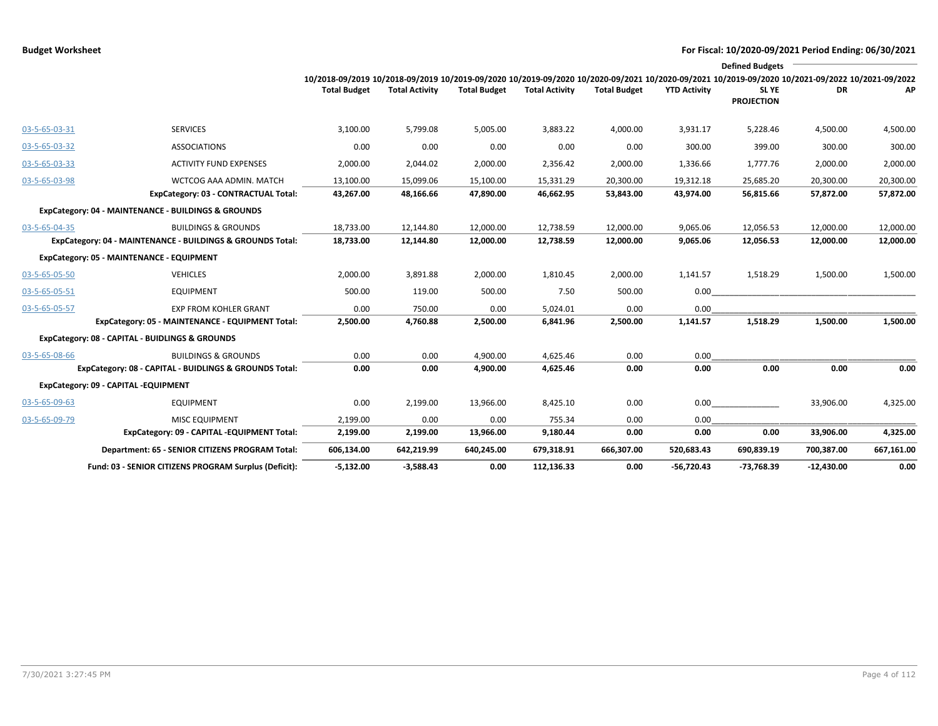|               |                                                            |                                                                                                                                                 |                       |                     |                       |                     |                     | <b>Defined Budgets</b>     |              |            |
|---------------|------------------------------------------------------------|-------------------------------------------------------------------------------------------------------------------------------------------------|-----------------------|---------------------|-----------------------|---------------------|---------------------|----------------------------|--------------|------------|
|               |                                                            | 10/2018-09/2019 10/2018-09/2019 10/2019-09/2020 10/2019-09/2020 10/2020-09/2021 10/2020-09/2021 10/2019-09/2020 10/2021-09/2022 10/2021-09/2022 |                       |                     |                       |                     |                     |                            |              |            |
|               |                                                            | <b>Total Budget</b>                                                                                                                             | <b>Total Activity</b> | <b>Total Budget</b> | <b>Total Activity</b> | <b>Total Budget</b> | <b>YTD Activity</b> | SL YE<br><b>PROJECTION</b> | DR.          | AP         |
| 03-5-65-03-31 | <b>SERVICES</b>                                            | 3,100.00                                                                                                                                        | 5,799.08              | 5,005.00            | 3,883.22              | 4,000.00            | 3,931.17            | 5,228.46                   | 4,500.00     | 4,500.00   |
| 03-5-65-03-32 | <b>ASSOCIATIONS</b>                                        | 0.00                                                                                                                                            | 0.00                  | 0.00                | 0.00                  | 0.00                | 300.00              | 399.00                     | 300.00       | 300.00     |
| 03-5-65-03-33 | <b>ACTIVITY FUND EXPENSES</b>                              | 2,000.00                                                                                                                                        | 2,044.02              | 2,000.00            | 2,356.42              | 2,000.00            | 1,336.66            | 1,777.76                   | 2,000.00     | 2,000.00   |
| 03-5-65-03-98 | WCTCOG AAA ADMIN. MATCH                                    | 13,100.00                                                                                                                                       | 15,099.06             | 15,100.00           | 15,331.29             | 20,300.00           | 19,312.18           | 25,685.20                  | 20,300.00    | 20,300.00  |
|               | ExpCategory: 03 - CONTRACTUAL Total:                       | 43,267.00                                                                                                                                       | 48,166.66             | 47,890.00           | 46,662.95             | 53,843.00           | 43,974.00           | 56,815.66                  | 57,872.00    | 57,872.00  |
|               | ExpCategory: 04 - MAINTENANCE - BUILDINGS & GROUNDS        |                                                                                                                                                 |                       |                     |                       |                     |                     |                            |              |            |
| 03-5-65-04-35 | <b>BUILDINGS &amp; GROUNDS</b>                             | 18,733.00                                                                                                                                       | 12,144.80             | 12,000.00           | 12,738.59             | 12,000.00           | 9,065.06            | 12,056.53                  | 12,000.00    | 12,000.00  |
|               | ExpCategory: 04 - MAINTENANCE - BUILDINGS & GROUNDS Total: | 18,733.00                                                                                                                                       | 12,144.80             | 12,000.00           | 12,738.59             | 12,000.00           | 9,065.06            | 12,056.53                  | 12,000.00    | 12,000.00  |
|               | ExpCategory: 05 - MAINTENANCE - EQUIPMENT                  |                                                                                                                                                 |                       |                     |                       |                     |                     |                            |              |            |
| 03-5-65-05-50 | <b>VEHICLES</b>                                            | 2,000.00                                                                                                                                        | 3,891.88              | 2,000.00            | 1,810.45              | 2,000.00            | 1,141.57            | 1,518.29                   | 1,500.00     | 1,500.00   |
| 03-5-65-05-51 | <b>EQUIPMENT</b>                                           | 500.00                                                                                                                                          | 119.00                | 500.00              | 7.50                  | 500.00              | 0.00                |                            |              |            |
| 03-5-65-05-57 | <b>EXP FROM KOHLER GRANT</b>                               | 0.00                                                                                                                                            | 750.00                | 0.00                | 5,024.01              | 0.00                | 0.00                |                            |              |            |
|               | ExpCategory: 05 - MAINTENANCE - EQUIPMENT Total:           | 2,500.00                                                                                                                                        | 4,760.88              | 2,500.00            | 6,841.96              | 2,500.00            | 1,141.57            | 1,518.29                   | 1,500.00     | 1,500.00   |
|               | ExpCategory: 08 - CAPITAL - BUIDLINGS & GROUNDS            |                                                                                                                                                 |                       |                     |                       |                     |                     |                            |              |            |
| 03-5-65-08-66 | <b>BUILDINGS &amp; GROUNDS</b>                             | 0.00                                                                                                                                            | 0.00                  | 4,900.00            | 4,625.46              | 0.00                | 0.00                |                            |              |            |
|               | ExpCategory: 08 - CAPITAL - BUIDLINGS & GROUNDS Total:     | 0.00                                                                                                                                            | 0.00                  | 4,900.00            | 4,625.46              | 0.00                | 0.00                | 0.00                       | 0.00         | 0.00       |
|               | ExpCategory: 09 - CAPITAL -EQUIPMENT                       |                                                                                                                                                 |                       |                     |                       |                     |                     |                            |              |            |
| 03-5-65-09-63 | <b>EQUIPMENT</b>                                           | 0.00                                                                                                                                            | 2,199.00              | 13,966.00           | 8,425.10              | 0.00                | 0.00                |                            | 33,906.00    | 4,325.00   |
| 03-5-65-09-79 | MISC EQUIPMENT                                             | 2,199.00                                                                                                                                        | 0.00                  | 0.00                | 755.34                | 0.00                | 0.00                |                            |              |            |
|               | ExpCategory: 09 - CAPITAL -EQUIPMENT Total:                | 2,199.00                                                                                                                                        | 2,199.00              | 13,966.00           | 9,180.44              | 0.00                | 0.00                | 0.00                       | 33,906.00    | 4,325.00   |
|               | Department: 65 - SENIOR CITIZENS PROGRAM Total:            | 606,134.00                                                                                                                                      | 642,219.99            | 640,245.00          | 679,318.91            | 666,307.00          | 520,683.43          | 690,839.19                 | 700,387.00   | 667,161.00 |
|               | Fund: 03 - SENIOR CITIZENS PROGRAM Surplus (Deficit):      | $-5.132.00$                                                                                                                                     | $-3,588.43$           | 0.00                | 112,136.33            | 0.00                | $-56.720.43$        | -73.768.39                 | $-12,430.00$ | 0.00       |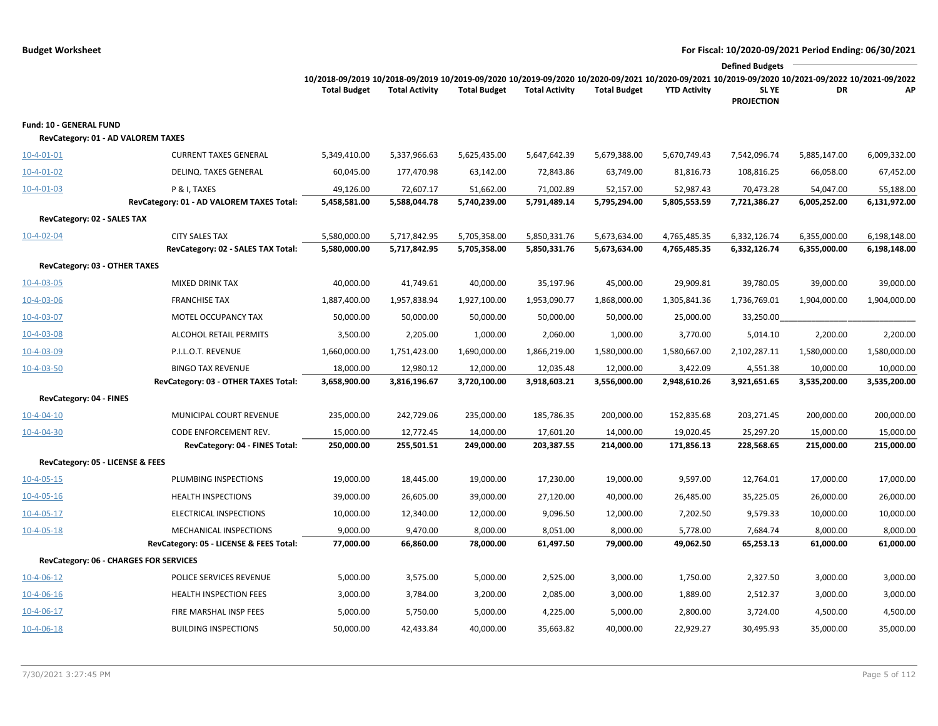```
Budget Worksheet For Fiscal: 10/2020-09/2021 Period Ending: 06/30/2021
```

|                                                               |                                                             |                                                                                                                                                 |                              |                              |                              |                              |                              | <b>Defined Budgets</b>       |                              |                              |
|---------------------------------------------------------------|-------------------------------------------------------------|-------------------------------------------------------------------------------------------------------------------------------------------------|------------------------------|------------------------------|------------------------------|------------------------------|------------------------------|------------------------------|------------------------------|------------------------------|
|                                                               |                                                             | 10/2018-09/2019 10/2018-09/2019 10/2019-09/2020 10/2019-09/2020 10/2020-09/2021 10/2020-09/2021 10/2019-09/2020 10/2021-09/2022 10/2021-09/2022 |                              |                              |                              |                              |                              |                              |                              |                              |
|                                                               |                                                             | <b>Total Budget</b>                                                                                                                             | <b>Total Activity</b>        | <b>Total Budget</b>          | <b>Total Activity</b>        | <b>Total Budget</b>          | <b>YTD Activity</b>          | SL YE<br><b>PROJECTION</b>   | DR                           | АP                           |
| Fund: 10 - GENERAL FUND<br>RevCategory: 01 - AD VALOREM TAXES |                                                             |                                                                                                                                                 |                              |                              |                              |                              |                              |                              |                              |                              |
| $10-4-01-01$                                                  | <b>CURRENT TAXES GENERAL</b>                                | 5,349,410.00                                                                                                                                    | 5,337,966.63                 | 5,625,435.00                 | 5,647,642.39                 | 5,679,388.00                 | 5,670,749.43                 | 7,542,096.74                 | 5,885,147.00                 | 6,009,332.00                 |
| $10-4-01-02$                                                  | DELINQ. TAXES GENERAL                                       | 60,045.00                                                                                                                                       | 177,470.98                   | 63,142.00                    | 72,843.86                    | 63,749.00                    | 81,816.73                    | 108,816.25                   | 66,058.00                    | 67,452.00                    |
| $10-4-01-03$                                                  | P & I, TAXES                                                | 49,126.00                                                                                                                                       | 72,607.17                    | 51,662.00                    | 71,002.89                    | 52,157.00                    | 52,987.43                    | 70,473.28                    | 54,047.00                    | 55,188.00                    |
|                                                               | RevCategory: 01 - AD VALOREM TAXES Total:                   | 5,458,581.00                                                                                                                                    | 5,588,044.78                 | 5,740,239.00                 | 5,791,489.14                 | 5,795,294.00                 | 5,805,553.59                 | 7,721,386.27                 | 6,005,252.00                 | 6,131,972.00                 |
| RevCategory: 02 - SALES TAX                                   |                                                             |                                                                                                                                                 |                              |                              |                              |                              |                              |                              |                              |                              |
| $10-4-02-04$                                                  | <b>CITY SALES TAX</b><br>RevCategory: 02 - SALES TAX Total: | 5,580,000.00<br>5,580,000.00                                                                                                                    | 5,717,842.95<br>5,717,842.95 | 5,705,358.00<br>5,705,358.00 | 5,850,331.76<br>5,850,331.76 | 5,673,634.00<br>5,673,634.00 | 4,765,485.35<br>4,765,485.35 | 6,332,126.74<br>6,332,126.74 | 6,355,000.00<br>6,355,000.00 | 6,198,148.00<br>6,198,148.00 |
| RevCategory: 03 - OTHER TAXES                                 |                                                             |                                                                                                                                                 |                              |                              |                              |                              |                              |                              |                              |                              |
| 10-4-03-05                                                    | <b>MIXED DRINK TAX</b>                                      | 40,000.00                                                                                                                                       | 41,749.61                    | 40,000.00                    | 35,197.96                    | 45,000.00                    | 29,909.81                    | 39,780.05                    | 39,000.00                    | 39,000.00                    |
| $10 - 4 - 03 - 06$                                            | <b>FRANCHISE TAX</b>                                        | 1,887,400.00                                                                                                                                    | 1,957,838.94                 | 1,927,100.00                 | 1,953,090.77                 | 1,868,000.00                 | 1,305,841.36                 | 1,736,769.01                 | 1,904,000.00                 | 1,904,000.00                 |
| 10-4-03-07                                                    | MOTEL OCCUPANCY TAX                                         | 50,000.00                                                                                                                                       | 50,000.00                    | 50,000.00                    | 50,000.00                    | 50,000.00                    | 25,000.00                    | 33,250.00                    |                              |                              |
| 10-4-03-08                                                    | ALCOHOL RETAIL PERMITS                                      | 3,500.00                                                                                                                                        | 2,205.00                     | 1,000.00                     | 2,060.00                     | 1,000.00                     | 3,770.00                     | 5,014.10                     | 2,200.00                     | 2,200.00                     |
| 10-4-03-09                                                    | P.I.L.O.T. REVENUE                                          | 1,660,000.00                                                                                                                                    | 1,751,423.00                 | 1,690,000.00                 | 1,866,219.00                 | 1,580,000.00                 | 1,580,667.00                 | 2,102,287.11                 | 1,580,000.00                 | 1,580,000.00                 |
| 10-4-03-50                                                    | <b>BINGO TAX REVENUE</b>                                    | 18,000.00                                                                                                                                       | 12,980.12                    | 12,000.00                    | 12,035.48                    | 12,000.00                    | 3,422.09                     | 4,551.38                     | 10,000.00                    | 10,000.00                    |
|                                                               | RevCategory: 03 - OTHER TAXES Total:                        | 3,658,900.00                                                                                                                                    | 3,816,196.67                 | 3,720,100.00                 | 3,918,603.21                 | 3,556,000.00                 | 2,948,610.26                 | 3,921,651.65                 | 3,535,200.00                 | 3,535,200.00                 |
| RevCategory: 04 - FINES                                       |                                                             |                                                                                                                                                 |                              |                              |                              |                              |                              |                              |                              |                              |
| $10-4-04-10$                                                  | MUNICIPAL COURT REVENUE                                     | 235,000.00                                                                                                                                      | 242,729.06                   | 235,000.00                   | 185,786.35                   | 200,000.00                   | 152,835.68                   | 203,271.45                   | 200,000.00                   | 200,000.00                   |
| $10 - 4 - 04 - 30$                                            | CODE ENFORCEMENT REV.                                       | 15,000.00                                                                                                                                       | 12,772.45                    | 14,000.00                    | 17,601.20                    | 14,000.00                    | 19,020.45                    | 25,297.20                    | 15,000.00                    | 15,000.00                    |
|                                                               | RevCategory: 04 - FINES Total:                              | 250,000.00                                                                                                                                      | 255,501.51                   | 249,000.00                   | 203,387.55                   | 214,000.00                   | 171,856.13                   | 228,568.65                   | 215,000.00                   | 215,000.00                   |
| RevCategory: 05 - LICENSE & FEES                              |                                                             |                                                                                                                                                 |                              |                              |                              |                              |                              |                              |                              |                              |
| $10-4-05-15$                                                  | PLUMBING INSPECTIONS                                        | 19,000.00                                                                                                                                       | 18,445.00                    | 19,000.00                    | 17,230.00                    | 19,000.00                    | 9,597.00                     | 12,764.01                    | 17,000.00                    | 17,000.00                    |
| $10-4-05-16$                                                  | <b>HEALTH INSPECTIONS</b>                                   | 39,000.00                                                                                                                                       | 26,605.00                    | 39,000.00                    | 27,120.00                    | 40,000.00                    | 26,485.00                    | 35,225.05                    | 26,000.00                    | 26,000.00                    |
| $10-4-05-17$                                                  | ELECTRICAL INSPECTIONS                                      | 10,000.00                                                                                                                                       | 12,340.00                    | 12,000.00                    | 9,096.50                     | 12,000.00                    | 7,202.50                     | 9,579.33                     | 10,000.00                    | 10,000.00                    |
| $10 - 4 - 05 - 18$                                            | MECHANICAL INSPECTIONS                                      | 9,000.00                                                                                                                                        | 9,470.00                     | 8,000.00                     | 8,051.00                     | 8,000.00                     | 5,778.00                     | 7,684.74                     | 8,000.00                     | 8,000.00                     |
|                                                               | RevCategory: 05 - LICENSE & FEES Total:                     | 77,000.00                                                                                                                                       | 66,860.00                    | 78,000.00                    | 61,497.50                    | 79,000.00                    | 49,062.50                    | 65,253.13                    | 61,000.00                    | 61,000.00                    |
| RevCategory: 06 - CHARGES FOR SERVICES                        |                                                             |                                                                                                                                                 |                              |                              |                              |                              |                              |                              |                              |                              |
| $10-4-06-12$                                                  | POLICE SERVICES REVENUE                                     | 5,000.00                                                                                                                                        | 3,575.00                     | 5,000.00                     | 2,525.00                     | 3,000.00                     | 1,750.00                     | 2,327.50                     | 3,000.00                     | 3,000.00                     |
| $10-4-06-16$                                                  | <b>HEALTH INSPECTION FEES</b>                               | 3,000.00                                                                                                                                        | 3,784.00                     | 3,200.00                     | 2,085.00                     | 3,000.00                     | 1,889.00                     | 2,512.37                     | 3,000.00                     | 3,000.00                     |
| $10-4-06-17$                                                  | FIRE MARSHAL INSP FEES                                      | 5,000.00                                                                                                                                        | 5,750.00                     | 5,000.00                     | 4,225.00                     | 5,000.00                     | 2,800.00                     | 3,724.00                     | 4,500.00                     | 4,500.00                     |
| $10-4-06-18$                                                  | <b>BUILDING INSPECTIONS</b>                                 | 50,000.00                                                                                                                                       | 42,433.84                    | 40,000.00                    | 35,663.82                    | 40,000.00                    | 22,929.27                    | 30,495.93                    | 35,000.00                    | 35,000.00                    |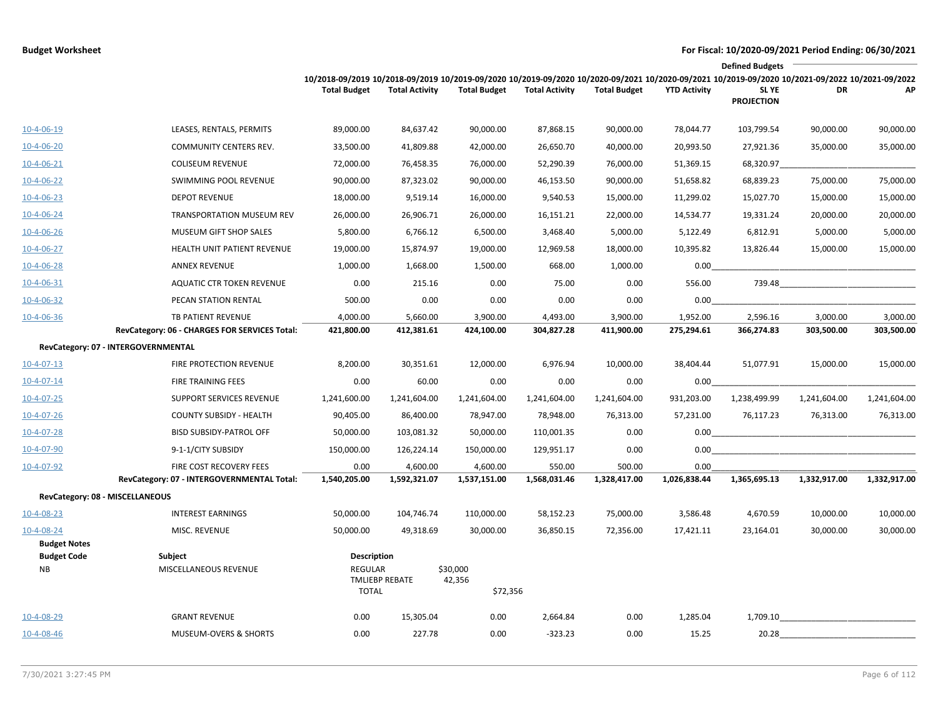|                                 |                                                                     |                                               |                        |                                |                        |                        |                        | <b>Defined Budgets</b>                                                                                                                                                              |                        |                        |
|---------------------------------|---------------------------------------------------------------------|-----------------------------------------------|------------------------|--------------------------------|------------------------|------------------------|------------------------|-------------------------------------------------------------------------------------------------------------------------------------------------------------------------------------|------------------------|------------------------|
|                                 |                                                                     | <b>Total Budget</b>                           | <b>Total Activity</b>  | <b>Total Budget</b>            | <b>Total Activity</b>  | <b>Total Budget</b>    | <b>YTD Activity</b>    | 10/2018-09/2019 10/2018-09/2019 10/2019-09/2020 10/2019-09/2020 10/2020-09/2021 10/2020-09/2021 10/2019-09/2020 10/2021-09/2022 10/2021-09/2022<br><b>SLYE</b><br><b>PROJECTION</b> | DR                     | AP                     |
| 10-4-06-19                      | LEASES, RENTALS, PERMITS                                            | 89,000.00                                     | 84,637.42              | 90,000.00                      | 87,868.15              | 90,000.00              | 78,044.77              | 103,799.54                                                                                                                                                                          | 90,000.00              | 90,000.00              |
| 10-4-06-20                      | COMMUNITY CENTERS REV.                                              | 33,500.00                                     | 41,809.88              | 42,000.00                      | 26,650.70              | 40,000.00              | 20,993.50              | 27,921.36                                                                                                                                                                           | 35,000.00              | 35,000.00              |
| $10-4-06-21$                    | <b>COLISEUM REVENUE</b>                                             | 72,000.00                                     | 76,458.35              | 76,000.00                      | 52,290.39              | 76,000.00              | 51,369.15              | 68,320.97                                                                                                                                                                           |                        |                        |
| $10 - 4 - 06 - 22$              | SWIMMING POOL REVENUE                                               | 90,000.00                                     | 87,323.02              | 90,000.00                      | 46,153.50              | 90,000.00              | 51,658.82              | 68,839.23                                                                                                                                                                           | 75,000.00              | 75,000.00              |
| 10-4-06-23                      | <b>DEPOT REVENUE</b>                                                | 18,000.00                                     | 9,519.14               | 16,000.00                      | 9,540.53               | 15,000.00              | 11,299.02              | 15,027.70                                                                                                                                                                           | 15,000.00              | 15,000.00              |
| $10 - 4 - 06 - 24$              | TRANSPORTATION MUSEUM REV                                           | 26,000.00                                     | 26,906.71              | 26,000.00                      | 16,151.21              | 22,000.00              | 14,534.77              | 19,331.24                                                                                                                                                                           | 20,000.00              | 20,000.00              |
| 10-4-06-26                      | MUSEUM GIFT SHOP SALES                                              | 5,800.00                                      | 6,766.12               | 6,500.00                       | 3,468.40               | 5,000.00               | 5,122.49               | 6,812.91                                                                                                                                                                            | 5,000.00               | 5,000.00               |
| $10-4-06-27$                    | HEALTH UNIT PATIENT REVENUE                                         | 19,000.00                                     | 15,874.97              | 19,000.00                      | 12,969.58              | 18,000.00              | 10,395.82              | 13,826.44                                                                                                                                                                           | 15,000.00              | 15,000.00              |
| $10-4-06-28$                    | <b>ANNEX REVENUE</b>                                                | 1,000.00                                      | 1,668.00               | 1,500.00                       | 668.00                 | 1,000.00               | 0.00                   |                                                                                                                                                                                     |                        |                        |
| 10-4-06-31                      | <b>AQUATIC CTR TOKEN REVENUE</b>                                    | 0.00                                          | 215.16                 | 0.00                           | 75.00                  | 0.00                   | 556.00                 | 739.48                                                                                                                                                                              |                        |                        |
| $10 - 4 - 06 - 32$              | PECAN STATION RENTAL                                                | 500.00                                        | 0.00                   | 0.00                           | 0.00                   | 0.00                   | 0.00                   |                                                                                                                                                                                     |                        |                        |
| 10-4-06-36                      | TB PATIENT REVENUE<br>RevCategory: 06 - CHARGES FOR SERVICES Total: | 4,000.00<br>421,800.00                        | 5,660.00<br>412,381.61 | 3,900.00<br>424,100.00         | 4,493.00<br>304,827.28 | 3,900.00<br>411,900.00 | 1,952.00<br>275,294.61 | 2,596.16<br>366,274.83                                                                                                                                                              | 3,000.00<br>303,500.00 | 3,000.00<br>303,500.00 |
|                                 | RevCategory: 07 - INTERGOVERNMENTAL                                 |                                               |                        |                                |                        |                        |                        |                                                                                                                                                                                     |                        |                        |
| 10-4-07-13                      | FIRE PROTECTION REVENUE                                             | 8,200.00                                      | 30,351.61              | 12,000.00                      | 6,976.94               | 10,000.00              | 38,404.44              | 51,077.91                                                                                                                                                                           | 15,000.00              | 15,000.00              |
| $10 - 4 - 07 - 14$              | FIRE TRAINING FEES                                                  | 0.00                                          | 60.00                  | 0.00                           | 0.00                   | 0.00                   | 0.00                   |                                                                                                                                                                                     |                        |                        |
| $10-4-07-25$                    | SUPPORT SERVICES REVENUE                                            | 1,241,600.00                                  | 1,241,604.00           | 1,241,604.00                   | 1,241,604.00           | 1,241,604.00           | 931,203.00             | 1,238,499.99                                                                                                                                                                        | 1,241,604.00           | 1,241,604.00           |
| $10-4-07-26$                    | <b>COUNTY SUBSIDY - HEALTH</b>                                      | 90,405.00                                     | 86,400.00              | 78,947.00                      | 78,948.00              | 76,313.00              | 57,231.00              | 76,117.23                                                                                                                                                                           | 76,313.00              | 76,313.00              |
| 10-4-07-28                      | <b>BISD SUBSIDY-PATROL OFF</b>                                      | 50,000.00                                     | 103,081.32             | 50,000.00                      | 110,001.35             | 0.00                   | 0.00                   |                                                                                                                                                                                     |                        |                        |
| 10-4-07-90                      | 9-1-1/CITY SUBSIDY                                                  | 150,000.00                                    | 126,224.14             | 150,000.00                     | 129,951.17             | 0.00                   | 0.00                   |                                                                                                                                                                                     |                        |                        |
| 10-4-07-92                      | FIRE COST RECOVERY FEES                                             | 0.00                                          | 4,600.00               | 4,600.00                       | 550.00                 | 500.00                 | 0.00                   |                                                                                                                                                                                     |                        |                        |
|                                 | RevCategory: 07 - INTERGOVERNMENTAL Total:                          | 1,540,205.00                                  | 1,592,321.07           | 1,537,151.00                   | 1,568,031.46           | 1,328,417.00           | 1,026,838.44           | 1,365,695.13                                                                                                                                                                        | 1,332,917.00           | 1,332,917.00           |
|                                 | RevCategory: 08 - MISCELLANEOUS                                     |                                               |                        |                                |                        |                        |                        |                                                                                                                                                                                     |                        |                        |
| $10 - 4 - 08 - 23$              | <b>INTEREST EARNINGS</b>                                            | 50,000.00                                     | 104,746.74             | 110,000.00                     | 58,152.23              | 75,000.00              | 3,586.48               | 4,670.59                                                                                                                                                                            | 10,000.00              | 10,000.00              |
| 10-4-08-24                      | MISC. REVENUE                                                       | 50,000.00                                     | 49,318.69              | 30,000.00                      | 36,850.15              | 72,356.00              | 17,421.11              | 23,164.01                                                                                                                                                                           | 30,000.00              | 30,000.00              |
| <b>Budget Notes</b>             |                                                                     |                                               |                        |                                |                        |                        |                        |                                                                                                                                                                                     |                        |                        |
| <b>Budget Code</b><br><b>NB</b> | Subject<br>MISCELLANEOUS REVENUE                                    | Description<br><b>REGULAR</b><br><b>TOTAL</b> | <b>TMLIEBP REBATE</b>  | \$30,000<br>42,356<br>\$72,356 |                        |                        |                        |                                                                                                                                                                                     |                        |                        |
| 10-4-08-29                      | <b>GRANT REVENUE</b>                                                | 0.00                                          | 15,305.04              | 0.00                           | 2,664.84               | 0.00                   | 1,285.04               | 1,709.10                                                                                                                                                                            |                        |                        |
| $10 - 4 - 08 - 46$              | MUSEUM-OVERS & SHORTS                                               | 0.00                                          | 227.78                 | 0.00                           | $-323.23$              | 0.00                   | 15.25                  | 20.28                                                                                                                                                                               |                        |                        |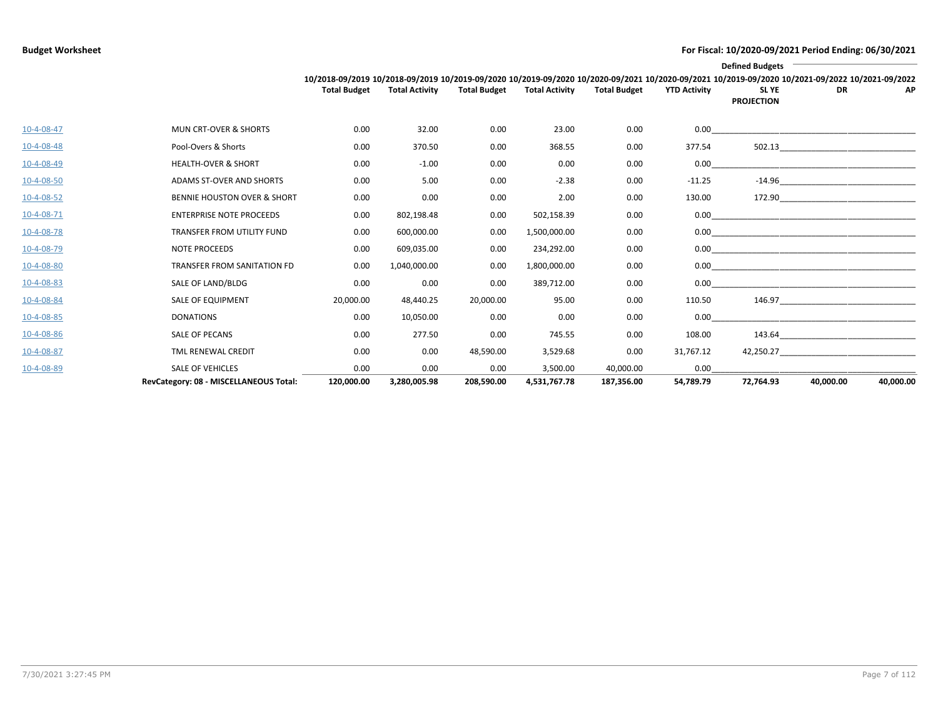|                    |                                        |                     |                       |                     |                       |                     |                     | <b>Defined Budgets</b>                                                                                                                                                        |           |           |
|--------------------|----------------------------------------|---------------------|-----------------------|---------------------|-----------------------|---------------------|---------------------|-------------------------------------------------------------------------------------------------------------------------------------------------------------------------------|-----------|-----------|
|                    |                                        | <b>Total Budget</b> | <b>Total Activity</b> | <b>Total Budget</b> | <b>Total Activity</b> | <b>Total Budget</b> | <b>YTD Activity</b> | 10/2018-09/2019 10/2018-09/2019 10/2019-09/2020 10/2019-09/2020 10/2020-09/2021 10/2020-09/2021 10/2019-09/2020 10/2021-09/2022 10/2021-09/2022<br>SL YE<br><b>PROJECTION</b> | <b>DR</b> | AP        |
| 10-4-08-47         | <b>MUN CRT-OVER &amp; SHORTS</b>       | 0.00                | 32.00                 | 0.00                | 23.00                 | 0.00                |                     |                                                                                                                                                                               |           |           |
| 10-4-08-48         | Pool-Overs & Shorts                    | 0.00                | 370.50                | 0.00                | 368.55                | 0.00                | 377.54              |                                                                                                                                                                               | 502.13    |           |
| 10-4-08-49         | <b>HEALTH-OVER &amp; SHORT</b>         | 0.00                | $-1.00$               | 0.00                | 0.00                  | 0.00                | 0.00                |                                                                                                                                                                               |           |           |
| $10 - 4 - 08 - 50$ | ADAMS ST-OVER AND SHORTS               | 0.00                | 5.00                  | 0.00                | $-2.38$               | 0.00                | $-11.25$            |                                                                                                                                                                               | $-14.96$  |           |
| $10-4-08-52$       | <b>BENNIE HOUSTON OVER &amp; SHORT</b> | 0.00                | 0.00                  | 0.00                | 2.00                  | 0.00                | 130.00              |                                                                                                                                                                               | 172.90    |           |
| 10-4-08-71         | <b>ENTERPRISE NOTE PROCEEDS</b>        | 0.00                | 802,198.48            | 0.00                | 502,158.39            | 0.00                | 0.00                |                                                                                                                                                                               |           |           |
| 10-4-08-78         | TRANSFER FROM UTILITY FUND             | 0.00                | 600,000.00            | 0.00                | 1,500,000.00          | 0.00                | 0.00                |                                                                                                                                                                               |           |           |
| 10-4-08-79         | <b>NOTE PROCEEDS</b>                   | 0.00                | 609,035.00            | 0.00                | 234,292.00            | 0.00                |                     |                                                                                                                                                                               |           |           |
| 10-4-08-80         | TRANSFER FROM SANITATION FD            | 0.00                | 1,040,000.00          | 0.00                | 1,800,000.00          | 0.00                |                     |                                                                                                                                                                               |           |           |
| 10-4-08-83         | SALE OF LAND/BLDG                      | 0.00                | 0.00                  | 0.00                | 389,712.00            | 0.00                | 0.00                |                                                                                                                                                                               |           |           |
| 10-4-08-84         | <b>SALE OF EQUIPMENT</b>               | 20,000.00           | 48,440.25             | 20,000.00           | 95.00                 | 0.00                | 110.50              |                                                                                                                                                                               | 146.97    |           |
| 10-4-08-85         | <b>DONATIONS</b>                       | 0.00                | 10,050.00             | 0.00                | 0.00                  | 0.00                | 0.00                |                                                                                                                                                                               |           |           |
| 10-4-08-86         | <b>SALE OF PECANS</b>                  | 0.00                | 277.50                | 0.00                | 745.55                | 0.00                | 108.00              |                                                                                                                                                                               | 143.64    |           |
| 10-4-08-87         | <b>TML RENEWAL CREDIT</b>              | 0.00                | 0.00                  | 48,590.00           | 3,529.68              | 0.00                | 31,767.12           |                                                                                                                                                                               | 42,250.27 |           |
| 10-4-08-89         | <b>SALE OF VEHICLES</b>                | 0.00                | 0.00                  | 0.00                | 3,500.00              | 40,000.00           | 0.00                |                                                                                                                                                                               |           |           |
|                    | RevCategory: 08 - MISCELLANEOUS Total: | 120,000.00          | 3,280,005.98          | 208,590.00          | 4,531,767.78          | 187,356.00          | 54,789.79           | 72.764.93                                                                                                                                                                     | 40.000.00 | 40,000.00 |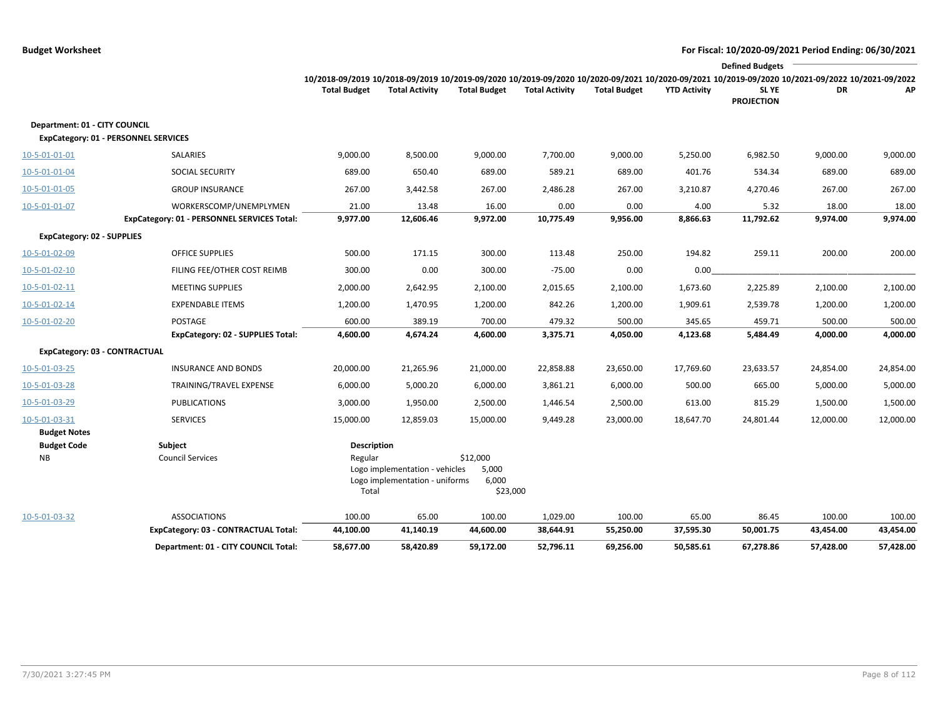|                                   |                                                                       |                     |                                                                  |                                        |                       |                     |                     | <b>Defined Budgets</b>                                                                                                                          |                   |                   |
|-----------------------------------|-----------------------------------------------------------------------|---------------------|------------------------------------------------------------------|----------------------------------------|-----------------------|---------------------|---------------------|-------------------------------------------------------------------------------------------------------------------------------------------------|-------------------|-------------------|
|                                   |                                                                       |                     |                                                                  |                                        |                       |                     |                     | 10/2018-09/2019 10/2018-09/2019 10/2019-09/2020 10/2019-09/2020 10/2020-09/2021 10/2020-09/2021 10/2019-09/2020 10/2021-09/2022 10/2021-09/2022 |                   |                   |
|                                   |                                                                       | <b>Total Budget</b> | <b>Total Activity</b>                                            | <b>Total Budget</b>                    | <b>Total Activity</b> | <b>Total Budget</b> | <b>YTD Activity</b> | SL YE<br><b>PROJECTION</b>                                                                                                                      | DR                | АP                |
| Department: 01 - CITY COUNCIL     | <b>ExpCategory: 01 - PERSONNEL SERVICES</b>                           |                     |                                                                  |                                        |                       |                     |                     |                                                                                                                                                 |                   |                   |
|                                   |                                                                       |                     |                                                                  |                                        |                       |                     |                     |                                                                                                                                                 |                   |                   |
| 10-5-01-01-01                     | SALARIES                                                              | 9,000.00            | 8,500.00                                                         | 9,000.00                               | 7,700.00              | 9,000.00            | 5,250.00            | 6,982.50                                                                                                                                        | 9,000.00          | 9,000.00          |
| 10-5-01-01-04                     | <b>SOCIAL SECURITY</b>                                                | 689.00              | 650.40                                                           | 689.00                                 | 589.21                | 689.00              | 401.76              | 534.34                                                                                                                                          | 689.00            | 689.00            |
| 10-5-01-01-05                     | <b>GROUP INSURANCE</b>                                                | 267.00              | 3,442.58                                                         | 267.00                                 | 2,486.28              | 267.00              | 3,210.87            | 4,270.46                                                                                                                                        | 267.00            | 267.00            |
| 10-5-01-01-07                     | WORKERSCOMP/UNEMPLYMEN<br>ExpCategory: 01 - PERSONNEL SERVICES Total: | 21.00<br>9,977.00   | 13.48<br>12,606.46                                               | 16.00<br>9,972.00                      | 0.00<br>10,775.49     | 0.00<br>9,956.00    | 4.00<br>8,866.63    | 5.32<br>11,792.62                                                                                                                               | 18.00<br>9,974.00 | 18.00<br>9,974.00 |
| <b>ExpCategory: 02 - SUPPLIES</b> |                                                                       |                     |                                                                  |                                        |                       |                     |                     |                                                                                                                                                 |                   |                   |
| 10-5-01-02-09                     | OFFICE SUPPLIES                                                       | 500.00              | 171.15                                                           | 300.00                                 | 113.48                | 250.00              | 194.82              | 259.11                                                                                                                                          | 200.00            | 200.00            |
| 10-5-01-02-10                     | FILING FEE/OTHER COST REIMB                                           | 300.00              | 0.00                                                             | 300.00                                 | $-75.00$              | 0.00                | 0.00                |                                                                                                                                                 |                   |                   |
| 10-5-01-02-11                     | <b>MEETING SUPPLIES</b>                                               | 2,000.00            | 2,642.95                                                         | 2,100.00                               | 2,015.65              | 2,100.00            | 1,673.60            | 2,225.89                                                                                                                                        | 2,100.00          | 2,100.00          |
| 10-5-01-02-14                     | <b>EXPENDABLE ITEMS</b>                                               | 1,200.00            | 1,470.95                                                         | 1,200.00                               | 842.26                | 1,200.00            | 1,909.61            | 2,539.78                                                                                                                                        | 1,200.00          | 1,200.00          |
| 10-5-01-02-20                     | POSTAGE                                                               | 600.00              | 389.19                                                           | 700.00                                 | 479.32                | 500.00              | 345.65              | 459.71                                                                                                                                          | 500.00            | 500.00            |
|                                   | <b>ExpCategory: 02 - SUPPLIES Total:</b>                              | 4,600.00            | 4,674.24                                                         | 4,600.00                               | 3,375.71              | 4,050.00            | 4,123.68            | 5,484.49                                                                                                                                        | 4,000.00          | 4,000.00          |
| ExpCategory: 03 - CONTRACTUAL     |                                                                       |                     |                                                                  |                                        |                       |                     |                     |                                                                                                                                                 |                   |                   |
| 10-5-01-03-25                     | <b>INSURANCE AND BONDS</b>                                            | 20,000.00           | 21,265.96                                                        | 21,000.00                              | 22,858.88             | 23,650.00           | 17,769.60           | 23,633.57                                                                                                                                       | 24,854.00         | 24,854.00         |
| 10-5-01-03-28                     | TRAINING/TRAVEL EXPENSE                                               | 6,000.00            | 5,000.20                                                         | 6,000.00                               | 3,861.21              | 6,000.00            | 500.00              | 665.00                                                                                                                                          | 5,000.00          | 5,000.00          |
| 10-5-01-03-29                     | <b>PUBLICATIONS</b>                                                   | 3,000.00            | 1,950.00                                                         | 2,500.00                               | 1,446.54              | 2,500.00            | 613.00              | 815.29                                                                                                                                          | 1,500.00          | 1,500.00          |
| 10-5-01-03-31                     | <b>SERVICES</b>                                                       | 15,000.00           | 12,859.03                                                        | 15,000.00                              | 9,449.28              | 23,000.00           | 18,647.70           | 24,801.44                                                                                                                                       | 12,000.00         | 12,000.00         |
| <b>Budget Notes</b>               |                                                                       |                     |                                                                  |                                        |                       |                     |                     |                                                                                                                                                 |                   |                   |
| <b>Budget Code</b>                | Subject                                                               | Description         |                                                                  |                                        |                       |                     |                     |                                                                                                                                                 |                   |                   |
| <b>NB</b>                         | <b>Council Services</b>                                               | Regular<br>Total    | Logo implementation - vehicles<br>Logo implementation - uniforms | \$12,000<br>5,000<br>6,000<br>\$23,000 |                       |                     |                     |                                                                                                                                                 |                   |                   |
| 10-5-01-03-32                     | <b>ASSOCIATIONS</b>                                                   | 100.00              | 65.00                                                            | 100.00                                 | 1,029.00              | 100.00              | 65.00               | 86.45                                                                                                                                           | 100.00            | 100.00            |
|                                   | ExpCategory: 03 - CONTRACTUAL Total:                                  | 44,100.00           | 41,140.19                                                        | 44,600.00                              | 38,644.91             | 55,250.00           | 37,595.30           | 50,001.75                                                                                                                                       | 43,454.00         | 43,454.00         |
|                                   | Department: 01 - CITY COUNCIL Total:                                  | 58,677.00           | 58,420.89                                                        | 59,172.00                              | 52,796.11             | 69,256.00           | 50,585.61           | 67,278.86                                                                                                                                       | 57,428.00         | 57,428.00         |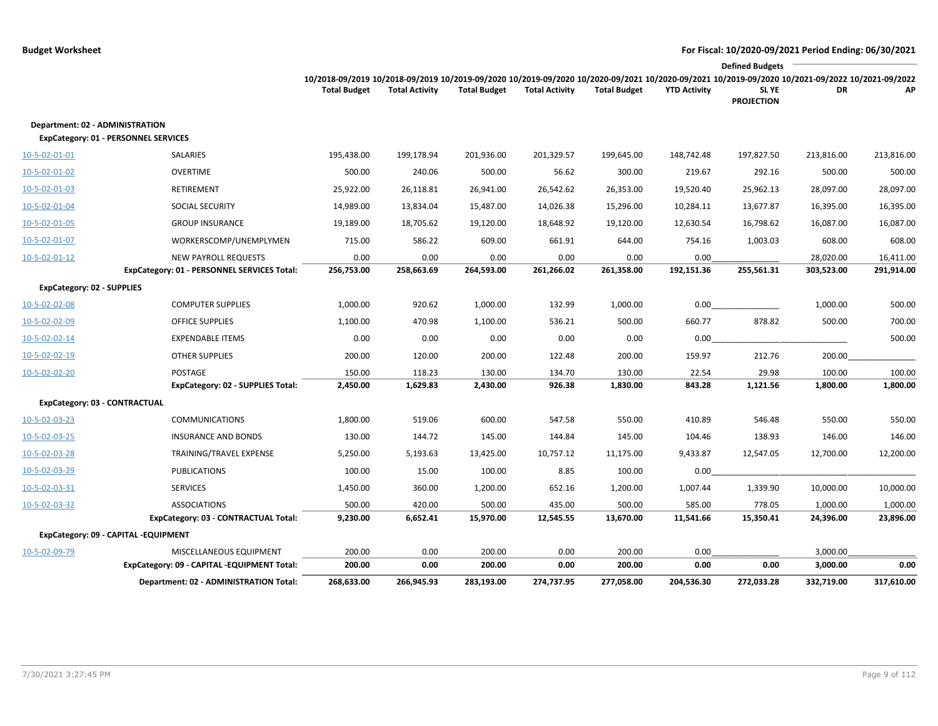|                                   |                                                     |                                                                                                                                                                        |                       |                     |                       |                     |                     | <b>Defined Budgets</b>           |                    |                    |
|-----------------------------------|-----------------------------------------------------|------------------------------------------------------------------------------------------------------------------------------------------------------------------------|-----------------------|---------------------|-----------------------|---------------------|---------------------|----------------------------------|--------------------|--------------------|
|                                   |                                                     | 10/2018-09/2019 10/2018-09/2019 10/2019-09/2020 10/2019-09/2020 10/2020-09/2021 10/2020-09/2021 10/2019-09/2020 10/2021-09/2022 10/2021-09/2022<br><b>Total Budget</b> | <b>Total Activity</b> | <b>Total Budget</b> | <b>Total Activity</b> | <b>Total Budget</b> | <b>YTD Activity</b> | <b>SLYE</b><br><b>PROJECTION</b> | DR                 | АP                 |
| Department: 02 - ADMINISTRATION   | <b>ExpCategory: 01 - PERSONNEL SERVICES</b>         |                                                                                                                                                                        |                       |                     |                       |                     |                     |                                  |                    |                    |
| 10-5-02-01-01                     | SALARIES                                            | 195,438.00                                                                                                                                                             | 199,178.94            | 201,936.00          | 201,329.57            | 199,645.00          | 148,742.48          | 197,827.50                       | 213,816.00         | 213,816.00         |
| 10-5-02-01-02                     | <b>OVERTIME</b>                                     | 500.00                                                                                                                                                                 | 240.06                | 500.00              | 56.62                 | 300.00              | 219.67              | 292.16                           | 500.00             | 500.00             |
| 10-5-02-01-03                     | RETIREMENT                                          | 25,922.00                                                                                                                                                              | 26,118.81             | 26,941.00           | 26,542.62             | 26,353.00           | 19,520.40           | 25,962.13                        | 28,097.00          | 28,097.00          |
| 10-5-02-01-04                     | SOCIAL SECURITY                                     | 14,989.00                                                                                                                                                              | 13,834.04             | 15,487.00           | 14,026.38             | 15,296.00           | 10,284.11           | 13,677.87                        | 16,395.00          | 16,395.00          |
| 10-5-02-01-05                     | <b>GROUP INSURANCE</b>                              | 19,189.00                                                                                                                                                              | 18,705.62             | 19,120.00           | 18,648.92             | 19,120.00           | 12,630.54           | 16,798.62                        | 16,087.00          | 16,087.00          |
| 10-5-02-01-07                     | WORKERSCOMP/UNEMPLYMEN                              | 715.00                                                                                                                                                                 | 586.22                | 609.00              | 661.91                | 644.00              | 754.16              | 1,003.03                         | 608.00             | 608.00             |
| $10 - 5 - 02 - 01 - 12$           | <b>NEW PAYROLL REQUESTS</b>                         | 0.00                                                                                                                                                                   | 0.00                  | 0.00                | 0.00                  | 0.00                | 0.00                |                                  | 28,020.00          | 16,411.00          |
|                                   | ExpCategory: 01 - PERSONNEL SERVICES Total:         | 256,753.00                                                                                                                                                             | 258,663.69            | 264,593.00          | 261,266.02            | 261,358.00          | 192,151.36          | 255,561.31                       | 303,523.00         | 291,914.00         |
| <b>ExpCategory: 02 - SUPPLIES</b> |                                                     |                                                                                                                                                                        |                       |                     |                       |                     |                     |                                  |                    |                    |
| 10-5-02-02-08                     | <b>COMPUTER SUPPLIES</b>                            | 1,000.00                                                                                                                                                               | 920.62                | 1,000.00            | 132.99                | 1,000.00            | 0.00                |                                  | 1,000.00           | 500.00             |
| 10-5-02-02-09                     | <b>OFFICE SUPPLIES</b>                              | 1,100.00                                                                                                                                                               | 470.98                | 1,100.00            | 536.21                | 500.00              | 660.77              | 878.82                           | 500.00             | 700.00             |
| 10-5-02-02-14                     | <b>EXPENDABLE ITEMS</b>                             | 0.00                                                                                                                                                                   | 0.00                  | 0.00                | 0.00                  | 0.00                | 0.00                |                                  |                    | 500.00             |
| 10-5-02-02-19                     | <b>OTHER SUPPLIES</b>                               | 200.00                                                                                                                                                                 | 120.00                | 200.00              | 122.48                | 200.00              | 159.97              | 212.76                           | 200.00             |                    |
| $10 - 5 - 02 - 02 - 20$           | POSTAGE<br><b>ExpCategory: 02 - SUPPLIES Total:</b> | 150.00<br>2,450.00                                                                                                                                                     | 118.23<br>1,629.83    | 130.00<br>2,430.00  | 134.70<br>926.38      | 130.00<br>1,830.00  | 22.54<br>843.28     | 29.98<br>1,121.56                | 100.00<br>1,800.00 | 100.00<br>1,800.00 |
| ExpCategory: 03 - CONTRACTUAL     |                                                     |                                                                                                                                                                        |                       |                     |                       |                     |                     |                                  |                    |                    |
| 10-5-02-03-23                     | <b>COMMUNICATIONS</b>                               | 1,800.00                                                                                                                                                               | 519.06                | 600.00              | 547.58                | 550.00              | 410.89              | 546.48                           | 550.00             | 550.00             |
| 10-5-02-03-25                     | <b>INSURANCE AND BONDS</b>                          | 130.00                                                                                                                                                                 | 144.72                | 145.00              | 144.84                | 145.00              | 104.46              | 138.93                           | 146.00             | 146.00             |
| 10-5-02-03-28                     | TRAINING/TRAVEL EXPENSE                             | 5,250.00                                                                                                                                                               | 5,193.63              | 13,425.00           | 10,757.12             | 11,175.00           | 9,433.87            | 12,547.05                        | 12,700.00          | 12,200.00          |
| 10-5-02-03-29                     | <b>PUBLICATIONS</b>                                 | 100.00                                                                                                                                                                 | 15.00                 | 100.00              | 8.85                  | 100.00              | 0.00                |                                  |                    |                    |
| 10-5-02-03-31                     | <b>SERVICES</b>                                     | 1,450.00                                                                                                                                                               | 360.00                | 1,200.00            | 652.16                | 1,200.00            | 1,007.44            | 1,339.90                         | 10,000.00          | 10,000.00          |
| 10-5-02-03-32                     | <b>ASSOCIATIONS</b>                                 | 500.00                                                                                                                                                                 | 420.00                | 500.00              | 435.00                | 500.00              | 585.00              | 778.05                           | 1,000.00           | 1,000.00           |
|                                   | ExpCategory: 03 - CONTRACTUAL Total:                | 9,230.00                                                                                                                                                               | 6,652.41              | 15,970.00           | 12,545.55             | 13,670.00           | 11,541.66           | 15,350.41                        | 24,396.00          | 23,896.00          |
|                                   | ExpCategory: 09 - CAPITAL -EQUIPMENT                |                                                                                                                                                                        |                       |                     |                       |                     |                     |                                  |                    |                    |
| 10-5-02-09-79                     | MISCELLANEOUS EQUIPMENT                             | 200.00                                                                                                                                                                 | 0.00                  | 200.00              | 0.00                  | 200.00              | 0.00                |                                  | 3,000.00           |                    |
|                                   | ExpCategory: 09 - CAPITAL -EQUIPMENT Total:         | 200.00                                                                                                                                                                 | 0.00                  | 200.00              | 0.00                  | 200.00              | 0.00                | 0.00                             | 3,000.00           | 0.00               |
|                                   | Department: 02 - ADMINISTRATION Total:              | 268,633.00                                                                                                                                                             | 266,945.93            | 283,193.00          | 274,737.95            | 277,058.00          | 204,536.30          | 272,033.28                       | 332,719.00         | 317,610.00         |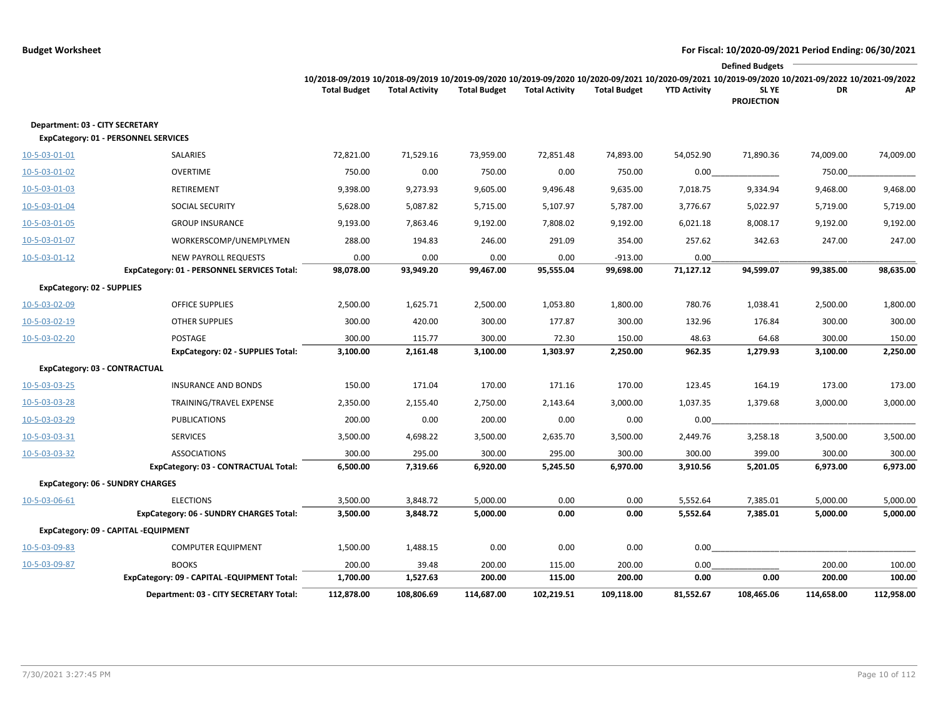|                                   |                                             |                                                                                                                                                                        |                       |                     |                       |                     |                     | <b>Defined Budgets</b>           |            |            |
|-----------------------------------|---------------------------------------------|------------------------------------------------------------------------------------------------------------------------------------------------------------------------|-----------------------|---------------------|-----------------------|---------------------|---------------------|----------------------------------|------------|------------|
|                                   |                                             | 10/2018-09/2019 10/2018-09/2019 10/2019-09/2020 10/2019-09/2020 10/2020-09/2021 10/2020-09/2021 10/2019-09/2020 10/2021-09/2022 10/2021-09/2022<br><b>Total Budget</b> | <b>Total Activity</b> | <b>Total Budget</b> | <b>Total Activity</b> | <b>Total Budget</b> | <b>YTD Activity</b> | <b>SLYE</b><br><b>PROJECTION</b> | DR         | АΡ         |
| Department: 03 - CITY SECRETARY   |                                             |                                                                                                                                                                        |                       |                     |                       |                     |                     |                                  |            |            |
|                                   | <b>ExpCategory: 01 - PERSONNEL SERVICES</b> |                                                                                                                                                                        |                       |                     |                       |                     |                     |                                  |            |            |
| 10-5-03-01-01                     | SALARIES                                    | 72,821.00                                                                                                                                                              | 71,529.16             | 73,959.00           | 72,851.48             | 74,893.00           | 54,052.90           | 71,890.36                        | 74,009.00  | 74,009.00  |
| 10-5-03-01-02                     | <b>OVERTIME</b>                             | 750.00                                                                                                                                                                 | 0.00                  | 750.00              | 0.00                  | 750.00              | 0.00                |                                  | 750.00     |            |
| 10-5-03-01-03                     | RETIREMENT                                  | 9,398.00                                                                                                                                                               | 9,273.93              | 9,605.00            | 9,496.48              | 9,635.00            | 7,018.75            | 9,334.94                         | 9,468.00   | 9,468.00   |
| 10-5-03-01-04                     | SOCIAL SECURITY                             | 5,628.00                                                                                                                                                               | 5,087.82              | 5,715.00            | 5,107.97              | 5,787.00            | 3,776.67            | 5,022.97                         | 5,719.00   | 5,719.00   |
| 10-5-03-01-05                     | <b>GROUP INSURANCE</b>                      | 9,193.00                                                                                                                                                               | 7,863.46              | 9,192.00            | 7,808.02              | 9,192.00            | 6,021.18            | 8,008.17                         | 9,192.00   | 9,192.00   |
| 10-5-03-01-07                     | WORKERSCOMP/UNEMPLYMEN                      | 288.00                                                                                                                                                                 | 194.83                | 246.00              | 291.09                | 354.00              | 257.62              | 342.63                           | 247.00     | 247.00     |
| 10-5-03-01-12                     | <b>NEW PAYROLL REQUESTS</b>                 | 0.00                                                                                                                                                                   | 0.00                  | 0.00                | 0.00                  | $-913.00$           | 0.00                |                                  |            |            |
|                                   | ExpCategory: 01 - PERSONNEL SERVICES Total: | 98,078.00                                                                                                                                                              | 93,949.20             | 99,467.00           | 95,555.04             | 99,698.00           | 71,127.12           | 94,599.07                        | 99,385.00  | 98,635.00  |
| <b>ExpCategory: 02 - SUPPLIES</b> |                                             |                                                                                                                                                                        |                       |                     |                       |                     |                     |                                  |            |            |
| 10-5-03-02-09                     | <b>OFFICE SUPPLIES</b>                      | 2,500.00                                                                                                                                                               | 1,625.71              | 2,500.00            | 1,053.80              | 1,800.00            | 780.76              | 1,038.41                         | 2,500.00   | 1,800.00   |
| 10-5-03-02-19                     | <b>OTHER SUPPLIES</b>                       | 300.00                                                                                                                                                                 | 420.00                | 300.00              | 177.87                | 300.00              | 132.96              | 176.84                           | 300.00     | 300.00     |
| 10-5-03-02-20                     | POSTAGE                                     | 300.00                                                                                                                                                                 | 115.77                | 300.00              | 72.30                 | 150.00              | 48.63               | 64.68                            | 300.00     | 150.00     |
|                                   | ExpCategory: 02 - SUPPLIES Total:           | 3,100.00                                                                                                                                                               | 2,161.48              | 3,100.00            | 1,303.97              | 2,250.00            | 962.35              | 1,279.93                         | 3,100.00   | 2,250.00   |
| ExpCategory: 03 - CONTRACTUAL     |                                             |                                                                                                                                                                        |                       |                     |                       |                     |                     |                                  |            |            |
| 10-5-03-03-25                     | <b>INSURANCE AND BONDS</b>                  | 150.00                                                                                                                                                                 | 171.04                | 170.00              | 171.16                | 170.00              | 123.45              | 164.19                           | 173.00     | 173.00     |
| 10-5-03-03-28                     | TRAINING/TRAVEL EXPENSE                     | 2,350.00                                                                                                                                                               | 2,155.40              | 2,750.00            | 2,143.64              | 3,000.00            | 1,037.35            | 1,379.68                         | 3,000.00   | 3,000.00   |
| 10-5-03-03-29                     | <b>PUBLICATIONS</b>                         | 200.00                                                                                                                                                                 | 0.00                  | 200.00              | 0.00                  | 0.00                | 0.00                |                                  |            |            |
| 10-5-03-03-31                     | <b>SERVICES</b>                             | 3,500.00                                                                                                                                                               | 4,698.22              | 3,500.00            | 2,635.70              | 3,500.00            | 2,449.76            | 3,258.18                         | 3,500.00   | 3,500.00   |
| 10-5-03-03-32                     | <b>ASSOCIATIONS</b>                         | 300.00                                                                                                                                                                 | 295.00                | 300.00              | 295.00                | 300.00              | 300.00              | 399.00                           | 300.00     | 300.00     |
|                                   | ExpCategory: 03 - CONTRACTUAL Total:        | 6,500.00                                                                                                                                                               | 7,319.66              | 6,920.00            | 5,245.50              | 6,970.00            | 3,910.56            | 5,201.05                         | 6,973.00   | 6,973.00   |
|                                   | <b>ExpCategory: 06 - SUNDRY CHARGES</b>     |                                                                                                                                                                        |                       |                     |                       |                     |                     |                                  |            |            |
| 10-5-03-06-61                     | <b>ELECTIONS</b>                            | 3,500.00                                                                                                                                                               | 3,848.72              | 5,000.00            | 0.00                  | 0.00                | 5,552.64            | 7,385.01                         | 5,000.00   | 5,000.00   |
|                                   | ExpCategory: 06 - SUNDRY CHARGES Total:     | 3,500.00                                                                                                                                                               | 3,848.72              | 5,000.00            | 0.00                  | 0.00                | 5,552.64            | 7,385.01                         | 5,000.00   | 5,000.00   |
|                                   | ExpCategory: 09 - CAPITAL -EQUIPMENT        |                                                                                                                                                                        |                       |                     |                       |                     |                     |                                  |            |            |
| 10-5-03-09-83                     | <b>COMPUTER EQUIPMENT</b>                   | 1,500.00                                                                                                                                                               | 1,488.15              | 0.00                | 0.00                  | 0.00                | 0.00                |                                  |            |            |
| 10-5-03-09-87                     | <b>BOOKS</b>                                | 200.00                                                                                                                                                                 | 39.48                 | 200.00              | 115.00                | 200.00              | 0.00                |                                  | 200.00     | 100.00     |
|                                   | ExpCategory: 09 - CAPITAL -EQUIPMENT Total: | 1,700.00                                                                                                                                                               | 1,527.63              | 200.00              | 115.00                | 200.00              | 0.00                | 0.00                             | 200.00     | 100.00     |
|                                   | Department: 03 - CITY SECRETARY Total:      | 112,878.00                                                                                                                                                             | 108,806.69            | 114,687.00          | 102,219.51            | 109,118.00          | 81,552.67           | 108,465.06                       | 114,658.00 | 112,958.00 |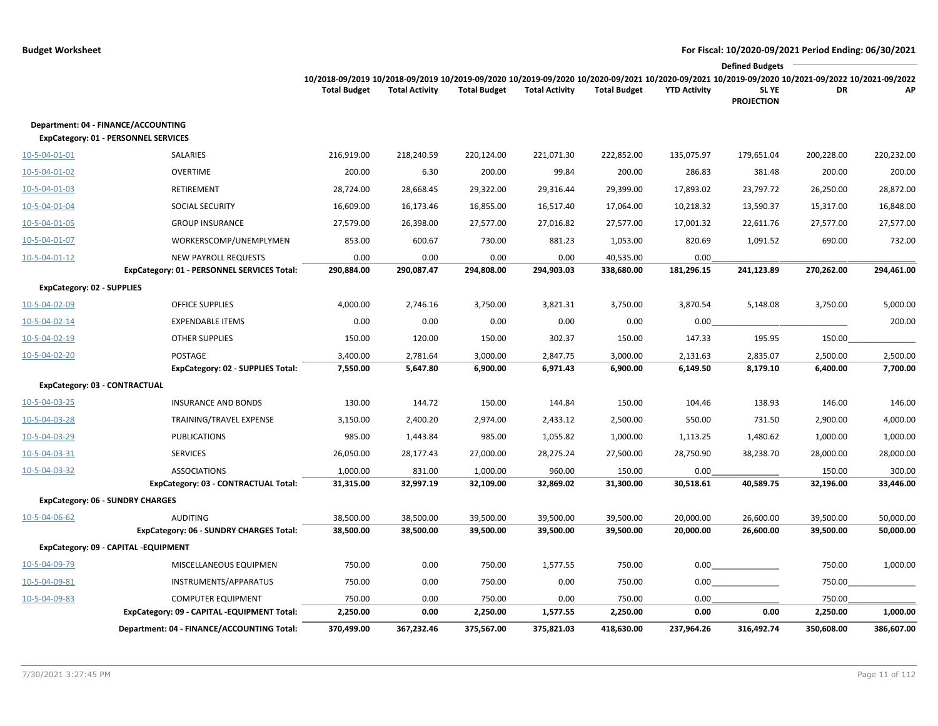|                                   |                                                                                    |                                                                                                                                                                        |                       |                     |                       |                     |                     | <b>Defined Budgets</b>           |            |            |
|-----------------------------------|------------------------------------------------------------------------------------|------------------------------------------------------------------------------------------------------------------------------------------------------------------------|-----------------------|---------------------|-----------------------|---------------------|---------------------|----------------------------------|------------|------------|
|                                   |                                                                                    | 10/2018-09/2019 10/2018-09/2019 10/2019-09/2020 10/2019-09/2020 10/2020-09/2021 10/2020-09/2021 10/2019-09/2020 10/2021-09/2022 10/2021-09/2022<br><b>Total Budget</b> | <b>Total Activity</b> | <b>Total Budget</b> | <b>Total Activity</b> | <b>Total Budget</b> | <b>YTD Activity</b> | <b>SLYE</b><br><b>PROJECTION</b> | DR         | AP         |
|                                   | Department: 04 - FINANCE/ACCOUNTING<br><b>ExpCategory: 01 - PERSONNEL SERVICES</b> |                                                                                                                                                                        |                       |                     |                       |                     |                     |                                  |            |            |
| 10-5-04-01-01                     | SALARIES                                                                           | 216,919.00                                                                                                                                                             | 218,240.59            | 220,124.00          | 221,071.30            | 222,852.00          | 135,075.97          | 179,651.04                       | 200,228.00 | 220,232.00 |
| 10-5-04-01-02                     | <b>OVERTIME</b>                                                                    | 200.00                                                                                                                                                                 | 6.30                  | 200.00              | 99.84                 | 200.00              | 286.83              | 381.48                           | 200.00     | 200.00     |
| 10-5-04-01-03                     | <b>RETIREMENT</b>                                                                  | 28,724.00                                                                                                                                                              | 28,668.45             | 29,322.00           | 29,316.44             | 29,399.00           | 17,893.02           | 23,797.72                        | 26,250.00  | 28,872.00  |
| 10-5-04-01-04                     | <b>SOCIAL SECURITY</b>                                                             | 16,609.00                                                                                                                                                              | 16,173.46             | 16,855.00           | 16,517.40             | 17,064.00           | 10,218.32           | 13,590.37                        | 15,317.00  | 16,848.00  |
| 10-5-04-01-05                     | <b>GROUP INSURANCE</b>                                                             | 27,579.00                                                                                                                                                              | 26,398.00             | 27,577.00           | 27,016.82             | 27,577.00           | 17,001.32           | 22,611.76                        | 27,577.00  | 27,577.00  |
| 10-5-04-01-07                     | WORKERSCOMP/UNEMPLYMEN                                                             | 853.00                                                                                                                                                                 | 600.67                | 730.00              | 881.23                | 1,053.00            | 820.69              | 1,091.52                         | 690.00     | 732.00     |
| $10 - 5 - 04 - 01 - 12$           | <b>NEW PAYROLL REQUESTS</b>                                                        | 0.00                                                                                                                                                                   | 0.00                  | 0.00                | 0.00                  | 40,535.00           | 0.00                |                                  |            |            |
|                                   | ExpCategory: 01 - PERSONNEL SERVICES Total:                                        | 290,884.00                                                                                                                                                             | 290,087.47            | 294,808.00          | 294,903.03            | 338,680.00          | 181,296.15          | 241,123.89                       | 270,262.00 | 294,461.00 |
| <b>ExpCategory: 02 - SUPPLIES</b> |                                                                                    |                                                                                                                                                                        |                       |                     |                       |                     |                     |                                  |            |            |
| 10-5-04-02-09                     | <b>OFFICE SUPPLIES</b>                                                             | 4,000.00                                                                                                                                                               | 2,746.16              | 3,750.00            | 3,821.31              | 3,750.00            | 3,870.54            | 5,148.08                         | 3,750.00   | 5,000.00   |
| 10-5-04-02-14                     | <b>EXPENDABLE ITEMS</b>                                                            | 0.00                                                                                                                                                                   | 0.00                  | 0.00                | 0.00                  | 0.00                | 0.00                |                                  |            | 200.00     |
| 10-5-04-02-19                     | <b>OTHER SUPPLIES</b>                                                              | 150.00                                                                                                                                                                 | 120.00                | 150.00              | 302.37                | 150.00              | 147.33              | 195.95                           | 150.00     |            |
| 10-5-04-02-20                     | POSTAGE                                                                            | 3,400.00                                                                                                                                                               | 2,781.64              | 3,000.00            | 2,847.75              | 3,000.00            | 2,131.63            | 2,835.07                         | 2,500.00   | 2,500.00   |
|                                   | <b>ExpCategory: 02 - SUPPLIES Total:</b>                                           | 7,550.00                                                                                                                                                               | 5,647.80              | 6,900.00            | 6,971.43              | 6,900.00            | 6,149.50            | 8,179.10                         | 6,400.00   | 7,700.00   |
|                                   | ExpCategory: 03 - CONTRACTUAL                                                      |                                                                                                                                                                        |                       |                     |                       |                     |                     |                                  |            |            |
| 10-5-04-03-25                     | <b>INSURANCE AND BONDS</b>                                                         | 130.00                                                                                                                                                                 | 144.72                | 150.00              | 144.84                | 150.00              | 104.46              | 138.93                           | 146.00     | 146.00     |
| 10-5-04-03-28                     | TRAINING/TRAVEL EXPENSE                                                            | 3,150.00                                                                                                                                                               | 2,400.20              | 2,974.00            | 2,433.12              | 2,500.00            | 550.00              | 731.50                           | 2,900.00   | 4,000.00   |
| 10-5-04-03-29                     | <b>PUBLICATIONS</b>                                                                | 985.00                                                                                                                                                                 | 1,443.84              | 985.00              | 1,055.82              | 1,000.00            | 1,113.25            | 1,480.62                         | 1,000.00   | 1,000.00   |
| 10-5-04-03-31                     | <b>SERVICES</b>                                                                    | 26,050.00                                                                                                                                                              | 28,177.43             | 27,000.00           | 28,275.24             | 27,500.00           | 28,750.90           | 38,238.70                        | 28,000.00  | 28,000.00  |
| 10-5-04-03-32                     | <b>ASSOCIATIONS</b>                                                                | 1,000.00                                                                                                                                                               | 831.00                | 1,000.00            | 960.00                | 150.00              | 0.00                |                                  | 150.00     | 300.00     |
|                                   | ExpCategory: 03 - CONTRACTUAL Total:                                               | 31,315.00                                                                                                                                                              | 32,997.19             | 32,109.00           | 32,869.02             | 31,300.00           | 30,518.61           | 40,589.75                        | 32,196.00  | 33,446.00  |
|                                   | ExpCategory: 06 - SUNDRY CHARGES                                                   |                                                                                                                                                                        |                       |                     |                       |                     |                     |                                  |            |            |
| 10-5-04-06-62                     | <b>AUDITING</b>                                                                    | 38,500.00                                                                                                                                                              | 38,500.00             | 39,500.00           | 39,500.00             | 39,500.00           | 20,000.00           | 26,600.00                        | 39,500.00  | 50,000.00  |
|                                   | ExpCategory: 06 - SUNDRY CHARGES Total:                                            | 38,500.00                                                                                                                                                              | 38,500.00             | 39,500.00           | 39,500.00             | 39,500.00           | 20,000.00           | 26,600.00                        | 39,500.00  | 50,000.00  |
|                                   | ExpCategory: 09 - CAPITAL -EQUIPMENT                                               |                                                                                                                                                                        |                       |                     |                       |                     |                     |                                  |            |            |
| 10-5-04-09-79                     | MISCELLANEOUS EQUIPMEN                                                             | 750.00                                                                                                                                                                 | 0.00                  | 750.00              | 1,577.55              | 750.00              |                     | $0.00$                           | 750.00     | 1,000.00   |
| 10-5-04-09-81                     | INSTRUMENTS/APPARATUS                                                              | 750.00                                                                                                                                                                 | 0.00                  | 750.00              | 0.00                  | 750.00              | 0.00                |                                  | 750.00     |            |
| 10-5-04-09-83                     | <b>COMPUTER EQUIPMENT</b>                                                          | 750.00                                                                                                                                                                 | 0.00                  | 750.00              | 0.00                  | 750.00              | 0.00                |                                  | 750.00     |            |
|                                   | ExpCategory: 09 - CAPITAL -EQUIPMENT Total:                                        | 2,250.00                                                                                                                                                               | 0.00                  | 2,250.00            | 1,577.55              | 2,250.00            | 0.00                | 0.00                             | 2,250.00   | 1,000.00   |
|                                   | Department: 04 - FINANCE/ACCOUNTING Total:                                         | 370,499.00                                                                                                                                                             | 367,232.46            | 375,567.00          | 375,821.03            | 418,630.00          | 237,964.26          | 316,492.74                       | 350,608.00 | 386,607.00 |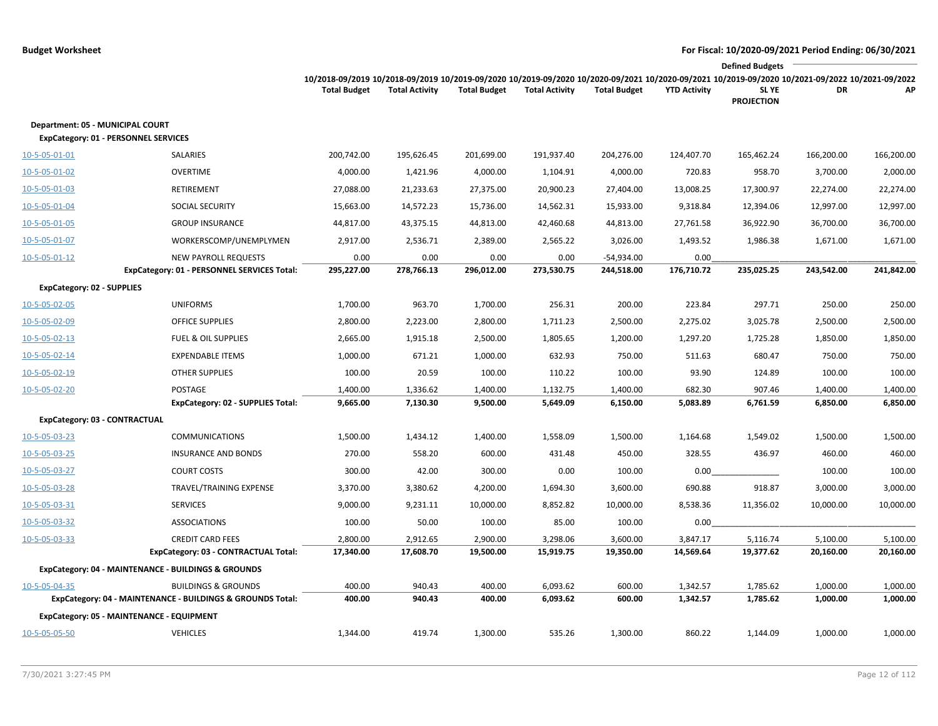|                                                                                 |                                                                            |                                                                                                                                                                        |                       |                     |                       |                            |                     | <b>Defined Budgets</b>     |            |            |
|---------------------------------------------------------------------------------|----------------------------------------------------------------------------|------------------------------------------------------------------------------------------------------------------------------------------------------------------------|-----------------------|---------------------|-----------------------|----------------------------|---------------------|----------------------------|------------|------------|
|                                                                                 |                                                                            | 10/2018-09/2019 10/2018-09/2019 10/2019-09/2020 10/2019-09/2020 10/2020-09/2021 10/2020-09/2021 10/2019-09/2020 10/2021-09/2022 10/2021-09/2022<br><b>Total Budget</b> | <b>Total Activity</b> | <b>Total Budget</b> | <b>Total Activity</b> | <b>Total Budget</b>        | <b>YTD Activity</b> | SL YE<br><b>PROJECTION</b> | DR         | АP         |
| Department: 05 - MUNICIPAL COURT<br><b>ExpCategory: 01 - PERSONNEL SERVICES</b> |                                                                            |                                                                                                                                                                        |                       |                     |                       |                            |                     |                            |            |            |
| 10-5-05-01-01                                                                   | SALARIES                                                                   | 200,742.00                                                                                                                                                             | 195,626.45            | 201,699.00          | 191,937.40            | 204,276.00                 | 124,407.70          | 165,462.24                 | 166,200.00 | 166,200.00 |
| 10-5-05-01-02                                                                   | <b>OVERTIME</b>                                                            | 4,000.00                                                                                                                                                               | 1,421.96              | 4,000.00            | 1,104.91              | 4,000.00                   | 720.83              | 958.70                     | 3,700.00   | 2,000.00   |
| 10-5-05-01-03                                                                   | <b>RETIREMENT</b>                                                          | 27,088.00                                                                                                                                                              | 21,233.63             | 27,375.00           | 20,900.23             | 27,404.00                  | 13,008.25           | 17,300.97                  | 22,274.00  | 22,274.00  |
| 10-5-05-01-04                                                                   | <b>SOCIAL SECURITY</b>                                                     | 15,663.00                                                                                                                                                              | 14,572.23             | 15,736.00           | 14,562.31             | 15,933.00                  | 9,318.84            | 12,394.06                  | 12,997.00  | 12,997.00  |
| 10-5-05-01-05                                                                   | <b>GROUP INSURANCE</b>                                                     | 44,817.00                                                                                                                                                              | 43,375.15             | 44,813.00           | 42,460.68             | 44,813.00                  | 27,761.58           | 36,922.90                  | 36,700.00  | 36,700.00  |
| 10-5-05-01-07                                                                   | WORKERSCOMP/UNEMPLYMEN                                                     | 2,917.00                                                                                                                                                               | 2,536.71              | 2,389.00            | 2,565.22              | 3,026.00                   | 1,493.52            | 1,986.38                   | 1,671.00   | 1,671.00   |
| $10 - 5 - 05 - 01 - 12$                                                         | <b>NEW PAYROLL REQUESTS</b><br>ExpCategory: 01 - PERSONNEL SERVICES Total: | 0.00<br>295,227.00                                                                                                                                                     | 0.00<br>278,766.13    | 0.00<br>296,012.00  | 0.00<br>273,530.75    | $-54,934.00$<br>244,518.00 | 0.00<br>176,710.72  | 235,025.25                 | 243,542.00 | 241,842.00 |
| <b>ExpCategory: 02 - SUPPLIES</b>                                               |                                                                            |                                                                                                                                                                        |                       |                     |                       |                            |                     |                            |            |            |
| 10-5-05-02-05                                                                   | <b>UNIFORMS</b>                                                            | 1,700.00                                                                                                                                                               | 963.70                | 1,700.00            | 256.31                | 200.00                     | 223.84              | 297.71                     | 250.00     | 250.00     |
| 10-5-05-02-09                                                                   | <b>OFFICE SUPPLIES</b>                                                     | 2,800.00                                                                                                                                                               | 2,223.00              | 2,800.00            | 1,711.23              | 2,500.00                   | 2,275.02            | 3,025.78                   | 2,500.00   | 2,500.00   |
| 10-5-05-02-13                                                                   | <b>FUEL &amp; OIL SUPPLIES</b>                                             | 2,665.00                                                                                                                                                               | 1,915.18              | 2,500.00            | 1,805.65              | 1,200.00                   | 1,297.20            | 1,725.28                   | 1,850.00   | 1,850.00   |
| 10-5-05-02-14                                                                   | <b>EXPENDABLE ITEMS</b>                                                    | 1,000.00                                                                                                                                                               | 671.21                | 1,000.00            | 632.93                | 750.00                     | 511.63              | 680.47                     | 750.00     | 750.00     |
| 10-5-05-02-19                                                                   | <b>OTHER SUPPLIES</b>                                                      | 100.00                                                                                                                                                                 | 20.59                 | 100.00              | 110.22                | 100.00                     | 93.90               | 124.89                     | 100.00     | 100.00     |
| 10-5-05-02-20                                                                   | POSTAGE                                                                    | 1,400.00                                                                                                                                                               | 1,336.62              | 1,400.00            | 1,132.75              | 1,400.00                   | 682.30              | 907.46                     | 1,400.00   | 1,400.00   |
|                                                                                 | ExpCategory: 02 - SUPPLIES Total:                                          | 9,665.00                                                                                                                                                               | 7,130.30              | 9,500.00            | 5,649.09              | 6,150.00                   | 5,083.89            | 6,761.59                   | 6,850.00   | 6,850.00   |
| ExpCategory: 03 - CONTRACTUAL                                                   |                                                                            |                                                                                                                                                                        |                       |                     |                       |                            |                     |                            |            |            |
| 10-5-05-03-23                                                                   | <b>COMMUNICATIONS</b>                                                      | 1,500.00                                                                                                                                                               | 1,434.12              | 1,400.00            | 1,558.09              | 1,500.00                   | 1,164.68            | 1,549.02                   | 1,500.00   | 1,500.00   |
| 10-5-05-03-25                                                                   | <b>INSURANCE AND BONDS</b>                                                 | 270.00                                                                                                                                                                 | 558.20                | 600.00              | 431.48                | 450.00                     | 328.55              | 436.97                     | 460.00     | 460.00     |
| 10-5-05-03-27                                                                   | <b>COURT COSTS</b>                                                         | 300.00                                                                                                                                                                 | 42.00                 | 300.00              | 0.00                  | 100.00                     | 0.00                |                            | 100.00     | 100.00     |
| 10-5-05-03-28                                                                   | TRAVEL/TRAINING EXPENSE                                                    | 3,370.00                                                                                                                                                               | 3,380.62              | 4,200.00            | 1,694.30              | 3,600.00                   | 690.88              | 918.87                     | 3,000.00   | 3,000.00   |
| 10-5-05-03-31                                                                   | <b>SERVICES</b>                                                            | 9,000.00                                                                                                                                                               | 9,231.11              | 10,000.00           | 8,852.82              | 10,000.00                  | 8,538.36            | 11,356.02                  | 10,000.00  | 10,000.00  |
| 10-5-05-03-32                                                                   | <b>ASSOCIATIONS</b>                                                        | 100.00                                                                                                                                                                 | 50.00                 | 100.00              | 85.00                 | 100.00                     | 0.00                |                            |            |            |
| 10-5-05-03-33                                                                   | <b>CREDIT CARD FEES</b>                                                    | 2,800.00                                                                                                                                                               | 2,912.65              | 2,900.00            | 3,298.06              | 3,600.00                   | 3,847.17            | 5,116.74                   | 5,100.00   | 5,100.00   |
|                                                                                 | ExpCategory: 03 - CONTRACTUAL Total:                                       | 17,340.00                                                                                                                                                              | 17,608.70             | 19,500.00           | 15,919.75             | 19,350.00                  | 14,569.64           | 19,377.62                  | 20,160.00  | 20,160.00  |
|                                                                                 | ExpCategory: 04 - MAINTENANCE - BUILDINGS & GROUNDS                        |                                                                                                                                                                        |                       |                     |                       |                            |                     |                            |            |            |
| 10-5-05-04-35                                                                   | <b>BUILDINGS &amp; GROUNDS</b>                                             | 400.00                                                                                                                                                                 | 940.43                | 400.00              | 6,093.62              | 600.00                     | 1,342.57            | 1,785.62                   | 1,000.00   | 1,000.00   |
|                                                                                 | ExpCategory: 04 - MAINTENANCE - BUILDINGS & GROUNDS Total:                 | 400.00                                                                                                                                                                 | 940.43                | 400.00              | 6,093.62              | 600.00                     | 1,342.57            | 1,785.62                   | 1,000.00   | 1,000.00   |
|                                                                                 | ExpCategory: 05 - MAINTENANCE - EQUIPMENT                                  |                                                                                                                                                                        |                       |                     |                       |                            |                     |                            |            |            |
| <u>10-5-05-05-50</u>                                                            | <b>VEHICLES</b>                                                            | 1,344.00                                                                                                                                                               | 419.74                | 1,300.00            | 535.26                | 1,300.00                   | 860.22              | 1,144.09                   | 1,000.00   | 1,000.00   |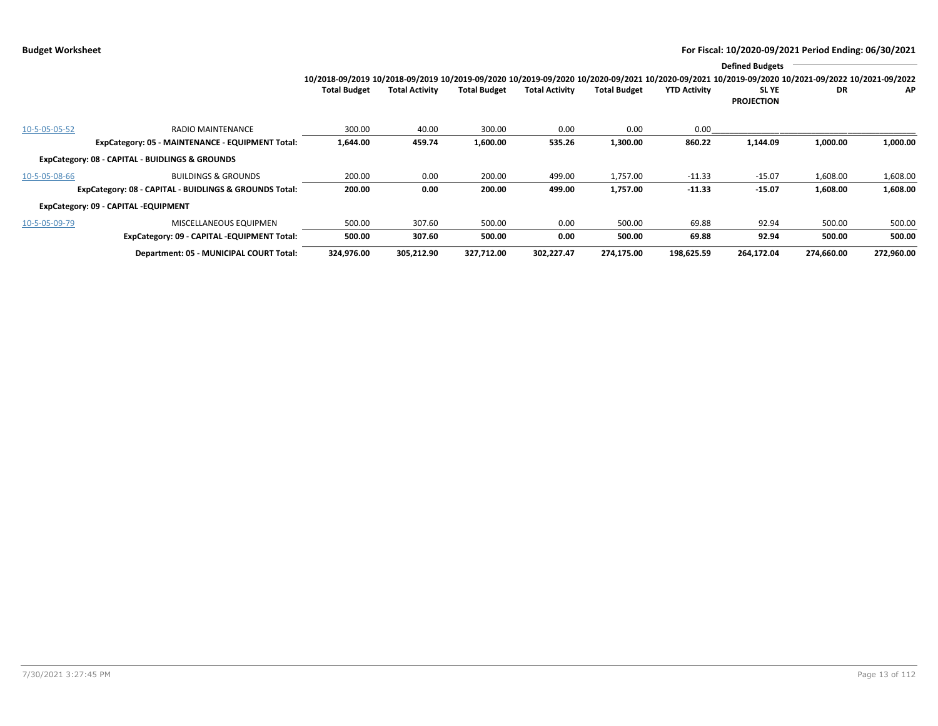|               |                                                        |                                                                                                                                                 |                       |                     |                       |                     |                     | <b>Defined Budgets</b>     |            |            |
|---------------|--------------------------------------------------------|-------------------------------------------------------------------------------------------------------------------------------------------------|-----------------------|---------------------|-----------------------|---------------------|---------------------|----------------------------|------------|------------|
|               |                                                        | 10/2018-09/2019 10/2018-09/2019 10/2019-09/2020 10/2019-09/2020 10/2020-09/2021 10/2020-09/2021 10/2019-09/2020 10/2021-09/2022 10/2021-09/2022 |                       |                     |                       |                     |                     |                            |            |            |
|               |                                                        | <b>Total Budget</b>                                                                                                                             | <b>Total Activity</b> | <b>Total Budget</b> | <b>Total Activity</b> | <b>Total Budget</b> | <b>YTD Activity</b> | SL YE<br><b>PROJECTION</b> | DR         | AP         |
| 10-5-05-05-52 | <b>RADIO MAINTENANCE</b>                               | 300.00                                                                                                                                          | 40.00                 | 300.00              | 0.00                  | 0.00                | 0.00                |                            |            |            |
|               | ExpCategory: 05 - MAINTENANCE - EQUIPMENT Total:       | 1,644.00                                                                                                                                        | 459.74                | 1,600.00            | 535.26                | 1,300.00            | 860.22              | 1,144.09                   | 1,000.00   | 1,000.00   |
|               | ExpCategory: 08 - CAPITAL - BUIDLINGS & GROUNDS        |                                                                                                                                                 |                       |                     |                       |                     |                     |                            |            |            |
| 10-5-05-08-66 | <b>BUILDINGS &amp; GROUNDS</b>                         | 200.00                                                                                                                                          | 0.00                  | 200.00              | 499.00                | 1,757.00            | $-11.33$            | $-15.07$                   | 1,608.00   | 1,608.00   |
|               | ExpCategory: 08 - CAPITAL - BUIDLINGS & GROUNDS Total: | 200.00                                                                                                                                          | 0.00                  | 200.00              | 499.00                | 1,757.00            | $-11.33$            | $-15.07$                   | 1,608.00   | 1,608.00   |
|               | ExpCategory: 09 - CAPITAL -EQUIPMENT                   |                                                                                                                                                 |                       |                     |                       |                     |                     |                            |            |            |
| 10-5-05-09-79 | MISCELLANEOUS EQUIPMEN                                 | 500.00                                                                                                                                          | 307.60                | 500.00              | 0.00                  | 500.00              | 69.88               | 92.94                      | 500.00     | 500.00     |
|               | ExpCategory: 09 - CAPITAL -EQUIPMENT Total:            | 500.00                                                                                                                                          | 307.60                | 500.00              | 0.00                  | 500.00              | 69.88               | 92.94                      | 500.00     | 500.00     |
|               | Department: 05 - MUNICIPAL COURT Total:                | 324,976.00                                                                                                                                      | 305,212.90            | 327,712.00          | 302,227.47            | 274,175.00          | 198,625.59          | 264,172.04                 | 274,660.00 | 272,960.00 |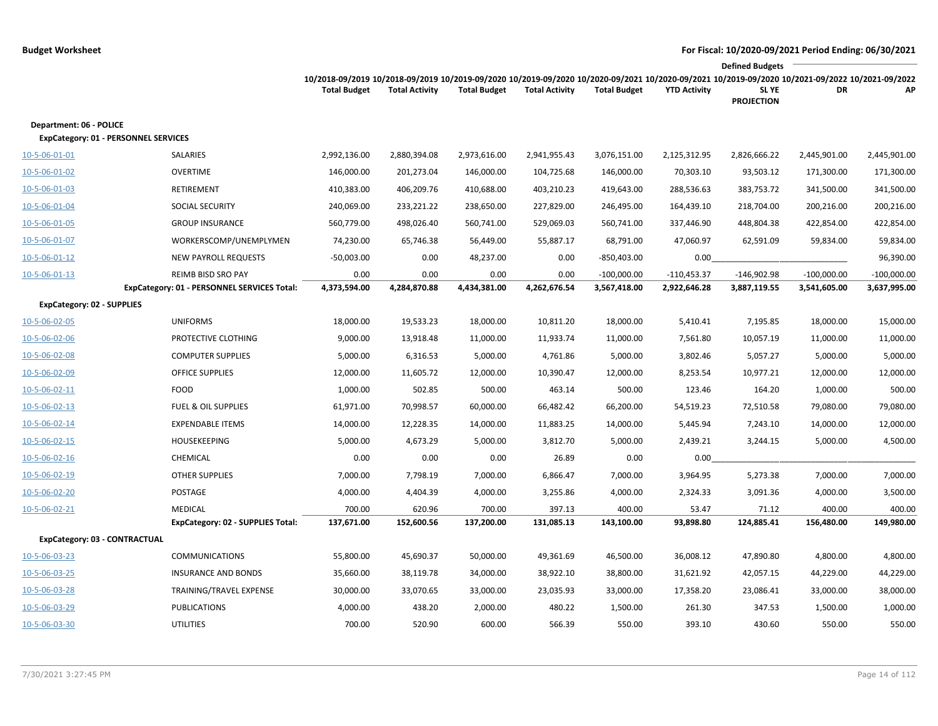|                                                                        |                                                                   |                                                                                                                                                                        |                       |                      |                       |                               |                               | <b>Defined Budgets</b>        |                               |                               |
|------------------------------------------------------------------------|-------------------------------------------------------------------|------------------------------------------------------------------------------------------------------------------------------------------------------------------------|-----------------------|----------------------|-----------------------|-------------------------------|-------------------------------|-------------------------------|-------------------------------|-------------------------------|
|                                                                        |                                                                   | 10/2018-09/2019 10/2018-09/2019 10/2019-09/2020 10/2019-09/2020 10/2020-09/2021 10/2020-09/2021 10/2019-09/2020 10/2021-09/2022 10/2021-09/2022<br><b>Total Budget</b> | <b>Total Activity</b> | <b>Total Budget</b>  | <b>Total Activity</b> | <b>Total Budget</b>           | <b>YTD Activity</b>           | SL YE<br><b>PROJECTION</b>    | DR                            | АP                            |
| Department: 06 - POLICE<br><b>ExpCategory: 01 - PERSONNEL SERVICES</b> |                                                                   |                                                                                                                                                                        |                       |                      |                       |                               |                               |                               |                               |                               |
| 10-5-06-01-01                                                          | SALARIES                                                          | 2,992,136.00                                                                                                                                                           | 2,880,394.08          | 2,973,616.00         | 2,941,955.43          | 3,076,151.00                  | 2,125,312.95                  | 2,826,666.22                  | 2,445,901.00                  | 2,445,901.00                  |
| 10-5-06-01-02                                                          | OVERTIME                                                          | 146,000.00                                                                                                                                                             | 201,273.04            | 146,000.00           | 104,725.68            | 146,000.00                    | 70,303.10                     | 93,503.12                     | 171,300.00                    | 171,300.00                    |
| 10-5-06-01-03                                                          | RETIREMENT                                                        | 410,383.00                                                                                                                                                             | 406,209.76            | 410,688.00           | 403,210.23            | 419,643.00                    | 288,536.63                    | 383,753.72                    | 341,500.00                    | 341,500.00                    |
| 10-5-06-01-04                                                          | SOCIAL SECURITY                                                   | 240,069.00                                                                                                                                                             | 233,221.22            | 238,650.00           | 227,829.00            | 246,495.00                    | 164,439.10                    | 218,704.00                    | 200,216.00                    | 200,216.00                    |
| 10-5-06-01-05                                                          | <b>GROUP INSURANCE</b>                                            | 560,779.00                                                                                                                                                             | 498,026.40            | 560,741.00           | 529,069.03            | 560,741.00                    | 337,446.90                    | 448,804.38                    | 422,854.00                    | 422,854.00                    |
| 10-5-06-01-07                                                          | WORKERSCOMP/UNEMPLYMEN                                            | 74,230.00                                                                                                                                                              | 65,746.38             | 56,449.00            | 55,887.17             | 68,791.00                     | 47,060.97                     | 62,591.09                     | 59,834.00                     | 59,834.00                     |
| $10 - 5 - 06 - 01 - 12$                                                | <b>NEW PAYROLL REQUESTS</b>                                       | $-50,003.00$                                                                                                                                                           | 0.00                  | 48,237.00            | 0.00                  | -850,403.00                   | 0.00                          |                               |                               | 96,390.00                     |
| 10-5-06-01-13                                                          | REIMB BISD SRO PAY<br>ExpCategory: 01 - PERSONNEL SERVICES Total: | 0.00<br>4,373,594.00                                                                                                                                                   | 0.00<br>4,284,870.88  | 0.00<br>4,434,381.00 | 0.00<br>4,262,676.54  | $-100,000.00$<br>3,567,418.00 | $-110,453.37$<br>2,922,646.28 | $-146,902.98$<br>3,887,119.55 | $-100,000.00$<br>3,541,605.00 | $-100,000.00$<br>3,637,995.00 |
| <b>ExpCategory: 02 - SUPPLIES</b>                                      |                                                                   |                                                                                                                                                                        |                       |                      |                       |                               |                               |                               |                               |                               |
| 10-5-06-02-05                                                          | <b>UNIFORMS</b>                                                   | 18,000.00                                                                                                                                                              | 19,533.23             | 18,000.00            | 10,811.20             | 18,000.00                     | 5,410.41                      | 7,195.85                      | 18,000.00                     | 15,000.00                     |
| 10-5-06-02-06                                                          | PROTECTIVE CLOTHING                                               | 9,000.00                                                                                                                                                               | 13,918.48             | 11,000.00            | 11,933.74             | 11,000.00                     | 7,561.80                      | 10,057.19                     | 11,000.00                     | 11,000.00                     |
| 10-5-06-02-08                                                          | <b>COMPUTER SUPPLIES</b>                                          | 5,000.00                                                                                                                                                               | 6,316.53              | 5,000.00             | 4,761.86              | 5,000.00                      | 3,802.46                      | 5,057.27                      | 5,000.00                      | 5,000.00                      |
| 10-5-06-02-09                                                          | <b>OFFICE SUPPLIES</b>                                            | 12,000.00                                                                                                                                                              | 11,605.72             | 12,000.00            | 10,390.47             | 12,000.00                     | 8,253.54                      | 10,977.21                     | 12,000.00                     | 12,000.00                     |
| 10-5-06-02-11                                                          | <b>FOOD</b>                                                       | 1,000.00                                                                                                                                                               | 502.85                | 500.00               | 463.14                | 500.00                        | 123.46                        | 164.20                        | 1,000.00                      | 500.00                        |
| 10-5-06-02-13                                                          | <b>FUEL &amp; OIL SUPPLIES</b>                                    | 61,971.00                                                                                                                                                              | 70,998.57             | 60,000.00            | 66,482.42             | 66,200.00                     | 54,519.23                     | 72,510.58                     | 79,080.00                     | 79,080.00                     |
| 10-5-06-02-14                                                          | <b>EXPENDABLE ITEMS</b>                                           | 14,000.00                                                                                                                                                              | 12,228.35             | 14,000.00            | 11,883.25             | 14,000.00                     | 5,445.94                      | 7,243.10                      | 14,000.00                     | 12,000.00                     |
| 10-5-06-02-15                                                          | <b>HOUSEKEEPING</b>                                               | 5,000.00                                                                                                                                                               | 4,673.29              | 5,000.00             | 3,812.70              | 5,000.00                      | 2,439.21                      | 3,244.15                      | 5,000.00                      | 4,500.00                      |
| 10-5-06-02-16                                                          | CHEMICAL                                                          | 0.00                                                                                                                                                                   | 0.00                  | 0.00                 | 26.89                 | 0.00                          | 0.00                          |                               |                               |                               |
| 10-5-06-02-19                                                          | <b>OTHER SUPPLIES</b>                                             | 7,000.00                                                                                                                                                               | 7,798.19              | 7,000.00             | 6,866.47              | 7,000.00                      | 3,964.95                      | 5,273.38                      | 7,000.00                      | 7,000.00                      |
| 10-5-06-02-20                                                          | POSTAGE                                                           | 4,000.00                                                                                                                                                               | 4,404.39              | 4,000.00             | 3,255.86              | 4,000.00                      | 2,324.33                      | 3,091.36                      | 4,000.00                      | 3,500.00                      |
| 10-5-06-02-21                                                          | <b>MEDICAL</b>                                                    | 700.00                                                                                                                                                                 | 620.96                | 700.00               | 397.13                | 400.00                        | 53.47                         | 71.12                         | 400.00                        | 400.00                        |
|                                                                        | <b>ExpCategory: 02 - SUPPLIES Total:</b>                          | 137,671.00                                                                                                                                                             | 152,600.56            | 137,200.00           | 131,085.13            | 143,100.00                    | 93,898.80                     | 124,885.41                    | 156,480.00                    | 149,980.00                    |
| ExpCategory: 03 - CONTRACTUAL                                          |                                                                   |                                                                                                                                                                        |                       |                      |                       |                               |                               |                               |                               |                               |
| 10-5-06-03-23                                                          | <b>COMMUNICATIONS</b>                                             | 55,800.00                                                                                                                                                              | 45,690.37             | 50,000.00            | 49,361.69             | 46,500.00                     | 36,008.12                     | 47,890.80                     | 4,800.00                      | 4,800.00                      |
| 10-5-06-03-25                                                          | <b>INSURANCE AND BONDS</b>                                        | 35,660.00                                                                                                                                                              | 38,119.78             | 34,000.00            | 38,922.10             | 38,800.00                     | 31,621.92                     | 42,057.15                     | 44,229.00                     | 44,229.00                     |
| 10-5-06-03-28                                                          | TRAINING/TRAVEL EXPENSE                                           | 30,000.00                                                                                                                                                              | 33,070.65             | 33,000.00            | 23,035.93             | 33,000.00                     | 17,358.20                     | 23,086.41                     | 33,000.00                     | 38,000.00                     |
| 10-5-06-03-29                                                          | <b>PUBLICATIONS</b>                                               | 4,000.00                                                                                                                                                               | 438.20                | 2,000.00             | 480.22                | 1,500.00                      | 261.30                        | 347.53                        | 1,500.00                      | 1,000.00                      |
| 10-5-06-03-30                                                          | <b>UTILITIES</b>                                                  | 700.00                                                                                                                                                                 | 520.90                | 600.00               | 566.39                | 550.00                        | 393.10                        | 430.60                        | 550.00                        | 550.00                        |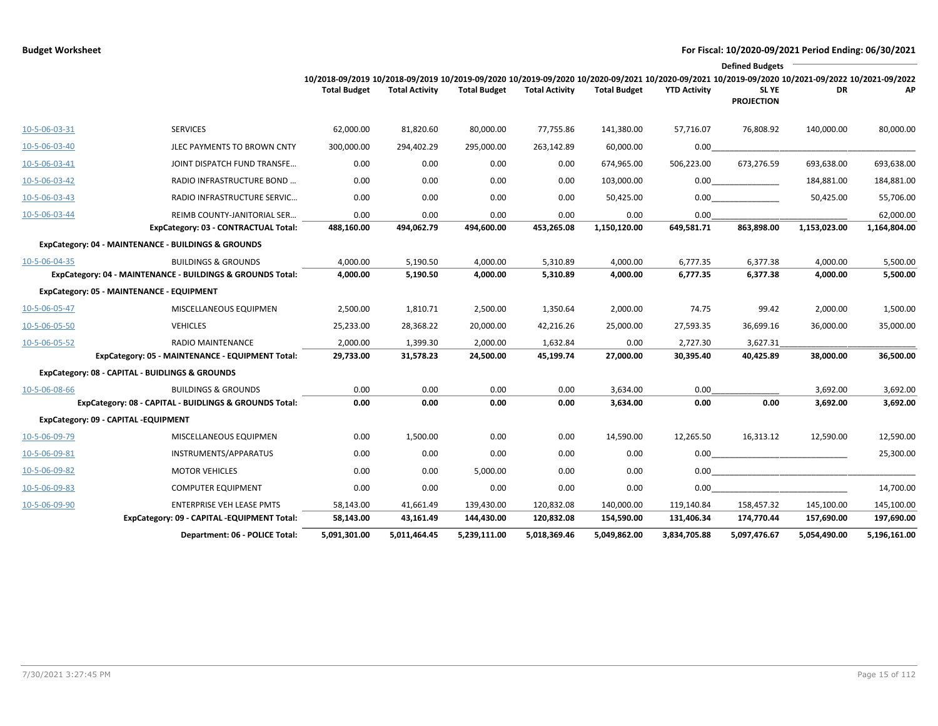|               |                                                            |                                                                                                                                                                        |                       |                     |                       |                     |                     | <b>Defined Budgets</b>     |              |              |
|---------------|------------------------------------------------------------|------------------------------------------------------------------------------------------------------------------------------------------------------------------------|-----------------------|---------------------|-----------------------|---------------------|---------------------|----------------------------|--------------|--------------|
|               |                                                            | 10/2018-09/2019 10/2018-09/2019 10/2019-09/2020 10/2019-09/2020 10/2020-09/2021 10/2020-09/2021 10/2019-09/2020 10/2021-09/2022 10/2021-09/2022<br><b>Total Budget</b> | <b>Total Activity</b> | <b>Total Budget</b> | <b>Total Activity</b> | <b>Total Budget</b> | <b>YTD Activity</b> | SL YE<br><b>PROJECTION</b> | <b>DR</b>    | AP           |
| 10-5-06-03-31 | <b>SERVICES</b>                                            | 62,000.00                                                                                                                                                              | 81,820.60             | 80,000.00           | 77,755.86             | 141,380.00          | 57,716.07           | 76,808.92                  | 140,000.00   | 80,000.00    |
| 10-5-06-03-40 | JLEC PAYMENTS TO BROWN CNTY                                | 300,000.00                                                                                                                                                             | 294,402.29            | 295,000.00          | 263,142.89            | 60,000.00           | 0.00                |                            |              |              |
| 10-5-06-03-41 | JOINT DISPATCH FUND TRANSFE                                | 0.00                                                                                                                                                                   | 0.00                  | 0.00                | 0.00                  | 674,965.00          | 506,223.00          | 673,276.59                 | 693,638.00   | 693,638.00   |
| 10-5-06-03-42 | RADIO INFRASTRUCTURE BOND                                  | 0.00                                                                                                                                                                   | 0.00                  | 0.00                | 0.00                  | 103,000.00          | 0.00                |                            | 184,881.00   | 184,881.00   |
| 10-5-06-03-43 | RADIO INFRASTRUCTURE SERVIC                                | 0.00                                                                                                                                                                   | 0.00                  | 0.00                | 0.00                  | 50,425.00           | 0.00                |                            | 50,425.00    | 55,706.00    |
| 10-5-06-03-44 | REIMB COUNTY-JANITORIAL SER                                | 0.00                                                                                                                                                                   | 0.00                  | 0.00                | 0.00                  | 0.00                | 0.00                |                            |              | 62,000.00    |
|               | ExpCategory: 03 - CONTRACTUAL Total:                       | 488,160.00                                                                                                                                                             | 494,062.79            | 494,600.00          | 453,265.08            | 1,150,120.00        | 649,581.71          | 863,898.00                 | 1,153,023.00 | 1,164,804.00 |
|               | ExpCategory: 04 - MAINTENANCE - BUILDINGS & GROUNDS        |                                                                                                                                                                        |                       |                     |                       |                     |                     |                            |              |              |
| 10-5-06-04-35 | <b>BUILDINGS &amp; GROUNDS</b>                             | 4,000.00                                                                                                                                                               | 5,190.50              | 4,000.00            | 5,310.89              | 4,000.00            | 6,777.35            | 6,377.38                   | 4,000.00     | 5,500.00     |
|               | ExpCategory: 04 - MAINTENANCE - BUILDINGS & GROUNDS Total: | 4,000.00                                                                                                                                                               | 5,190.50              | 4,000.00            | 5,310.89              | 4,000.00            | 6,777.35            | 6,377.38                   | 4,000.00     | 5,500.00     |
|               | ExpCategory: 05 - MAINTENANCE - EQUIPMENT                  |                                                                                                                                                                        |                       |                     |                       |                     |                     |                            |              |              |
| 10-5-06-05-47 | MISCELLANEOUS EQUIPMEN                                     | 2,500.00                                                                                                                                                               | 1,810.71              | 2,500.00            | 1,350.64              | 2,000.00            | 74.75               | 99.42                      | 2,000.00     | 1,500.00     |
| 10-5-06-05-50 | <b>VEHICLES</b>                                            | 25,233.00                                                                                                                                                              | 28,368.22             | 20,000.00           | 42,216.26             | 25,000.00           | 27,593.35           | 36,699.16                  | 36,000.00    | 35,000.00    |
| 10-5-06-05-52 | RADIO MAINTENANCE                                          | 2,000.00                                                                                                                                                               | 1,399.30              | 2,000.00            | 1,632.84              | 0.00                | 2,727.30            | 3,627.31                   |              |              |
|               | ExpCategory: 05 - MAINTENANCE - EQUIPMENT Total:           | 29,733.00                                                                                                                                                              | 31,578.23             | 24,500.00           | 45,199.74             | 27,000.00           | 30,395.40           | 40,425.89                  | 38,000.00    | 36,500.00    |
|               | ExpCategory: 08 - CAPITAL - BUIDLINGS & GROUNDS            |                                                                                                                                                                        |                       |                     |                       |                     |                     |                            |              |              |
| 10-5-06-08-66 | <b>BUILDINGS &amp; GROUNDS</b>                             | 0.00                                                                                                                                                                   | 0.00                  | 0.00                | 0.00                  | 3,634.00            | 0.00                |                            | 3,692.00     | 3,692.00     |
|               | ExpCategory: 08 - CAPITAL - BUIDLINGS & GROUNDS Total:     | 0.00                                                                                                                                                                   | 0.00                  | 0.00                | 0.00                  | 3,634.00            | 0.00                | 0.00                       | 3,692.00     | 3,692.00     |
|               | ExpCategory: 09 - CAPITAL -EQUIPMENT                       |                                                                                                                                                                        |                       |                     |                       |                     |                     |                            |              |              |
| 10-5-06-09-79 | MISCELLANEOUS EQUIPMEN                                     | 0.00                                                                                                                                                                   | 1,500.00              | 0.00                | 0.00                  | 14,590.00           | 12,265.50           | 16,313.12                  | 12,590.00    | 12,590.00    |
| 10-5-06-09-81 | INSTRUMENTS/APPARATUS                                      | 0.00                                                                                                                                                                   | 0.00                  | 0.00                | 0.00                  | 0.00                | 0.00                |                            |              | 25,300.00    |
| 10-5-06-09-82 | <b>MOTOR VEHICLES</b>                                      | 0.00                                                                                                                                                                   | 0.00                  | 5,000.00            | 0.00                  | 0.00                | 0.00                |                            |              |              |
| 10-5-06-09-83 | <b>COMPUTER EQUIPMENT</b>                                  | 0.00                                                                                                                                                                   | 0.00                  | 0.00                | 0.00                  | 0.00                | 0.00                |                            |              | 14,700.00    |
| 10-5-06-09-90 | <b>ENTERPRISE VEH LEASE PMTS</b>                           | 58,143.00                                                                                                                                                              | 41,661.49             | 139,430.00          | 120,832.08            | 140,000.00          | 119,140.84          | 158,457.32                 | 145,100.00   | 145,100.00   |
|               | ExpCategory: 09 - CAPITAL -EQUIPMENT Total:                | 58,143.00                                                                                                                                                              | 43,161.49             | 144,430.00          | 120,832.08            | 154,590.00          | 131,406.34          | 174,770.44                 | 157,690.00   | 197,690.00   |
|               | Department: 06 - POLICE Total:                             | 5,091,301.00                                                                                                                                                           | 5,011,464.45          | 5,239,111.00        | 5,018,369.46          | 5,049,862.00        | 3,834,705.88        | 5,097,476.67               | 5,054,490.00 | 5,196,161.00 |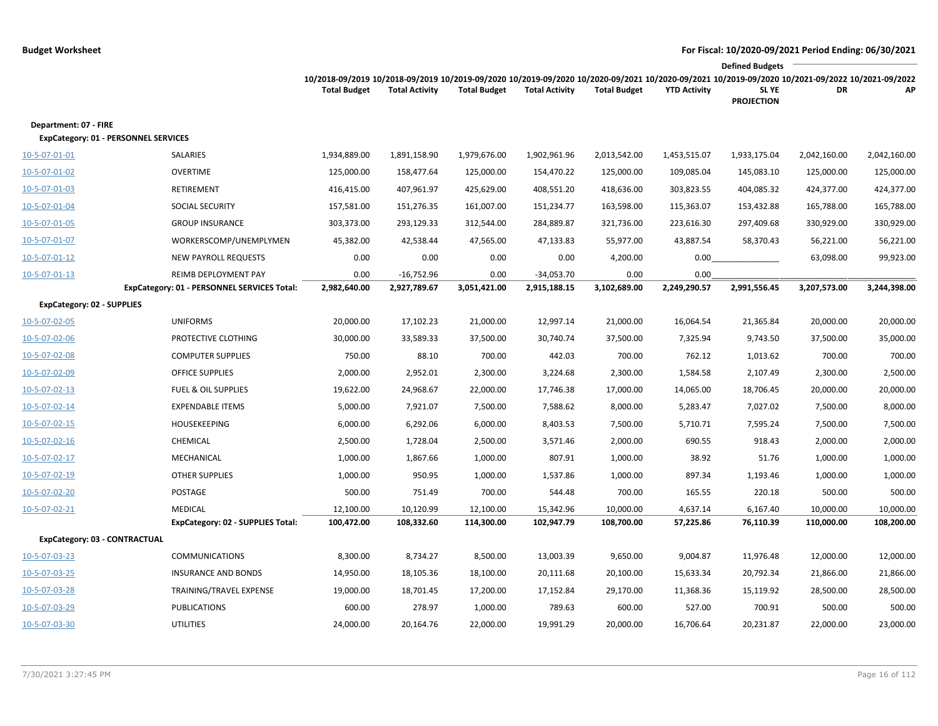|                                   |                                                                     |                                                                                                                                                                        |                              |                      |                              |                      |                      | <b>Defined Budgets</b>     |              |              |
|-----------------------------------|---------------------------------------------------------------------|------------------------------------------------------------------------------------------------------------------------------------------------------------------------|------------------------------|----------------------|------------------------------|----------------------|----------------------|----------------------------|--------------|--------------|
|                                   |                                                                     | 10/2018-09/2019 10/2018-09/2019 10/2019-09/2020 10/2019-09/2020 10/2020-09/2021 10/2020-09/2021 10/2019-09/2020 10/2021-09/2022 10/2021-09/2022<br><b>Total Budget</b> | <b>Total Activity</b>        | <b>Total Budget</b>  | <b>Total Activity</b>        | <b>Total Budget</b>  | <b>YTD Activity</b>  | SL YE<br><b>PROJECTION</b> | DR           | АP           |
| Department: 07 - FIRE             | <b>ExpCategory: 01 - PERSONNEL SERVICES</b>                         |                                                                                                                                                                        |                              |                      |                              |                      |                      |                            |              |              |
| 10-5-07-01-01                     | SALARIES                                                            | 1,934,889.00                                                                                                                                                           | 1,891,158.90                 | 1,979,676.00         | 1,902,961.96                 | 2,013,542.00         | 1,453,515.07         | 1,933,175.04               | 2,042,160.00 | 2,042,160.00 |
| 10-5-07-01-02                     | <b>OVERTIME</b>                                                     | 125,000.00                                                                                                                                                             | 158,477.64                   | 125,000.00           | 154,470.22                   | 125,000.00           | 109,085.04           | 145,083.10                 | 125,000.00   | 125,000.00   |
| 10-5-07-01-03                     | RETIREMENT                                                          | 416,415.00                                                                                                                                                             | 407,961.97                   | 425,629.00           | 408,551.20                   | 418,636.00           | 303,823.55           | 404,085.32                 | 424,377.00   | 424,377.00   |
| 10-5-07-01-04                     | SOCIAL SECURITY                                                     | 157,581.00                                                                                                                                                             | 151,276.35                   | 161,007.00           | 151,234.77                   | 163,598.00           | 115,363.07           | 153,432.88                 | 165,788.00   | 165,788.00   |
| 10-5-07-01-05                     | <b>GROUP INSURANCE</b>                                              | 303,373.00                                                                                                                                                             | 293,129.33                   | 312,544.00           | 284,889.87                   | 321,736.00           | 223,616.30           | 297,409.68                 | 330,929.00   | 330,929.00   |
| 10-5-07-01-07                     | WORKERSCOMP/UNEMPLYMEN                                              | 45,382.00                                                                                                                                                              | 42,538.44                    | 47,565.00            | 47,133.83                    | 55,977.00            | 43,887.54            | 58,370.43                  | 56,221.00    | 56,221.00    |
| $10 - 5 - 07 - 01 - 12$           | <b>NEW PAYROLL REQUESTS</b>                                         | 0.00                                                                                                                                                                   | 0.00                         | 0.00                 | 0.00                         | 4,200.00             | 0.00                 |                            | 63,098.00    | 99,923.00    |
| 10-5-07-01-13                     | REIMB DEPLOYMENT PAY<br>ExpCategory: 01 - PERSONNEL SERVICES Total: | 0.00<br>2,982,640.00                                                                                                                                                   | $-16,752.96$<br>2,927,789.67 | 0.00<br>3,051,421.00 | $-34,053.70$<br>2,915,188.15 | 0.00<br>3,102,689.00 | 0.00<br>2,249,290.57 | 2,991,556.45               | 3,207,573.00 | 3,244,398.00 |
| <b>ExpCategory: 02 - SUPPLIES</b> |                                                                     |                                                                                                                                                                        |                              |                      |                              |                      |                      |                            |              |              |
| 10-5-07-02-05                     | <b>UNIFORMS</b>                                                     | 20,000.00                                                                                                                                                              | 17,102.23                    | 21,000.00            | 12,997.14                    | 21,000.00            | 16,064.54            | 21,365.84                  | 20,000.00    | 20,000.00    |
| 10-5-07-02-06                     | PROTECTIVE CLOTHING                                                 | 30,000.00                                                                                                                                                              | 33,589.33                    | 37,500.00            | 30,740.74                    | 37,500.00            | 7,325.94             | 9,743.50                   | 37,500.00    | 35,000.00    |
| 10-5-07-02-08                     | <b>COMPUTER SUPPLIES</b>                                            | 750.00                                                                                                                                                                 | 88.10                        | 700.00               | 442.03                       | 700.00               | 762.12               | 1,013.62                   | 700.00       | 700.00       |
| 10-5-07-02-09                     | <b>OFFICE SUPPLIES</b>                                              | 2,000.00                                                                                                                                                               | 2,952.01                     | 2,300.00             | 3,224.68                     | 2,300.00             | 1,584.58             | 2,107.49                   | 2,300.00     | 2,500.00     |
| 10-5-07-02-13                     | <b>FUEL &amp; OIL SUPPLIES</b>                                      | 19,622.00                                                                                                                                                              | 24,968.67                    | 22,000.00            | 17,746.38                    | 17,000.00            | 14,065.00            | 18,706.45                  | 20,000.00    | 20,000.00    |
| 10-5-07-02-14                     | <b>EXPENDABLE ITEMS</b>                                             | 5,000.00                                                                                                                                                               | 7,921.07                     | 7,500.00             | 7,588.62                     | 8,000.00             | 5,283.47             | 7,027.02                   | 7,500.00     | 8,000.00     |
| 10-5-07-02-15                     | <b>HOUSEKEEPING</b>                                                 | 6,000.00                                                                                                                                                               | 6,292.06                     | 6,000.00             | 8,403.53                     | 7,500.00             | 5,710.71             | 7,595.24                   | 7,500.00     | 7,500.00     |
| 10-5-07-02-16                     | CHEMICAL                                                            | 2,500.00                                                                                                                                                               | 1,728.04                     | 2,500.00             | 3,571.46                     | 2,000.00             | 690.55               | 918.43                     | 2,000.00     | 2,000.00     |
| 10-5-07-02-17                     | MECHANICAL                                                          | 1,000.00                                                                                                                                                               | 1,867.66                     | 1,000.00             | 807.91                       | 1,000.00             | 38.92                | 51.76                      | 1,000.00     | 1,000.00     |
| 10-5-07-02-19                     | <b>OTHER SUPPLIES</b>                                               | 1,000.00                                                                                                                                                               | 950.95                       | 1,000.00             | 1,537.86                     | 1,000.00             | 897.34               | 1,193.46                   | 1,000.00     | 1,000.00     |
| 10-5-07-02-20                     | POSTAGE                                                             | 500.00                                                                                                                                                                 | 751.49                       | 700.00               | 544.48                       | 700.00               | 165.55               | 220.18                     | 500.00       | 500.00       |
| 10-5-07-02-21                     | <b>MEDICAL</b>                                                      | 12,100.00                                                                                                                                                              | 10,120.99                    | 12,100.00            | 15,342.96                    | 10,000.00            | 4,637.14             | 6,167.40                   | 10,000.00    | 10,000.00    |
|                                   | ExpCategory: 02 - SUPPLIES Total:                                   | 100,472.00                                                                                                                                                             | 108,332.60                   | 114,300.00           | 102,947.79                   | 108,700.00           | 57,225.86            | 76,110.39                  | 110,000.00   | 108,200.00   |
| ExpCategory: 03 - CONTRACTUAL     |                                                                     |                                                                                                                                                                        |                              |                      |                              |                      |                      |                            |              |              |
| 10-5-07-03-23                     | <b>COMMUNICATIONS</b>                                               | 8,300.00                                                                                                                                                               | 8,734.27                     | 8,500.00             | 13,003.39                    | 9,650.00             | 9,004.87             | 11,976.48                  | 12,000.00    | 12,000.00    |
| 10-5-07-03-25                     | <b>INSURANCE AND BONDS</b>                                          | 14,950.00                                                                                                                                                              | 18,105.36                    | 18,100.00            | 20,111.68                    | 20,100.00            | 15,633.34            | 20,792.34                  | 21,866.00    | 21,866.00    |
| 10-5-07-03-28                     | TRAINING/TRAVEL EXPENSE                                             | 19,000.00                                                                                                                                                              | 18,701.45                    | 17,200.00            | 17,152.84                    | 29,170.00            | 11,368.36            | 15,119.92                  | 28,500.00    | 28,500.00    |
| 10-5-07-03-29                     | <b>PUBLICATIONS</b>                                                 | 600.00                                                                                                                                                                 | 278.97                       | 1,000.00             | 789.63                       | 600.00               | 527.00               | 700.91                     | 500.00       | 500.00       |
| 10-5-07-03-30                     | <b>UTILITIES</b>                                                    | 24,000.00                                                                                                                                                              | 20,164.76                    | 22,000.00            | 19,991.29                    | 20,000.00            | 16,706.64            | 20,231.87                  | 22,000.00    | 23,000.00    |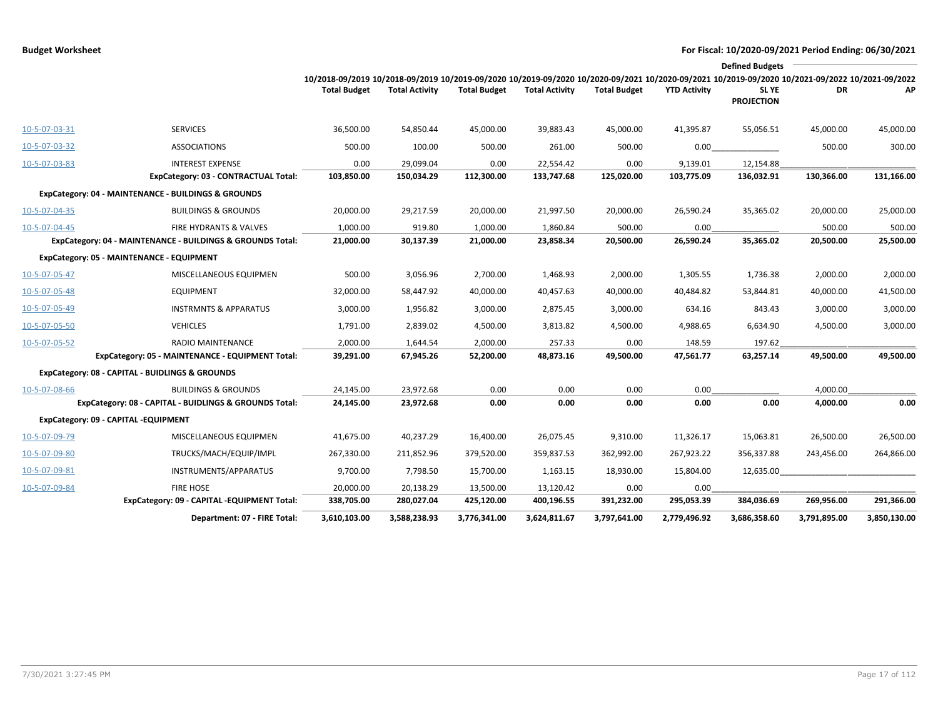|               |                                                            |                                                                                                                                                                        |                       |                     |                       |                     |                     | <b>Defined Budgets</b>           |              |              |
|---------------|------------------------------------------------------------|------------------------------------------------------------------------------------------------------------------------------------------------------------------------|-----------------------|---------------------|-----------------------|---------------------|---------------------|----------------------------------|--------------|--------------|
|               |                                                            | 10/2018-09/2019 10/2018-09/2019 10/2019-09/2020 10/2019-09/2020 10/2020-09/2021 10/2020-09/2021 10/2019-09/2020 10/2021-09/2022 10/2021-09/2022<br><b>Total Budget</b> | <b>Total Activity</b> | <b>Total Budget</b> | <b>Total Activity</b> | <b>Total Budget</b> | <b>YTD Activity</b> | <b>SLYE</b><br><b>PROJECTION</b> | DR           | AP           |
| 10-5-07-03-31 | <b>SERVICES</b>                                            | 36,500.00                                                                                                                                                              | 54,850.44             | 45,000.00           | 39,883.43             | 45,000.00           | 41,395.87           | 55,056.51                        | 45,000.00    | 45,000.00    |
| 10-5-07-03-32 | <b>ASSOCIATIONS</b>                                        | 500.00                                                                                                                                                                 | 100.00                | 500.00              | 261.00                | 500.00              | 0.00                |                                  | 500.00       | 300.00       |
| 10-5-07-03-83 | <b>INTEREST EXPENSE</b>                                    | 0.00                                                                                                                                                                   | 29,099.04             | 0.00                | 22,554.42             | 0.00                | 9,139.01            | 12,154.88                        |              |              |
|               | ExpCategory: 03 - CONTRACTUAL Total:                       | 103,850.00                                                                                                                                                             | 150,034.29            | 112,300.00          | 133,747.68            | 125,020.00          | 103,775.09          | 136,032.91                       | 130,366.00   | 131,166.00   |
|               | ExpCategory: 04 - MAINTENANCE - BUILDINGS & GROUNDS        |                                                                                                                                                                        |                       |                     |                       |                     |                     |                                  |              |              |
| 10-5-07-04-35 | <b>BUILDINGS &amp; GROUNDS</b>                             | 20,000.00                                                                                                                                                              | 29,217.59             | 20,000.00           | 21,997.50             | 20,000.00           | 26,590.24           | 35,365.02                        | 20,000.00    | 25,000.00    |
| 10-5-07-04-45 | <b>FIRE HYDRANTS &amp; VALVES</b>                          | 1,000.00                                                                                                                                                               | 919.80                | 1,000.00            | 1,860.84              | 500.00              | 0.00                |                                  | 500.00       | 500.00       |
|               | ExpCategory: 04 - MAINTENANCE - BUILDINGS & GROUNDS Total: | 21,000.00                                                                                                                                                              | 30,137.39             | 21,000.00           | 23,858.34             | 20,500.00           | 26,590.24           | 35,365.02                        | 20,500.00    | 25,500.00    |
|               | ExpCategory: 05 - MAINTENANCE - EQUIPMENT                  |                                                                                                                                                                        |                       |                     |                       |                     |                     |                                  |              |              |
| 10-5-07-05-47 | MISCELLANEOUS EQUIPMEN                                     | 500.00                                                                                                                                                                 | 3,056.96              | 2,700.00            | 1,468.93              | 2,000.00            | 1,305.55            | 1,736.38                         | 2,000.00     | 2,000.00     |
| 10-5-07-05-48 | <b>EQUIPMENT</b>                                           | 32,000.00                                                                                                                                                              | 58,447.92             | 40,000.00           | 40,457.63             | 40,000.00           | 40,484.82           | 53,844.81                        | 40,000.00    | 41,500.00    |
| 10-5-07-05-49 | <b>INSTRMNTS &amp; APPARATUS</b>                           | 3,000.00                                                                                                                                                               | 1,956.82              | 3,000.00            | 2,875.45              | 3,000.00            | 634.16              | 843.43                           | 3,000.00     | 3,000.00     |
| 10-5-07-05-50 | <b>VEHICLES</b>                                            | 1,791.00                                                                                                                                                               | 2,839.02              | 4,500.00            | 3,813.82              | 4,500.00            | 4,988.65            | 6,634.90                         | 4,500.00     | 3,000.00     |
| 10-5-07-05-52 | RADIO MAINTENANCE                                          | 2,000.00                                                                                                                                                               | 1,644.54              | 2,000.00            | 257.33                | 0.00                | 148.59              | 197.62                           |              |              |
|               | ExpCategory: 05 - MAINTENANCE - EQUIPMENT Total:           | 39,291.00                                                                                                                                                              | 67,945.26             | 52,200.00           | 48,873.16             | 49,500.00           | 47,561.77           | 63,257.14                        | 49,500.00    | 49,500.00    |
|               | ExpCategory: 08 - CAPITAL - BUIDLINGS & GROUNDS            |                                                                                                                                                                        |                       |                     |                       |                     |                     |                                  |              |              |
| 10-5-07-08-66 | <b>BUILDINGS &amp; GROUNDS</b>                             | 24,145.00                                                                                                                                                              | 23,972.68             | 0.00                | 0.00                  | 0.00                | 0.00                |                                  | 4,000.00     |              |
|               | ExpCategory: 08 - CAPITAL - BUIDLINGS & GROUNDS Total:     | 24,145.00                                                                                                                                                              | 23,972.68             | 0.00                | 0.00                  | 0.00                | 0.00                | 0.00                             | 4,000.00     | 0.00         |
|               | ExpCategory: 09 - CAPITAL -EQUIPMENT                       |                                                                                                                                                                        |                       |                     |                       |                     |                     |                                  |              |              |
| 10-5-07-09-79 | MISCELLANEOUS EQUIPMEN                                     | 41,675.00                                                                                                                                                              | 40,237.29             | 16,400.00           | 26,075.45             | 9,310.00            | 11,326.17           | 15,063.81                        | 26,500.00    | 26,500.00    |
| 10-5-07-09-80 | TRUCKS/MACH/EQUIP/IMPL                                     | 267,330.00                                                                                                                                                             | 211,852.96            | 379,520.00          | 359,837.53            | 362,992.00          | 267,923.22          | 356,337.88                       | 243,456.00   | 264,866.00   |
| 10-5-07-09-81 | INSTRUMENTS/APPARATUS                                      | 9,700.00                                                                                                                                                               | 7,798.50              | 15,700.00           | 1,163.15              | 18,930.00           | 15,804.00           | 12,635.00                        |              |              |
| 10-5-07-09-84 | <b>FIRE HOSE</b>                                           | 20,000.00                                                                                                                                                              | 20,138.29             | 13,500.00           | 13,120.42             | 0.00                | 0.00                |                                  |              |              |
|               | ExpCategory: 09 - CAPITAL -EQUIPMENT Total:                | 338,705.00                                                                                                                                                             | 280,027.04            | 425,120.00          | 400,196.55            | 391,232.00          | 295,053.39          | 384,036.69                       | 269,956.00   | 291,366.00   |
|               | Department: 07 - FIRE Total:                               | 3,610,103.00                                                                                                                                                           | 3,588,238.93          | 3,776,341.00        | 3,624,811.67          | 3,797,641.00        | 2,779,496.92        | 3,686,358.60                     | 3,791,895.00 | 3,850,130.00 |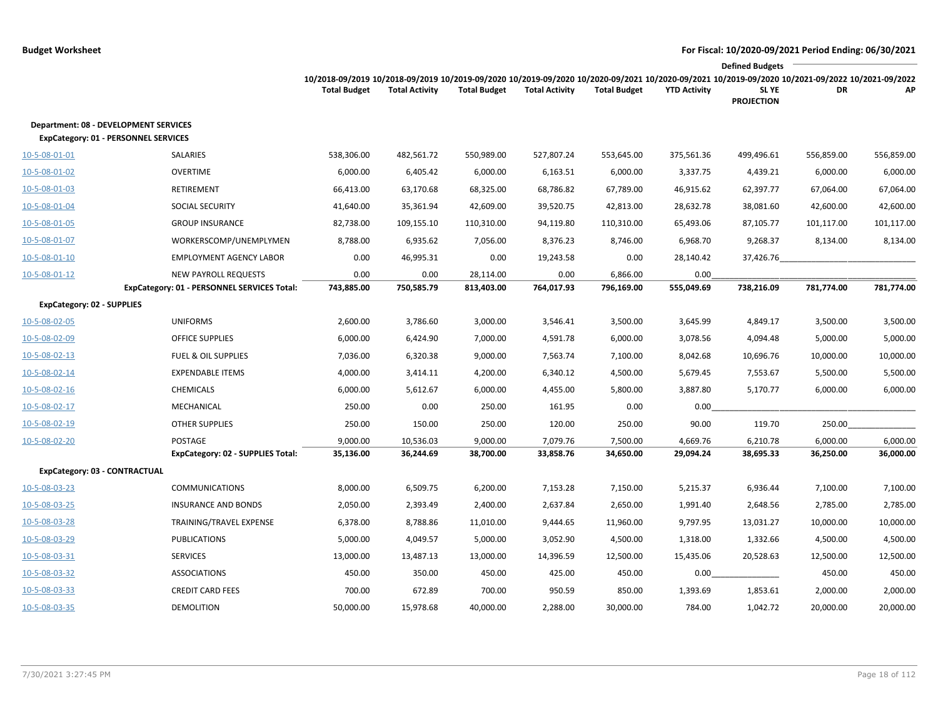|                                                                                             |                                             |                                                                                                                                                                        |                       |                     |                       |                     |                     | <b>Defined Budgets</b>           |            |            |
|---------------------------------------------------------------------------------------------|---------------------------------------------|------------------------------------------------------------------------------------------------------------------------------------------------------------------------|-----------------------|---------------------|-----------------------|---------------------|---------------------|----------------------------------|------------|------------|
|                                                                                             |                                             | 10/2018-09/2019 10/2018-09/2019 10/2019-09/2020 10/2019-09/2020 10/2020-09/2021 10/2020-09/2021 10/2019-09/2020 10/2021-09/2022 10/2021-09/2022<br><b>Total Budget</b> | <b>Total Activity</b> | <b>Total Budget</b> | <b>Total Activity</b> | <b>Total Budget</b> | <b>YTD Activity</b> | <b>SLYE</b><br><b>PROJECTION</b> | DR         | АP         |
| <b>Department: 08 - DEVELOPMENT SERVICES</b><br><b>ExpCategory: 01 - PERSONNEL SERVICES</b> |                                             |                                                                                                                                                                        |                       |                     |                       |                     |                     |                                  |            |            |
| 10-5-08-01-01                                                                               | SALARIES                                    | 538,306.00                                                                                                                                                             | 482,561.72            | 550,989.00          | 527,807.24            | 553,645.00          | 375,561.36          | 499,496.61                       | 556,859.00 | 556,859.00 |
| 10-5-08-01-02                                                                               | <b>OVERTIME</b>                             | 6,000.00                                                                                                                                                               | 6,405.42              | 6,000.00            | 6,163.51              | 6,000.00            | 3,337.75            | 4,439.21                         | 6,000.00   | 6,000.00   |
| 10-5-08-01-03                                                                               | RETIREMENT                                  | 66,413.00                                                                                                                                                              | 63,170.68             | 68,325.00           | 68,786.82             | 67,789.00           | 46,915.62           | 62,397.77                        | 67,064.00  | 67,064.00  |
| 10-5-08-01-04                                                                               | SOCIAL SECURITY                             | 41,640.00                                                                                                                                                              | 35,361.94             | 42,609.00           | 39,520.75             | 42,813.00           | 28,632.78           | 38,081.60                        | 42,600.00  | 42,600.00  |
| 10-5-08-01-05                                                                               | <b>GROUP INSURANCE</b>                      | 82,738.00                                                                                                                                                              | 109,155.10            | 110,310.00          | 94,119.80             | 110,310.00          | 65,493.06           | 87,105.77                        | 101,117.00 | 101,117.00 |
| 10-5-08-01-07                                                                               | WORKERSCOMP/UNEMPLYMEN                      | 8,788.00                                                                                                                                                               | 6,935.62              | 7,056.00            | 8,376.23              | 8,746.00            | 6,968.70            | 9,268.37                         | 8,134.00   | 8,134.00   |
| 10-5-08-01-10                                                                               | <b>EMPLOYMENT AGENCY LABOR</b>              | 0.00                                                                                                                                                                   | 46,995.31             | 0.00                | 19,243.58             | 0.00                | 28,140.42           | 37,426.76                        |            |            |
| 10-5-08-01-12                                                                               | NEW PAYROLL REQUESTS                        | 0.00                                                                                                                                                                   | 0.00                  | 28,114.00           | 0.00                  | 6,866.00            | 0.00                |                                  |            |            |
|                                                                                             | ExpCategory: 01 - PERSONNEL SERVICES Total: | 743,885.00                                                                                                                                                             | 750,585.79            | 813,403.00          | 764,017.93            | 796,169.00          | 555,049.69          | 738,216.09                       | 781,774.00 | 781,774.00 |
| ExpCategory: 02 - SUPPLIES                                                                  |                                             |                                                                                                                                                                        |                       |                     |                       |                     |                     |                                  |            |            |
| 10-5-08-02-05                                                                               | <b>UNIFORMS</b>                             | 2,600.00                                                                                                                                                               | 3,786.60              | 3,000.00            | 3,546.41              | 3,500.00            | 3,645.99            | 4,849.17                         | 3,500.00   | 3,500.00   |
| 10-5-08-02-09                                                                               | <b>OFFICE SUPPLIES</b>                      | 6,000.00                                                                                                                                                               | 6,424.90              | 7,000.00            | 4,591.78              | 6,000.00            | 3,078.56            | 4,094.48                         | 5,000.00   | 5,000.00   |
| 10-5-08-02-13                                                                               | <b>FUEL &amp; OIL SUPPLIES</b>              | 7,036.00                                                                                                                                                               | 6,320.38              | 9,000.00            | 7,563.74              | 7,100.00            | 8,042.68            | 10,696.76                        | 10,000.00  | 10,000.00  |
| 10-5-08-02-14                                                                               | <b>EXPENDABLE ITEMS</b>                     | 4,000.00                                                                                                                                                               | 3,414.11              | 4,200.00            | 6,340.12              | 4,500.00            | 5,679.45            | 7,553.67                         | 5,500.00   | 5,500.00   |
| 10-5-08-02-16                                                                               | <b>CHEMICALS</b>                            | 6,000.00                                                                                                                                                               | 5,612.67              | 6,000.00            | 4,455.00              | 5,800.00            | 3,887.80            | 5,170.77                         | 6,000.00   | 6,000.00   |
| 10-5-08-02-17                                                                               | MECHANICAL                                  | 250.00                                                                                                                                                                 | 0.00                  | 250.00              | 161.95                | 0.00                | 0.00                |                                  |            |            |
| 10-5-08-02-19                                                                               | <b>OTHER SUPPLIES</b>                       | 250.00                                                                                                                                                                 | 150.00                | 250.00              | 120.00                | 250.00              | 90.00               | 119.70                           | 250.00     |            |
| 10-5-08-02-20                                                                               | POSTAGE                                     | 9,000.00                                                                                                                                                               | 10,536.03             | 9,000.00            | 7,079.76              | 7,500.00            | 4,669.76            | 6,210.78                         | 6,000.00   | 6,000.00   |
|                                                                                             | <b>ExpCategory: 02 - SUPPLIES Total:</b>    | 35,136.00                                                                                                                                                              | 36,244.69             | 38,700.00           | 33,858.76             | 34,650.00           | 29,094.24           | 38,695.33                        | 36,250.00  | 36,000.00  |
| ExpCategory: 03 - CONTRACTUAL                                                               |                                             |                                                                                                                                                                        |                       |                     |                       |                     |                     |                                  |            |            |
| 10-5-08-03-23                                                                               | <b>COMMUNICATIONS</b>                       | 8,000.00                                                                                                                                                               | 6,509.75              | 6,200.00            | 7,153.28              | 7,150.00            | 5,215.37            | 6,936.44                         | 7,100.00   | 7,100.00   |
| 10-5-08-03-25                                                                               | <b>INSURANCE AND BONDS</b>                  | 2,050.00                                                                                                                                                               | 2,393.49              | 2,400.00            | 2,637.84              | 2,650.00            | 1,991.40            | 2,648.56                         | 2,785.00   | 2,785.00   |
| 10-5-08-03-28                                                                               | TRAINING/TRAVEL EXPENSE                     | 6,378.00                                                                                                                                                               | 8,788.86              | 11,010.00           | 9,444.65              | 11,960.00           | 9,797.95            | 13,031.27                        | 10,000.00  | 10,000.00  |
| 10-5-08-03-29                                                                               | <b>PUBLICATIONS</b>                         | 5,000.00                                                                                                                                                               | 4,049.57              | 5,000.00            | 3,052.90              | 4,500.00            | 1,318.00            | 1,332.66                         | 4,500.00   | 4,500.00   |
| <u>10-5-08-03-31</u>                                                                        | <b>SERVICES</b>                             | 13,000.00                                                                                                                                                              | 13,487.13             | 13,000.00           | 14,396.59             | 12,500.00           | 15,435.06           | 20,528.63                        | 12,500.00  | 12,500.00  |
| 10-5-08-03-32                                                                               | <b>ASSOCIATIONS</b>                         | 450.00                                                                                                                                                                 | 350.00                | 450.00              | 425.00                | 450.00              | 0.00                |                                  | 450.00     | 450.00     |
| 10-5-08-03-33                                                                               | <b>CREDIT CARD FEES</b>                     | 700.00                                                                                                                                                                 | 672.89                | 700.00              | 950.59                | 850.00              | 1,393.69            | 1,853.61                         | 2,000.00   | 2,000.00   |
| 10-5-08-03-35                                                                               | DEMOLITION                                  | 50,000.00                                                                                                                                                              | 15,978.68             | 40,000.00           | 2,288.00              | 30,000.00           | 784.00              | 1,042.72                         | 20,000.00  | 20,000.00  |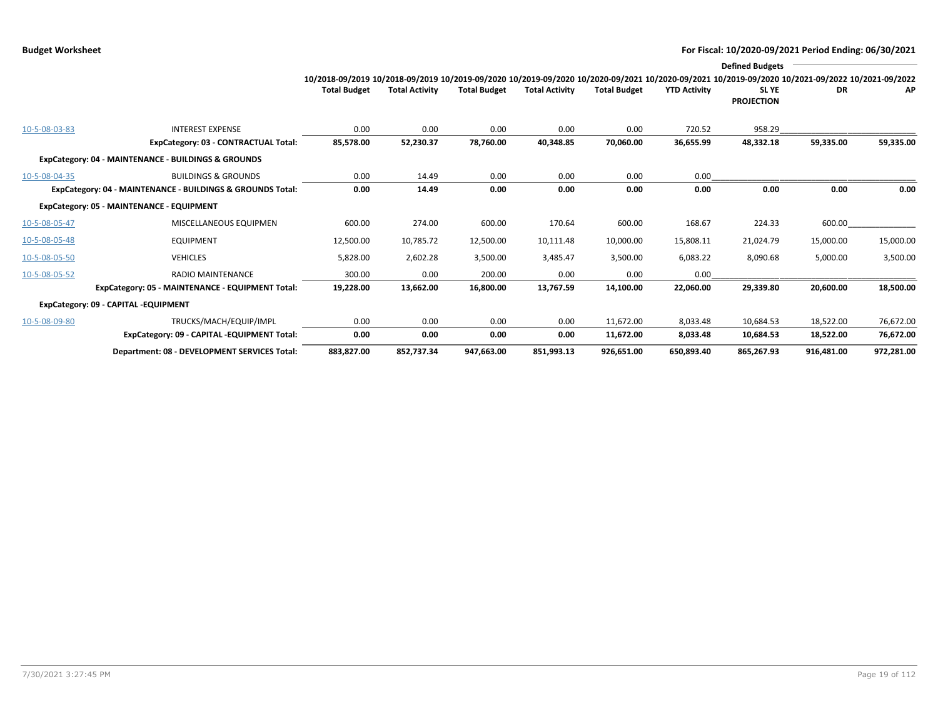|               |                                                            |                                                                                                                                                 |                       |                     |                       |                     |                     | <b>Defined Budgets</b> |            |            |
|---------------|------------------------------------------------------------|-------------------------------------------------------------------------------------------------------------------------------------------------|-----------------------|---------------------|-----------------------|---------------------|---------------------|------------------------|------------|------------|
|               |                                                            | 10/2018-09/2019 10/2018-09/2019 10/2019-09/2020 10/2019-09/2020 10/2020-09/2021 10/2020-09/2021 10/2019-09/2020 10/2021-09/2022 10/2021-09/2022 |                       |                     |                       |                     |                     |                        |            |            |
|               |                                                            | <b>Total Budget</b>                                                                                                                             | <b>Total Activity</b> | <b>Total Budget</b> | <b>Total Activity</b> | <b>Total Budget</b> | <b>YTD Activity</b> | SL YE                  | <b>DR</b>  | AP         |
|               |                                                            |                                                                                                                                                 |                       |                     |                       |                     |                     | <b>PROJECTION</b>      |            |            |
|               |                                                            |                                                                                                                                                 |                       |                     |                       |                     |                     |                        |            |            |
| 10-5-08-03-83 | <b>INTEREST EXPENSE</b>                                    | 0.00                                                                                                                                            | 0.00                  | 0.00                | 0.00                  | 0.00                | 720.52              | 958.29                 |            |            |
|               | ExpCategory: 03 - CONTRACTUAL Total:                       | 85,578.00                                                                                                                                       | 52,230.37             | 78,760.00           | 40,348.85             | 70,060.00           | 36,655.99           | 48,332.18              | 59,335.00  | 59,335.00  |
|               | ExpCategory: 04 - MAINTENANCE - BUILDINGS & GROUNDS        |                                                                                                                                                 |                       |                     |                       |                     |                     |                        |            |            |
| 10-5-08-04-35 | <b>BUILDINGS &amp; GROUNDS</b>                             | 0.00                                                                                                                                            | 14.49                 | 0.00                | 0.00                  | 0.00                | 0.00                |                        |            |            |
|               | ExpCategory: 04 - MAINTENANCE - BUILDINGS & GROUNDS Total: | 0.00                                                                                                                                            | 14.49                 | 0.00                | 0.00                  | 0.00                | 0.00                | 0.00                   | 0.00       | 0.00       |
|               | ExpCategory: 05 - MAINTENANCE - EQUIPMENT                  |                                                                                                                                                 |                       |                     |                       |                     |                     |                        |            |            |
| 10-5-08-05-47 | MISCELLANEOUS EQUIPMEN                                     | 600.00                                                                                                                                          | 274.00                | 600.00              | 170.64                | 600.00              | 168.67              | 224.33                 | 600.00     |            |
| 10-5-08-05-48 | <b>EQUIPMENT</b>                                           | 12,500.00                                                                                                                                       | 10,785.72             | 12,500.00           | 10,111.48             | 10,000.00           | 15,808.11           | 21,024.79              | 15,000.00  | 15,000.00  |
| 10-5-08-05-50 | <b>VEHICLES</b>                                            | 5,828.00                                                                                                                                        | 2,602.28              | 3,500.00            | 3,485.47              | 3,500.00            | 6,083.22            | 8,090.68               | 5,000.00   | 3,500.00   |
| 10-5-08-05-52 | <b>RADIO MAINTENANCE</b>                                   | 300.00                                                                                                                                          | 0.00                  | 200.00              | 0.00                  | 0.00                | 0.00                |                        |            |            |
|               | ExpCategory: 05 - MAINTENANCE - EQUIPMENT Total:           | 19,228.00                                                                                                                                       | 13,662.00             | 16,800.00           | 13,767.59             | 14,100.00           | 22,060.00           | 29,339.80              | 20,600.00  | 18,500.00  |
|               | ExpCategory: 09 - CAPITAL -EQUIPMENT                       |                                                                                                                                                 |                       |                     |                       |                     |                     |                        |            |            |
| 10-5-08-09-80 | TRUCKS/MACH/EQUIP/IMPL                                     | 0.00                                                                                                                                            | 0.00                  | 0.00                | 0.00                  | 11,672.00           | 8,033.48            | 10,684.53              | 18,522.00  | 76,672.00  |
|               | ExpCategory: 09 - CAPITAL -EQUIPMENT Total:                | 0.00                                                                                                                                            | 0.00                  | 0.00                | 0.00                  | 11,672.00           | 8,033.48            | 10,684.53              | 18,522.00  | 76,672.00  |
|               | Department: 08 - DEVELOPMENT SERVICES Total:               | 883,827.00                                                                                                                                      | 852,737.34            | 947,663.00          | 851,993.13            | 926,651.00          | 650,893.40          | 865,267.93             | 916,481.00 | 972,281.00 |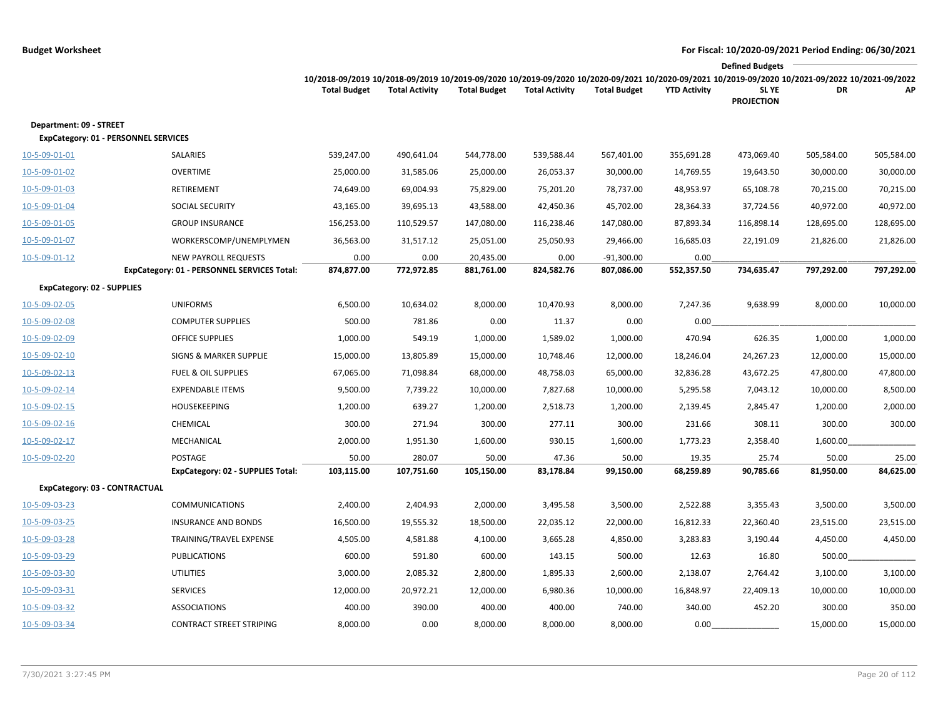|                                                                        |                                                                     |                                                                                                                                                                        |                       |                         |                       |                            |                     | <b>Defined Budgets</b>     |            |            |
|------------------------------------------------------------------------|---------------------------------------------------------------------|------------------------------------------------------------------------------------------------------------------------------------------------------------------------|-----------------------|-------------------------|-----------------------|----------------------------|---------------------|----------------------------|------------|------------|
|                                                                        |                                                                     | 10/2018-09/2019 10/2018-09/2019 10/2019-09/2020 10/2019-09/2020 10/2020-09/2021 10/2020-09/2021 10/2019-09/2020 10/2021-09/2022 10/2021-09/2022<br><b>Total Budget</b> | <b>Total Activity</b> | <b>Total Budget</b>     | <b>Total Activity</b> | <b>Total Budget</b>        | <b>YTD Activity</b> | SL YE<br><b>PROJECTION</b> | DR         | АP         |
| Department: 09 - STREET<br><b>ExpCategory: 01 - PERSONNEL SERVICES</b> |                                                                     |                                                                                                                                                                        |                       |                         |                       |                            |                     |                            |            |            |
| 10-5-09-01-01                                                          | SALARIES                                                            | 539,247.00                                                                                                                                                             | 490,641.04            | 544,778.00              | 539,588.44            | 567,401.00                 | 355,691.28          | 473,069.40                 | 505,584.00 | 505,584.00 |
| 10-5-09-01-02                                                          | <b>OVERTIME</b>                                                     | 25,000.00                                                                                                                                                              | 31,585.06             | 25,000.00               | 26,053.37             | 30,000.00                  | 14,769.55           | 19,643.50                  | 30,000.00  | 30,000.00  |
| 10-5-09-01-03                                                          | RETIREMENT                                                          | 74,649.00                                                                                                                                                              | 69,004.93             | 75,829.00               | 75,201.20             | 78,737.00                  | 48,953.97           | 65,108.78                  | 70,215.00  | 70,215.00  |
| 10-5-09-01-04                                                          | SOCIAL SECURITY                                                     | 43,165.00                                                                                                                                                              | 39,695.13             | 43,588.00               | 42,450.36             | 45,702.00                  | 28,364.33           | 37,724.56                  | 40,972.00  | 40,972.00  |
| 10-5-09-01-05                                                          | <b>GROUP INSURANCE</b>                                              | 156,253.00                                                                                                                                                             | 110,529.57            | 147,080.00              | 116,238.46            | 147,080.00                 | 87,893.34           | 116,898.14                 | 128,695.00 | 128,695.00 |
| 10-5-09-01-07                                                          | WORKERSCOMP/UNEMPLYMEN                                              | 36,563.00                                                                                                                                                              | 31,517.12             | 25,051.00               | 25,050.93             | 29,466.00                  | 16,685.03           | 22,191.09                  | 21,826.00  | 21,826.00  |
| 10-5-09-01-12                                                          | NEW PAYROLL REQUESTS<br>ExpCategory: 01 - PERSONNEL SERVICES Total: | 0.00<br>874,877.00                                                                                                                                                     | 0.00<br>772,972.85    | 20,435.00<br>881,761.00 | 0.00<br>824,582.76    | $-91,300.00$<br>807,086.00 | 0.00<br>552,357.50  | 734,635.47                 | 797,292.00 | 797,292.00 |
| <b>ExpCategory: 02 - SUPPLIES</b>                                      |                                                                     |                                                                                                                                                                        |                       |                         |                       |                            |                     |                            |            |            |
| 10-5-09-02-05                                                          | <b>UNIFORMS</b>                                                     | 6,500.00                                                                                                                                                               | 10,634.02             | 8,000.00                | 10,470.93             | 8,000.00                   | 7,247.36            | 9,638.99                   | 8,000.00   | 10,000.00  |
| 10-5-09-02-08                                                          | <b>COMPUTER SUPPLIES</b>                                            | 500.00                                                                                                                                                                 | 781.86                | 0.00                    | 11.37                 | 0.00                       | 0.00                |                            |            |            |
| 10-5-09-02-09                                                          | <b>OFFICE SUPPLIES</b>                                              | 1,000.00                                                                                                                                                               | 549.19                | 1,000.00                | 1,589.02              | 1,000.00                   | 470.94              | 626.35                     | 1,000.00   | 1,000.00   |
| 10-5-09-02-10                                                          | <b>SIGNS &amp; MARKER SUPPLIE</b>                                   | 15,000.00                                                                                                                                                              | 13,805.89             | 15,000.00               | 10,748.46             | 12,000.00                  | 18,246.04           | 24,267.23                  | 12,000.00  | 15,000.00  |
| 10-5-09-02-13                                                          | <b>FUEL &amp; OIL SUPPLIES</b>                                      | 67,065.00                                                                                                                                                              | 71,098.84             | 68,000.00               | 48,758.03             | 65,000.00                  | 32,836.28           | 43,672.25                  | 47,800.00  | 47,800.00  |
| 10-5-09-02-14                                                          | <b>EXPENDABLE ITEMS</b>                                             | 9,500.00                                                                                                                                                               | 7,739.22              | 10,000.00               | 7,827.68              | 10,000.00                  | 5,295.58            | 7,043.12                   | 10,000.00  | 8,500.00   |
| 10-5-09-02-15                                                          | <b>HOUSEKEEPING</b>                                                 | 1,200.00                                                                                                                                                               | 639.27                | 1,200.00                | 2,518.73              | 1,200.00                   | 2,139.45            | 2,845.47                   | 1,200.00   | 2,000.00   |
| 10-5-09-02-16                                                          | CHEMICAL                                                            | 300.00                                                                                                                                                                 | 271.94                | 300.00                  | 277.11                | 300.00                     | 231.66              | 308.11                     | 300.00     | 300.00     |
| 10-5-09-02-17                                                          | MECHANICAL                                                          | 2,000.00                                                                                                                                                               | 1,951.30              | 1,600.00                | 930.15                | 1,600.00                   | 1,773.23            | 2,358.40                   | 1,600.00   |            |
| 10-5-09-02-20                                                          | POSTAGE                                                             | 50.00                                                                                                                                                                  | 280.07                | 50.00                   | 47.36                 | 50.00                      | 19.35               | 25.74                      | 50.00      | 25.00      |
|                                                                        | ExpCategory: 02 - SUPPLIES Total:                                   | 103,115.00                                                                                                                                                             | 107,751.60            | 105,150.00              | 83,178.84             | 99,150.00                  | 68,259.89           | 90,785.66                  | 81,950.00  | 84,625.00  |
| <b>ExpCategory: 03 - CONTRACTUAL</b>                                   |                                                                     |                                                                                                                                                                        |                       |                         |                       |                            |                     |                            |            |            |
| 10-5-09-03-23                                                          | <b>COMMUNICATIONS</b>                                               | 2,400.00                                                                                                                                                               | 2,404.93              | 2,000.00                | 3,495.58              | 3,500.00                   | 2,522.88            | 3,355.43                   | 3,500.00   | 3,500.00   |
| 10-5-09-03-25                                                          | <b>INSURANCE AND BONDS</b>                                          | 16,500.00                                                                                                                                                              | 19,555.32             | 18,500.00               | 22,035.12             | 22,000.00                  | 16,812.33           | 22,360.40                  | 23,515.00  | 23,515.00  |
| 10-5-09-03-28                                                          | TRAINING/TRAVEL EXPENSE                                             | 4,505.00                                                                                                                                                               | 4,581.88              | 4,100.00                | 3,665.28              | 4,850.00                   | 3,283.83            | 3,190.44                   | 4,450.00   | 4,450.00   |
| 10-5-09-03-29                                                          | <b>PUBLICATIONS</b>                                                 | 600.00                                                                                                                                                                 | 591.80                | 600.00                  | 143.15                | 500.00                     | 12.63               | 16.80                      | 500.00     |            |
| 10-5-09-03-30                                                          | <b>UTILITIES</b>                                                    | 3,000.00                                                                                                                                                               | 2,085.32              | 2,800.00                | 1,895.33              | 2,600.00                   | 2,138.07            | 2,764.42                   | 3,100.00   | 3,100.00   |
| 10-5-09-03-31                                                          | <b>SERVICES</b>                                                     | 12,000.00                                                                                                                                                              | 20,972.21             | 12,000.00               | 6,980.36              | 10,000.00                  | 16,848.97           | 22,409.13                  | 10,000.00  | 10,000.00  |
| 10-5-09-03-32                                                          | <b>ASSOCIATIONS</b>                                                 | 400.00                                                                                                                                                                 | 390.00                | 400.00                  | 400.00                | 740.00                     | 340.00              | 452.20                     | 300.00     | 350.00     |
| 10-5-09-03-34                                                          | <b>CONTRACT STREET STRIPING</b>                                     | 8,000.00                                                                                                                                                               | 0.00                  | 8,000.00                | 8,000.00              | 8,000.00                   | 0.00                |                            | 15,000.00  | 15,000.00  |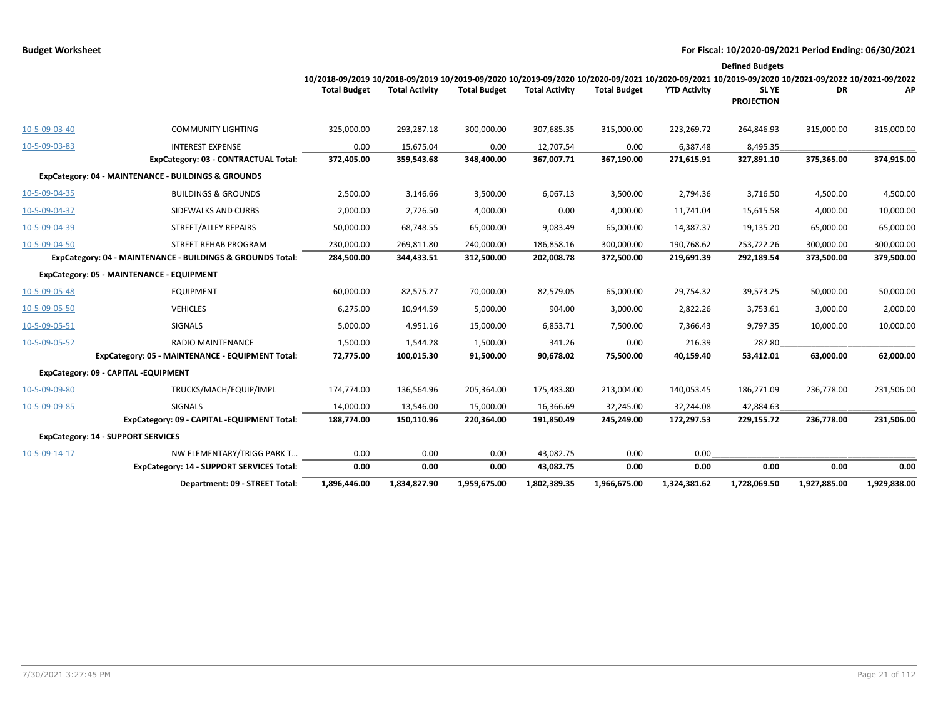|               |                                                            |                                                                                                                                                                        |                       |                     |                       |                     |                     | <b>Defined Budgets</b>     |              |              |
|---------------|------------------------------------------------------------|------------------------------------------------------------------------------------------------------------------------------------------------------------------------|-----------------------|---------------------|-----------------------|---------------------|---------------------|----------------------------|--------------|--------------|
|               |                                                            | 10/2018-09/2019 10/2018-09/2019 10/2019-09/2020 10/2019-09/2020 10/2020-09/2021 10/2020-09/2021 10/2019-09/2020 10/2021-09/2022 10/2021-09/2022<br><b>Total Budget</b> | <b>Total Activity</b> | <b>Total Budget</b> | <b>Total Activity</b> | <b>Total Budget</b> | <b>YTD Activity</b> | SL YE<br><b>PROJECTION</b> | DR           | АP           |
| 10-5-09-03-40 | <b>COMMUNITY LIGHTING</b>                                  | 325,000.00                                                                                                                                                             | 293,287.18            | 300,000.00          | 307,685.35            | 315,000.00          | 223,269.72          | 264,846.93                 | 315,000.00   | 315,000.00   |
| 10-5-09-03-83 | <b>INTEREST EXPENSE</b>                                    | 0.00                                                                                                                                                                   | 15,675.04             | 0.00                | 12,707.54             | 0.00                | 6,387.48            | 8,495.35                   |              |              |
|               | ExpCategory: 03 - CONTRACTUAL Total:                       | 372,405.00                                                                                                                                                             | 359,543.68            | 348,400.00          | 367,007.71            | 367,190.00          | 271,615.91          | 327,891.10                 | 375,365.00   | 374,915.00   |
|               | ExpCategory: 04 - MAINTENANCE - BUILDINGS & GROUNDS        |                                                                                                                                                                        |                       |                     |                       |                     |                     |                            |              |              |
| 10-5-09-04-35 | <b>BUILDINGS &amp; GROUNDS</b>                             | 2,500.00                                                                                                                                                               | 3,146.66              | 3,500.00            | 6,067.13              | 3,500.00            | 2,794.36            | 3,716.50                   | 4,500.00     | 4,500.00     |
| 10-5-09-04-37 | SIDEWALKS AND CURBS                                        | 2,000.00                                                                                                                                                               | 2,726.50              | 4,000.00            | 0.00                  | 4,000.00            | 11,741.04           | 15,615.58                  | 4,000.00     | 10,000.00    |
| 10-5-09-04-39 | STREET/ALLEY REPAIRS                                       | 50,000.00                                                                                                                                                              | 68,748.55             | 65,000.00           | 9,083.49              | 65,000.00           | 14,387.37           | 19,135.20                  | 65,000.00    | 65,000.00    |
| 10-5-09-04-50 | STREET REHAB PROGRAM                                       | 230,000.00                                                                                                                                                             | 269,811.80            | 240,000.00          | 186,858.16            | 300,000.00          | 190,768.62          | 253,722.26                 | 300,000.00   | 300,000.00   |
|               | ExpCategory: 04 - MAINTENANCE - BUILDINGS & GROUNDS Total: | 284,500.00                                                                                                                                                             | 344,433.51            | 312,500.00          | 202,008.78            | 372,500.00          | 219,691.39          | 292,189.54                 | 373,500.00   | 379,500.00   |
|               | ExpCategory: 05 - MAINTENANCE - EQUIPMENT                  |                                                                                                                                                                        |                       |                     |                       |                     |                     |                            |              |              |
| 10-5-09-05-48 | <b>EQUIPMENT</b>                                           | 60,000.00                                                                                                                                                              | 82,575.27             | 70,000.00           | 82,579.05             | 65,000.00           | 29,754.32           | 39,573.25                  | 50,000.00    | 50,000.00    |
| 10-5-09-05-50 | <b>VEHICLES</b>                                            | 6,275.00                                                                                                                                                               | 10,944.59             | 5,000.00            | 904.00                | 3,000.00            | 2,822.26            | 3,753.61                   | 3,000.00     | 2,000.00     |
| 10-5-09-05-51 | <b>SIGNALS</b>                                             | 5,000.00                                                                                                                                                               | 4,951.16              | 15,000.00           | 6,853.71              | 7,500.00            | 7,366.43            | 9,797.35                   | 10,000.00    | 10,000.00    |
| 10-5-09-05-52 | <b>RADIO MAINTENANCE</b>                                   | 1,500.00                                                                                                                                                               | 1,544.28              | 1,500.00            | 341.26                | 0.00                | 216.39              | 287.80                     |              |              |
|               | ExpCategory: 05 - MAINTENANCE - EQUIPMENT Total:           | 72,775.00                                                                                                                                                              | 100,015.30            | 91,500.00           | 90,678.02             | 75,500.00           | 40,159.40           | 53,412.01                  | 63,000.00    | 62,000.00    |
|               | ExpCategory: 09 - CAPITAL -EQUIPMENT                       |                                                                                                                                                                        |                       |                     |                       |                     |                     |                            |              |              |
| 10-5-09-09-80 | TRUCKS/MACH/EQUIP/IMPL                                     | 174,774.00                                                                                                                                                             | 136,564.96            | 205,364.00          | 175,483.80            | 213,004.00          | 140,053.45          | 186,271.09                 | 236,778.00   | 231,506.00   |
| 10-5-09-09-85 | <b>SIGNALS</b>                                             | 14.000.00                                                                                                                                                              | 13,546.00             | 15,000.00           | 16,366.69             | 32.245.00           | 32,244.08           | 42,884.63                  |              |              |
|               | ExpCategory: 09 - CAPITAL -EQUIPMENT Total:                | 188,774.00                                                                                                                                                             | 150,110.96            | 220,364.00          | 191,850.49            | 245,249.00          | 172,297.53          | 229,155.72                 | 236,778.00   | 231,506.00   |
|               | <b>ExpCategory: 14 - SUPPORT SERVICES</b>                  |                                                                                                                                                                        |                       |                     |                       |                     |                     |                            |              |              |
| 10-5-09-14-17 | NW ELEMENTARY/TRIGG PARK T                                 | 0.00                                                                                                                                                                   | 0.00                  | 0.00                | 43,082.75             | 0.00                | 0.00                |                            |              |              |
|               | <b>ExpCategory: 14 - SUPPORT SERVICES Total:</b>           | 0.00                                                                                                                                                                   | 0.00                  | 0.00                | 43,082.75             | 0.00                | 0.00                | 0.00                       | 0.00         | 0.00         |
|               | Department: 09 - STREET Total:                             | 1,896,446.00                                                                                                                                                           | 1,834,827.90          | 1,959,675.00        | 1,802,389.35          | 1,966,675.00        | 1,324,381.62        | 1,728,069.50               | 1,927,885.00 | 1,929,838.00 |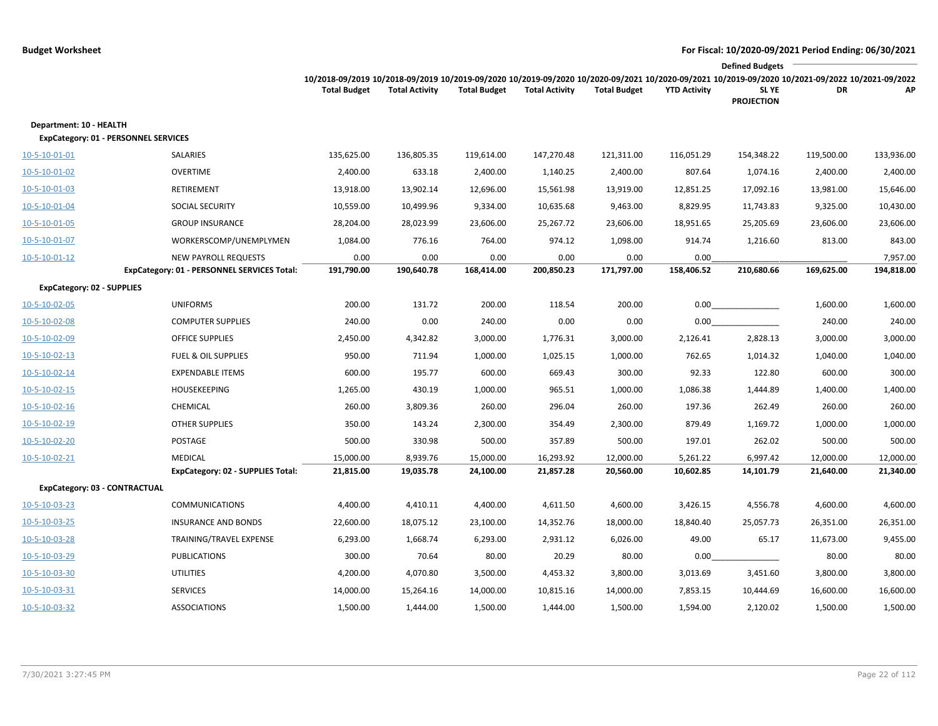|                                                                        |                                             |                                                                                                                                                                        |                       |                     |                       |                     |                     | <b>Defined Budgets</b>     |            |            |
|------------------------------------------------------------------------|---------------------------------------------|------------------------------------------------------------------------------------------------------------------------------------------------------------------------|-----------------------|---------------------|-----------------------|---------------------|---------------------|----------------------------|------------|------------|
|                                                                        |                                             | 10/2018-09/2019 10/2018-09/2019 10/2019-09/2020 10/2019-09/2020 10/2020-09/2021 10/2020-09/2021 10/2019-09/2020 10/2021-09/2022 10/2021-09/2022<br><b>Total Budget</b> | <b>Total Activity</b> | <b>Total Budget</b> | <b>Total Activity</b> | <b>Total Budget</b> | <b>YTD Activity</b> | SL YE<br><b>PROJECTION</b> | DR         | АP         |
| Department: 10 - HEALTH<br><b>ExpCategory: 01 - PERSONNEL SERVICES</b> |                                             |                                                                                                                                                                        |                       |                     |                       |                     |                     |                            |            |            |
| 10-5-10-01-01                                                          | <b>SALARIES</b>                             | 135,625.00                                                                                                                                                             | 136,805.35            | 119,614.00          | 147,270.48            | 121,311.00          | 116,051.29          | 154,348.22                 | 119,500.00 | 133,936.00 |
| 10-5-10-01-02                                                          | <b>OVERTIME</b>                             | 2,400.00                                                                                                                                                               | 633.18                | 2,400.00            | 1,140.25              | 2,400.00            | 807.64              | 1,074.16                   | 2,400.00   | 2,400.00   |
| 10-5-10-01-03                                                          | RETIREMENT                                  | 13,918.00                                                                                                                                                              | 13,902.14             | 12,696.00           | 15,561.98             | 13,919.00           | 12,851.25           | 17,092.16                  | 13,981.00  | 15,646.00  |
| 10-5-10-01-04                                                          | <b>SOCIAL SECURITY</b>                      | 10,559.00                                                                                                                                                              | 10,499.96             | 9,334.00            | 10,635.68             | 9,463.00            | 8,829.95            | 11,743.83                  | 9,325.00   | 10,430.00  |
| 10-5-10-01-05                                                          | <b>GROUP INSURANCE</b>                      | 28,204.00                                                                                                                                                              | 28,023.99             | 23,606.00           | 25,267.72             | 23,606.00           | 18,951.65           | 25,205.69                  | 23,606.00  | 23,606.00  |
| 10-5-10-01-07                                                          | WORKERSCOMP/UNEMPLYMEN                      | 1,084.00                                                                                                                                                               | 776.16                | 764.00              | 974.12                | 1,098.00            | 914.74              | 1,216.60                   | 813.00     | 843.00     |
| $10 - 5 - 10 - 01 - 12$                                                | <b>NEW PAYROLL REQUESTS</b>                 | 0.00                                                                                                                                                                   | 0.00                  | 0.00                | 0.00                  | 0.00                | 0.00                |                            |            | 7,957.00   |
|                                                                        | ExpCategory: 01 - PERSONNEL SERVICES Total: | 191,790.00                                                                                                                                                             | 190,640.78            | 168,414.00          | 200,850.23            | 171,797.00          | 158,406.52          | 210,680.66                 | 169,625.00 | 194,818.00 |
| <b>ExpCategory: 02 - SUPPLIES</b>                                      |                                             |                                                                                                                                                                        |                       |                     |                       |                     |                     |                            |            |            |
| 10-5-10-02-05                                                          | <b>UNIFORMS</b>                             | 200.00                                                                                                                                                                 | 131.72                | 200.00              | 118.54                | 200.00              | 0.00                |                            | 1,600.00   | 1,600.00   |
| 10-5-10-02-08                                                          | <b>COMPUTER SUPPLIES</b>                    | 240.00                                                                                                                                                                 | 0.00                  | 240.00              | 0.00                  | 0.00                | 0.00                |                            | 240.00     | 240.00     |
| 10-5-10-02-09                                                          | <b>OFFICE SUPPLIES</b>                      | 2,450.00                                                                                                                                                               | 4,342.82              | 3,000.00            | 1,776.31              | 3,000.00            | 2,126.41            | 2,828.13                   | 3,000.00   | 3,000.00   |
| 10-5-10-02-13                                                          | <b>FUEL &amp; OIL SUPPLIES</b>              | 950.00                                                                                                                                                                 | 711.94                | 1,000.00            | 1,025.15              | 1,000.00            | 762.65              | 1,014.32                   | 1,040.00   | 1,040.00   |
| 10-5-10-02-14                                                          | <b>EXPENDABLE ITEMS</b>                     | 600.00                                                                                                                                                                 | 195.77                | 600.00              | 669.43                | 300.00              | 92.33               | 122.80                     | 600.00     | 300.00     |
| 10-5-10-02-15                                                          | <b>HOUSEKEEPING</b>                         | 1,265.00                                                                                                                                                               | 430.19                | 1,000.00            | 965.51                | 1,000.00            | 1,086.38            | 1,444.89                   | 1,400.00   | 1,400.00   |
| $10 - 5 - 10 - 02 - 16$                                                | <b>CHEMICAL</b>                             | 260.00                                                                                                                                                                 | 3,809.36              | 260.00              | 296.04                | 260.00              | 197.36              | 262.49                     | 260.00     | 260.00     |
| 10-5-10-02-19                                                          | <b>OTHER SUPPLIES</b>                       | 350.00                                                                                                                                                                 | 143.24                | 2,300.00            | 354.49                | 2,300.00            | 879.49              | 1,169.72                   | 1,000.00   | 1,000.00   |
| 10-5-10-02-20                                                          | POSTAGE                                     | 500.00                                                                                                                                                                 | 330.98                | 500.00              | 357.89                | 500.00              | 197.01              | 262.02                     | 500.00     | 500.00     |
| 10-5-10-02-21                                                          | <b>MEDICAL</b>                              | 15,000.00                                                                                                                                                              | 8,939.76              | 15,000.00           | 16,293.92             | 12,000.00           | 5,261.22            | 6,997.42                   | 12,000.00  | 12,000.00  |
|                                                                        | <b>ExpCategory: 02 - SUPPLIES Total:</b>    | 21,815.00                                                                                                                                                              | 19,035.78             | 24,100.00           | 21,857.28             | 20,560.00           | 10,602.85           | 14,101.79                  | 21,640.00  | 21,340.00  |
| ExpCategory: 03 - CONTRACTUAL                                          |                                             |                                                                                                                                                                        |                       |                     |                       |                     |                     |                            |            |            |
| 10-5-10-03-23                                                          | <b>COMMUNICATIONS</b>                       | 4,400.00                                                                                                                                                               | 4,410.11              | 4,400.00            | 4,611.50              | 4,600.00            | 3,426.15            | 4,556.78                   | 4,600.00   | 4,600.00   |
| 10-5-10-03-25                                                          | <b>INSURANCE AND BONDS</b>                  | 22,600.00                                                                                                                                                              | 18,075.12             | 23,100.00           | 14,352.76             | 18,000.00           | 18,840.40           | 25,057.73                  | 26,351.00  | 26,351.00  |
| 10-5-10-03-28                                                          | TRAINING/TRAVEL EXPENSE                     | 6,293.00                                                                                                                                                               | 1,668.74              | 6,293.00            | 2,931.12              | 6,026.00            | 49.00               | 65.17                      | 11,673.00  | 9,455.00   |
| 10-5-10-03-29                                                          | <b>PUBLICATIONS</b>                         | 300.00                                                                                                                                                                 | 70.64                 | 80.00               | 20.29                 | 80.00               | 0.00                |                            | 80.00      | 80.00      |
| 10-5-10-03-30                                                          | <b>UTILITIES</b>                            | 4,200.00                                                                                                                                                               | 4,070.80              | 3,500.00            | 4,453.32              | 3,800.00            | 3,013.69            | 3,451.60                   | 3,800.00   | 3,800.00   |
| 10-5-10-03-31                                                          | <b>SERVICES</b>                             | 14,000.00                                                                                                                                                              | 15,264.16             | 14,000.00           | 10,815.16             | 14,000.00           | 7,853.15            | 10,444.69                  | 16,600.00  | 16,600.00  |
| 10-5-10-03-32                                                          | <b>ASSOCIATIONS</b>                         | 1,500.00                                                                                                                                                               | 1,444.00              | 1,500.00            | 1,444.00              | 1,500.00            | 1,594.00            | 2,120.02                   | 1,500.00   | 1,500.00   |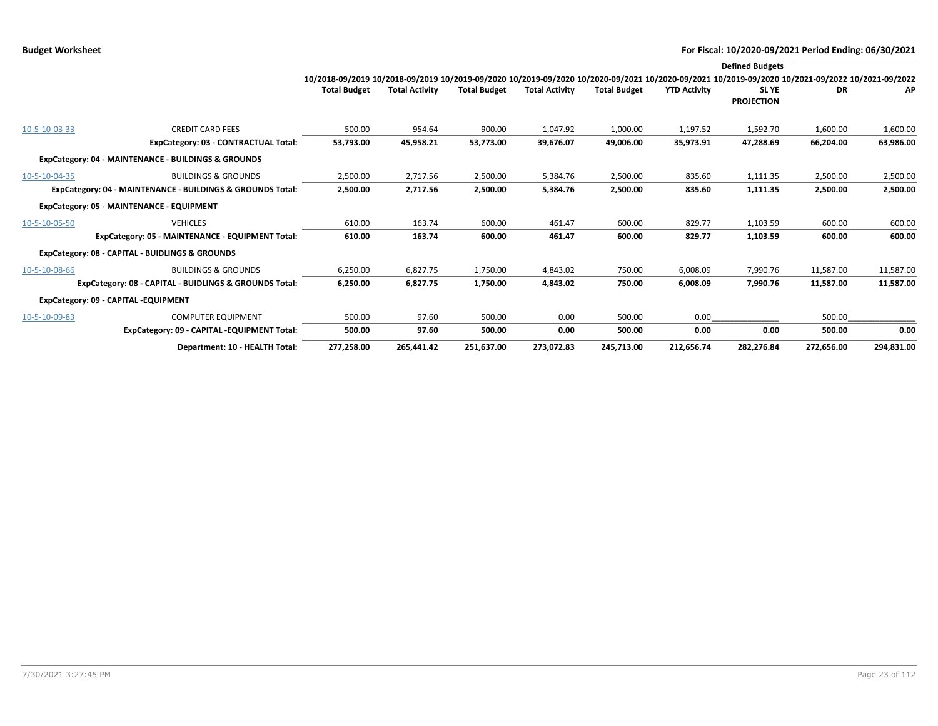|               |                                                            |                                                                                                                                                                        |                       |                     |                       |                     |                     | <b>Defined Budgets</b>     |            |            |
|---------------|------------------------------------------------------------|------------------------------------------------------------------------------------------------------------------------------------------------------------------------|-----------------------|---------------------|-----------------------|---------------------|---------------------|----------------------------|------------|------------|
|               |                                                            | 10/2018-09/2019 10/2018-09/2019 10/2019-09/2020 10/2019-09/2020 10/2020-09/2021 10/2020-09/2021 10/2019-09/2020 10/2021-09/2022 10/2021-09/2022<br><b>Total Budget</b> | <b>Total Activity</b> | <b>Total Budget</b> | <b>Total Activity</b> | <b>Total Budget</b> | <b>YTD Activity</b> | SL YE<br><b>PROJECTION</b> | DR         | AP         |
| 10-5-10-03-33 | <b>CREDIT CARD FEES</b>                                    | 500.00                                                                                                                                                                 | 954.64                | 900.00              | 1,047.92              | 1,000.00            | 1,197.52            | 1,592.70                   | 1,600.00   | 1,600.00   |
|               | ExpCategory: 03 - CONTRACTUAL Total:                       | 53,793.00                                                                                                                                                              | 45,958.21             | 53,773.00           | 39,676.07             | 49,006.00           | 35,973.91           | 47.288.69                  | 66,204.00  | 63,986.00  |
|               | ExpCategory: 04 - MAINTENANCE - BUILDINGS & GROUNDS        |                                                                                                                                                                        |                       |                     |                       |                     |                     |                            |            |            |
| 10-5-10-04-35 | <b>BUILDINGS &amp; GROUNDS</b>                             | 2,500.00                                                                                                                                                               | 2,717.56              | 2,500.00            | 5,384.76              | 2,500.00            | 835.60              | 1,111.35                   | 2,500.00   | 2,500.00   |
|               | ExpCategory: 04 - MAINTENANCE - BUILDINGS & GROUNDS Total: | 2,500.00                                                                                                                                                               | 2,717.56              | 2,500.00            | 5,384.76              | 2,500.00            | 835.60              | 1,111.35                   | 2,500.00   | 2,500.00   |
|               | ExpCategory: 05 - MAINTENANCE - EQUIPMENT                  |                                                                                                                                                                        |                       |                     |                       |                     |                     |                            |            |            |
| 10-5-10-05-50 | <b>VEHICLES</b>                                            | 610.00                                                                                                                                                                 | 163.74                | 600.00              | 461.47                | 600.00              | 829.77              | 1,103.59                   | 600.00     | 600.00     |
|               | ExpCategory: 05 - MAINTENANCE - EQUIPMENT Total:           | 610.00                                                                                                                                                                 | 163.74                | 600.00              | 461.47                | 600.00              | 829.77              | 1,103.59                   | 600.00     | 600.00     |
|               | ExpCategory: 08 - CAPITAL - BUIDLINGS & GROUNDS            |                                                                                                                                                                        |                       |                     |                       |                     |                     |                            |            |            |
| 10-5-10-08-66 | <b>BUILDINGS &amp; GROUNDS</b>                             | 6,250.00                                                                                                                                                               | 6,827.75              | 1,750.00            | 4,843.02              | 750.00              | 6,008.09            | 7,990.76                   | 11,587.00  | 11,587.00  |
|               | ExpCategory: 08 - CAPITAL - BUIDLINGS & GROUNDS Total:     | 6,250.00                                                                                                                                                               | 6,827.75              | 1,750.00            | 4,843.02              | 750.00              | 6,008.09            | 7,990.76                   | 11,587.00  | 11,587.00  |
|               | ExpCategory: 09 - CAPITAL -EQUIPMENT                       |                                                                                                                                                                        |                       |                     |                       |                     |                     |                            |            |            |
| 10-5-10-09-83 | <b>COMPUTER EQUIPMENT</b>                                  | 500.00                                                                                                                                                                 | 97.60                 | 500.00              | 0.00                  | 500.00              | 0.00                |                            | 500.00     |            |
|               | ExpCategory: 09 - CAPITAL -EQUIPMENT Total:                | 500.00                                                                                                                                                                 | 97.60                 | 500.00              | 0.00                  | 500.00              | 0.00                | 0.00                       | 500.00     | 0.00       |
|               | Department: 10 - HEALTH Total:                             | 277,258.00                                                                                                                                                             | 265,441.42            | 251,637.00          | 273.072.83            | 245.713.00          | 212.656.74          | 282.276.84                 | 272,656.00 | 294,831.00 |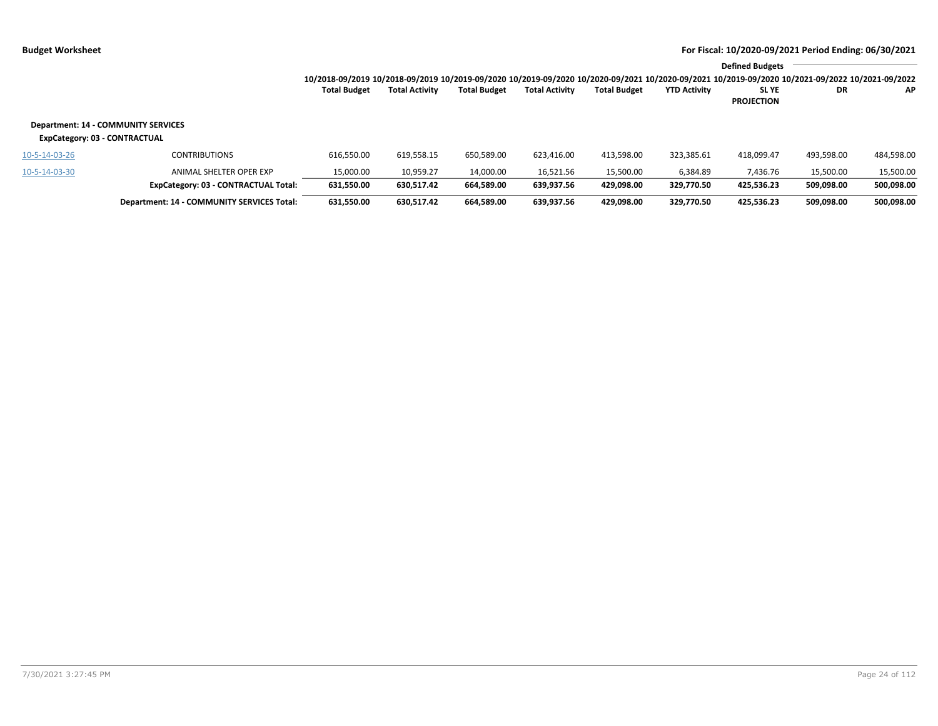|               |                                                                             | 10/2018-09/2019 10/2018-09/2019 10/2019-09/2020 10/2019-09/2020 10/2020-09/2021 10/2020-09/2021 10/2019-09/2020 10/2021-09/2022 10/2021-09/2022 |                       |                     |                       |                     |                     | <b>Defined Budgets</b>     |            |            |
|---------------|-----------------------------------------------------------------------------|-------------------------------------------------------------------------------------------------------------------------------------------------|-----------------------|---------------------|-----------------------|---------------------|---------------------|----------------------------|------------|------------|
|               |                                                                             | <b>Total Budget</b>                                                                                                                             | <b>Total Activity</b> | <b>Total Budget</b> | <b>Total Activity</b> | <b>Total Budget</b> | <b>YTD Activity</b> | SL YE<br><b>PROJECTION</b> | DR         | AP.        |
|               | <b>Department: 14 - COMMUNITY SERVICES</b><br>ExpCategory: 03 - CONTRACTUAL |                                                                                                                                                 |                       |                     |                       |                     |                     |                            |            |            |
| 10-5-14-03-26 | <b>CONTRIBUTIONS</b>                                                        | 616,550.00                                                                                                                                      | 619,558.15            | 650,589.00          | 623,416.00            | 413,598.00          | 323,385.61          | 418,099.47                 | 493,598.00 | 484,598.00 |
| 10-5-14-03-30 | ANIMAL SHELTER OPER EXP                                                     | 15,000.00                                                                                                                                       | 10,959.27             | 14,000.00           | 16,521.56             | 15,500.00           | 6,384.89            | 7.436.76                   | 15,500.00  | 15,500.00  |
|               | ExpCategory: 03 - CONTRACTUAL Total:                                        | 631,550.00                                                                                                                                      | 630,517.42            | 664,589.00          | 639,937.56            | 429,098.00          | 329.770.50          | 425.536.23                 | 509.098.00 | 500,098.00 |
|               | Department: 14 - COMMUNITY SERVICES Total:                                  | 631,550.00                                                                                                                                      | 630.517.42            | 664.589.00          | 639.937.56            | 429.098.00          | 329.770.50          | 425.536.23                 | 509.098.00 | 500.098.00 |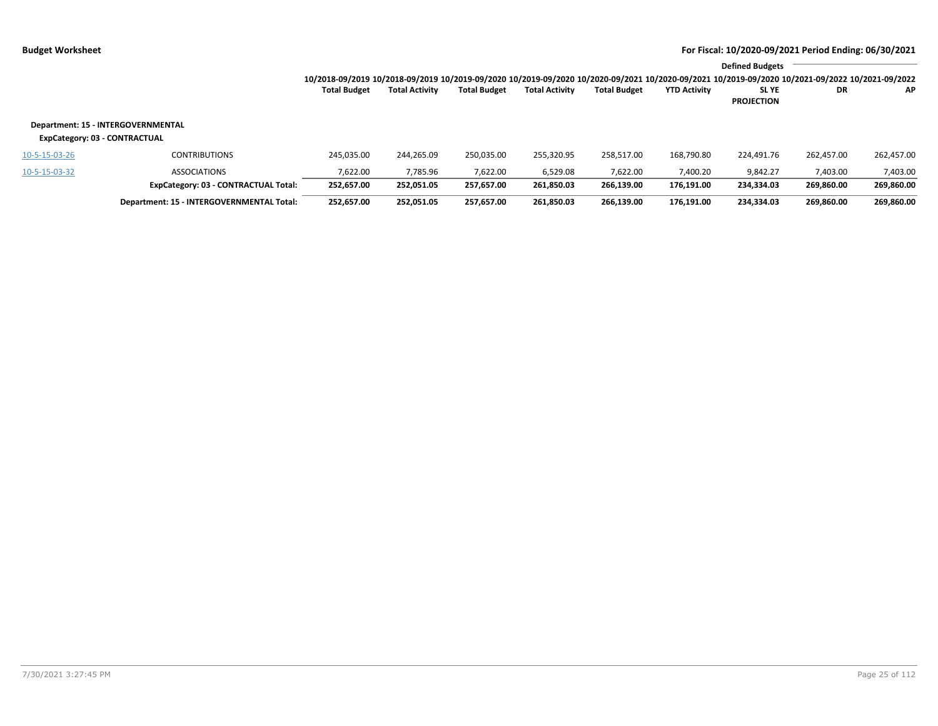|               |                                                                     |                                                                                                                                                 |                       |                     |                       |                     |                     | <b>Defined Budgets</b>           |            |            |
|---------------|---------------------------------------------------------------------|-------------------------------------------------------------------------------------------------------------------------------------------------|-----------------------|---------------------|-----------------------|---------------------|---------------------|----------------------------------|------------|------------|
|               |                                                                     | 10/2018-09/2019 10/2018-09/2019 10/2019-09/2020 10/2019-09/2020 10/2020-09/2021 10/2020-09/2021 10/2019-09/2020 10/2021-09/2022 10/2021-09/2022 |                       |                     |                       |                     |                     |                                  |            |            |
|               |                                                                     | <b>Total Budget</b>                                                                                                                             | <b>Total Activity</b> | <b>Total Budget</b> | <b>Total Activity</b> | <b>Total Budget</b> | <b>YTD Activity</b> | <b>SLYE</b><br><b>PROJECTION</b> | DR.        | AP         |
|               | Department: 15 - INTERGOVERNMENTAL<br>ExpCategory: 03 - CONTRACTUAL |                                                                                                                                                 |                       |                     |                       |                     |                     |                                  |            |            |
| 10-5-15-03-26 | <b>CONTRIBUTIONS</b>                                                | 245.035.00                                                                                                                                      | 244.265.09            | 250.035.00          | 255.320.95            | 258.517.00          | 168.790.80          | 224.491.76                       | 262.457.00 | 262,457.00 |
| 10-5-15-03-32 | <b>ASSOCIATIONS</b>                                                 | 7,622.00                                                                                                                                        | 7,785.96              | 7,622.00            | 6,529.08              | 7,622.00            | 7,400.20            | 9,842.27                         | 7,403.00   | 7,403.00   |
|               | ExpCategory: 03 - CONTRACTUAL Total:                                | 252,657.00                                                                                                                                      | 252,051.05            | 257,657.00          | 261,850.03            | 266,139.00          | 176,191.00          | 234,334.03                       | 269,860.00 | 269,860.00 |
|               | Department: 15 - INTERGOVERNMENTAL Total:                           | 252.657.00                                                                                                                                      | 252.051.05            | 257.657.00          | 261.850.03            | 266.139.00          | 176.191.00          | 234.334.03                       | 269.860.00 | 269,860.00 |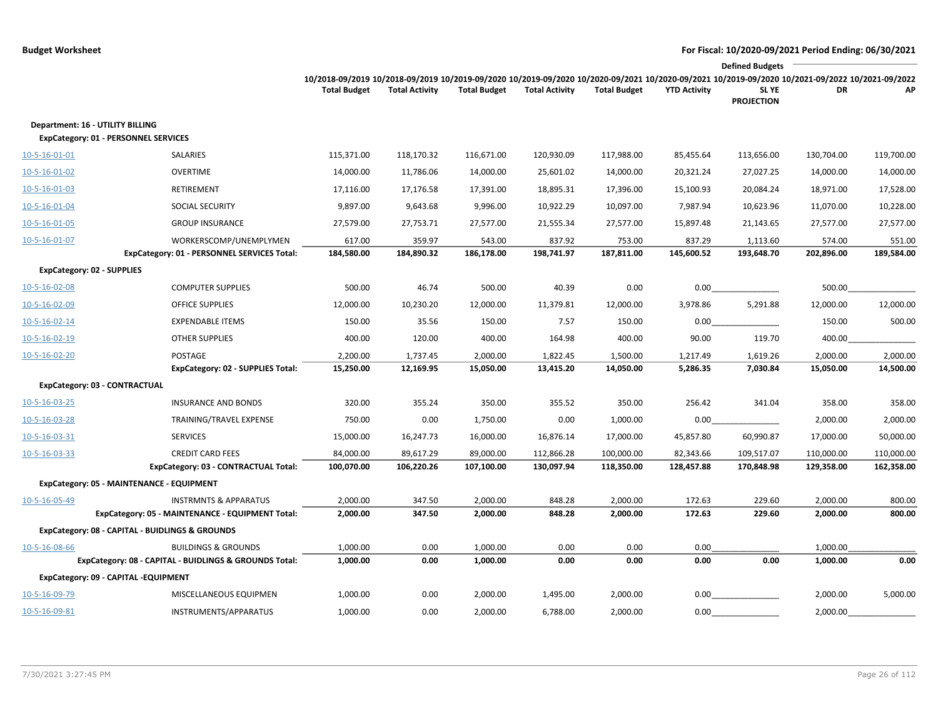|                                   |                                                                                          |                                                                                                                                                                        |                       |                      |                       |                     |                     | <b>Defined Budgets</b>     |                      |            |
|-----------------------------------|------------------------------------------------------------------------------------------|------------------------------------------------------------------------------------------------------------------------------------------------------------------------|-----------------------|----------------------|-----------------------|---------------------|---------------------|----------------------------|----------------------|------------|
|                                   |                                                                                          | 10/2018-09/2019 10/2018-09/2019 10/2019-09/2020 10/2019-09/2020 10/2020-09/2021 10/2020-09/2021 10/2019-09/2020 10/2021-09/2022 10/2021-09/2022<br><b>Total Budget</b> | <b>Total Activity</b> | <b>Total Budget</b>  | <b>Total Activity</b> | <b>Total Budget</b> | <b>YTD Activity</b> | SL YE<br><b>PROJECTION</b> | DR                   | АP         |
| Department: 16 - UTILITY BILLING  | <b>ExpCategory: 01 - PERSONNEL SERVICES</b>                                              |                                                                                                                                                                        |                       |                      |                       |                     |                     |                            |                      |            |
| 10-5-16-01-01                     | SALARIES                                                                                 | 115,371.00                                                                                                                                                             | 118,170.32            | 116,671.00           | 120,930.09            | 117,988.00          | 85,455.64           | 113,656.00                 | 130,704.00           | 119,700.00 |
| $10 - 5 - 16 - 01 - 02$           | <b>OVERTIME</b>                                                                          | 14,000.00                                                                                                                                                              | 11,786.06             | 14,000.00            | 25,601.02             | 14,000.00           | 20,321.24           | 27,027.25                  | 14,000.00            | 14,000.00  |
| 10-5-16-01-03                     | RETIREMENT                                                                               | 17,116.00                                                                                                                                                              | 17,176.58             | 17,391.00            | 18,895.31             | 17,396.00           | 15,100.93           | 20,084.24                  | 18,971.00            | 17,528.00  |
| 10-5-16-01-04                     | SOCIAL SECURITY                                                                          | 9,897.00                                                                                                                                                               | 9,643.68              | 9,996.00             | 10,922.29             | 10,097.00           | 7,987.94            | 10,623.96                  | 11,070.00            | 10,228.00  |
| 10-5-16-01-05                     | <b>GROUP INSURANCE</b>                                                                   | 27,579.00                                                                                                                                                              | 27,753.71             | 27,577.00            | 21,555.34             | 27,577.00           | 15,897.48           | 21,143.65                  | 27,577.00            | 27,577.00  |
| 10-5-16-01-07                     | WORKERSCOMP/UNEMPLYMEN                                                                   | 617.00                                                                                                                                                                 | 359.97                | 543.00               | 837.92                | 753.00              | 837.29              | 1,113.60                   | 574.00               | 551.00     |
|                                   | ExpCategory: 01 - PERSONNEL SERVICES Total:                                              | 184,580.00                                                                                                                                                             | 184,890.32            | 186,178.00           | 198,741.97            | 187,811.00          | 145,600.52          | 193,648.70                 | 202,896.00           | 189,584.00 |
| <b>ExpCategory: 02 - SUPPLIES</b> |                                                                                          |                                                                                                                                                                        |                       |                      |                       |                     |                     |                            |                      |            |
| 10-5-16-02-08                     | <b>COMPUTER SUPPLIES</b>                                                                 | 500.00                                                                                                                                                                 | 46.74                 | 500.00               | 40.39                 | 0.00                | 0.00                |                            | 500.00               |            |
| 10-5-16-02-09                     | <b>OFFICE SUPPLIES</b>                                                                   | 12,000.00                                                                                                                                                              | 10,230.20             | 12,000.00            | 11,379.81             | 12,000.00           | 3,978.86            | 5,291.88                   | 12,000.00            | 12,000.00  |
| 10-5-16-02-14                     | <b>EXPENDABLE ITEMS</b>                                                                  | 150.00                                                                                                                                                                 | 35.56                 | 150.00               | 7.57                  | 150.00              | 0.00                |                            | 150.00               | 500.00     |
| 10-5-16-02-19                     | <b>OTHER SUPPLIES</b>                                                                    | 400.00                                                                                                                                                                 | 120.00                | 400.00               | 164.98                | 400.00              | 90.00               | 119.70                     | 400.00               |            |
| 10-5-16-02-20                     | POSTAGE                                                                                  | 2,200.00                                                                                                                                                               | 1,737.45              | 2,000.00             | 1,822.45              | 1,500.00            | 1,217.49            | 1,619.26                   | 2,000.00             | 2,000.00   |
|                                   | ExpCategory: 02 - SUPPLIES Total:                                                        | 15,250.00                                                                                                                                                              | 12,169.95             | 15,050.00            | 13,415.20             | 14,050.00           | 5,286.35            | 7,030.84                   | 15,050.00            | 14,500.00  |
| ExpCategory: 03 - CONTRACTUAL     |                                                                                          |                                                                                                                                                                        |                       |                      |                       |                     |                     |                            |                      |            |
| 10-5-16-03-25                     | <b>INSURANCE AND BONDS</b>                                                               | 320.00                                                                                                                                                                 | 355.24                | 350.00               | 355.52                | 350.00              | 256.42              | 341.04                     | 358.00               | 358.00     |
| 10-5-16-03-28                     | TRAINING/TRAVEL EXPENSE                                                                  | 750.00                                                                                                                                                                 | 0.00                  | 1,750.00             | 0.00                  | 1,000.00            | 0.00                |                            | 2,000.00             | 2,000.00   |
| 10-5-16-03-31                     | <b>SERVICES</b>                                                                          | 15,000.00                                                                                                                                                              | 16,247.73             | 16,000.00            | 16,876.14             | 17,000.00           | 45,857.80           | 60,990.87                  | 17,000.00            | 50,000.00  |
| 10-5-16-03-33                     | <b>CREDIT CARD FEES</b>                                                                  | 84,000.00                                                                                                                                                              | 89,617.29             | 89,000.00            | 112,866.28            | 100,000.00          | 82,343.66           | 109,517.07                 | 110,000.00           | 110,000.00 |
|                                   | ExpCategory: 03 - CONTRACTUAL Total:                                                     | 100,070.00                                                                                                                                                             | 106,220.26            | 107,100.00           | 130,097.94            | 118,350.00          | 128,457.88          | 170,848.98                 | 129,358.00           | 162,358.00 |
|                                   | ExpCategory: 05 - MAINTENANCE - EQUIPMENT                                                |                                                                                                                                                                        |                       |                      |                       |                     |                     |                            |                      |            |
| 10-5-16-05-49                     | <b>INSTRMNTS &amp; APPARATUS</b>                                                         | 2,000.00                                                                                                                                                               | 347.50                | 2,000.00             | 848.28                | 2,000.00            | 172.63              | 229.60                     | 2,000.00             | 800.00     |
|                                   | ExpCategory: 05 - MAINTENANCE - EQUIPMENT Total:                                         | 2,000.00                                                                                                                                                               | 347.50                | 2,000.00             | 848.28                | 2,000.00            | 172.63              | 229.60                     | 2,000.00             | 800.00     |
|                                   | ExpCategory: 08 - CAPITAL - BUIDLINGS & GROUNDS                                          |                                                                                                                                                                        |                       |                      |                       |                     |                     |                            |                      |            |
| 10-5-16-08-66                     | <b>BUILDINGS &amp; GROUNDS</b><br>ExpCategory: 08 - CAPITAL - BUIDLINGS & GROUNDS Total: | 1,000.00<br>1,000.00                                                                                                                                                   | 0.00<br>0.00          | 1,000.00<br>1,000.00 | 0.00<br>0.00          | 0.00<br>0.00        | 0.00<br>0.00        | 0.00                       | 1,000.00<br>1,000.00 | 0.00       |
|                                   | ExpCategory: 09 - CAPITAL -EQUIPMENT                                                     |                                                                                                                                                                        |                       |                      |                       |                     |                     |                            |                      |            |
| 10-5-16-09-79                     | MISCELLANEOUS EQUIPMEN                                                                   | 1,000.00                                                                                                                                                               | 0.00                  | 2,000.00             | 1,495.00              | 2,000.00            | 0.00                |                            | 2,000.00             | 5,000.00   |
| 10-5-16-09-81                     | INSTRUMENTS/APPARATUS                                                                    | 1,000.00                                                                                                                                                               | 0.00                  | 2,000.00             | 6,788.00              | 2,000.00            | 0.00                |                            | 2,000.00             |            |
|                                   |                                                                                          |                                                                                                                                                                        |                       |                      |                       |                     |                     |                            |                      |            |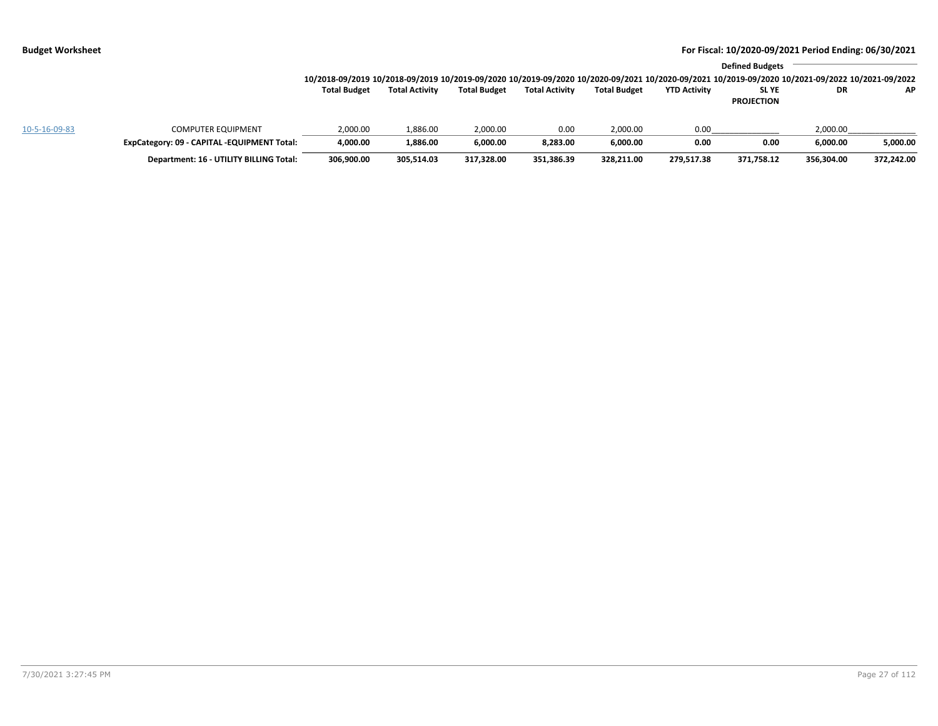|               |                                             | 10/2018-09/2019 10/2018-09/2019 10/2019-09/2020 10/2019-09/2020 10/2020-09/2021 10/2020-09/2021 10/2019-09/2020 10/2021-09/2022 10/2021-09/2022 |                       |                     |                       |                     |                     | <b>Defined Budgets</b>           |            |            |
|---------------|---------------------------------------------|-------------------------------------------------------------------------------------------------------------------------------------------------|-----------------------|---------------------|-----------------------|---------------------|---------------------|----------------------------------|------------|------------|
|               |                                             | <b>Total Budget</b>                                                                                                                             | <b>Total Activity</b> | <b>Total Budget</b> | <b>Total Activity</b> | <b>Total Budget</b> | <b>YTD Activity</b> | <b>SLYE</b><br><b>PROJECTION</b> | DR         | AP         |
| 10-5-16-09-83 | <b>COMPUTER EQUIPMENT</b>                   | 2,000.00                                                                                                                                        | 1,886.00              | 2,000.00            | 0.00                  | 2,000.00            | 0.00                |                                  | 2,000.00   |            |
|               | ExpCategory: 09 - CAPITAL -EQUIPMENT Total: | 4.000.00                                                                                                                                        | 1.886.00              | 6.000.00            | 8.283.00              | 6.000.00            | 0.00                | 0.00                             | 6.000.00   | 5,000.00   |
|               | Department: 16 - UTILITY BILLING Total:     | 306,900.00                                                                                                                                      | 305,514.03            | 317,328.00          | 351,386.39            | 328,211.00          | 279.517.38          | 371,758.12                       | 356,304.00 | 372,242.00 |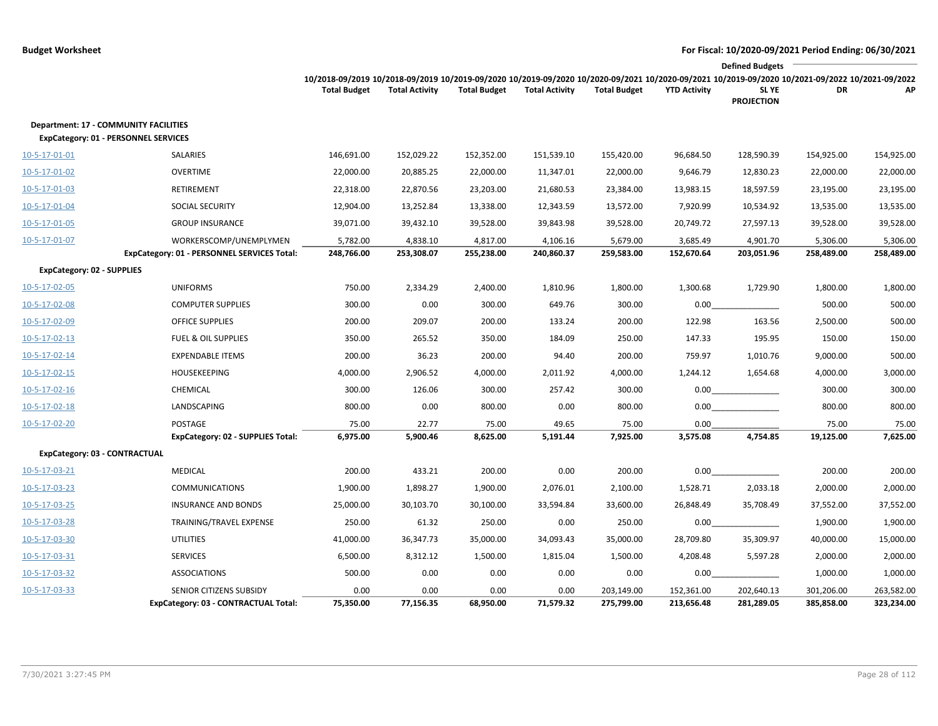|                                   |                                                                                             |                                                                                                                                                                        |                       |                     |                       |                     |                     | <b>Defined Budgets</b>     |            |            |
|-----------------------------------|---------------------------------------------------------------------------------------------|------------------------------------------------------------------------------------------------------------------------------------------------------------------------|-----------------------|---------------------|-----------------------|---------------------|---------------------|----------------------------|------------|------------|
|                                   |                                                                                             | 10/2018-09/2019 10/2018-09/2019 10/2019-09/2020 10/2019-09/2020 10/2020-09/2021 10/2020-09/2021 10/2019-09/2020 10/2021-09/2022 10/2021-09/2022<br><b>Total Budget</b> | <b>Total Activity</b> | <b>Total Budget</b> | <b>Total Activity</b> | <b>Total Budget</b> | <b>YTD Activity</b> | SL YE<br><b>PROJECTION</b> | DR         | АP         |
|                                   | <b>Department: 17 - COMMUNITY FACILITIES</b><br><b>ExpCategory: 01 - PERSONNEL SERVICES</b> |                                                                                                                                                                        |                       |                     |                       |                     |                     |                            |            |            |
| 10-5-17-01-01                     | SALARIES                                                                                    | 146,691.00                                                                                                                                                             | 152,029.22            | 152,352.00          | 151,539.10            | 155,420.00          | 96,684.50           | 128,590.39                 | 154,925.00 | 154,925.00 |
| 10-5-17-01-02                     | OVERTIME                                                                                    | 22,000.00                                                                                                                                                              | 20,885.25             | 22,000.00           | 11,347.01             | 22,000.00           | 9,646.79            | 12,830.23                  | 22,000.00  | 22,000.00  |
| 10-5-17-01-03                     | <b>RETIREMENT</b>                                                                           | 22,318.00                                                                                                                                                              | 22,870.56             | 23,203.00           | 21,680.53             | 23,384.00           | 13,983.15           | 18,597.59                  | 23,195.00  | 23,195.00  |
| 10-5-17-01-04                     | <b>SOCIAL SECURITY</b>                                                                      | 12,904.00                                                                                                                                                              | 13,252.84             | 13,338.00           | 12,343.59             | 13,572.00           | 7,920.99            | 10,534.92                  | 13,535.00  | 13,535.00  |
| 10-5-17-01-05                     | <b>GROUP INSURANCE</b>                                                                      | 39,071.00                                                                                                                                                              | 39,432.10             | 39,528.00           | 39,843.98             | 39,528.00           | 20,749.72           | 27,597.13                  | 39,528.00  | 39,528.00  |
| 10-5-17-01-07                     | WORKERSCOMP/UNEMPLYMEN                                                                      | 5,782.00                                                                                                                                                               | 4,838.10              | 4,817.00            | 4,106.16              | 5,679.00            | 3,685.49            | 4,901.70                   | 5,306.00   | 5,306.00   |
|                                   | <b>ExpCategory: 01 - PERSONNEL SERVICES Total:</b>                                          | 248,766.00                                                                                                                                                             | 253,308.07            | 255,238.00          | 240,860.37            | 259,583.00          | 152,670.64          | 203,051.96                 | 258,489.00 | 258,489.00 |
| <b>ExpCategory: 02 - SUPPLIES</b> |                                                                                             |                                                                                                                                                                        |                       |                     |                       |                     |                     |                            |            |            |
| 10-5-17-02-05                     | <b>UNIFORMS</b>                                                                             | 750.00                                                                                                                                                                 | 2,334.29              | 2,400.00            | 1,810.96              | 1,800.00            | 1,300.68            | 1,729.90                   | 1,800.00   | 1,800.00   |
| 10-5-17-02-08                     | <b>COMPUTER SUPPLIES</b>                                                                    | 300.00                                                                                                                                                                 | 0.00                  | 300.00              | 649.76                | 300.00              | 0.00                |                            | 500.00     | 500.00     |
| 10-5-17-02-09                     | <b>OFFICE SUPPLIES</b>                                                                      | 200.00                                                                                                                                                                 | 209.07                | 200.00              | 133.24                | 200.00              | 122.98              | 163.56                     | 2,500.00   | 500.00     |
| 10-5-17-02-13                     | <b>FUEL &amp; OIL SUPPLIES</b>                                                              | 350.00                                                                                                                                                                 | 265.52                | 350.00              | 184.09                | 250.00              | 147.33              | 195.95                     | 150.00     | 150.00     |
| 10-5-17-02-14                     | <b>EXPENDABLE ITEMS</b>                                                                     | 200.00                                                                                                                                                                 | 36.23                 | 200.00              | 94.40                 | 200.00              | 759.97              | 1,010.76                   | 9,000.00   | 500.00     |
| 10-5-17-02-15                     | HOUSEKEEPING                                                                                | 4,000.00                                                                                                                                                               | 2,906.52              | 4,000.00            | 2,011.92              | 4,000.00            | 1,244.12            | 1,654.68                   | 4,000.00   | 3,000.00   |
| $10-5-17-02-16$                   | CHEMICAL                                                                                    | 300.00                                                                                                                                                                 | 126.06                | 300.00              | 257.42                | 300.00              | 0.00                |                            | 300.00     | 300.00     |
| 10-5-17-02-18                     | LANDSCAPING                                                                                 | 800.00                                                                                                                                                                 | 0.00                  | 800.00              | 0.00                  | 800.00              | 0.00                |                            | 800.00     | 800.00     |
| 10-5-17-02-20                     | POSTAGE                                                                                     | 75.00                                                                                                                                                                  | 22.77                 | 75.00               | 49.65                 | 75.00               | 0.00                |                            | 75.00      | 75.00      |
|                                   | <b>ExpCategory: 02 - SUPPLIES Total:</b>                                                    | 6,975.00                                                                                                                                                               | 5,900.46              | 8,625.00            | 5,191.44              | 7,925.00            | 3,575.08            | 4,754.85                   | 19,125.00  | 7,625.00   |
|                                   | ExpCategory: 03 - CONTRACTUAL                                                               |                                                                                                                                                                        |                       |                     |                       |                     |                     |                            |            |            |
| 10-5-17-03-21                     | <b>MEDICAL</b>                                                                              | 200.00                                                                                                                                                                 | 433.21                | 200.00              | 0.00                  | 200.00              | 0.00                |                            | 200.00     | 200.00     |
| 10-5-17-03-23                     | <b>COMMUNICATIONS</b>                                                                       | 1,900.00                                                                                                                                                               | 1,898.27              | 1,900.00            | 2,076.01              | 2,100.00            | 1,528.71            | 2,033.18                   | 2,000.00   | 2,000.00   |
| 10-5-17-03-25                     | <b>INSURANCE AND BONDS</b>                                                                  | 25,000.00                                                                                                                                                              | 30,103.70             | 30,100.00           | 33,594.84             | 33,600.00           | 26,848.49           | 35,708.49                  | 37,552.00  | 37,552.00  |
| 10-5-17-03-28                     | TRAINING/TRAVEL EXPENSE                                                                     | 250.00                                                                                                                                                                 | 61.32                 | 250.00              | 0.00                  | 250.00              | 0.00                |                            | 1,900.00   | 1,900.00   |
| 10-5-17-03-30                     | <b>UTILITIES</b>                                                                            | 41,000.00                                                                                                                                                              | 36,347.73             | 35,000.00           | 34,093.43             | 35,000.00           | 28,709.80           | 35,309.97                  | 40,000.00  | 15,000.00  |
| 10-5-17-03-31                     | <b>SERVICES</b>                                                                             | 6,500.00                                                                                                                                                               | 8,312.12              | 1,500.00            | 1,815.04              | 1,500.00            | 4,208.48            | 5,597.28                   | 2,000.00   | 2,000.00   |
| 10-5-17-03-32                     | <b>ASSOCIATIONS</b>                                                                         | 500.00                                                                                                                                                                 | 0.00                  | 0.00                | 0.00                  | 0.00                | 0.00                |                            | 1,000.00   | 1,000.00   |
| 10-5-17-03-33                     | SENIOR CITIZENS SUBSIDY                                                                     | 0.00                                                                                                                                                                   | 0.00                  | 0.00                | 0.00                  | 203,149.00          | 152,361.00          | 202,640.13                 | 301,206.00 | 263,582.00 |
|                                   | ExpCategory: 03 - CONTRACTUAL Total:                                                        | 75,350.00                                                                                                                                                              | 77,156.35             | 68,950.00           | 71,579.32             | 275,799.00          | 213,656.48          | 281,289.05                 | 385,858.00 | 323,234.00 |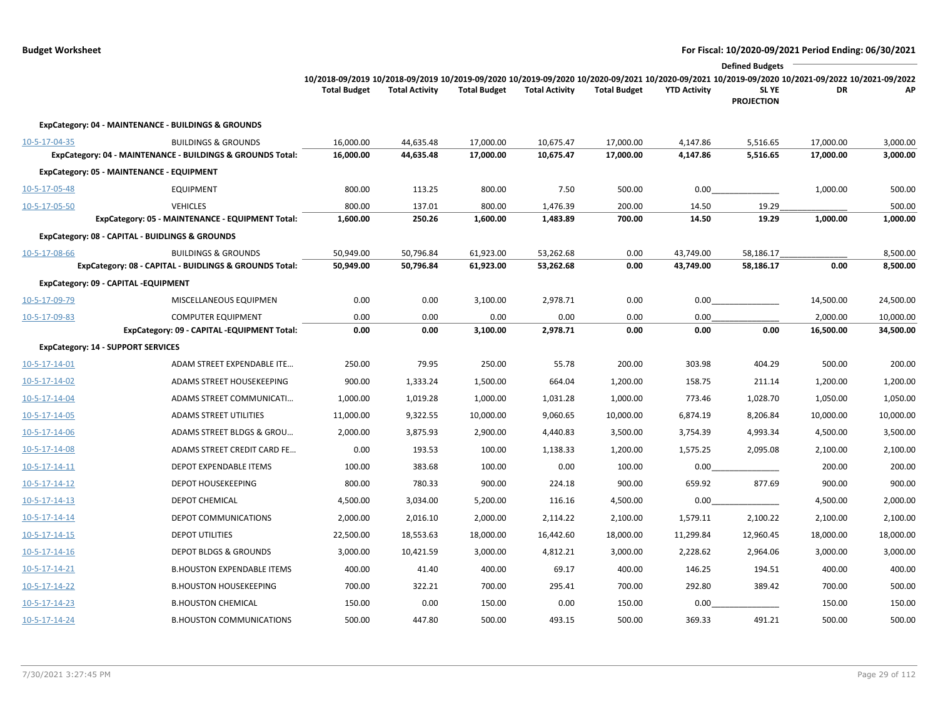```
Budget Worksheet For Fiscal: 10/2020-09/2021 Period Ending: 06/30/2021
```

|                         |                                                            |                                                                                                                                                 |                       |                     |                       |                     |                     | <b>Defined Budgets</b>     |           |           |
|-------------------------|------------------------------------------------------------|-------------------------------------------------------------------------------------------------------------------------------------------------|-----------------------|---------------------|-----------------------|---------------------|---------------------|----------------------------|-----------|-----------|
|                         |                                                            | 10/2018-09/2019 10/2018-09/2019 10/2019-09/2020 10/2019-09/2020 10/2020-09/2021 10/2020-09/2021 10/2019-09/2020 10/2021-09/2022 10/2021-09/2022 |                       |                     |                       |                     |                     |                            |           |           |
|                         |                                                            | <b>Total Budget</b>                                                                                                                             | <b>Total Activity</b> | <b>Total Budget</b> | <b>Total Activity</b> | <b>Total Budget</b> | <b>YTD Activity</b> | SL YE<br><b>PROJECTION</b> | DR        | АP        |
|                         | ExpCategory: 04 - MAINTENANCE - BUILDINGS & GROUNDS        |                                                                                                                                                 |                       |                     |                       |                     |                     |                            |           |           |
| 10-5-17-04-35           | <b>BUILDINGS &amp; GROUNDS</b>                             | 16,000.00                                                                                                                                       | 44,635.48             | 17,000.00           | 10,675.47             | 17,000.00           | 4,147.86            | 5,516.65                   | 17,000.00 | 3,000.00  |
|                         | ExpCategory: 04 - MAINTENANCE - BUILDINGS & GROUNDS Total: | 16,000.00                                                                                                                                       | 44,635.48             | 17,000.00           | 10,675.47             | 17,000.00           | 4,147.86            | 5,516.65                   | 17,000.00 | 3,000.00  |
|                         | ExpCategory: 05 - MAINTENANCE - EQUIPMENT                  |                                                                                                                                                 |                       |                     |                       |                     |                     |                            |           |           |
| 10-5-17-05-48           | <b>EQUIPMENT</b>                                           | 800.00                                                                                                                                          | 113.25                | 800.00              | 7.50                  | 500.00              | 0.00                |                            | 1,000.00  | 500.00    |
| 10-5-17-05-50           | <b>VEHICLES</b>                                            | 800.00                                                                                                                                          | 137.01                | 800.00              | 1,476.39              | 200.00              | 14.50               | 19.29                      |           | 500.00    |
|                         | ExpCategory: 05 - MAINTENANCE - EQUIPMENT Total:           | 1,600.00                                                                                                                                        | 250.26                | 1,600.00            | 1,483.89              | 700.00              | 14.50               | 19.29                      | 1,000.00  | 1,000.00  |
|                         | ExpCategory: 08 - CAPITAL - BUIDLINGS & GROUNDS            |                                                                                                                                                 |                       |                     |                       |                     |                     |                            |           |           |
| 10-5-17-08-66           | <b>BUILDINGS &amp; GROUNDS</b>                             | 50,949.00                                                                                                                                       | 50,796.84             | 61,923.00           | 53,262.68             | 0.00                | 43,749.00           | 58,186.17                  |           | 8,500.00  |
|                         | ExpCategory: 08 - CAPITAL - BUIDLINGS & GROUNDS Total:     | 50,949.00                                                                                                                                       | 50,796.84             | 61,923.00           | 53,262.68             | 0.00                | 43,749.00           | 58,186.17                  | 0.00      | 8,500.00  |
|                         | ExpCategory: 09 - CAPITAL -EQUIPMENT                       |                                                                                                                                                 |                       |                     |                       |                     |                     |                            |           |           |
| 10-5-17-09-79           | MISCELLANEOUS EQUIPMEN                                     | 0.00                                                                                                                                            | 0.00                  | 3,100.00            | 2,978.71              | 0.00                | 0.00                |                            | 14,500.00 | 24,500.00 |
| 10-5-17-09-83           | <b>COMPUTER EQUIPMENT</b>                                  | 0.00                                                                                                                                            | 0.00                  | 0.00                | 0.00                  | 0.00                | 0.00                |                            | 2,000.00  | 10,000.00 |
|                         | ExpCategory: 09 - CAPITAL -EQUIPMENT Total:                | 0.00                                                                                                                                            | 0.00                  | 3,100.00            | 2,978.71              | 0.00                | 0.00                | 0.00                       | 16,500.00 | 34,500.00 |
|                         | <b>ExpCategory: 14 - SUPPORT SERVICES</b>                  |                                                                                                                                                 |                       |                     |                       |                     |                     |                            |           |           |
| 10-5-17-14-01           | ADAM STREET EXPENDABLE ITE                                 | 250.00                                                                                                                                          | 79.95                 | 250.00              | 55.78                 | 200.00              | 303.98              | 404.29                     | 500.00    | 200.00    |
| 10-5-17-14-02           | <b>ADAMS STREET HOUSEKEEPING</b>                           | 900.00                                                                                                                                          | 1,333.24              | 1,500.00            | 664.04                | 1,200.00            | 158.75              | 211.14                     | 1,200.00  | 1,200.00  |
| 10-5-17-14-04           | <b>ADAMS STREET COMMUNICATI</b>                            | 1,000.00                                                                                                                                        | 1,019.28              | 1,000.00            | 1,031.28              | 1,000.00            | 773.46              | 1,028.70                   | 1,050.00  | 1,050.00  |
| 10-5-17-14-05           | <b>ADAMS STREET UTILITIES</b>                              | 11,000.00                                                                                                                                       | 9,322.55              | 10,000.00           | 9,060.65              | 10,000.00           | 6,874.19            | 8,206.84                   | 10,000.00 | 10,000.00 |
| 10-5-17-14-06           | ADAMS STREET BLDGS & GROU                                  | 2,000.00                                                                                                                                        | 3,875.93              | 2,900.00            | 4,440.83              | 3,500.00            | 3,754.39            | 4,993.34                   | 4,500.00  | 3,500.00  |
| 10-5-17-14-08           | ADAMS STREET CREDIT CARD FE                                | 0.00                                                                                                                                            | 193.53                | 100.00              | 1,138.33              | 1,200.00            | 1,575.25            | 2,095.08                   | 2,100.00  | 2,100.00  |
| 10-5-17-14-11           | <b>DEPOT EXPENDABLE ITEMS</b>                              | 100.00                                                                                                                                          | 383.68                | 100.00              | 0.00                  | 100.00              | 0.00                |                            | 200.00    | 200.00    |
| 10-5-17-14-12           | <b>DEPOT HOUSEKEEPING</b>                                  | 800.00                                                                                                                                          | 780.33                | 900.00              | 224.18                | 900.00              | 659.92              | 877.69                     | 900.00    | 900.00    |
| 10-5-17-14-13           | <b>DEPOT CHEMICAL</b>                                      | 4,500.00                                                                                                                                        | 3,034.00              | 5,200.00            | 116.16                | 4,500.00            | 0.00                |                            | 4,500.00  | 2,000.00  |
| 10-5-17-14-14           | DEPOT COMMUNICATIONS                                       | 2,000.00                                                                                                                                        | 2,016.10              | 2,000.00            | 2,114.22              | 2,100.00            | 1,579.11            | 2,100.22                   | 2,100.00  | 2,100.00  |
| $10 - 5 - 17 - 14 - 15$ | <b>DEPOT UTILITIES</b>                                     | 22,500.00                                                                                                                                       | 18,553.63             | 18,000.00           | 16,442.60             | 18,000.00           | 11,299.84           | 12,960.45                  | 18,000.00 | 18,000.00 |
| 10-5-17-14-16           | <b>DEPOT BLDGS &amp; GROUNDS</b>                           | 3,000.00                                                                                                                                        | 10,421.59             | 3,000.00            | 4,812.21              | 3,000.00            | 2,228.62            | 2,964.06                   | 3,000.00  | 3,000.00  |
| $10 - 5 - 17 - 14 - 21$ | <b>B.HOUSTON EXPENDABLE ITEMS</b>                          | 400.00                                                                                                                                          | 41.40                 | 400.00              | 69.17                 | 400.00              | 146.25              | 194.51                     | 400.00    | 400.00    |
| 10-5-17-14-22           | <b>B.HOUSTON HOUSEKEEPING</b>                              | 700.00                                                                                                                                          | 322.21                | 700.00              | 295.41                | 700.00              | 292.80              | 389.42                     | 700.00    | 500.00    |
| 10-5-17-14-23           | <b>B.HOUSTON CHEMICAL</b>                                  | 150.00                                                                                                                                          | 0.00                  | 150.00              | 0.00                  | 150.00              | 0.00                |                            | 150.00    | 150.00    |
|                         |                                                            | 500.00                                                                                                                                          |                       | 500.00              |                       |                     |                     |                            | 500.00    | 500.00    |
| 10-5-17-14-24           | <b>B.HOUSTON COMMUNICATIONS</b>                            |                                                                                                                                                 | 447.80                |                     | 493.15                | 500.00              | 369.33              | 491.21                     |           |           |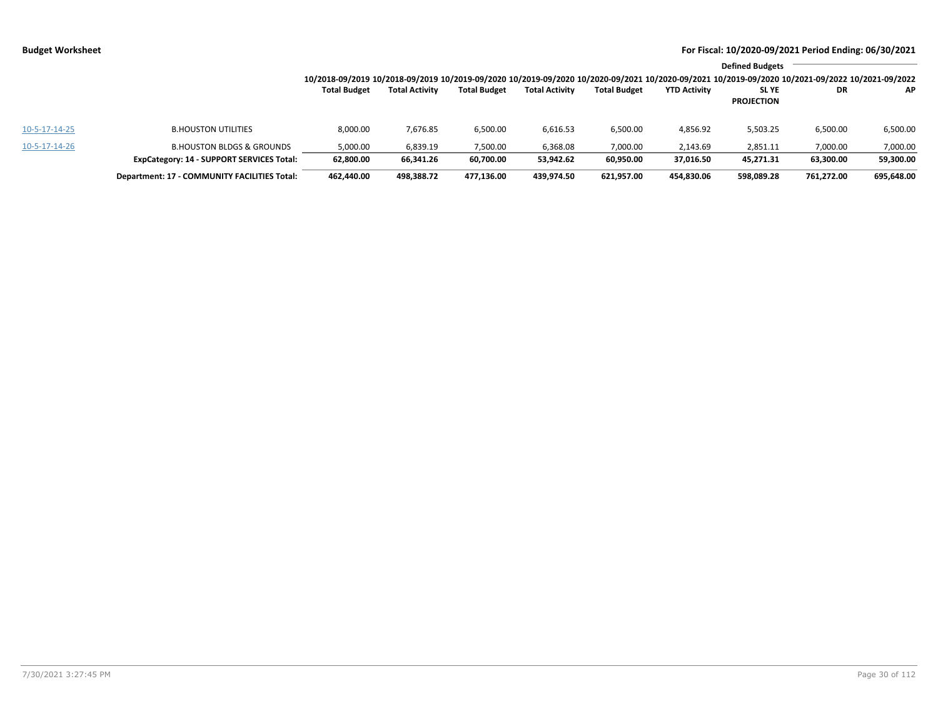|               |                                                  |                     |                       |                     |                       |                     |                     | <b>Defined Budgets</b>                                                                                                                          |            |            |
|---------------|--------------------------------------------------|---------------------|-----------------------|---------------------|-----------------------|---------------------|---------------------|-------------------------------------------------------------------------------------------------------------------------------------------------|------------|------------|
|               |                                                  |                     |                       |                     |                       |                     |                     | 10/2018-09/2019 10/2018-09/2019 10/2019-09/2020 10/2019-09/2020 10/2020-09/2021 10/2020-09/2021 10/2019-09/2020 10/2021-09/2022 10/2021-09/2022 |            |            |
|               |                                                  | <b>Total Budget</b> | <b>Total Activity</b> | <b>Total Budget</b> | <b>Total Activity</b> | <b>Total Budget</b> | <b>YTD Activity</b> | <b>SLYE</b>                                                                                                                                     | <b>DR</b>  | AP.        |
|               |                                                  |                     |                       |                     |                       |                     |                     | <b>PROJECTION</b>                                                                                                                               |            |            |
| 10-5-17-14-25 | <b>B.HOUSTON UTILITIES</b>                       | 8,000.00            | 7,676.85              | 6,500.00            | 6,616.53              | 6,500.00            | 4,856.92            | 5,503.25                                                                                                                                        | 6,500.00   | 6,500.00   |
| 10-5-17-14-26 | <b>B.HOUSTON BLDGS &amp; GROUNDS</b>             | 5,000.00            | 6,839.19              | 7,500.00            | 6,368.08              | 7,000.00            | 2,143.69            | 2,851.11                                                                                                                                        | 7,000.00   | 7,000.00   |
|               | <b>ExpCategory: 14 - SUPPORT SERVICES Total:</b> | 62,800.00           | 66,341.26             | 60,700.00           | 53,942.62             | 60,950.00           | 37.016.50           | 45,271.31                                                                                                                                       | 63,300.00  | 59,300.00  |
|               | Department: 17 - COMMUNITY FACILITIES Total:     | 462.440.00          | 498,388.72            | 477,136.00          | 439.974.50            | 621,957.00          | 454.830.06          | 598,089.28                                                                                                                                      | 761,272.00 | 695,648.00 |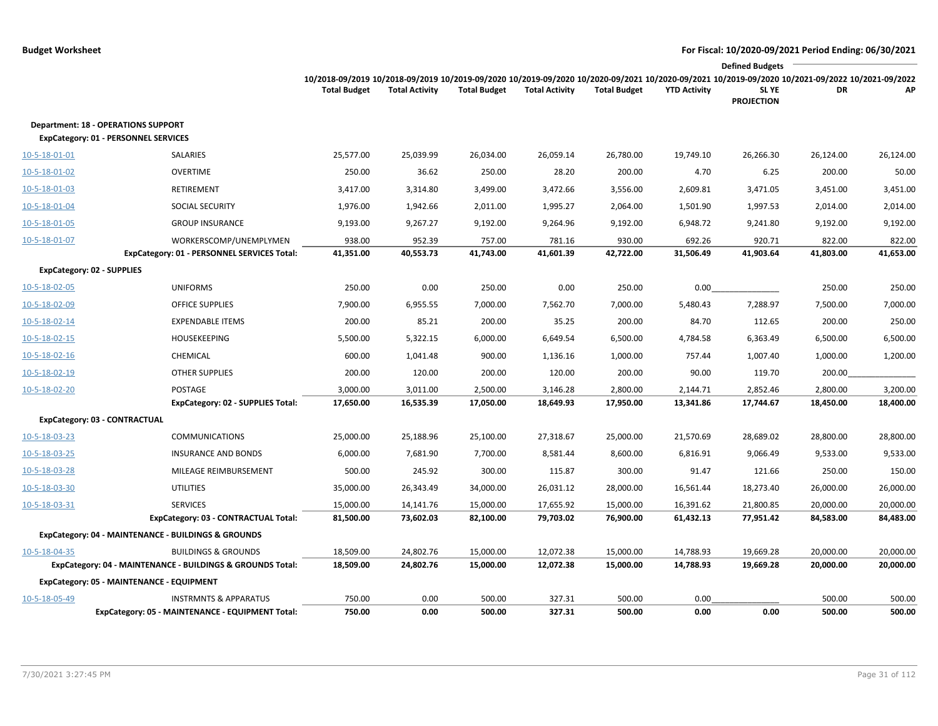|               |                                                                                           |                     |                       |                     |                       |                     |                     | <b>Defined Budgets</b>                                                                                                                                                        |           |           |
|---------------|-------------------------------------------------------------------------------------------|---------------------|-----------------------|---------------------|-----------------------|---------------------|---------------------|-------------------------------------------------------------------------------------------------------------------------------------------------------------------------------|-----------|-----------|
|               |                                                                                           | <b>Total Budget</b> | <b>Total Activity</b> | <b>Total Budget</b> | <b>Total Activity</b> | <b>Total Budget</b> | <b>YTD Activity</b> | 10/2018-09/2019 10/2018-09/2019 10/2019-09/2020 10/2019-09/2020 10/2020-09/2021 10/2020-09/2021 10/2019-09/2020 10/2021-09/2022 10/2021-09/2022<br>SL YE<br><b>PROJECTION</b> | DR        | АP        |
|               | <b>Department: 18 - OPERATIONS SUPPORT</b><br><b>ExpCategory: 01 - PERSONNEL SERVICES</b> |                     |                       |                     |                       |                     |                     |                                                                                                                                                                               |           |           |
| 10-5-18-01-01 | SALARIES                                                                                  | 25,577.00           | 25,039.99             | 26,034.00           | 26,059.14             | 26,780.00           | 19,749.10           | 26,266.30                                                                                                                                                                     | 26,124.00 | 26,124.00 |
| 10-5-18-01-02 | <b>OVERTIME</b>                                                                           | 250.00              | 36.62                 | 250.00              | 28.20                 | 200.00              | 4.70                | 6.25                                                                                                                                                                          | 200.00    | 50.00     |
| 10-5-18-01-03 | <b>RETIREMENT</b>                                                                         | 3,417.00            | 3,314.80              | 3,499.00            | 3,472.66              | 3,556.00            | 2,609.81            | 3,471.05                                                                                                                                                                      | 3,451.00  | 3,451.00  |
| 10-5-18-01-04 | <b>SOCIAL SECURITY</b>                                                                    | 1,976.00            | 1,942.66              | 2,011.00            | 1,995.27              | 2,064.00            | 1,501.90            | 1,997.53                                                                                                                                                                      | 2,014.00  | 2,014.00  |
| 10-5-18-01-05 | <b>GROUP INSURANCE</b>                                                                    | 9,193.00            | 9,267.27              | 9,192.00            | 9,264.96              | 9,192.00            | 6,948.72            | 9,241.80                                                                                                                                                                      | 9,192.00  | 9,192.00  |
| 10-5-18-01-07 | WORKERSCOMP/UNEMPLYMEN                                                                    | 938.00              | 952.39                | 757.00              | 781.16                | 930.00              | 692.26              | 920.71                                                                                                                                                                        | 822.00    | 822.00    |
|               | ExpCategory: 01 - PERSONNEL SERVICES Total:                                               | 41,351.00           | 40,553.73             | 41,743.00           | 41,601.39             | 42,722.00           | 31,506.49           | 41,903.64                                                                                                                                                                     | 41,803.00 | 41,653.00 |
|               | <b>ExpCategory: 02 - SUPPLIES</b>                                                         |                     |                       |                     |                       |                     |                     |                                                                                                                                                                               |           |           |
| 10-5-18-02-05 | <b>UNIFORMS</b>                                                                           | 250.00              | 0.00                  | 250.00              | 0.00                  | 250.00              | 0.00                |                                                                                                                                                                               | 250.00    | 250.00    |
| 10-5-18-02-09 | <b>OFFICE SUPPLIES</b>                                                                    | 7,900.00            | 6,955.55              | 7,000.00            | 7,562.70              | 7,000.00            | 5,480.43            | 7,288.97                                                                                                                                                                      | 7,500.00  | 7,000.00  |
| 10-5-18-02-14 | <b>EXPENDABLE ITEMS</b>                                                                   | 200.00              | 85.21                 | 200.00              | 35.25                 | 200.00              | 84.70               | 112.65                                                                                                                                                                        | 200.00    | 250.00    |
| 10-5-18-02-15 | <b>HOUSEKEEPING</b>                                                                       | 5,500.00            | 5,322.15              | 6,000.00            | 6,649.54              | 6,500.00            | 4,784.58            | 6,363.49                                                                                                                                                                      | 6,500.00  | 6,500.00  |
| 10-5-18-02-16 | CHEMICAL                                                                                  | 600.00              | 1,041.48              | 900.00              | 1,136.16              | 1,000.00            | 757.44              | 1,007.40                                                                                                                                                                      | 1,000.00  | 1,200.00  |
| 10-5-18-02-19 | <b>OTHER SUPPLIES</b>                                                                     | 200.00              | 120.00                | 200.00              | 120.00                | 200.00              | 90.00               | 119.70                                                                                                                                                                        | 200.00    |           |
| 10-5-18-02-20 | POSTAGE                                                                                   | 3,000.00            | 3,011.00              | 2,500.00            | 3,146.28              | 2,800.00            | 2,144.71            | 2,852.46                                                                                                                                                                      | 2,800.00  | 3,200.00  |
|               | <b>ExpCategory: 02 - SUPPLIES Total:</b>                                                  | 17,650.00           | 16,535.39             | 17,050.00           | 18,649.93             | 17,950.00           | 13,341.86           | 17,744.67                                                                                                                                                                     | 18,450.00 | 18,400.00 |
|               | ExpCategory: 03 - CONTRACTUAL                                                             |                     |                       |                     |                       |                     |                     |                                                                                                                                                                               |           |           |
| 10-5-18-03-23 | <b>COMMUNICATIONS</b>                                                                     | 25,000.00           | 25,188.96             | 25,100.00           | 27,318.67             | 25,000.00           | 21,570.69           | 28,689.02                                                                                                                                                                     | 28,800.00 | 28,800.00 |
| 10-5-18-03-25 | <b>INSURANCE AND BONDS</b>                                                                | 6,000.00            | 7,681.90              | 7,700.00            | 8,581.44              | 8,600.00            | 6,816.91            | 9,066.49                                                                                                                                                                      | 9,533.00  | 9,533.00  |
| 10-5-18-03-28 | MILEAGE REIMBURSEMENT                                                                     | 500.00              | 245.92                | 300.00              | 115.87                | 300.00              | 91.47               | 121.66                                                                                                                                                                        | 250.00    | 150.00    |
| 10-5-18-03-30 | <b>UTILITIES</b>                                                                          | 35,000.00           | 26,343.49             | 34,000.00           | 26,031.12             | 28,000.00           | 16,561.44           | 18,273.40                                                                                                                                                                     | 26,000.00 | 26,000.00 |
| 10-5-18-03-31 | <b>SERVICES</b>                                                                           | 15,000.00           | 14,141.76             | 15,000.00           | 17,655.92             | 15,000.00           | 16,391.62           | 21,800.85                                                                                                                                                                     | 20,000.00 | 20,000.00 |
|               | ExpCategory: 03 - CONTRACTUAL Total:                                                      | 81,500.00           | 73,602.03             | 82,100.00           | 79,703.02             | 76,900.00           | 61,432.13           | 77,951.42                                                                                                                                                                     | 84,583.00 | 84,483.00 |
|               | ExpCategory: 04 - MAINTENANCE - BUILDINGS & GROUNDS                                       |                     |                       |                     |                       |                     |                     |                                                                                                                                                                               |           |           |
| 10-5-18-04-35 | <b>BUILDINGS &amp; GROUNDS</b>                                                            | 18,509.00           | 24,802.76             | 15,000.00           | 12,072.38             | 15,000.00           | 14,788.93           | 19,669.28                                                                                                                                                                     | 20,000.00 | 20,000.00 |
|               | ExpCategory: 04 - MAINTENANCE - BUILDINGS & GROUNDS Total:                                | 18,509.00           | 24,802.76             | 15,000.00           | 12,072.38             | 15,000.00           | 14,788.93           | 19,669.28                                                                                                                                                                     | 20,000.00 | 20,000.00 |
|               | ExpCategory: 05 - MAINTENANCE - EQUIPMENT                                                 |                     |                       |                     |                       |                     |                     |                                                                                                                                                                               |           |           |
| 10-5-18-05-49 | <b>INSTRMNTS &amp; APPARATUS</b>                                                          | 750.00              | 0.00                  | 500.00              | 327.31                | 500.00              | 0.00                |                                                                                                                                                                               | 500.00    | 500.00    |
|               | ExpCategory: 05 - MAINTENANCE - EQUIPMENT Total:                                          | 750.00              | 0.00                  | 500.00              | 327.31                | 500.00              | 0.00                | 0.00                                                                                                                                                                          | 500.00    | 500.00    |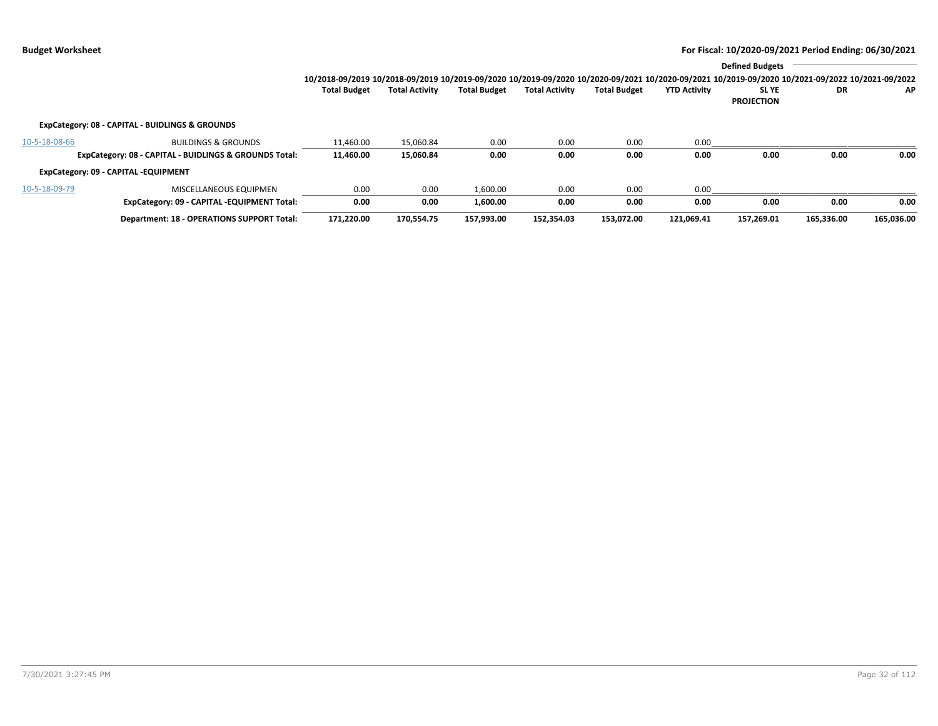|               |                                                        |                                                                                                                                                 |                       |                     |                       |                     |                     | <b>Defined Budgets</b>     |            |            |
|---------------|--------------------------------------------------------|-------------------------------------------------------------------------------------------------------------------------------------------------|-----------------------|---------------------|-----------------------|---------------------|---------------------|----------------------------|------------|------------|
|               |                                                        | 10/2018-09/2019 10/2018-09/2019 10/2019-09/2020 10/2019-09/2020 10/2020-09/2021 10/2020-09/2021 10/2019-09/2020 10/2021-09/2022 10/2021-09/2022 |                       |                     |                       |                     |                     |                            |            |            |
|               |                                                        | <b>Total Budget</b>                                                                                                                             | <b>Total Activity</b> | <b>Total Budget</b> | <b>Total Activity</b> | <b>Total Budget</b> | <b>YTD Activity</b> | SL YE<br><b>PROJECTION</b> | DR         | AP         |
|               | ExpCategory: 08 - CAPITAL - BUIDLINGS & GROUNDS        |                                                                                                                                                 |                       |                     |                       |                     |                     |                            |            |            |
| 10-5-18-08-66 | <b>BUILDINGS &amp; GROUNDS</b>                         | 11.460.00                                                                                                                                       | 15.060.84             | 0.00                | 0.00                  | 0.00                | 0.00                |                            |            |            |
|               | ExpCategory: 08 - CAPITAL - BUIDLINGS & GROUNDS Total: | 11,460.00                                                                                                                                       | 15,060.84             | 0.00                | 0.00                  | 0.00                | 0.00                | 0.00                       | 0.00       | 0.00       |
|               | ExpCategory: 09 - CAPITAL -EQUIPMENT                   |                                                                                                                                                 |                       |                     |                       |                     |                     |                            |            |            |
| 10-5-18-09-79 | MISCELLANEOUS EQUIPMEN                                 | 0.00                                                                                                                                            | 0.00                  | 1,600.00            | 0.00                  | 0.00                | 0.00                |                            |            |            |
|               | ExpCategory: 09 - CAPITAL -EQUIPMENT Total:            | 0.00                                                                                                                                            | 0.00                  | 1,600.00            | 0.00                  | 0.00                | 0.00                | 0.00                       | 0.00       | 0.00       |
|               | <b>Department: 18 - OPERATIONS SUPPORT Total:</b>      | 171,220.00                                                                                                                                      | 170,554.75            | 157,993.00          | 152.354.03            | 153.072.00          | 121.069.41          | 157.269.01                 | 165.336.00 | 165,036.00 |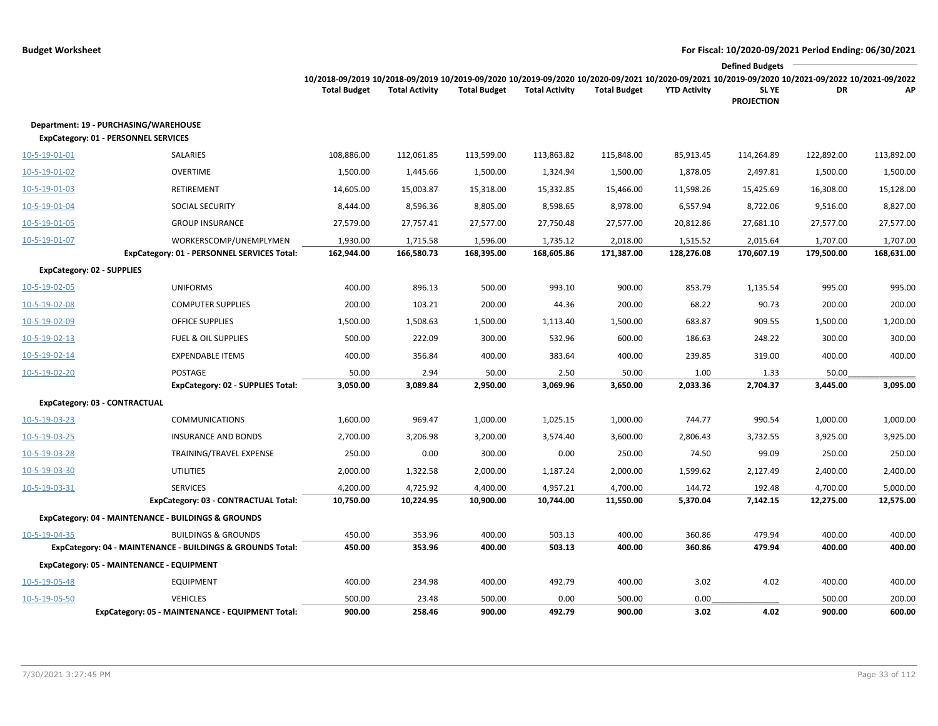|               |                                                                                      |                                                                                                                                                                        |                       |                     |                       |                     |                     | <b>Defined Budgets</b>     |                  |                  |
|---------------|--------------------------------------------------------------------------------------|------------------------------------------------------------------------------------------------------------------------------------------------------------------------|-----------------------|---------------------|-----------------------|---------------------|---------------------|----------------------------|------------------|------------------|
|               |                                                                                      | 10/2018-09/2019 10/2018-09/2019 10/2019-09/2020 10/2019-09/2020 10/2020-09/2021 10/2020-09/2021 10/2019-09/2020 10/2021-09/2022 10/2021-09/2022<br><b>Total Budget</b> | <b>Total Activity</b> | <b>Total Budget</b> | <b>Total Activity</b> | <b>Total Budget</b> | <b>YTD Activity</b> | SL YE<br><b>PROJECTION</b> | DR               | АP               |
|               | Department: 19 - PURCHASING/WAREHOUSE<br><b>ExpCategory: 01 - PERSONNEL SERVICES</b> |                                                                                                                                                                        |                       |                     |                       |                     |                     |                            |                  |                  |
| 10-5-19-01-01 | SALARIES                                                                             | 108,886.00                                                                                                                                                             | 112,061.85            | 113,599.00          | 113,863.82            | 115,848.00          | 85,913.45           | 114,264.89                 | 122,892.00       | 113,892.00       |
| 10-5-19-01-02 | <b>OVERTIME</b>                                                                      | 1,500.00                                                                                                                                                               | 1,445.66              | 1,500.00            | 1,324.94              | 1,500.00            | 1,878.05            | 2,497.81                   | 1,500.00         | 1,500.00         |
| 10-5-19-01-03 | <b>RETIREMENT</b>                                                                    | 14,605.00                                                                                                                                                              | 15,003.87             | 15,318.00           | 15,332.85             | 15,466.00           | 11,598.26           | 15,425.69                  | 16,308.00        | 15,128.00        |
| 10-5-19-01-04 | SOCIAL SECURITY                                                                      | 8,444.00                                                                                                                                                               | 8,596.36              | 8,805.00            | 8,598.65              | 8,978.00            | 6,557.94            | 8,722.06                   | 9,516.00         | 8,827.00         |
| 10-5-19-01-05 | <b>GROUP INSURANCE</b>                                                               | 27,579.00                                                                                                                                                              | 27,757.41             | 27,577.00           | 27,750.48             | 27,577.00           | 20,812.86           | 27,681.10                  | 27,577.00        | 27,577.00        |
| 10-5-19-01-07 | WORKERSCOMP/UNEMPLYMEN                                                               | 1,930.00                                                                                                                                                               | 1,715.58              | 1,596.00            | 1,735.12              | 2,018.00            | 1,515.52            | 2,015.64                   | 1,707.00         | 1,707.00         |
|               | ExpCategory: 01 - PERSONNEL SERVICES Total:                                          | 162,944.00                                                                                                                                                             | 166,580.73            | 168,395.00          | 168,605.86            | 171,387.00          | 128,276.08          | 170,607.19                 | 179,500.00       | 168,631.00       |
|               | <b>ExpCategory: 02 - SUPPLIES</b>                                                    |                                                                                                                                                                        |                       |                     |                       |                     |                     |                            |                  |                  |
| 10-5-19-02-05 | <b>UNIFORMS</b>                                                                      | 400.00                                                                                                                                                                 | 896.13                | 500.00              | 993.10                | 900.00              | 853.79              | 1,135.54                   | 995.00           | 995.00           |
| 10-5-19-02-08 | <b>COMPUTER SUPPLIES</b>                                                             | 200.00                                                                                                                                                                 | 103.21                | 200.00              | 44.36                 | 200.00              | 68.22               | 90.73                      | 200.00           | 200.00           |
| 10-5-19-02-09 | <b>OFFICE SUPPLIES</b>                                                               | 1,500.00                                                                                                                                                               | 1,508.63              | 1,500.00            | 1,113.40              | 1,500.00            | 683.87              | 909.55                     | 1,500.00         | 1,200.00         |
| 10-5-19-02-13 | <b>FUEL &amp; OIL SUPPLIES</b>                                                       | 500.00                                                                                                                                                                 | 222.09                | 300.00              | 532.96                | 600.00              | 186.63              | 248.22                     | 300.00           | 300.00           |
| 10-5-19-02-14 | <b>EXPENDABLE ITEMS</b>                                                              | 400.00                                                                                                                                                                 | 356.84                | 400.00              | 383.64                | 400.00              | 239.85              | 319.00                     | 400.00           | 400.00           |
| 10-5-19-02-20 | POSTAGE                                                                              | 50.00                                                                                                                                                                  | 2.94                  | 50.00               | 2.50                  | 50.00               | 1.00                | 1.33                       | 50.00            |                  |
|               | ExpCategory: 02 - SUPPLIES Total:                                                    | 3,050.00                                                                                                                                                               | 3,089.84              | 2,950.00            | 3,069.96              | 3,650.00            | 2,033.36            | 2,704.37                   | 3,445.00         | 3,095.00         |
|               | ExpCategory: 03 - CONTRACTUAL                                                        |                                                                                                                                                                        |                       |                     |                       |                     |                     |                            |                  |                  |
| 10-5-19-03-23 | <b>COMMUNICATIONS</b>                                                                | 1,600.00                                                                                                                                                               | 969.47                | 1,000.00            | 1,025.15              | 1,000.00            | 744.77              | 990.54                     | 1,000.00         | 1,000.00         |
| 10-5-19-03-25 | <b>INSURANCE AND BONDS</b>                                                           | 2,700.00                                                                                                                                                               | 3,206.98              | 3,200.00            | 3,574.40              | 3,600.00            | 2,806.43            | 3,732.55                   | 3,925.00         | 3,925.00         |
| 10-5-19-03-28 | TRAINING/TRAVEL EXPENSE                                                              | 250.00                                                                                                                                                                 | 0.00                  | 300.00              | 0.00                  | 250.00              | 74.50               | 99.09                      | 250.00           | 250.00           |
| 10-5-19-03-30 | <b>UTILITIES</b>                                                                     | 2,000.00                                                                                                                                                               | 1,322.58              | 2,000.00            | 1,187.24              | 2,000.00            | 1,599.62            | 2,127.49                   | 2,400.00         | 2,400.00         |
| 10-5-19-03-31 | <b>SERVICES</b>                                                                      | 4,200.00                                                                                                                                                               | 4,725.92              | 4,400.00            | 4,957.21              | 4,700.00            | 144.72              | 192.48                     | 4,700.00         | 5,000.00         |
|               | ExpCategory: 03 - CONTRACTUAL Total:                                                 | 10,750.00                                                                                                                                                              | 10,224.95             | 10,900.00           | 10,744.00             | 11,550.00           | 5,370.04            | 7,142.15                   | 12,275.00        | 12,575.00        |
|               | ExpCategory: 04 - MAINTENANCE - BUILDINGS & GROUNDS                                  |                                                                                                                                                                        |                       |                     |                       |                     |                     |                            |                  |                  |
| 10-5-19-04-35 | <b>BUILDINGS &amp; GROUNDS</b>                                                       | 450.00                                                                                                                                                                 | 353.96                | 400.00              | 503.13                | 400.00              | 360.86              | 479.94                     | 400.00           | 400.00           |
|               | ExpCategory: 04 - MAINTENANCE - BUILDINGS & GROUNDS Total:                           | 450.00                                                                                                                                                                 | 353.96                | 400.00              | 503.13                | 400.00              | 360.86              | 479.94                     | 400.00           | 400.00           |
|               | ExpCategory: 05 - MAINTENANCE - EQUIPMENT                                            |                                                                                                                                                                        |                       |                     |                       |                     |                     |                            |                  |                  |
| 10-5-19-05-48 | <b>EQUIPMENT</b>                                                                     | 400.00                                                                                                                                                                 | 234.98                | 400.00              | 492.79                | 400.00              | 3.02                | 4.02                       | 400.00           | 400.00           |
| 10-5-19-05-50 | <b>VEHICLES</b><br>ExpCategory: 05 - MAINTENANCE - EQUIPMENT Total:                  | 500.00<br>900.00                                                                                                                                                       | 23.48<br>258.46       | 500.00<br>900.00    | 0.00<br>492.79        | 500.00<br>900.00    | 0.00<br>3.02        | 4.02                       | 500.00<br>900.00 | 200.00<br>600.00 |
|               |                                                                                      |                                                                                                                                                                        |                       |                     |                       |                     |                     |                            |                  |                  |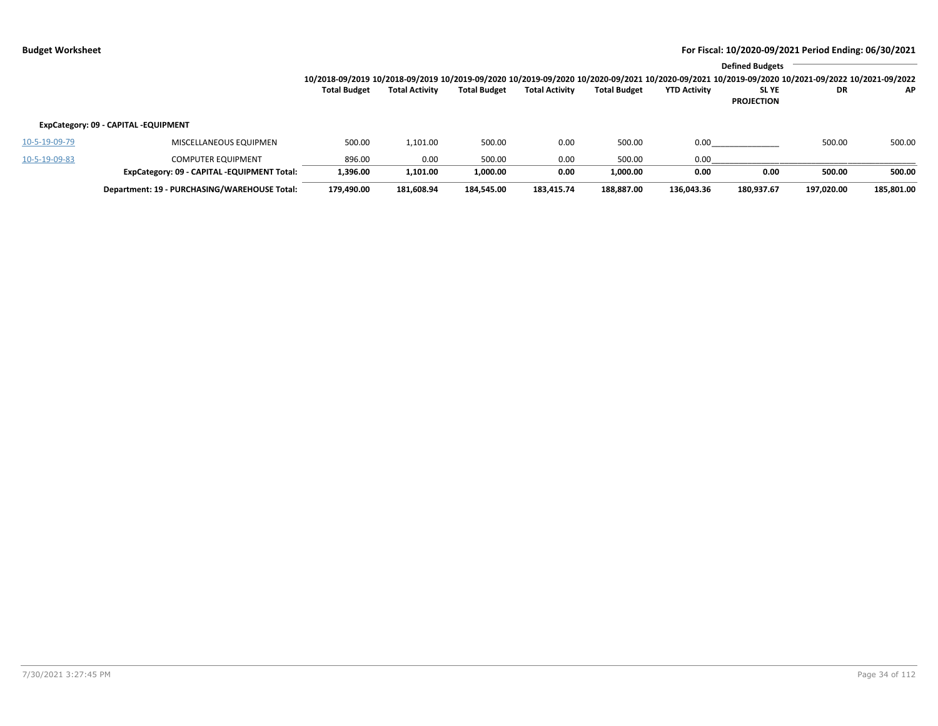|               |                                              |                                                                                                                                                 |                       |                     |                       |                     |                     | <b>Defined Budgets</b> |            |            |
|---------------|----------------------------------------------|-------------------------------------------------------------------------------------------------------------------------------------------------|-----------------------|---------------------|-----------------------|---------------------|---------------------|------------------------|------------|------------|
|               |                                              | 10/2018-09/2019 10/2018-09/2019 10/2019-09/2020 10/2019-09/2020 10/2020-09/2021 10/2020-09/2021 10/2019-09/2020 10/2021-09/2022 10/2021-09/2022 |                       |                     |                       |                     |                     |                        |            |            |
|               |                                              | <b>Total Budget</b>                                                                                                                             | <b>Total Activity</b> | <b>Total Budget</b> | <b>Total Activity</b> | <b>Total Budget</b> | <b>YTD Activity</b> | <b>SLYE</b>            | DR         | AP.        |
|               |                                              |                                                                                                                                                 |                       |                     |                       |                     |                     | <b>PROJECTION</b>      |            |            |
|               | ExpCategory: 09 - CAPITAL -EQUIPMENT         |                                                                                                                                                 |                       |                     |                       |                     |                     |                        |            |            |
| 10-5-19-09-79 | MISCELLANEOUS EQUIPMEN                       | 500.00                                                                                                                                          | 1,101.00              | 500.00              | 0.00                  | 500.00              | 0.00                |                        | 500.00     | 500.00     |
| 10-5-19-09-83 | <b>COMPUTER EQUIPMENT</b>                    | 896.00                                                                                                                                          | 0.00                  | 500.00              | 0.00                  | 500.00              | 0.00                |                        |            |            |
|               | ExpCategory: 09 - CAPITAL -EQUIPMENT Total:  | 1.396.00                                                                                                                                        | 1,101.00              | 1,000.00            | 0.00                  | 1.000.00            | 0.00                | 0.00                   | 500.00     | 500.00     |
|               | Department: 19 - PURCHASING/WAREHOUSE Total: | 179,490.00                                                                                                                                      | 181,608.94            | 184.545.00          | 183.415.74            | 188.887.00          | 136,043.36          | 180,937.67             | 197,020.00 | 185,801.00 |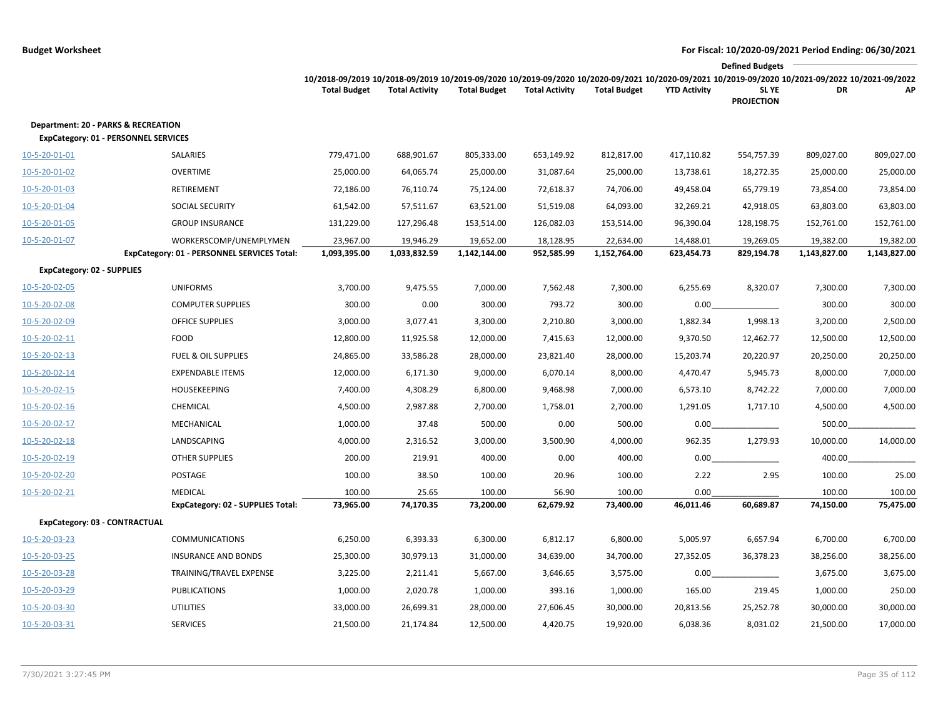|                                                                             |                                             |                                                                                                                                                                        |                       |                     |                       |                     |                     | <b>Defined Budgets</b>     |              |              |
|-----------------------------------------------------------------------------|---------------------------------------------|------------------------------------------------------------------------------------------------------------------------------------------------------------------------|-----------------------|---------------------|-----------------------|---------------------|---------------------|----------------------------|--------------|--------------|
|                                                                             |                                             | 10/2018-09/2019 10/2018-09/2019 10/2019-09/2020 10/2019-09/2020 10/2020-09/2021 10/2020-09/2021 10/2019-09/2020 10/2021-09/2022 10/2021-09/2022<br><b>Total Budget</b> | <b>Total Activity</b> | <b>Total Budget</b> | <b>Total Activity</b> | <b>Total Budget</b> | <b>YTD Activity</b> | SL YE<br><b>PROJECTION</b> | DR           | AP           |
| Department: 20 - PARKS & RECREATION<br>ExpCategory: 01 - PERSONNEL SERVICES |                                             |                                                                                                                                                                        |                       |                     |                       |                     |                     |                            |              |              |
| 10-5-20-01-01                                                               | SALARIES                                    | 779,471.00                                                                                                                                                             | 688,901.67            | 805,333.00          | 653,149.92            | 812,817.00          | 417,110.82          | 554,757.39                 | 809,027.00   | 809,027.00   |
| 10-5-20-01-02                                                               | <b>OVERTIME</b>                             | 25,000.00                                                                                                                                                              | 64,065.74             | 25,000.00           | 31,087.64             | 25,000.00           | 13,738.61           | 18,272.35                  | 25,000.00    | 25,000.00    |
| 10-5-20-01-03                                                               | RETIREMENT                                  | 72,186.00                                                                                                                                                              | 76,110.74             | 75,124.00           | 72,618.37             | 74,706.00           | 49,458.04           | 65,779.19                  | 73,854.00    | 73,854.00    |
| 10-5-20-01-04                                                               | SOCIAL SECURITY                             | 61,542.00                                                                                                                                                              | 57,511.67             | 63,521.00           | 51,519.08             | 64,093.00           | 32,269.21           | 42,918.05                  | 63,803.00    | 63,803.00    |
| 10-5-20-01-05                                                               | <b>GROUP INSURANCE</b>                      | 131,229.00                                                                                                                                                             | 127,296.48            | 153,514.00          | 126,082.03            | 153,514.00          | 96,390.04           | 128,198.75                 | 152,761.00   | 152,761.00   |
| 10-5-20-01-07                                                               | WORKERSCOMP/UNEMPLYMEN                      | 23,967.00                                                                                                                                                              | 19,946.29             | 19,652.00           | 18,128.95             | 22,634.00           | 14,488.01           | 19,269.05                  | 19,382.00    | 19,382.00    |
|                                                                             | ExpCategory: 01 - PERSONNEL SERVICES Total: | 1,093,395.00                                                                                                                                                           | 1,033,832.59          | 1,142,144.00        | 952,585.99            | 1,152,764.00        | 623,454.73          | 829,194.78                 | 1,143,827.00 | 1,143,827.00 |
| ExpCategory: 02 - SUPPLIES                                                  |                                             |                                                                                                                                                                        |                       |                     |                       |                     |                     |                            |              |              |
| 10-5-20-02-05                                                               | <b>UNIFORMS</b>                             | 3,700.00                                                                                                                                                               | 9,475.55              | 7,000.00            | 7,562.48              | 7,300.00            | 6,255.69            | 8,320.07                   | 7,300.00     | 7,300.00     |
| 10-5-20-02-08                                                               | <b>COMPUTER SUPPLIES</b>                    | 300.00                                                                                                                                                                 | 0.00                  | 300.00              | 793.72                | 300.00              | 0.00                |                            | 300.00       | 300.00       |
| 10-5-20-02-09                                                               | <b>OFFICE SUPPLIES</b>                      | 3,000.00                                                                                                                                                               | 3,077.41              | 3,300.00            | 2,210.80              | 3,000.00            | 1,882.34            | 1,998.13                   | 3,200.00     | 2,500.00     |
| 10-5-20-02-11                                                               | <b>FOOD</b>                                 | 12,800.00                                                                                                                                                              | 11,925.58             | 12,000.00           | 7,415.63              | 12,000.00           | 9,370.50            | 12,462.77                  | 12,500.00    | 12,500.00    |
| 10-5-20-02-13                                                               | <b>FUEL &amp; OIL SUPPLIES</b>              | 24,865.00                                                                                                                                                              | 33,586.28             | 28,000.00           | 23,821.40             | 28,000.00           | 15,203.74           | 20,220.97                  | 20,250.00    | 20,250.00    |
| 10-5-20-02-14                                                               | <b>EXPENDABLE ITEMS</b>                     | 12,000.00                                                                                                                                                              | 6,171.30              | 9,000.00            | 6,070.14              | 8,000.00            | 4,470.47            | 5,945.73                   | 8,000.00     | 7,000.00     |
| 10-5-20-02-15                                                               | <b>HOUSEKEEPING</b>                         | 7,400.00                                                                                                                                                               | 4,308.29              | 6,800.00            | 9,468.98              | 7,000.00            | 6,573.10            | 8,742.22                   | 7,000.00     | 7,000.00     |
| $10 - 5 - 20 - 02 - 16$                                                     | CHEMICAL                                    | 4,500.00                                                                                                                                                               | 2,987.88              | 2,700.00            | 1,758.01              | 2,700.00            | 1,291.05            | 1,717.10                   | 4,500.00     | 4,500.00     |
| 10-5-20-02-17                                                               | MECHANICAL                                  | 1,000.00                                                                                                                                                               | 37.48                 | 500.00              | 0.00                  | 500.00              | 0.00                |                            | 500.00       |              |
| 10-5-20-02-18                                                               | LANDSCAPING                                 | 4,000.00                                                                                                                                                               | 2,316.52              | 3,000.00            | 3,500.90              | 4,000.00            | 962.35              | 1,279.93                   | 10,000.00    | 14,000.00    |
| 10-5-20-02-19                                                               | <b>OTHER SUPPLIES</b>                       | 200.00                                                                                                                                                                 | 219.91                | 400.00              | 0.00                  | 400.00              | 0.00                |                            | 400.00       |              |
| 10-5-20-02-20                                                               | POSTAGE                                     | 100.00                                                                                                                                                                 | 38.50                 | 100.00              | 20.96                 | 100.00              | 2.22                | 2.95                       | 100.00       | 25.00        |
| 10-5-20-02-21                                                               | <b>MEDICAL</b>                              | 100.00                                                                                                                                                                 | 25.65                 | 100.00              | 56.90                 | 100.00              | 0.00                |                            | 100.00       | 100.00       |
|                                                                             | ExpCategory: 02 - SUPPLIES Total:           | 73,965.00                                                                                                                                                              | 74,170.35             | 73,200.00           | 62,679.92             | 73,400.00           | 46,011.46           | 60,689.87                  | 74,150.00    | 75,475.00    |
| ExpCategory: 03 - CONTRACTUAL                                               |                                             |                                                                                                                                                                        |                       |                     |                       |                     |                     |                            |              |              |
| 10-5-20-03-23                                                               | <b>COMMUNICATIONS</b>                       | 6,250.00                                                                                                                                                               | 6,393.33              | 6,300.00            | 6,812.17              | 6,800.00            | 5,005.97            | 6,657.94                   | 6,700.00     | 6,700.00     |
| 10-5-20-03-25                                                               | <b>INSURANCE AND BONDS</b>                  | 25,300.00                                                                                                                                                              | 30,979.13             | 31,000.00           | 34,639.00             | 34,700.00           | 27,352.05           | 36,378.23                  | 38,256.00    | 38,256.00    |
| 10-5-20-03-28                                                               | TRAINING/TRAVEL EXPENSE                     | 3,225.00                                                                                                                                                               | 2,211.41              | 5,667.00            | 3,646.65              | 3,575.00            | 0.00                |                            | 3,675.00     | 3,675.00     |
| 10-5-20-03-29                                                               | <b>PUBLICATIONS</b>                         | 1,000.00                                                                                                                                                               | 2,020.78              | 1,000.00            | 393.16                | 1,000.00            | 165.00              | 219.45                     | 1,000.00     | 250.00       |
| 10-5-20-03-30                                                               | <b>UTILITIES</b>                            | 33,000.00                                                                                                                                                              | 26,699.31             | 28,000.00           | 27,606.45             | 30,000.00           | 20,813.56           | 25,252.78                  | 30,000.00    | 30,000.00    |
| 10-5-20-03-31                                                               | <b>SERVICES</b>                             | 21,500.00                                                                                                                                                              | 21,174.84             | 12,500.00           | 4,420.75              | 19,920.00           | 6,038.36            | 8,031.02                   | 21,500.00    | 17,000.00    |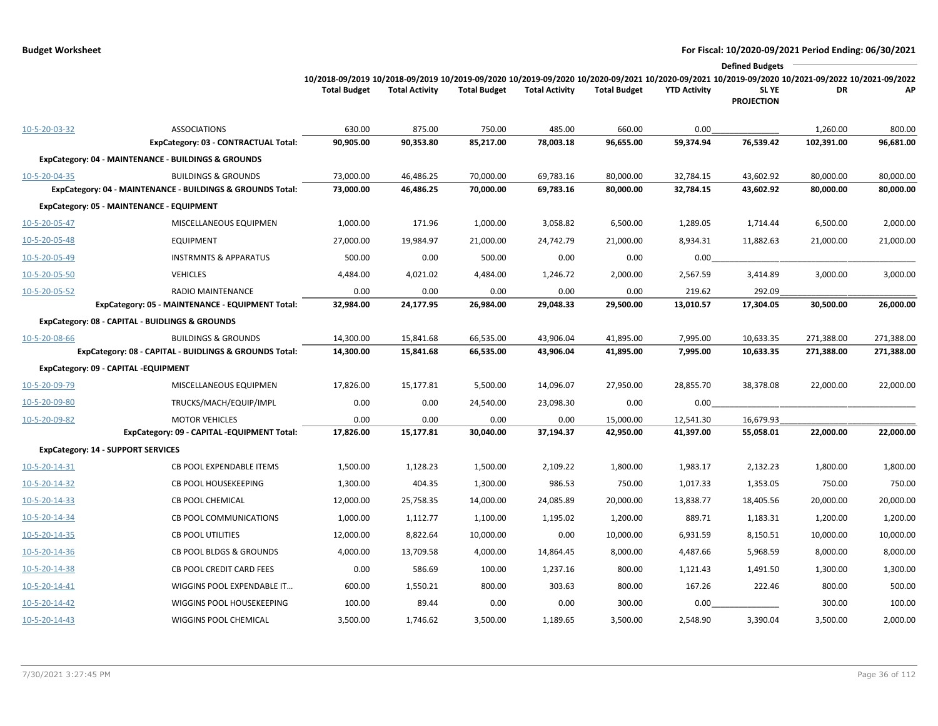|                                           |                                                            |                                                                                                                                                                        |                       |                     |                       |                     |                     | <b>Defined Budgets</b>     |            |            |
|-------------------------------------------|------------------------------------------------------------|------------------------------------------------------------------------------------------------------------------------------------------------------------------------|-----------------------|---------------------|-----------------------|---------------------|---------------------|----------------------------|------------|------------|
|                                           |                                                            | 10/2018-09/2019 10/2018-09/2019 10/2019-09/2020 10/2019-09/2020 10/2020-09/2021 10/2020-09/2021 10/2019-09/2020 10/2021-09/2022 10/2021-09/2022<br><b>Total Budget</b> | <b>Total Activity</b> | <b>Total Budget</b> | <b>Total Activity</b> | <b>Total Budget</b> | <b>YTD Activity</b> | SL YE<br><b>PROJECTION</b> | DR         | АP         |
| 10-5-20-03-32                             | <b>ASSOCIATIONS</b>                                        | 630.00                                                                                                                                                                 | 875.00                | 750.00              | 485.00                | 660.00              | 0.00                |                            | 1,260.00   | 800.00     |
|                                           | ExpCategory: 03 - CONTRACTUAL Total:                       | 90,905.00                                                                                                                                                              | 90,353.80             | 85,217.00           | 78,003.18             | 96,655.00           | 59,374.94           | 76,539.42                  | 102,391.00 | 96,681.00  |
|                                           | ExpCategory: 04 - MAINTENANCE - BUILDINGS & GROUNDS        |                                                                                                                                                                        |                       |                     |                       |                     |                     |                            |            |            |
| 10-5-20-04-35                             | <b>BUILDINGS &amp; GROUNDS</b>                             | 73,000.00                                                                                                                                                              | 46,486.25             | 70,000.00           | 69,783.16             | 80,000.00           | 32,784.15           | 43,602.92                  | 80,000.00  | 80,000.00  |
|                                           | ExpCategory: 04 - MAINTENANCE - BUILDINGS & GROUNDS Total: | 73,000.00                                                                                                                                                              | 46,486.25             | 70,000.00           | 69,783.16             | 80,000.00           | 32,784.15           | 43,602.92                  | 80,000.00  | 80,000.00  |
|                                           | ExpCategory: 05 - MAINTENANCE - EQUIPMENT                  |                                                                                                                                                                        |                       |                     |                       |                     |                     |                            |            |            |
| 10-5-20-05-47                             | MISCELLANEOUS EQUIPMEN                                     | 1,000.00                                                                                                                                                               | 171.96                | 1,000.00            | 3,058.82              | 6,500.00            | 1,289.05            | 1,714.44                   | 6,500.00   | 2,000.00   |
| 10-5-20-05-48                             | <b>EQUIPMENT</b>                                           | 27,000.00                                                                                                                                                              | 19,984.97             | 21,000.00           | 24,742.79             | 21,000.00           | 8,934.31            | 11,882.63                  | 21,000.00  | 21,000.00  |
| 10-5-20-05-49                             | <b>INSTRMNTS &amp; APPARATUS</b>                           | 500.00                                                                                                                                                                 | 0.00                  | 500.00              | 0.00                  | 0.00                | 0.00                |                            |            |            |
| 10-5-20-05-50                             | <b>VEHICLES</b>                                            | 4,484.00                                                                                                                                                               | 4,021.02              | 4,484.00            | 1,246.72              | 2,000.00            | 2,567.59            | 3,414.89                   | 3,000.00   | 3,000.00   |
| 10-5-20-05-52                             | RADIO MAINTENANCE                                          | 0.00                                                                                                                                                                   | 0.00                  | 0.00                | 0.00                  | 0.00                | 219.62              | 292.09                     |            |            |
|                                           | ExpCategory: 05 - MAINTENANCE - EQUIPMENT Total:           | 32,984.00                                                                                                                                                              | 24,177.95             | 26,984.00           | 29,048.33             | 29,500.00           | 13,010.57           | 17,304.05                  | 30,500.00  | 26,000.00  |
|                                           | ExpCategory: 08 - CAPITAL - BUIDLINGS & GROUNDS            |                                                                                                                                                                        |                       |                     |                       |                     |                     |                            |            |            |
| 10-5-20-08-66                             | <b>BUILDINGS &amp; GROUNDS</b>                             | 14,300.00                                                                                                                                                              | 15,841.68             | 66,535.00           | 43,906.04             | 41,895.00           | 7,995.00            | 10,633.35                  | 271,388.00 | 271,388.00 |
|                                           | ExpCategory: 08 - CAPITAL - BUIDLINGS & GROUNDS Total:     | 14,300.00                                                                                                                                                              | 15,841.68             | 66,535.00           | 43,906.04             | 41,895.00           | 7,995.00            | 10,633.35                  | 271,388.00 | 271,388.00 |
|                                           | ExpCategory: 09 - CAPITAL -EQUIPMENT                       |                                                                                                                                                                        |                       |                     |                       |                     |                     |                            |            |            |
| 10-5-20-09-79                             | MISCELLANEOUS EQUIPMEN                                     | 17,826.00                                                                                                                                                              | 15,177.81             | 5,500.00            | 14,096.07             | 27,950.00           | 28,855.70           | 38,378.08                  | 22,000.00  | 22,000.00  |
| 10-5-20-09-80                             | TRUCKS/MACH/EQUIP/IMPL                                     | 0.00                                                                                                                                                                   | 0.00                  | 24,540.00           | 23,098.30             | 0.00                | 0.00                |                            |            |            |
| 10-5-20-09-82                             | <b>MOTOR VEHICLES</b>                                      | 0.00                                                                                                                                                                   | 0.00                  | 0.00                | 0.00                  | 15,000.00           | 12,541.30           | 16,679.93                  |            |            |
|                                           | ExpCategory: 09 - CAPITAL -EQUIPMENT Total:                | 17,826.00                                                                                                                                                              | 15,177.81             | 30,040.00           | 37,194.37             | 42,950.00           | 41,397.00           | 55,058.01                  | 22,000.00  | 22,000.00  |
| <b>ExpCategory: 14 - SUPPORT SERVICES</b> |                                                            |                                                                                                                                                                        |                       |                     |                       |                     |                     |                            |            |            |
| 10-5-20-14-31                             | <b>CB POOL EXPENDABLE ITEMS</b>                            | 1,500.00                                                                                                                                                               | 1,128.23              | 1,500.00            | 2,109.22              | 1,800.00            | 1,983.17            | 2,132.23                   | 1,800.00   | 1,800.00   |
| 10-5-20-14-32                             | CB POOL HOUSEKEEPING                                       | 1,300.00                                                                                                                                                               | 404.35                | 1,300.00            | 986.53                | 750.00              | 1,017.33            | 1,353.05                   | 750.00     | 750.00     |
| 10-5-20-14-33                             | <b>CB POOL CHEMICAL</b>                                    | 12,000.00                                                                                                                                                              | 25,758.35             | 14,000.00           | 24,085.89             | 20,000.00           | 13,838.77           | 18,405.56                  | 20,000.00  | 20,000.00  |
| 10-5-20-14-34                             | <b>CB POOL COMMUNICATIONS</b>                              | 1,000.00                                                                                                                                                               | 1,112.77              | 1,100.00            | 1,195.02              | 1,200.00            | 889.71              | 1,183.31                   | 1,200.00   | 1,200.00   |
| 10-5-20-14-35                             | <b>CB POOL UTILITIES</b>                                   | 12,000.00                                                                                                                                                              | 8,822.64              | 10,000.00           | 0.00                  | 10,000.00           | 6,931.59            | 8,150.51                   | 10,000.00  | 10,000.00  |
| 10-5-20-14-36                             | CB POOL BLDGS & GROUNDS                                    | 4,000.00                                                                                                                                                               | 13,709.58             | 4,000.00            | 14,864.45             | 8,000.00            | 4,487.66            | 5,968.59                   | 8,000.00   | 8,000.00   |
| 10-5-20-14-38                             | <b>CB POOL CREDIT CARD FEES</b>                            | 0.00                                                                                                                                                                   | 586.69                | 100.00              | 1,237.16              | 800.00              | 1,121.43            | 1,491.50                   | 1,300.00   | 1,300.00   |
| 10-5-20-14-41                             | WIGGINS POOL EXPENDABLE IT                                 | 600.00                                                                                                                                                                 | 1,550.21              | 800.00              | 303.63                | 800.00              | 167.26              | 222.46                     | 800.00     | 500.00     |
| 10-5-20-14-42                             | WIGGINS POOL HOUSEKEEPING                                  | 100.00                                                                                                                                                                 | 89.44                 | 0.00                | 0.00                  | 300.00              | 0.00                |                            | 300.00     | 100.00     |
| 10-5-20-14-43                             | WIGGINS POOL CHEMICAL                                      | 3,500.00                                                                                                                                                               | 1,746.62              | 3,500.00            | 1,189.65              | 3,500.00            | 2,548.90            | 3,390.04                   | 3,500.00   | 2,000.00   |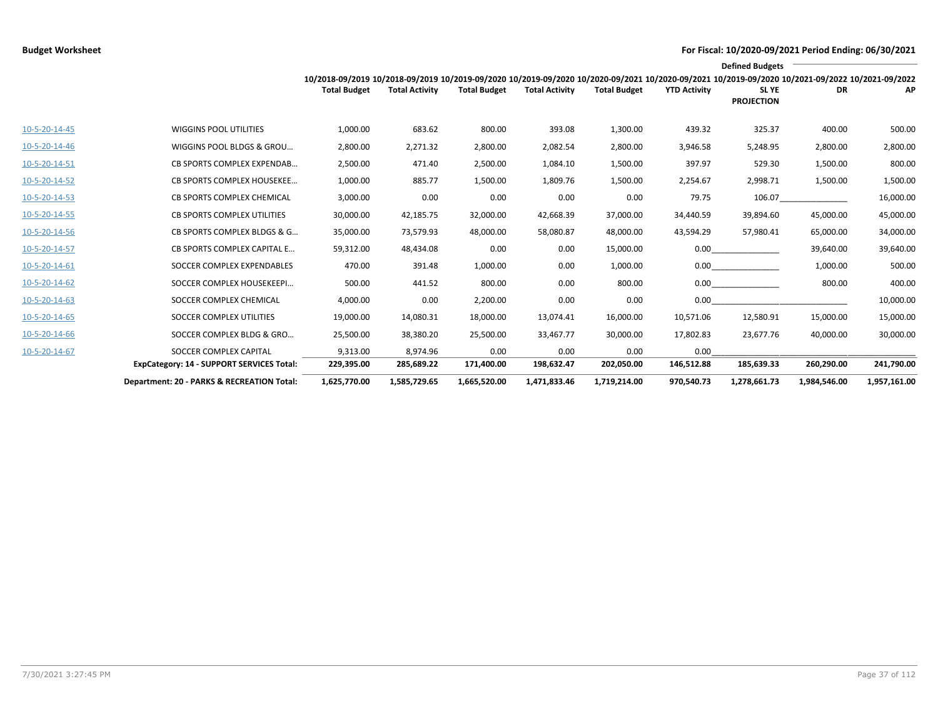|                 |                                            |                                                                                                                                                 |                       |                     |                       |                     |                     | <b>Defined Budgets</b>     |              |              |
|-----------------|--------------------------------------------|-------------------------------------------------------------------------------------------------------------------------------------------------|-----------------------|---------------------|-----------------------|---------------------|---------------------|----------------------------|--------------|--------------|
|                 |                                            | 10/2018-09/2019 10/2018-09/2019 10/2019-09/2020 10/2019-09/2020 10/2020-09/2021 10/2020-09/2021 10/2019-09/2020 10/2021-09/2022 10/2021-09/2022 |                       |                     |                       |                     |                     |                            |              |              |
|                 |                                            | <b>Total Budget</b>                                                                                                                             | <b>Total Activity</b> | <b>Total Budget</b> | <b>Total Activity</b> | <b>Total Budget</b> | <b>YTD Activity</b> | SL YE<br><b>PROJECTION</b> | DR           | AP           |
|                 |                                            |                                                                                                                                                 |                       |                     |                       |                     |                     |                            |              |              |
| 10-5-20-14-45   | <b>WIGGINS POOL UTILITIES</b>              | 1,000.00                                                                                                                                        | 683.62                | 800.00              | 393.08                | 1,300.00            | 439.32              | 325.37                     | 400.00       | 500.00       |
| 10-5-20-14-46   | WIGGINS POOL BLDGS & GROU                  | 2,800.00                                                                                                                                        | 2,271.32              | 2,800.00            | 2,082.54              | 2,800.00            | 3,946.58            | 5,248.95                   | 2,800.00     | 2,800.00     |
| 10-5-20-14-51   | <b>CB SPORTS COMPLEX EXPENDAB</b>          | 2,500.00                                                                                                                                        | 471.40                | 2,500.00            | 1,084.10              | 1,500.00            | 397.97              | 529.30                     | 1,500.00     | 800.00       |
| 10-5-20-14-52   | CB SPORTS COMPLEX HOUSEKEE                 | 1,000.00                                                                                                                                        | 885.77                | 1,500.00            | 1,809.76              | 1,500.00            | 2,254.67            | 2,998.71                   | 1,500.00     | 1,500.00     |
| 10-5-20-14-53   | CB SPORTS COMPLEX CHEMICAL                 | 3,000.00                                                                                                                                        | 0.00                  | 0.00                | 0.00                  | 0.00                | 79.75               | 106.07                     |              | 16,000.00    |
| $10-5-20-14-55$ | <b>CB SPORTS COMPLEX UTILITIES</b>         | 30,000.00                                                                                                                                       | 42,185.75             | 32,000.00           | 42,668.39             | 37,000.00           | 34,440.59           | 39,894.60                  | 45,000.00    | 45,000.00    |
| 10-5-20-14-56   | CB SPORTS COMPLEX BLDGS & G                | 35,000.00                                                                                                                                       | 73,579.93             | 48,000.00           | 58,080.87             | 48,000.00           | 43,594.29           | 57,980.41                  | 65,000.00    | 34,000.00    |
| 10-5-20-14-57   | <b>CB SPORTS COMPLEX CAPITAL E</b>         | 59,312.00                                                                                                                                       | 48,434.08             | 0.00                | 0.00                  | 15,000.00           | 0.00                |                            | 39,640.00    | 39,640.00    |
| 10-5-20-14-61   | SOCCER COMPLEX EXPENDABLES                 | 470.00                                                                                                                                          | 391.48                | 1,000.00            | 0.00                  | 1,000.00            |                     | 0.00                       | 1,000.00     | 500.00       |
| 10-5-20-14-62   | SOCCER COMPLEX HOUSEKEEPI                  | 500.00                                                                                                                                          | 441.52                | 800.00              | 0.00                  | 800.00              |                     | 0.00                       | 800.00       | 400.00       |
| 10-5-20-14-63   | SOCCER COMPLEX CHEMICAL                    | 4,000.00                                                                                                                                        | 0.00                  | 2,200.00            | 0.00                  | 0.00                | 0.00                |                            |              | 10,000.00    |
| 10-5-20-14-65   | SOCCER COMPLEX UTILITIES                   | 19,000.00                                                                                                                                       | 14,080.31             | 18,000.00           | 13,074.41             | 16,000.00           | 10,571.06           | 12,580.91                  | 15,000.00    | 15,000.00    |
| 10-5-20-14-66   | SOCCER COMPLEX BLDG & GRO                  | 25,500.00                                                                                                                                       | 38,380.20             | 25,500.00           | 33,467.77             | 30,000.00           | 17,802.83           | 23,677.76                  | 40,000.00    | 30,000.00    |
| 10-5-20-14-67   | SOCCER COMPLEX CAPITAL                     | 9,313.00                                                                                                                                        | 8.974.96              | 0.00                | 0.00                  | 0.00                | 0.00                |                            |              |              |
|                 | ExpCategory: 14 - SUPPORT SERVICES Total:  | 229,395.00                                                                                                                                      | 285,689.22            | 171,400.00          | 198,632.47            | 202,050.00          | 146,512.88          | 185,639.33                 | 260,290.00   | 241,790.00   |
|                 | Department: 20 - PARKS & RECREATION Total: | 1,625,770.00                                                                                                                                    | 1,585,729.65          | 1,665,520.00        | 1,471,833.46          | 1,719,214.00        | 970.540.73          | 1,278,661.73               | 1,984,546.00 | 1,957,161.00 |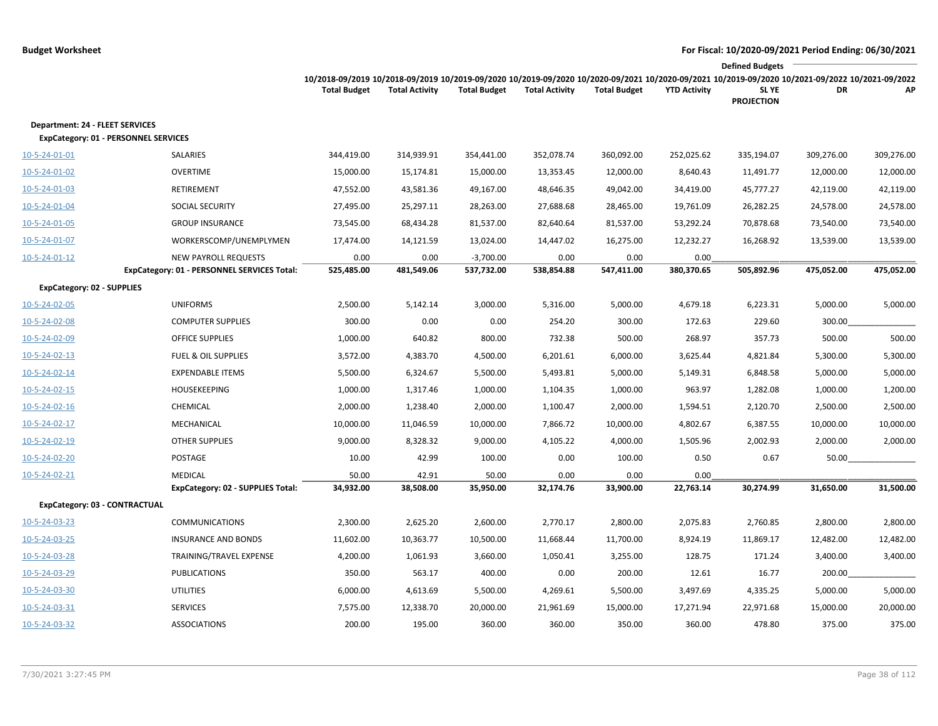|                                                                                |                                                                            |                                                                                                                                                                        |                       |                           |                       |                     |                     | <b>Defined Budgets</b>     |            |            |
|--------------------------------------------------------------------------------|----------------------------------------------------------------------------|------------------------------------------------------------------------------------------------------------------------------------------------------------------------|-----------------------|---------------------------|-----------------------|---------------------|---------------------|----------------------------|------------|------------|
|                                                                                |                                                                            | 10/2018-09/2019 10/2018-09/2019 10/2019-09/2020 10/2019-09/2020 10/2020-09/2021 10/2020-09/2021 10/2019-09/2020 10/2021-09/2022 10/2021-09/2022<br><b>Total Budget</b> | <b>Total Activity</b> | <b>Total Budget</b>       | <b>Total Activity</b> | <b>Total Budget</b> | <b>YTD Activity</b> | SL YE<br><b>PROJECTION</b> | DR         | АP         |
| Department: 24 - FLEET SERVICES<br><b>ExpCategory: 01 - PERSONNEL SERVICES</b> |                                                                            |                                                                                                                                                                        |                       |                           |                       |                     |                     |                            |            |            |
| 10-5-24-01-01                                                                  | <b>SALARIES</b>                                                            | 344,419.00                                                                                                                                                             | 314,939.91            | 354,441.00                | 352,078.74            | 360,092.00          | 252,025.62          | 335,194.07                 | 309,276.00 | 309,276.00 |
| 10-5-24-01-02                                                                  | <b>OVERTIME</b>                                                            | 15,000.00                                                                                                                                                              | 15,174.81             | 15,000.00                 | 13,353.45             | 12,000.00           | 8,640.43            | 11,491.77                  | 12,000.00  | 12,000.00  |
| 10-5-24-01-03                                                                  | RETIREMENT                                                                 | 47,552.00                                                                                                                                                              | 43,581.36             | 49,167.00                 | 48,646.35             | 49,042.00           | 34,419.00           | 45,777.27                  | 42,119.00  | 42,119.00  |
| 10-5-24-01-04                                                                  | SOCIAL SECURITY                                                            | 27,495.00                                                                                                                                                              | 25,297.11             | 28,263.00                 | 27,688.68             | 28,465.00           | 19,761.09           | 26,282.25                  | 24,578.00  | 24,578.00  |
| 10-5-24-01-05                                                                  | <b>GROUP INSURANCE</b>                                                     | 73,545.00                                                                                                                                                              | 68,434.28             | 81,537.00                 | 82,640.64             | 81,537.00           | 53,292.24           | 70,878.68                  | 73,540.00  | 73,540.00  |
| 10-5-24-01-07                                                                  | WORKERSCOMP/UNEMPLYMEN                                                     | 17,474.00                                                                                                                                                              | 14,121.59             | 13,024.00                 | 14,447.02             | 16,275.00           | 12,232.27           | 16,268.92                  | 13,539.00  | 13,539.00  |
| 10-5-24-01-12                                                                  | <b>NEW PAYROLL REQUESTS</b><br>ExpCategory: 01 - PERSONNEL SERVICES Total: | 0.00<br>525,485.00                                                                                                                                                     | 0.00<br>481,549.06    | $-3,700.00$<br>537,732.00 | 0.00<br>538,854.88    | 0.00<br>547,411.00  | 0.00<br>380,370.65  | 505,892.96                 | 475,052.00 | 475,052.00 |
| <b>ExpCategory: 02 - SUPPLIES</b>                                              |                                                                            |                                                                                                                                                                        |                       |                           |                       |                     |                     |                            |            |            |
| 10-5-24-02-05                                                                  | <b>UNIFORMS</b>                                                            | 2,500.00                                                                                                                                                               | 5,142.14              | 3,000.00                  | 5,316.00              | 5,000.00            | 4,679.18            | 6,223.31                   | 5,000.00   | 5,000.00   |
| 10-5-24-02-08                                                                  | <b>COMPUTER SUPPLIES</b>                                                   | 300.00                                                                                                                                                                 | 0.00                  | 0.00                      | 254.20                | 300.00              | 172.63              | 229.60                     | 300.00     |            |
| 10-5-24-02-09                                                                  | <b>OFFICE SUPPLIES</b>                                                     | 1,000.00                                                                                                                                                               | 640.82                | 800.00                    | 732.38                | 500.00              | 268.97              | 357.73                     | 500.00     | 500.00     |
| 10-5-24-02-13                                                                  | <b>FUEL &amp; OIL SUPPLIES</b>                                             | 3,572.00                                                                                                                                                               | 4,383.70              | 4,500.00                  | 6,201.61              | 6,000.00            | 3,625.44            | 4,821.84                   | 5,300.00   | 5,300.00   |
| 10-5-24-02-14                                                                  | <b>EXPENDABLE ITEMS</b>                                                    | 5,500.00                                                                                                                                                               | 6,324.67              | 5,500.00                  | 5,493.81              | 5,000.00            | 5,149.31            | 6,848.58                   | 5,000.00   | 5,000.00   |
| 10-5-24-02-15                                                                  | HOUSEKEEPING                                                               | 1,000.00                                                                                                                                                               | 1,317.46              | 1,000.00                  | 1,104.35              | 1,000.00            | 963.97              | 1,282.08                   | 1,000.00   | 1,200.00   |
| $10 - 5 - 24 - 02 - 16$                                                        | CHEMICAL                                                                   | 2,000.00                                                                                                                                                               | 1,238.40              | 2,000.00                  | 1,100.47              | 2,000.00            | 1,594.51            | 2,120.70                   | 2,500.00   | 2,500.00   |
| 10-5-24-02-17                                                                  | MECHANICAL                                                                 | 10,000.00                                                                                                                                                              | 11,046.59             | 10,000.00                 | 7,866.72              | 10,000.00           | 4,802.67            | 6,387.55                   | 10,000.00  | 10,000.00  |
| 10-5-24-02-19                                                                  | <b>OTHER SUPPLIES</b>                                                      | 9,000.00                                                                                                                                                               | 8,328.32              | 9,000.00                  | 4,105.22              | 4,000.00            | 1,505.96            | 2,002.93                   | 2,000.00   | 2,000.00   |
| 10-5-24-02-20                                                                  | POSTAGE                                                                    | 10.00                                                                                                                                                                  | 42.99                 | 100.00                    | 0.00                  | 100.00              | 0.50                | 0.67                       | 50.00      |            |
| 10-5-24-02-21                                                                  | <b>MEDICAL</b>                                                             | 50.00                                                                                                                                                                  | 42.91                 | 50.00                     | 0.00                  | 0.00                | 0.00                |                            |            |            |
|                                                                                | ExpCategory: 02 - SUPPLIES Total:                                          | 34,932.00                                                                                                                                                              | 38,508.00             | 35,950.00                 | 32,174.76             | 33,900.00           | 22,763.14           | 30,274.99                  | 31,650.00  | 31,500.00  |
| ExpCategory: 03 - CONTRACTUAL                                                  |                                                                            |                                                                                                                                                                        |                       |                           |                       |                     |                     |                            |            |            |
| 10-5-24-03-23                                                                  | <b>COMMUNICATIONS</b>                                                      | 2,300.00                                                                                                                                                               | 2,625.20              | 2,600.00                  | 2,770.17              | 2,800.00            | 2,075.83            | 2,760.85                   | 2,800.00   | 2,800.00   |
| 10-5-24-03-25                                                                  | <b>INSURANCE AND BONDS</b>                                                 | 11,602.00                                                                                                                                                              | 10,363.77             | 10,500.00                 | 11,668.44             | 11,700.00           | 8,924.19            | 11,869.17                  | 12,482.00  | 12,482.00  |
| 10-5-24-03-28                                                                  | TRAINING/TRAVEL EXPENSE                                                    | 4,200.00                                                                                                                                                               | 1,061.93              | 3,660.00                  | 1,050.41              | 3,255.00            | 128.75              | 171.24                     | 3,400.00   | 3,400.00   |
| 10-5-24-03-29                                                                  | PUBLICATIONS                                                               | 350.00                                                                                                                                                                 | 563.17                | 400.00                    | 0.00                  | 200.00              | 12.61               | 16.77                      | 200.00     |            |
| 10-5-24-03-30                                                                  | <b>UTILITIES</b>                                                           | 6,000.00                                                                                                                                                               | 4,613.69              | 5,500.00                  | 4,269.61              | 5,500.00            | 3,497.69            | 4,335.25                   | 5,000.00   | 5,000.00   |
| 10-5-24-03-31                                                                  | <b>SERVICES</b>                                                            | 7,575.00                                                                                                                                                               | 12,338.70             | 20,000.00                 | 21,961.69             | 15,000.00           | 17,271.94           | 22,971.68                  | 15,000.00  | 20,000.00  |
| 10-5-24-03-32                                                                  | <b>ASSOCIATIONS</b>                                                        | 200.00                                                                                                                                                                 | 195.00                | 360.00                    | 360.00                | 350.00              | 360.00              | 478.80                     | 375.00     | 375.00     |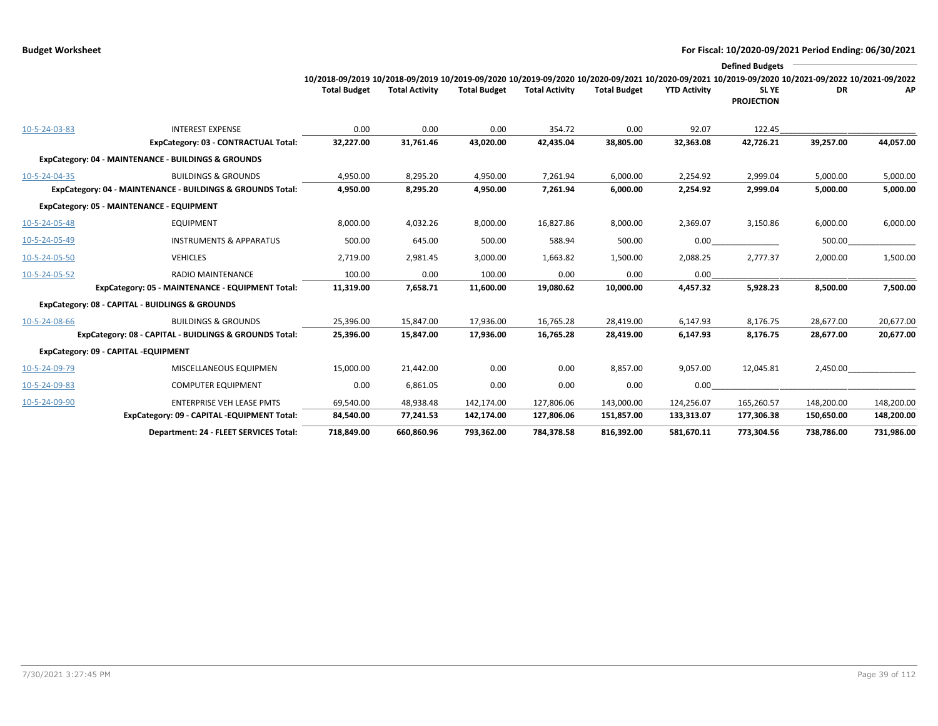|               |                                                            |                                                                                                                                                                        |                       |                     |                       |                     |                     | <b>Defined Budgets</b>     |            |            |
|---------------|------------------------------------------------------------|------------------------------------------------------------------------------------------------------------------------------------------------------------------------|-----------------------|---------------------|-----------------------|---------------------|---------------------|----------------------------|------------|------------|
|               |                                                            | 10/2018-09/2019 10/2018-09/2019 10/2019-09/2020 10/2019-09/2020 10/2020-09/2021 10/2020-09/2021 10/2019-09/2020 10/2021-09/2022 10/2021-09/2022<br><b>Total Budget</b> | <b>Total Activity</b> | <b>Total Budget</b> | <b>Total Activity</b> | <b>Total Budget</b> | <b>YTD Activity</b> | SL YE<br><b>PROJECTION</b> | DR         | AP         |
| 10-5-24-03-83 | <b>INTEREST EXPENSE</b>                                    | 0.00                                                                                                                                                                   | 0.00                  | 0.00                | 354.72                | 0.00                | 92.07               | 122.45                     |            |            |
|               | ExpCategory: 03 - CONTRACTUAL Total:                       | 32,227.00                                                                                                                                                              | 31,761.46             | 43,020.00           | 42,435.04             | 38,805.00           | 32,363.08           | 42,726.21                  | 39,257.00  | 44,057.00  |
|               | ExpCategory: 04 - MAINTENANCE - BUILDINGS & GROUNDS        |                                                                                                                                                                        |                       |                     |                       |                     |                     |                            |            |            |
| 10-5-24-04-35 | <b>BUILDINGS &amp; GROUNDS</b>                             | 4,950.00                                                                                                                                                               | 8,295.20              | 4,950.00            | 7,261.94              | 6,000.00            | 2,254.92            | 2,999.04                   | 5,000.00   | 5,000.00   |
|               | ExpCategory: 04 - MAINTENANCE - BUILDINGS & GROUNDS Total: | 4,950.00                                                                                                                                                               | 8,295.20              | 4,950.00            | 7,261.94              | 6,000.00            | 2,254.92            | 2,999.04                   | 5,000.00   | 5,000.00   |
|               | ExpCategory: 05 - MAINTENANCE - EQUIPMENT                  |                                                                                                                                                                        |                       |                     |                       |                     |                     |                            |            |            |
| 10-5-24-05-48 | <b>EQUIPMENT</b>                                           | 8,000.00                                                                                                                                                               | 4,032.26              | 8,000.00            | 16,827.86             | 8,000.00            | 2,369.07            | 3,150.86                   | 6,000.00   | 6,000.00   |
| 10-5-24-05-49 | <b>INSTRUMENTS &amp; APPARATUS</b>                         | 500.00                                                                                                                                                                 | 645.00                | 500.00              | 588.94                | 500.00              | 0.00                |                            | 500.00     |            |
| 10-5-24-05-50 | <b>VEHICLES</b>                                            | 2,719.00                                                                                                                                                               | 2,981.45              | 3,000.00            | 1,663.82              | 1,500.00            | 2,088.25            | 2,777.37                   | 2,000.00   | 1,500.00   |
| 10-5-24-05-52 | <b>RADIO MAINTENANCE</b>                                   | 100.00                                                                                                                                                                 | 0.00                  | 100.00              | 0.00                  | 0.00                | 0.00                |                            |            |            |
|               | ExpCategory: 05 - MAINTENANCE - EQUIPMENT Total:           | 11,319.00                                                                                                                                                              | 7,658.71              | 11,600.00           | 19,080.62             | 10,000.00           | 4,457.32            | 5,928.23                   | 8,500.00   | 7,500.00   |
|               | ExpCategory: 08 - CAPITAL - BUIDLINGS & GROUNDS            |                                                                                                                                                                        |                       |                     |                       |                     |                     |                            |            |            |
| 10-5-24-08-66 | <b>BUILDINGS &amp; GROUNDS</b>                             | 25,396.00                                                                                                                                                              | 15,847.00             | 17,936.00           | 16,765.28             | 28,419.00           | 6,147.93            | 8,176.75                   | 28,677.00  | 20,677.00  |
|               | ExpCategory: 08 - CAPITAL - BUIDLINGS & GROUNDS Total:     | 25,396.00                                                                                                                                                              | 15,847.00             | 17,936.00           | 16,765.28             | 28,419.00           | 6,147.93            | 8,176.75                   | 28,677.00  | 20,677.00  |
|               | ExpCategory: 09 - CAPITAL -EQUIPMENT                       |                                                                                                                                                                        |                       |                     |                       |                     |                     |                            |            |            |
| 10-5-24-09-79 | MISCELLANEOUS EQUIPMEN                                     | 15,000.00                                                                                                                                                              | 21,442.00             | 0.00                | 0.00                  | 8,857.00            | 9,057.00            | 12,045.81                  | 2,450.00   |            |
| 10-5-24-09-83 | <b>COMPUTER EQUIPMENT</b>                                  | 0.00                                                                                                                                                                   | 6,861.05              | 0.00                | 0.00                  | 0.00                | 0.00                |                            |            |            |
| 10-5-24-09-90 | <b>ENTERPRISE VEH LEASE PMTS</b>                           | 69,540.00                                                                                                                                                              | 48,938.48             | 142,174.00          | 127,806.06            | 143,000.00          | 124,256.07          | 165,260.57                 | 148,200.00 | 148,200.00 |
|               | ExpCategory: 09 - CAPITAL -EQUIPMENT Total:                | 84,540.00                                                                                                                                                              | 77,241.53             | 142,174.00          | 127,806.06            | 151,857.00          | 133,313.07          | 177,306.38                 | 150,650.00 | 148,200.00 |
|               | Department: 24 - FLEET SERVICES Total:                     | 718,849.00                                                                                                                                                             | 660,860.96            | 793,362.00          | 784,378.58            | 816,392.00          | 581,670.11          | 773,304.56                 | 738,786.00 | 731,986.00 |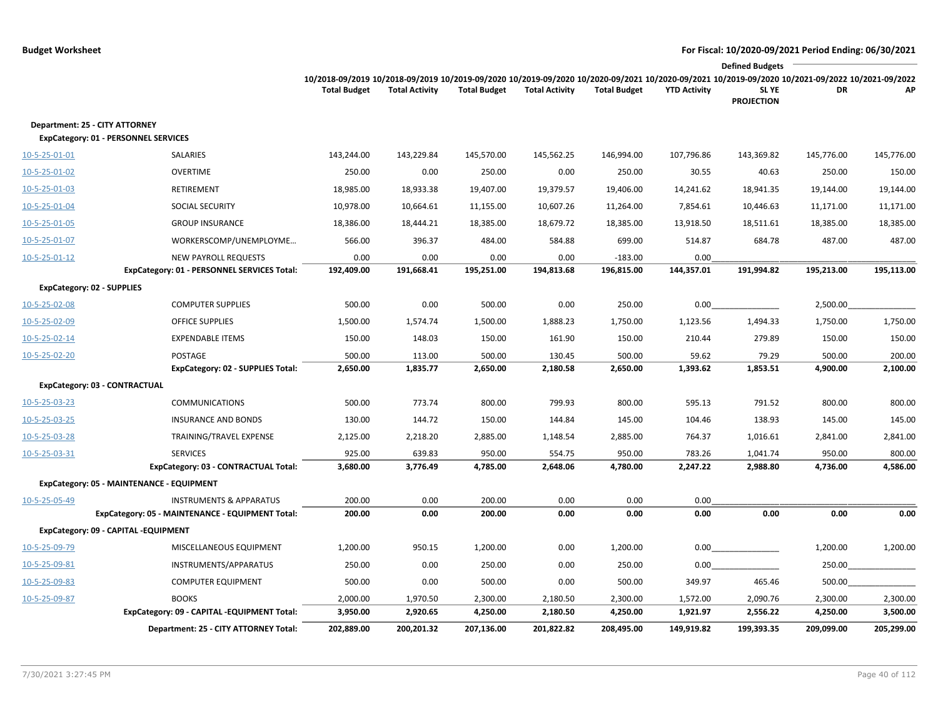|               |                                                                        |                                                                                                                                                                        |                       |                     |                       |                     |                     | <b>Defined Budgets</b>     |            |            |
|---------------|------------------------------------------------------------------------|------------------------------------------------------------------------------------------------------------------------------------------------------------------------|-----------------------|---------------------|-----------------------|---------------------|---------------------|----------------------------|------------|------------|
|               |                                                                        | 10/2018-09/2019 10/2018-09/2019 10/2019-09/2020 10/2019-09/2020 10/2020-09/2021 10/2020-09/2021 10/2019-09/2020 10/2021-09/2022 10/2021-09/2022<br><b>Total Budget</b> | <b>Total Activity</b> | <b>Total Budget</b> | <b>Total Activity</b> | <b>Total Budget</b> | <b>YTD Activity</b> | SL YE<br><b>PROJECTION</b> | DR         | АP         |
|               | Department: 25 - CITY ATTORNEY<br>ExpCategory: 01 - PERSONNEL SERVICES |                                                                                                                                                                        |                       |                     |                       |                     |                     |                            |            |            |
| 10-5-25-01-01 | SALARIES                                                               | 143,244.00                                                                                                                                                             | 143,229.84            | 145,570.00          | 145,562.25            | 146,994.00          | 107,796.86          | 143,369.82                 | 145,776.00 | 145,776.00 |
| 10-5-25-01-02 | <b>OVERTIME</b>                                                        | 250.00                                                                                                                                                                 | 0.00                  | 250.00              | 0.00                  | 250.00              | 30.55               | 40.63                      | 250.00     | 150.00     |
| 10-5-25-01-03 | RETIREMENT                                                             | 18,985.00                                                                                                                                                              | 18,933.38             | 19,407.00           | 19,379.57             | 19,406.00           | 14,241.62           | 18,941.35                  | 19,144.00  | 19,144.00  |
| 10-5-25-01-04 | <b>SOCIAL SECURITY</b>                                                 | 10,978.00                                                                                                                                                              | 10,664.61             | 11,155.00           | 10,607.26             | 11,264.00           | 7,854.61            | 10,446.63                  | 11,171.00  | 11,171.00  |
| 10-5-25-01-05 | <b>GROUP INSURANCE</b>                                                 | 18,386.00                                                                                                                                                              | 18,444.21             | 18,385.00           | 18,679.72             | 18,385.00           | 13,918.50           | 18,511.61                  | 18,385.00  | 18,385.00  |
| 10-5-25-01-07 | WORKERSCOMP/UNEMPLOYME                                                 | 566.00                                                                                                                                                                 | 396.37                | 484.00              | 584.88                | 699.00              | 514.87              | 684.78                     | 487.00     | 487.00     |
| 10-5-25-01-12 | <b>NEW PAYROLL REQUESTS</b>                                            | 0.00                                                                                                                                                                   | 0.00                  | 0.00                | 0.00                  | $-183.00$           | 0.00                |                            |            |            |
|               | ExpCategory: 01 - PERSONNEL SERVICES Total:                            | 192,409.00                                                                                                                                                             | 191,668.41            | 195,251.00          | 194,813.68            | 196,815.00          | 144,357.01          | 191,994.82                 | 195,213.00 | 195,113.00 |
|               | <b>ExpCategory: 02 - SUPPLIES</b>                                      |                                                                                                                                                                        |                       |                     |                       |                     |                     |                            |            |            |
| 10-5-25-02-08 | <b>COMPUTER SUPPLIES</b>                                               | 500.00                                                                                                                                                                 | 0.00                  | 500.00              | 0.00                  | 250.00              | 0.00                |                            | 2,500.00   |            |
| 10-5-25-02-09 | <b>OFFICE SUPPLIES</b>                                                 | 1,500.00                                                                                                                                                               | 1,574.74              | 1,500.00            | 1,888.23              | 1,750.00            | 1,123.56            | 1,494.33                   | 1,750.00   | 1,750.00   |
| 10-5-25-02-14 | <b>EXPENDABLE ITEMS</b>                                                | 150.00                                                                                                                                                                 | 148.03                | 150.00              | 161.90                | 150.00              | 210.44              | 279.89                     | 150.00     | 150.00     |
| 10-5-25-02-20 | POSTAGE                                                                | 500.00                                                                                                                                                                 | 113.00                | 500.00              | 130.45                | 500.00              | 59.62               | 79.29                      | 500.00     | 200.00     |
|               | <b>ExpCategory: 02 - SUPPLIES Total:</b>                               | 2,650.00                                                                                                                                                               | 1,835.77              | 2,650.00            | 2,180.58              | 2,650.00            | 1,393.62            | 1,853.51                   | 4,900.00   | 2,100.00   |
|               | ExpCategory: 03 - CONTRACTUAL                                          |                                                                                                                                                                        |                       |                     |                       |                     |                     |                            |            |            |
| 10-5-25-03-23 | <b>COMMUNICATIONS</b>                                                  | 500.00                                                                                                                                                                 | 773.74                | 800.00              | 799.93                | 800.00              | 595.13              | 791.52                     | 800.00     | 800.00     |
| 10-5-25-03-25 | <b>INSURANCE AND BONDS</b>                                             | 130.00                                                                                                                                                                 | 144.72                | 150.00              | 144.84                | 145.00              | 104.46              | 138.93                     | 145.00     | 145.00     |
| 10-5-25-03-28 | TRAINING/TRAVEL EXPENSE                                                | 2,125.00                                                                                                                                                               | 2,218.20              | 2,885.00            | 1,148.54              | 2,885.00            | 764.37              | 1,016.61                   | 2,841.00   | 2,841.00   |
| 10-5-25-03-31 | <b>SERVICES</b>                                                        | 925.00                                                                                                                                                                 | 639.83                | 950.00              | 554.75                | 950.00              | 783.26              | 1,041.74                   | 950.00     | 800.00     |
|               | ExpCategory: 03 - CONTRACTUAL Total:                                   | 3,680.00                                                                                                                                                               | 3,776.49              | 4,785.00            | 2,648.06              | 4,780.00            | 2,247.22            | 2,988.80                   | 4,736.00   | 4,586.00   |
|               | ExpCategory: 05 - MAINTENANCE - EQUIPMENT                              |                                                                                                                                                                        |                       |                     |                       |                     |                     |                            |            |            |
| 10-5-25-05-49 | <b>INSTRUMENTS &amp; APPARATUS</b>                                     | 200.00                                                                                                                                                                 | 0.00                  | 200.00              | 0.00                  | 0.00                | 0.00                |                            |            |            |
|               | ExpCategory: 05 - MAINTENANCE - EQUIPMENT Total:                       | 200.00                                                                                                                                                                 | 0.00                  | 200.00              | 0.00                  | 0.00                | 0.00                | 0.00                       | 0.00       | 0.00       |
|               | ExpCategory: 09 - CAPITAL -EQUIPMENT                                   |                                                                                                                                                                        |                       |                     |                       |                     |                     |                            |            |            |
| 10-5-25-09-79 | MISCELLANEOUS EQUIPMENT                                                | 1,200.00                                                                                                                                                               | 950.15                | 1,200.00            | 0.00                  | 1,200.00            | 0.00                |                            | 1,200.00   | 1,200.00   |
| 10-5-25-09-81 | INSTRUMENTS/APPARATUS                                                  | 250.00                                                                                                                                                                 | 0.00                  | 250.00              | 0.00                  | 250.00              | 0.00                |                            | 250.00     |            |
| 10-5-25-09-83 | <b>COMPUTER EQUIPMENT</b>                                              | 500.00                                                                                                                                                                 | 0.00                  | 500.00              | 0.00                  | 500.00              | 349.97              | 465.46                     | 500.00     |            |
| 10-5-25-09-87 | <b>BOOKS</b>                                                           | 2,000.00                                                                                                                                                               | 1,970.50              | 2,300.00            | 2,180.50              | 2,300.00            | 1,572.00            | 2,090.76                   | 2,300.00   | 2,300.00   |
|               | ExpCategory: 09 - CAPITAL -EQUIPMENT Total:                            | 3,950.00                                                                                                                                                               | 2,920.65              | 4,250.00            | 2,180.50              | 4,250.00            | 1,921.97            | 2,556.22                   | 4,250.00   | 3,500.00   |
|               | Department: 25 - CITY ATTORNEY Total:                                  | 202,889.00                                                                                                                                                             | 200,201.32            | 207,136.00          | 201,822.82            | 208,495.00          | 149,919.82          | 199,393.35                 | 209,099.00 | 205,299.00 |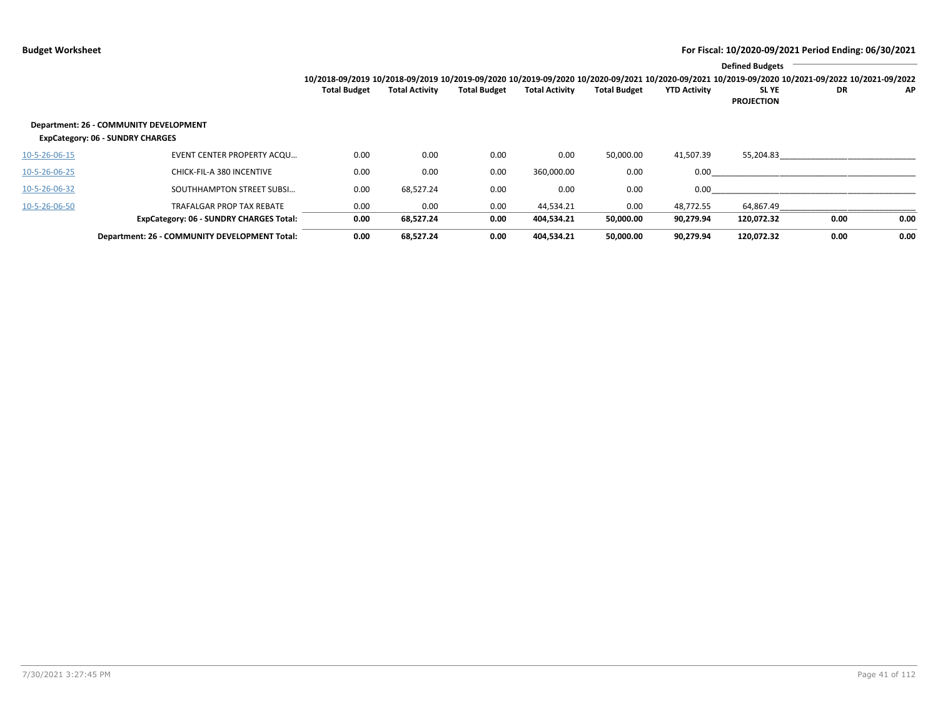|               |                                                                                   |                     |                       |                     |                       |                     |                     | <b>Defined Budgets</b>                                                                                                                          |      |           |
|---------------|-----------------------------------------------------------------------------------|---------------------|-----------------------|---------------------|-----------------------|---------------------|---------------------|-------------------------------------------------------------------------------------------------------------------------------------------------|------|-----------|
|               |                                                                                   |                     |                       |                     |                       |                     |                     | 10/2018-09/2019 10/2018-09/2019 10/2019-09/2020 10/2019-09/2020 10/2020-09/2021 10/2020-09/2021 10/2019-09/2020 10/2021-09/2022 10/2021-09/2022 |      |           |
|               |                                                                                   | <b>Total Budget</b> | <b>Total Activity</b> | <b>Total Budget</b> | <b>Total Activity</b> | <b>Total Budget</b> | <b>YTD Activity</b> | SL YE<br><b>PROJECTION</b>                                                                                                                      | DR   | <b>AP</b> |
|               | Department: 26 - COMMUNITY DEVELOPMENT<br><b>ExpCategory: 06 - SUNDRY CHARGES</b> |                     |                       |                     |                       |                     |                     |                                                                                                                                                 |      |           |
| 10-5-26-06-15 | EVENT CENTER PROPERTY ACQU                                                        | 0.00                | 0.00                  | 0.00                | 0.00                  | 50,000.00           | 41,507.39           | 55,204.83                                                                                                                                       |      |           |
| 10-5-26-06-25 | CHICK-FIL-A 380 INCENTIVE                                                         | 0.00                | 0.00                  | 0.00                | 360,000.00            | 0.00                | 0.00                |                                                                                                                                                 |      |           |
| 10-5-26-06-32 | SOUTHHAMPTON STREET SUBSI                                                         | 0.00                | 68,527.24             | 0.00                | 0.00                  | 0.00                | 0.00                |                                                                                                                                                 |      |           |
| 10-5-26-06-50 | <b>TRAFALGAR PROP TAX REBATE</b>                                                  | 0.00                | 0.00                  | 0.00                | 44.534.21             | 0.00                | 48.772.55           | 64,867.49                                                                                                                                       |      |           |
|               | <b>ExpCategory: 06 - SUNDRY CHARGES Total:</b>                                    | 0.00                | 68,527.24             | 0.00                | 404,534.21            | 50,000.00           | 90,279.94           | 120,072.32                                                                                                                                      | 0.00 | 0.00      |
|               | Department: 26 - COMMUNITY DEVELOPMENT Total:                                     | 0.00                | 68,527.24             | 0.00                | 404,534.21            | 50,000.00           | 90.279.94           | 120,072.32                                                                                                                                      | 0.00 | 0.00      |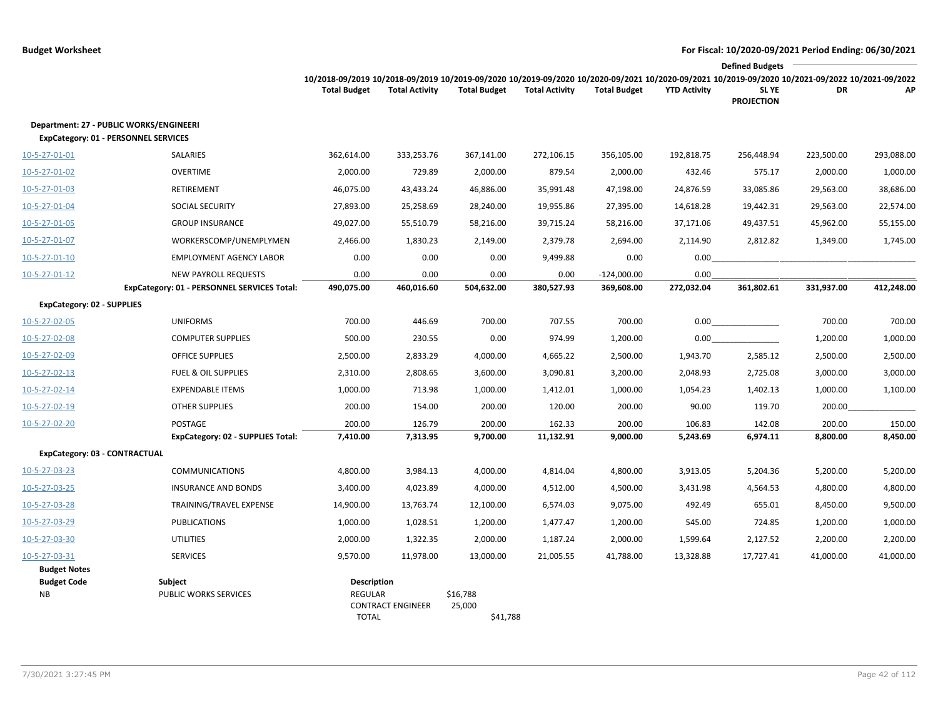|                                   |                                                                                        |                                                                                                                                                                        |                          |                                |                       |                             |                     | <b>Defined Budgets</b>     |            |            |
|-----------------------------------|----------------------------------------------------------------------------------------|------------------------------------------------------------------------------------------------------------------------------------------------------------------------|--------------------------|--------------------------------|-----------------------|-----------------------------|---------------------|----------------------------|------------|------------|
|                                   |                                                                                        | 10/2018-09/2019 10/2018-09/2019 10/2019-09/2020 10/2019-09/2020 10/2020-09/2021 10/2020-09/2021 10/2019-09/2020 10/2021-09/2022 10/2021-09/2022<br><b>Total Budget</b> | <b>Total Activity</b>    | <b>Total Budget</b>            | <b>Total Activity</b> | <b>Total Budget</b>         | <b>YTD Activity</b> | SL YE<br><b>PROJECTION</b> | DR         | АP         |
|                                   | Department: 27 - PUBLIC WORKS/ENGINEERI<br><b>ExpCategory: 01 - PERSONNEL SERVICES</b> |                                                                                                                                                                        |                          |                                |                       |                             |                     |                            |            |            |
| 10-5-27-01-01                     | SALARIES                                                                               | 362,614.00                                                                                                                                                             | 333,253.76               | 367,141.00                     | 272,106.15            | 356,105.00                  | 192,818.75          | 256,448.94                 | 223,500.00 | 293,088.00 |
| 10-5-27-01-02                     | <b>OVERTIME</b>                                                                        | 2,000.00                                                                                                                                                               | 729.89                   | 2,000.00                       | 879.54                | 2,000.00                    | 432.46              | 575.17                     | 2,000.00   | 1,000.00   |
| 10-5-27-01-03                     | RETIREMENT                                                                             | 46,075.00                                                                                                                                                              | 43,433.24                | 46,886.00                      | 35,991.48             | 47,198.00                   | 24,876.59           | 33,085.86                  | 29,563.00  | 38,686.00  |
| 10-5-27-01-04                     | SOCIAL SECURITY                                                                        | 27,893.00                                                                                                                                                              | 25,258.69                | 28,240.00                      | 19,955.86             | 27,395.00                   | 14,618.28           | 19,442.31                  | 29,563.00  | 22,574.00  |
| 10-5-27-01-05                     | <b>GROUP INSURANCE</b>                                                                 | 49,027.00                                                                                                                                                              | 55,510.79                | 58,216.00                      | 39,715.24             | 58,216.00                   | 37,171.06           | 49,437.51                  | 45,962.00  | 55,155.00  |
| 10-5-27-01-07                     | WORKERSCOMP/UNEMPLYMEN                                                                 | 2,466.00                                                                                                                                                               | 1,830.23                 | 2,149.00                       | 2,379.78              | 2,694.00                    | 2,114.90            | 2,812.82                   | 1,349.00   | 1,745.00   |
| 10-5-27-01-10                     | <b>EMPLOYMENT AGENCY LABOR</b>                                                         | 0.00                                                                                                                                                                   | 0.00                     | 0.00                           | 9,499.88              | 0.00                        | 0.00                |                            |            |            |
| $10 - 5 - 27 - 01 - 12$           | <b>NEW PAYROLL REQUESTS</b><br>ExpCategory: 01 - PERSONNEL SERVICES Total:             | 0.00<br>490,075.00                                                                                                                                                     | 0.00<br>460,016.60       | 0.00<br>504,632.00             | 0.00<br>380,527.93    | $-124,000.00$<br>369,608.00 | 0.00<br>272,032.04  | 361,802.61                 | 331,937.00 | 412,248.00 |
| <b>ExpCategory: 02 - SUPPLIES</b> |                                                                                        |                                                                                                                                                                        |                          |                                |                       |                             |                     |                            |            |            |
| 10-5-27-02-05                     | <b>UNIFORMS</b>                                                                        | 700.00                                                                                                                                                                 | 446.69                   | 700.00                         | 707.55                | 700.00                      | 0.00                |                            | 700.00     | 700.00     |
| 10-5-27-02-08                     | <b>COMPUTER SUPPLIES</b>                                                               | 500.00                                                                                                                                                                 | 230.55                   | 0.00                           | 974.99                | 1,200.00                    | 0.00                |                            | 1,200.00   | 1,000.00   |
| 10-5-27-02-09                     | <b>OFFICE SUPPLIES</b>                                                                 | 2,500.00                                                                                                                                                               | 2,833.29                 | 4,000.00                       | 4,665.22              | 2,500.00                    | 1,943.70            | 2,585.12                   | 2,500.00   | 2,500.00   |
| 10-5-27-02-13                     | <b>FUEL &amp; OIL SUPPLIES</b>                                                         | 2,310.00                                                                                                                                                               | 2,808.65                 | 3,600.00                       | 3,090.81              | 3,200.00                    | 2,048.93            | 2,725.08                   | 3,000.00   | 3,000.00   |
| 10-5-27-02-14                     | <b>EXPENDABLE ITEMS</b>                                                                | 1,000.00                                                                                                                                                               | 713.98                   | 1,000.00                       | 1,412.01              | 1,000.00                    | 1,054.23            | 1,402.13                   | 1,000.00   | 1,100.00   |
| 10-5-27-02-19                     | <b>OTHER SUPPLIES</b>                                                                  | 200.00                                                                                                                                                                 | 154.00                   | 200.00                         | 120.00                | 200.00                      | 90.00               | 119.70                     | 200.00     |            |
| 10-5-27-02-20                     | <b>POSTAGE</b>                                                                         | 200.00                                                                                                                                                                 | 126.79                   | 200.00                         | 162.33                | 200.00                      | 106.83              | 142.08                     | 200.00     | 150.00     |
|                                   | ExpCategory: 02 - SUPPLIES Total:                                                      | 7,410.00                                                                                                                                                               | 7,313.95                 | 9,700.00                       | 11,132.91             | 9,000.00                    | 5,243.69            | 6,974.11                   | 8,800.00   | 8,450.00   |
| ExpCategory: 03 - CONTRACTUAL     |                                                                                        |                                                                                                                                                                        |                          |                                |                       |                             |                     |                            |            |            |
| 10-5-27-03-23                     | <b>COMMUNICATIONS</b>                                                                  | 4,800.00                                                                                                                                                               | 3,984.13                 | 4,000.00                       | 4,814.04              | 4,800.00                    | 3,913.05            | 5,204.36                   | 5,200.00   | 5,200.00   |
| 10-5-27-03-25                     | <b>INSURANCE AND BONDS</b>                                                             | 3,400.00                                                                                                                                                               | 4,023.89                 | 4,000.00                       | 4,512.00              | 4,500.00                    | 3,431.98            | 4,564.53                   | 4,800.00   | 4,800.00   |
| 10-5-27-03-28                     | TRAINING/TRAVEL EXPENSE                                                                | 14,900.00                                                                                                                                                              | 13,763.74                | 12,100.00                      | 6,574.03              | 9,075.00                    | 492.49              | 655.01                     | 8,450.00   | 9,500.00   |
| 10-5-27-03-29                     | <b>PUBLICATIONS</b>                                                                    | 1,000.00                                                                                                                                                               | 1,028.51                 | 1,200.00                       | 1,477.47              | 1,200.00                    | 545.00              | 724.85                     | 1,200.00   | 1,000.00   |
| 10-5-27-03-30                     | <b>UTILITIES</b>                                                                       | 2,000.00                                                                                                                                                               | 1,322.35                 | 2,000.00                       | 1,187.24              | 2,000.00                    | 1,599.64            | 2,127.52                   | 2,200.00   | 2,200.00   |
| 10-5-27-03-31                     | <b>SERVICES</b>                                                                        | 9,570.00                                                                                                                                                               | 11,978.00                | 13,000.00                      | 21,005.55             | 41,788.00                   | 13,328.88           | 17,727.41                  | 41,000.00  | 41,000.00  |
| <b>Budget Notes</b>               |                                                                                        |                                                                                                                                                                        |                          |                                |                       |                             |                     |                            |            |            |
| <b>Budget Code</b><br><b>NB</b>   | Subject<br>PUBLIC WORKS SERVICES                                                       | Description<br>REGULAR<br><b>TOTAL</b>                                                                                                                                 | <b>CONTRACT ENGINEER</b> | \$16,788<br>25,000<br>\$41,788 |                       |                             |                     |                            |            |            |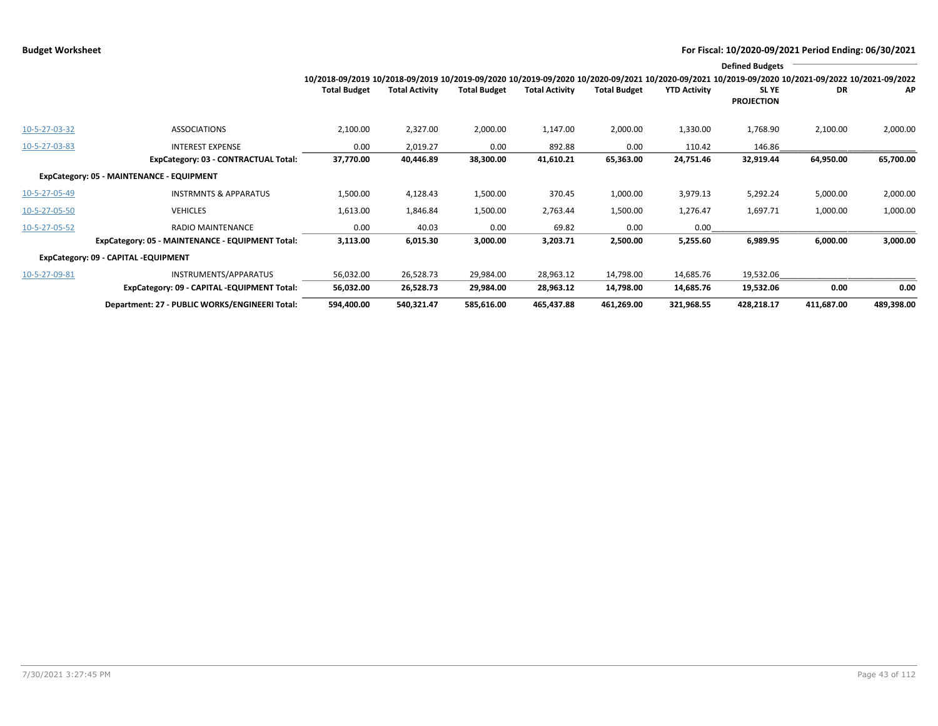|               |                                                  |                                                                                                                                                 |                       |                     |                       |                     |                     | <b>Defined Budgets</b>     |            |            |
|---------------|--------------------------------------------------|-------------------------------------------------------------------------------------------------------------------------------------------------|-----------------------|---------------------|-----------------------|---------------------|---------------------|----------------------------|------------|------------|
|               |                                                  | 10/2018-09/2019 10/2018-09/2019 10/2019-09/2020 10/2019-09/2020 10/2020-09/2021 10/2020-09/2021 10/2019-09/2020 10/2021-09/2022 10/2021-09/2022 |                       |                     |                       |                     |                     |                            |            |            |
|               |                                                  | <b>Total Budget</b>                                                                                                                             | <b>Total Activity</b> | <b>Total Budget</b> | <b>Total Activity</b> | <b>Total Budget</b> | <b>YTD Activity</b> | SL YE<br><b>PROJECTION</b> | DR         | AP         |
| 10-5-27-03-32 | <b>ASSOCIATIONS</b>                              | 2,100.00                                                                                                                                        | 2,327.00              | 2,000.00            | 1,147.00              | 2,000.00            | 1,330.00            | 1,768.90                   | 2,100.00   | 2,000.00   |
| 10-5-27-03-83 | <b>INTEREST EXPENSE</b>                          | 0.00                                                                                                                                            | 2,019.27              | 0.00                | 892.88                | 0.00                | 110.42              | 146.86                     |            |            |
|               | ExpCategory: 03 - CONTRACTUAL Total:             | 37,770.00                                                                                                                                       | 40,446.89             | 38,300.00           | 41,610.21             | 65,363.00           | 24,751.46           | 32,919.44                  | 64,950.00  | 65,700.00  |
|               | ExpCategory: 05 - MAINTENANCE - EQUIPMENT        |                                                                                                                                                 |                       |                     |                       |                     |                     |                            |            |            |
| 10-5-27-05-49 | <b>INSTRMNTS &amp; APPARATUS</b>                 | 1,500.00                                                                                                                                        | 4,128.43              | 1,500.00            | 370.45                | 1,000.00            | 3,979.13            | 5,292.24                   | 5,000.00   | 2,000.00   |
| 10-5-27-05-50 | <b>VEHICLES</b>                                  | 1,613.00                                                                                                                                        | 1,846.84              | 1,500.00            | 2,763.44              | 1,500.00            | 1,276.47            | 1,697.71                   | 1,000.00   | 1,000.00   |
| 10-5-27-05-52 | <b>RADIO MAINTENANCE</b>                         | 0.00                                                                                                                                            | 40.03                 | 0.00                | 69.82                 | 0.00                | 0.00                |                            |            |            |
|               | ExpCategory: 05 - MAINTENANCE - EQUIPMENT Total: | 3,113.00                                                                                                                                        | 6,015.30              | 3,000.00            | 3,203.71              | 2,500.00            | 5,255.60            | 6,989.95                   | 6,000.00   | 3,000.00   |
|               | ExpCategory: 09 - CAPITAL -EQUIPMENT             |                                                                                                                                                 |                       |                     |                       |                     |                     |                            |            |            |
| 10-5-27-09-81 | INSTRUMENTS/APPARATUS                            | 56,032.00                                                                                                                                       | 26,528.73             | 29,984.00           | 28,963.12             | 14,798.00           | 14,685.76           | 19,532.06                  |            |            |
|               | ExpCategory: 09 - CAPITAL -EQUIPMENT Total:      | 56,032.00                                                                                                                                       | 26,528.73             | 29,984.00           | 28,963.12             | 14,798.00           | 14,685.76           | 19,532.06                  | 0.00       | 0.00       |
|               | Department: 27 - PUBLIC WORKS/ENGINEERI Total:   | 594,400.00                                                                                                                                      | 540,321.47            | 585,616.00          | 465,437.88            | 461,269.00          | 321,968.55          | 428,218.17                 | 411,687.00 | 489,398.00 |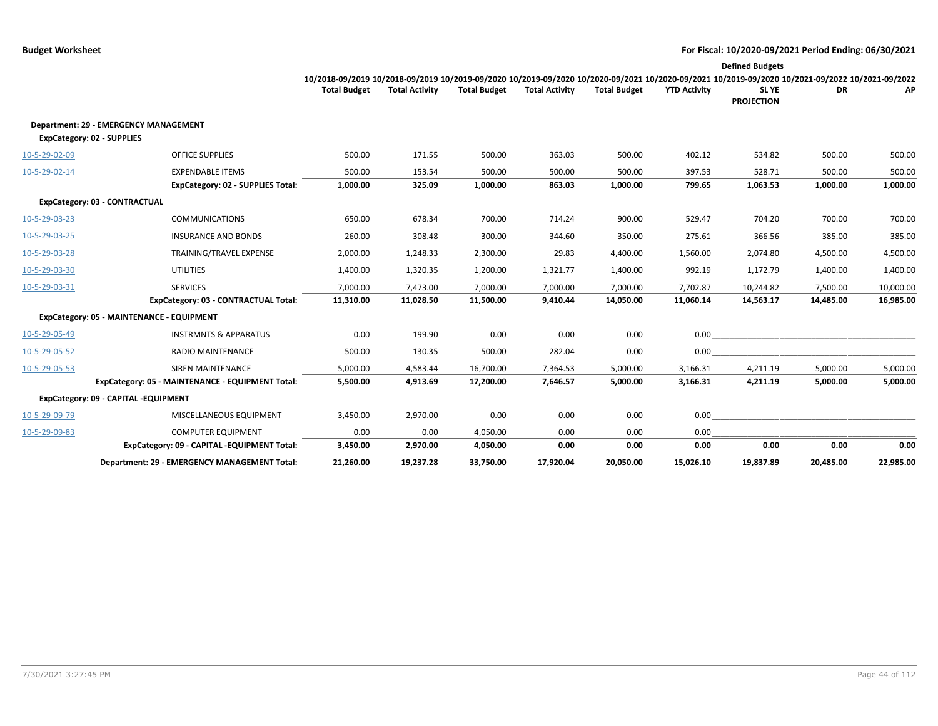|               |                                                                            |                                                                                                                                                 |                       |                     |                       |                     |                     | <b>Defined Budgets</b>     |           |           |
|---------------|----------------------------------------------------------------------------|-------------------------------------------------------------------------------------------------------------------------------------------------|-----------------------|---------------------|-----------------------|---------------------|---------------------|----------------------------|-----------|-----------|
|               |                                                                            | 10/2018-09/2019 10/2018-09/2019 10/2019-09/2020 10/2019-09/2020 10/2020-09/2021 10/2020-09/2021 10/2019-09/2020 10/2021-09/2022 10/2021-09/2022 |                       |                     |                       |                     |                     |                            |           |           |
|               |                                                                            | <b>Total Budget</b>                                                                                                                             | <b>Total Activity</b> | <b>Total Budget</b> | <b>Total Activity</b> | <b>Total Budget</b> | <b>YTD Activity</b> | SL YE<br><b>PROJECTION</b> | DR        | АΡ        |
|               | Department: 29 - EMERGENCY MANAGEMENT<br><b>ExpCategory: 02 - SUPPLIES</b> |                                                                                                                                                 |                       |                     |                       |                     |                     |                            |           |           |
| 10-5-29-02-09 | <b>OFFICE SUPPLIES</b>                                                     | 500.00                                                                                                                                          | 171.55                | 500.00              | 363.03                | 500.00              | 402.12              | 534.82                     | 500.00    | 500.00    |
| 10-5-29-02-14 | <b>EXPENDABLE ITEMS</b>                                                    | 500.00                                                                                                                                          | 153.54                | 500.00              | 500.00                | 500.00              | 397.53              | 528.71                     | 500.00    | 500.00    |
|               | <b>ExpCategory: 02 - SUPPLIES Total:</b>                                   | 1,000.00                                                                                                                                        | 325.09                | 1,000.00            | 863.03                | 1,000.00            | 799.65              | 1,063.53                   | 1,000.00  | 1,000.00  |
|               | ExpCategory: 03 - CONTRACTUAL                                              |                                                                                                                                                 |                       |                     |                       |                     |                     |                            |           |           |
| 10-5-29-03-23 | <b>COMMUNICATIONS</b>                                                      | 650.00                                                                                                                                          | 678.34                | 700.00              | 714.24                | 900.00              | 529.47              | 704.20                     | 700.00    | 700.00    |
| 10-5-29-03-25 | <b>INSURANCE AND BONDS</b>                                                 | 260.00                                                                                                                                          | 308.48                | 300.00              | 344.60                | 350.00              | 275.61              | 366.56                     | 385.00    | 385.00    |
| 10-5-29-03-28 | TRAINING/TRAVEL EXPENSE                                                    | 2,000.00                                                                                                                                        | 1,248.33              | 2,300.00            | 29.83                 | 4,400.00            | 1,560.00            | 2,074.80                   | 4,500.00  | 4,500.00  |
| 10-5-29-03-30 | <b>UTILITIES</b>                                                           | 1,400.00                                                                                                                                        | 1,320.35              | 1,200.00            | 1,321.77              | 1,400.00            | 992.19              | 1,172.79                   | 1,400.00  | 1,400.00  |
| 10-5-29-03-31 | <b>SERVICES</b>                                                            | 7,000.00                                                                                                                                        | 7,473.00              | 7,000.00            | 7,000.00              | 7,000.00            | 7,702.87            | 10,244.82                  | 7,500.00  | 10,000.00 |
|               | ExpCategory: 03 - CONTRACTUAL Total:                                       | 11,310.00                                                                                                                                       | 11,028.50             | 11,500.00           | 9,410.44              | 14,050.00           | 11,060.14           | 14,563.17                  | 14,485.00 | 16,985.00 |
|               | ExpCategory: 05 - MAINTENANCE - EQUIPMENT                                  |                                                                                                                                                 |                       |                     |                       |                     |                     |                            |           |           |
| 10-5-29-05-49 | <b>INSTRMNTS &amp; APPARATUS</b>                                           | 0.00                                                                                                                                            | 199.90                | 0.00                | 0.00                  | 0.00                | 0.00                |                            |           |           |
| 10-5-29-05-52 | RADIO MAINTENANCE                                                          | 500.00                                                                                                                                          | 130.35                | 500.00              | 282.04                | 0.00                | 0.00                |                            |           |           |
| 10-5-29-05-53 | <b>SIREN MAINTENANCE</b>                                                   | 5,000.00                                                                                                                                        | 4,583.44              | 16,700.00           | 7,364.53              | 5,000.00            | 3,166.31            | 4,211.19                   | 5,000.00  | 5,000.00  |
|               | ExpCategory: 05 - MAINTENANCE - EQUIPMENT Total:                           | 5,500.00                                                                                                                                        | 4,913.69              | 17,200.00           | 7,646.57              | 5,000.00            | 3,166.31            | 4,211.19                   | 5,000.00  | 5,000.00  |
|               | ExpCategory: 09 - CAPITAL -EQUIPMENT                                       |                                                                                                                                                 |                       |                     |                       |                     |                     |                            |           |           |
| 10-5-29-09-79 | MISCELLANEOUS EQUIPMENT                                                    | 3,450.00                                                                                                                                        | 2,970.00              | 0.00                | 0.00                  | 0.00                | 0.00                |                            |           |           |
| 10-5-29-09-83 | <b>COMPUTER EQUIPMENT</b>                                                  | 0.00                                                                                                                                            | 0.00                  | 4,050.00            | 0.00                  | 0.00                | 0.00                |                            |           |           |
|               | ExpCategory: 09 - CAPITAL -EQUIPMENT Total:                                | 3,450.00                                                                                                                                        | 2,970.00              | 4,050.00            | 0.00                  | 0.00                | 0.00                | 0.00                       | 0.00      | 0.00      |
|               | Department: 29 - EMERGENCY MANAGEMENT Total:                               | 21.260.00                                                                                                                                       | 19,237.28             | 33,750.00           | 17.920.04             | 20.050.00           | 15.026.10           | 19.837.89                  | 20.485.00 | 22,985.00 |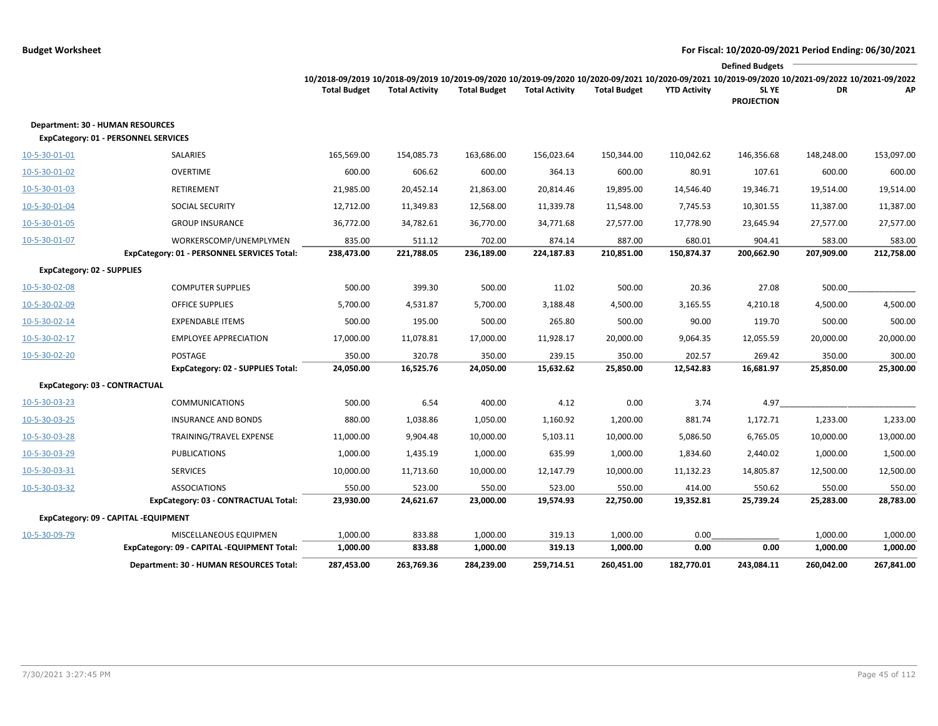|                                   |                                                                                        |                                                                                                                                                                        |                       |                     |                       |                     |                     | <b>Defined Budgets</b> |            |            |
|-----------------------------------|----------------------------------------------------------------------------------------|------------------------------------------------------------------------------------------------------------------------------------------------------------------------|-----------------------|---------------------|-----------------------|---------------------|---------------------|------------------------|------------|------------|
|                                   |                                                                                        | 10/2018-09/2019 10/2018-09/2019 10/2019-09/2020 10/2019-09/2020 10/2020-09/2021 10/2020-09/2021 10/2019-09/2020 10/2021-09/2022 10/2021-09/2022<br><b>Total Budget</b> | <b>Total Activity</b> | <b>Total Budget</b> | <b>Total Activity</b> | <b>Total Budget</b> | <b>YTD Activity</b> | SL YE                  | DR         | AP         |
|                                   |                                                                                        |                                                                                                                                                                        |                       |                     |                       |                     |                     | <b>PROJECTION</b>      |            |            |
|                                   | <b>Department: 30 - HUMAN RESOURCES</b><br><b>ExpCategory: 01 - PERSONNEL SERVICES</b> |                                                                                                                                                                        |                       |                     |                       |                     |                     |                        |            |            |
| 10-5-30-01-01                     | SALARIES                                                                               | 165,569.00                                                                                                                                                             | 154,085.73            | 163,686.00          | 156,023.64            | 150,344.00          | 110,042.62          | 146,356.68             | 148,248.00 | 153,097.00 |
| 10-5-30-01-02                     | <b>OVERTIME</b>                                                                        | 600.00                                                                                                                                                                 | 606.62                | 600.00              | 364.13                | 600.00              | 80.91               | 107.61                 | 600.00     | 600.00     |
| 10-5-30-01-03                     | <b>RETIREMENT</b>                                                                      | 21,985.00                                                                                                                                                              | 20,452.14             | 21,863.00           | 20,814.46             | 19,895.00           | 14,546.40           | 19,346.71              | 19,514.00  | 19,514.00  |
| 10-5-30-01-04                     | <b>SOCIAL SECURITY</b>                                                                 | 12,712.00                                                                                                                                                              | 11,349.83             | 12,568.00           | 11,339.78             | 11,548.00           | 7,745.53            | 10,301.55              | 11,387.00  | 11,387.00  |
| 10-5-30-01-05                     | <b>GROUP INSURANCE</b>                                                                 | 36,772.00                                                                                                                                                              | 34,782.61             | 36,770.00           | 34,771.68             | 27,577.00           | 17,778.90           | 23,645.94              | 27,577.00  | 27,577.00  |
| 10-5-30-01-07                     | WORKERSCOMP/UNEMPLYMEN                                                                 | 835.00                                                                                                                                                                 | 511.12                | 702.00              | 874.14                | 887.00              | 680.01              | 904.41                 | 583.00     | 583.00     |
|                                   | ExpCategory: 01 - PERSONNEL SERVICES Total:                                            | 238,473.00                                                                                                                                                             | 221,788.05            | 236,189.00          | 224,187.83            | 210,851.00          | 150,874.37          | 200,662.90             | 207,909.00 | 212,758.00 |
| <b>ExpCategory: 02 - SUPPLIES</b> |                                                                                        |                                                                                                                                                                        |                       |                     |                       |                     |                     |                        |            |            |
| 10-5-30-02-08                     | <b>COMPUTER SUPPLIES</b>                                                               | 500.00                                                                                                                                                                 | 399.30                | 500.00              | 11.02                 | 500.00              | 20.36               | 27.08                  | 500.00     |            |
| 10-5-30-02-09                     | <b>OFFICE SUPPLIES</b>                                                                 | 5,700.00                                                                                                                                                               | 4,531.87              | 5,700.00            | 3,188.48              | 4,500.00            | 3,165.55            | 4,210.18               | 4,500.00   | 4,500.00   |
| 10-5-30-02-14                     | <b>EXPENDABLE ITEMS</b>                                                                | 500.00                                                                                                                                                                 | 195.00                | 500.00              | 265.80                | 500.00              | 90.00               | 119.70                 | 500.00     | 500.00     |
| 10-5-30-02-17                     | <b>EMPLOYEE APPRECIATION</b>                                                           | 17,000.00                                                                                                                                                              | 11,078.81             | 17,000.00           | 11,928.17             | 20,000.00           | 9,064.35            | 12,055.59              | 20,000.00  | 20,000.00  |
| 10-5-30-02-20                     | POSTAGE                                                                                | 350.00                                                                                                                                                                 | 320.78                | 350.00              | 239.15                | 350.00              | 202.57              | 269.42                 | 350.00     | 300.00     |
|                                   | ExpCategory: 02 - SUPPLIES Total:                                                      | 24,050.00                                                                                                                                                              | 16,525.76             | 24,050.00           | 15,632.62             | 25,850.00           | 12,542.83           | 16,681.97              | 25,850.00  | 25,300.00  |
|                                   | ExpCategory: 03 - CONTRACTUAL                                                          |                                                                                                                                                                        |                       |                     |                       |                     |                     |                        |            |            |
| 10-5-30-03-23                     | <b>COMMUNICATIONS</b>                                                                  | 500.00                                                                                                                                                                 | 6.54                  | 400.00              | 4.12                  | 0.00                | 3.74                | 4.97                   |            |            |
| 10-5-30-03-25                     | <b>INSURANCE AND BONDS</b>                                                             | 880.00                                                                                                                                                                 | 1,038.86              | 1,050.00            | 1,160.92              | 1,200.00            | 881.74              | 1,172.71               | 1,233.00   | 1,233.00   |
| 10-5-30-03-28                     | TRAINING/TRAVEL EXPENSE                                                                | 11,000.00                                                                                                                                                              | 9,904.48              | 10,000.00           | 5,103.11              | 10,000.00           | 5,086.50            | 6,765.05               | 10,000.00  | 13,000.00  |
| 10-5-30-03-29                     | <b>PUBLICATIONS</b>                                                                    | 1,000.00                                                                                                                                                               | 1,435.19              | 1,000.00            | 635.99                | 1,000.00            | 1,834.60            | 2,440.02               | 1,000.00   | 1,500.00   |
| 10-5-30-03-31                     | <b>SERVICES</b>                                                                        | 10,000.00                                                                                                                                                              | 11,713.60             | 10,000.00           | 12,147.79             | 10,000.00           | 11,132.23           | 14,805.87              | 12,500.00  | 12,500.00  |
| 10-5-30-03-32                     | <b>ASSOCIATIONS</b>                                                                    | 550.00                                                                                                                                                                 | 523.00                | 550.00              | 523.00                | 550.00              | 414.00              | 550.62                 | 550.00     | 550.00     |
|                                   | ExpCategory: 03 - CONTRACTUAL Total:                                                   | 23,930.00                                                                                                                                                              | 24,621.67             | 23,000.00           | 19,574.93             | 22,750.00           | 19,352.81           | 25,739.24              | 25,283.00  | 28,783.00  |
|                                   | ExpCategory: 09 - CAPITAL -EQUIPMENT                                                   |                                                                                                                                                                        |                       |                     |                       |                     |                     |                        |            |            |
| 10-5-30-09-79                     | MISCELLANEOUS EQUIPMEN                                                                 | 1,000.00                                                                                                                                                               | 833.88                | 1,000.00            | 319.13                | 1,000.00            | 0.00                |                        | 1,000.00   | 1,000.00   |
|                                   | ExpCategory: 09 - CAPITAL -EQUIPMENT Total:                                            | 1,000.00                                                                                                                                                               | 833.88                | 1,000.00            | 319.13                | 1,000.00            | 0.00                | 0.00                   | 1,000.00   | 1,000.00   |
|                                   | Department: 30 - HUMAN RESOURCES Total:                                                | 287,453.00                                                                                                                                                             | 263,769.36            | 284,239.00          | 259,714.51            | 260,451.00          | 182,770.01          | 243,084.11             | 260,042.00 | 267,841.00 |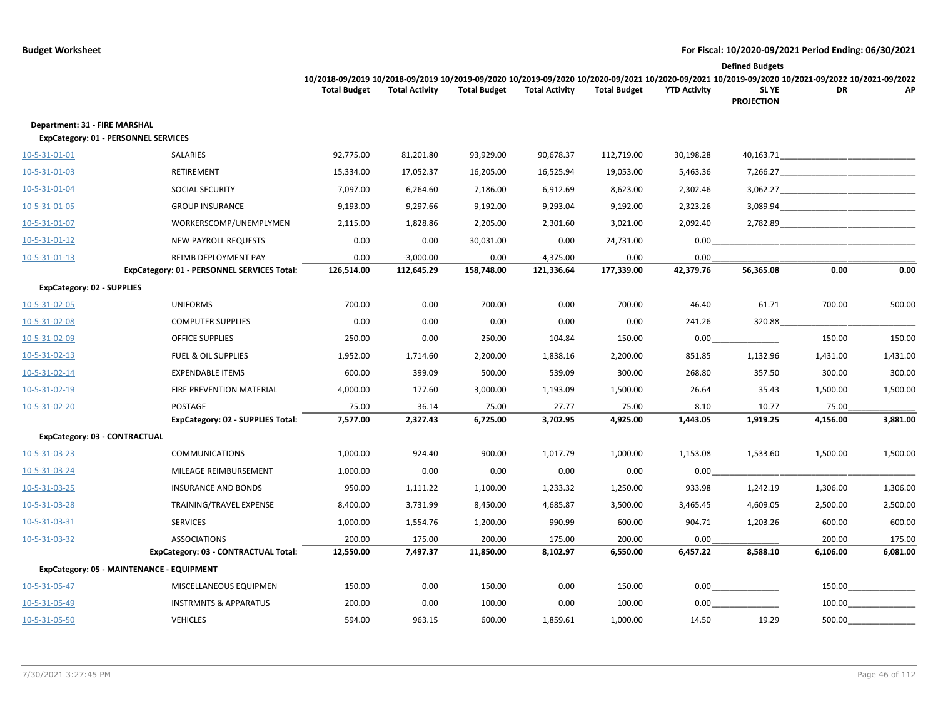|                                                                              |                                             |                     |                       |                     |                       |                     |                     | <b>Defined Budgets</b>                                                                                                                                                        |                                                                                                                                                                                                                                      |          |
|------------------------------------------------------------------------------|---------------------------------------------|---------------------|-----------------------|---------------------|-----------------------|---------------------|---------------------|-------------------------------------------------------------------------------------------------------------------------------------------------------------------------------|--------------------------------------------------------------------------------------------------------------------------------------------------------------------------------------------------------------------------------------|----------|
|                                                                              |                                             | <b>Total Budget</b> | <b>Total Activity</b> | <b>Total Budget</b> | <b>Total Activity</b> | <b>Total Budget</b> | <b>YTD Activity</b> | 10/2018-09/2019 10/2018-09/2019 10/2019-09/2020 10/2019-09/2020 10/2020-09/2021 10/2020-09/2021 10/2019-09/2020 10/2021-09/2022 10/2021-09/2022<br>SL YE<br><b>PROJECTION</b> | DR                                                                                                                                                                                                                                   | АP       |
| Department: 31 - FIRE MARSHAL<br><b>ExpCategory: 01 - PERSONNEL SERVICES</b> |                                             |                     |                       |                     |                       |                     |                     |                                                                                                                                                                               |                                                                                                                                                                                                                                      |          |
| 10-5-31-01-01                                                                | SALARIES                                    | 92,775.00           | 81,201.80             | 93,929.00           | 90,678.37             | 112,719.00          | 30,198.28           | 40,163.71                                                                                                                                                                     |                                                                                                                                                                                                                                      |          |
| 10-5-31-01-03                                                                | RETIREMENT                                  | 15,334.00           | 17,052.37             | 16,205.00           | 16,525.94             | 19,053.00           | 5,463.36            | 7,266.27                                                                                                                                                                      |                                                                                                                                                                                                                                      |          |
| 10-5-31-01-04                                                                | SOCIAL SECURITY                             | 7,097.00            | 6,264.60              | 7,186.00            | 6,912.69              | 8,623.00            | 2,302.46            | 3,062.27                                                                                                                                                                      | <u> 1989 - Johann Harry Harry Harry Harry Harry Harry Harry Harry Harry Harry Harry Harry Harry Harry Harry Harry Harry Harry Harry Harry Harry Harry Harry Harry Harry Harry Harry Harry Harry Harry Harry Harry Harry Harry Ha</u> |          |
| 10-5-31-01-05                                                                | <b>GROUP INSURANCE</b>                      | 9,193.00            | 9,297.66              | 9,192.00            | 9,293.04              | 9,192.00            | 2,323.26            | 3,089.94                                                                                                                                                                      |                                                                                                                                                                                                                                      |          |
| 10-5-31-01-07                                                                | WORKERSCOMP/UNEMPLYMEN                      | 2,115.00            | 1,828.86              | 2,205.00            | 2,301.60              | 3,021.00            | 2,092.40            | 2,782.89                                                                                                                                                                      |                                                                                                                                                                                                                                      |          |
| 10-5-31-01-12                                                                | <b>NEW PAYROLL REQUESTS</b>                 | 0.00                | 0.00                  | 30,031.00           | 0.00                  | 24,731.00           | 0.00                |                                                                                                                                                                               |                                                                                                                                                                                                                                      |          |
| 10-5-31-01-13                                                                | REIMB DEPLOYMENT PAY                        | 0.00                | $-3,000.00$           | 0.00                | $-4,375.00$           | 0.00                | 0.00                |                                                                                                                                                                               |                                                                                                                                                                                                                                      |          |
|                                                                              | ExpCategory: 01 - PERSONNEL SERVICES Total: | 126,514.00          | 112,645.29            | 158,748.00          | 121,336.64            | 177,339.00          | 42,379.76           | 56,365.08                                                                                                                                                                     | 0.00                                                                                                                                                                                                                                 | 0.00     |
| <b>ExpCategory: 02 - SUPPLIES</b>                                            |                                             |                     |                       |                     |                       |                     |                     |                                                                                                                                                                               |                                                                                                                                                                                                                                      |          |
| 10-5-31-02-05                                                                | <b>UNIFORMS</b>                             | 700.00              | 0.00                  | 700.00              | 0.00                  | 700.00              | 46.40               | 61.71                                                                                                                                                                         | 700.00                                                                                                                                                                                                                               | 500.00   |
| 10-5-31-02-08                                                                | <b>COMPUTER SUPPLIES</b>                    | 0.00                | 0.00                  | 0.00                | 0.00                  | 0.00                | 241.26              | 320.88                                                                                                                                                                        |                                                                                                                                                                                                                                      |          |
| 10-5-31-02-09                                                                | OFFICE SUPPLIES                             | 250.00              | 0.00                  | 250.00              | 104.84                | 150.00              | 0.00                |                                                                                                                                                                               | 150.00                                                                                                                                                                                                                               | 150.00   |
| 10-5-31-02-13                                                                | <b>FUEL &amp; OIL SUPPLIES</b>              | 1,952.00            | 1,714.60              | 2,200.00            | 1,838.16              | 2,200.00            | 851.85              | 1,132.96                                                                                                                                                                      | 1,431.00                                                                                                                                                                                                                             | 1,431.00 |
| 10-5-31-02-14                                                                | <b>EXPENDABLE ITEMS</b>                     | 600.00              | 399.09                | 500.00              | 539.09                | 300.00              | 268.80              | 357.50                                                                                                                                                                        | 300.00                                                                                                                                                                                                                               | 300.00   |
| 10-5-31-02-19                                                                | FIRE PREVENTION MATERIAL                    | 4,000.00            | 177.60                | 3,000.00            | 1,193.09              | 1,500.00            | 26.64               | 35.43                                                                                                                                                                         | 1,500.00                                                                                                                                                                                                                             | 1,500.00 |
| 10-5-31-02-20                                                                | POSTAGE                                     | 75.00               | 36.14                 | 75.00               | 27.77                 | 75.00               | 8.10                | 10.77                                                                                                                                                                         | 75.00                                                                                                                                                                                                                                |          |
|                                                                              | ExpCategory: 02 - SUPPLIES Total:           | 7,577.00            | 2,327.43              | 6,725.00            | 3,702.95              | 4,925.00            | 1,443.05            | 1,919.25                                                                                                                                                                      | 4,156.00                                                                                                                                                                                                                             | 3,881.00 |
| ExpCategory: 03 - CONTRACTUAL                                                |                                             |                     |                       |                     |                       |                     |                     |                                                                                                                                                                               |                                                                                                                                                                                                                                      |          |
| 10-5-31-03-23                                                                | <b>COMMUNICATIONS</b>                       | 1,000.00            | 924.40                | 900.00              | 1,017.79              | 1,000.00            | 1,153.08            | 1,533.60                                                                                                                                                                      | 1,500.00                                                                                                                                                                                                                             | 1,500.00 |
| 10-5-31-03-24                                                                | MILEAGE REIMBURSEMENT                       | 1,000.00            | 0.00                  | 0.00                | 0.00                  | 0.00                | 0.00                |                                                                                                                                                                               |                                                                                                                                                                                                                                      |          |
| 10-5-31-03-25                                                                | <b>INSURANCE AND BONDS</b>                  | 950.00              | 1,111.22              | 1,100.00            | 1,233.32              | 1,250.00            | 933.98              | 1,242.19                                                                                                                                                                      | 1,306.00                                                                                                                                                                                                                             | 1,306.00 |
| 10-5-31-03-28                                                                | TRAINING/TRAVEL EXPENSE                     | 8,400.00            | 3,731.99              | 8,450.00            | 4,685.87              | 3,500.00            | 3,465.45            | 4,609.05                                                                                                                                                                      | 2,500.00                                                                                                                                                                                                                             | 2,500.00 |
| 10-5-31-03-31                                                                | <b>SERVICES</b>                             | 1,000.00            | 1,554.76              | 1,200.00            | 990.99                | 600.00              | 904.71              | 1,203.26                                                                                                                                                                      | 600.00                                                                                                                                                                                                                               | 600.00   |
| 10-5-31-03-32                                                                | <b>ASSOCIATIONS</b>                         | 200.00              | 175.00                | 200.00              | 175.00                | 200.00              | 0.00                |                                                                                                                                                                               | 200.00                                                                                                                                                                                                                               | 175.00   |
|                                                                              | ExpCategory: 03 - CONTRACTUAL Total:        | 12,550.00           | 7,497.37              | 11,850.00           | 8,102.97              | 6,550.00            | 6,457.22            | 8,588.10                                                                                                                                                                      | 6,106.00                                                                                                                                                                                                                             | 6,081.00 |
| ExpCategory: 05 - MAINTENANCE - EQUIPMENT                                    |                                             |                     |                       |                     |                       |                     |                     |                                                                                                                                                                               |                                                                                                                                                                                                                                      |          |
| 10-5-31-05-47                                                                | MISCELLANEOUS EQUIPMEN                      | 150.00              | 0.00                  | 150.00              | 0.00                  | 150.00              | 0.00                |                                                                                                                                                                               | 150.00                                                                                                                                                                                                                               |          |
| 10-5-31-05-49                                                                | <b>INSTRMNTS &amp; APPARATUS</b>            | 200.00              | 0.00                  | 100.00              | 0.00                  | 100.00              | 0.00                |                                                                                                                                                                               | 100.00                                                                                                                                                                                                                               |          |
| 10-5-31-05-50                                                                | <b>VEHICLES</b>                             | 594.00              | 963.15                | 600.00              | 1,859.61              | 1,000.00            | 14.50               | 19.29                                                                                                                                                                         | 500.00                                                                                                                                                                                                                               |          |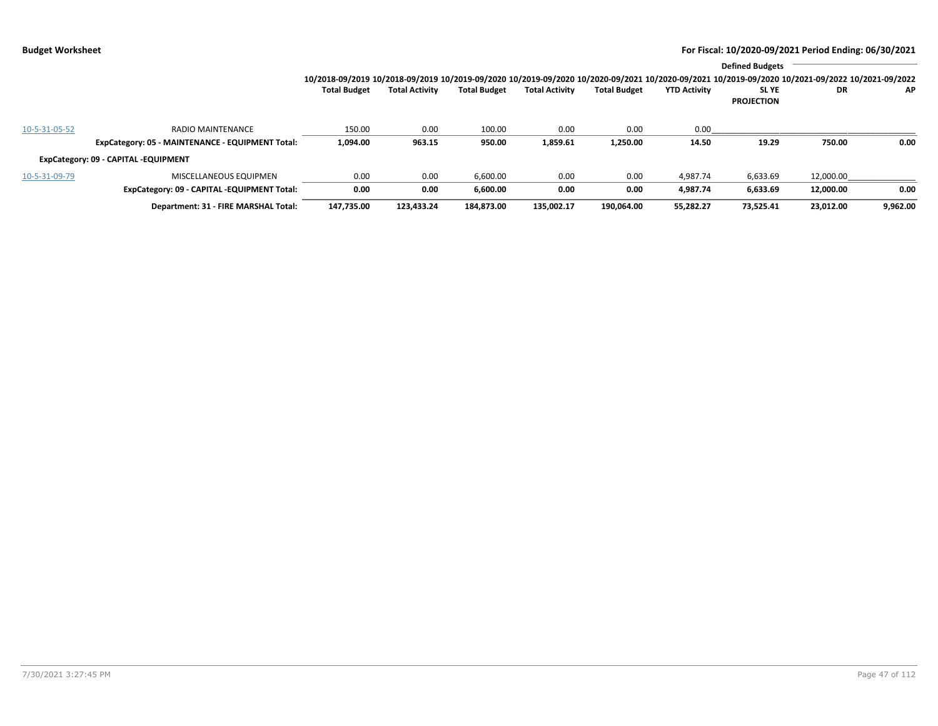|               |                                                  |                                                                                                                                                 |                       |                     |                       |                     |                     | <b>Defined Budgets</b>           |           |          |
|---------------|--------------------------------------------------|-------------------------------------------------------------------------------------------------------------------------------------------------|-----------------------|---------------------|-----------------------|---------------------|---------------------|----------------------------------|-----------|----------|
|               |                                                  | 10/2018-09/2019 10/2018-09/2019 10/2019-09/2020 10/2019-09/2020 10/2020-09/2021 10/2020-09/2021 10/2019-09/2020 10/2021-09/2022 10/2021-09/2022 |                       |                     |                       |                     |                     |                                  |           |          |
|               |                                                  | <b>Total Budget</b>                                                                                                                             | <b>Total Activity</b> | <b>Total Budget</b> | <b>Total Activity</b> | <b>Total Budget</b> | <b>YTD Activity</b> | <b>SLYE</b><br><b>PROJECTION</b> | DR        | ΑP       |
| 10-5-31-05-52 | RADIO MAINTENANCE                                | 150.00                                                                                                                                          | 0.00                  | 100.00              | 0.00                  | 0.00                | 0.00                |                                  |           |          |
|               | ExpCategory: 05 - MAINTENANCE - EQUIPMENT Total: | 1,094.00                                                                                                                                        | 963.15                | 950.00              | 1,859.61              | 1,250.00            | 14.50               | 19.29                            | 750.00    | 0.00     |
|               | ExpCategory: 09 - CAPITAL -EQUIPMENT             |                                                                                                                                                 |                       |                     |                       |                     |                     |                                  |           |          |
| 10-5-31-09-79 | MISCELLANEOUS EQUIPMEN                           | 0.00                                                                                                                                            | 0.00                  | 6,600.00            | 0.00                  | 0.00                | 4.987.74            | 6,633.69                         | 12,000.00 |          |
|               | ExpCategory: 09 - CAPITAL -EQUIPMENT Total:      | 0.00                                                                                                                                            | 0.00                  | 6,600.00            | 0.00                  | 0.00                | 4.987.74            | 6,633.69                         | 12.000.00 | 0.00     |
|               | Department: 31 - FIRE MARSHAL Total:             | 147,735.00                                                                                                                                      | 123,433.24            | 184,873.00          | 135.002.17            | 190.064.00          | 55.282.27           | 73.525.41                        | 23,012.00 | 9,962.00 |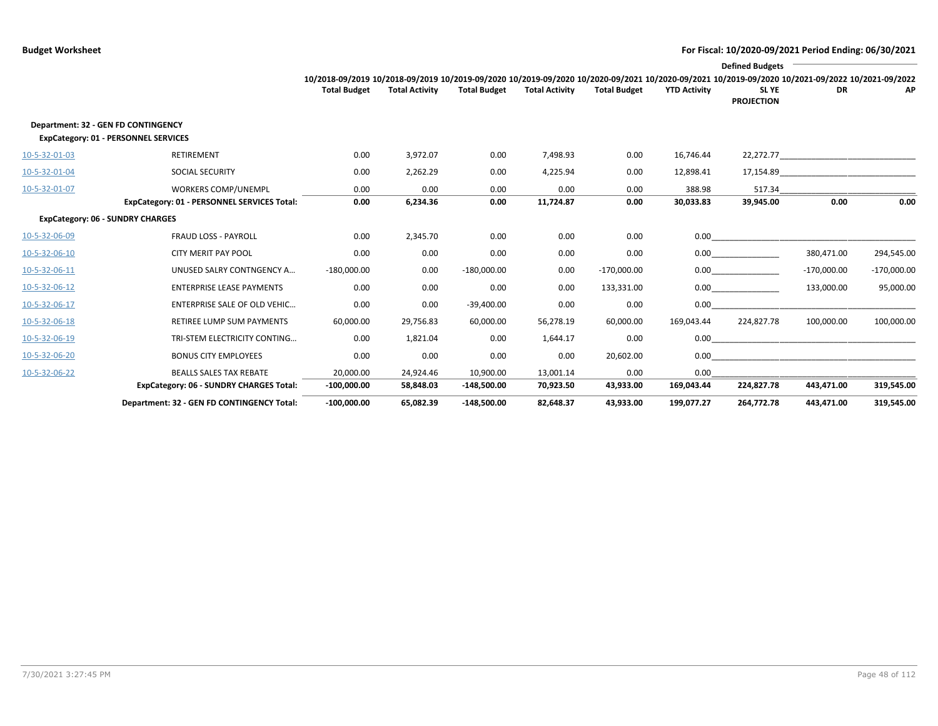|               |                                                                             |                                                                                                                                                 |                       |                     |                       |                     |                     | <b>Defined Budgets</b>           |                                                                                                                                                                                                                               |               |
|---------------|-----------------------------------------------------------------------------|-------------------------------------------------------------------------------------------------------------------------------------------------|-----------------------|---------------------|-----------------------|---------------------|---------------------|----------------------------------|-------------------------------------------------------------------------------------------------------------------------------------------------------------------------------------------------------------------------------|---------------|
|               |                                                                             | 10/2018-09/2019 10/2018-09/2019 10/2019-09/2020 10/2019-09/2020 10/2020-09/2021 10/2020-09/2021 10/2019-09/2020 10/2021-09/2022 10/2021-09/2022 |                       |                     |                       |                     |                     |                                  |                                                                                                                                                                                                                               |               |
|               |                                                                             | <b>Total Budget</b>                                                                                                                             | <b>Total Activity</b> | <b>Total Budget</b> | <b>Total Activity</b> | <b>Total Budget</b> | <b>YTD Activity</b> | <b>SLYE</b><br><b>PROJECTION</b> | <b>DR</b>                                                                                                                                                                                                                     | AP            |
|               | Department: 32 - GEN FD CONTINGENCY<br>ExpCategory: 01 - PERSONNEL SERVICES |                                                                                                                                                 |                       |                     |                       |                     |                     |                                  |                                                                                                                                                                                                                               |               |
| 10-5-32-01-03 | <b>RETIREMENT</b>                                                           | 0.00                                                                                                                                            | 3,972.07              | 0.00                | 7,498.93              | 0.00                | 16,746.44           |                                  | 22,272.77 and the contract of the contract of the contract of the contract of the contract of the contract of the contract of the contract of the contract of the contract of the contract of the contract of the contract of |               |
| 10-5-32-01-04 | <b>SOCIAL SECURITY</b>                                                      | 0.00                                                                                                                                            | 2,262.29              | 0.00                | 4,225.94              | 0.00                | 12,898.41           | 17,154.89                        | the control of the control of the control of                                                                                                                                                                                  |               |
| 10-5-32-01-07 | <b>WORKERS COMP/UNEMPL</b>                                                  | 0.00                                                                                                                                            | 0.00                  | 0.00                | 0.00                  | 0.00                | 388.98              | 517.34                           |                                                                                                                                                                                                                               |               |
|               | ExpCategory: 01 - PERSONNEL SERVICES Total:                                 | 0.00                                                                                                                                            | 6,234.36              | 0.00                | 11,724.87             | 0.00                | 30,033.83           | 39,945.00                        | 0.00                                                                                                                                                                                                                          | 0.00          |
|               | <b>ExpCategory: 06 - SUNDRY CHARGES</b>                                     |                                                                                                                                                 |                       |                     |                       |                     |                     |                                  |                                                                                                                                                                                                                               |               |
| 10-5-32-06-09 | <b>FRAUD LOSS - PAYROLL</b>                                                 | 0.00                                                                                                                                            | 2,345.70              | 0.00                | 0.00                  | 0.00                |                     |                                  |                                                                                                                                                                                                                               |               |
| 10-5-32-06-10 | <b>CITY MERIT PAY POOL</b>                                                  | 0.00                                                                                                                                            | 0.00                  | 0.00                | 0.00                  | 0.00                |                     | 0.00                             | 380,471.00                                                                                                                                                                                                                    | 294,545.00    |
| 10-5-32-06-11 | UNUSED SALRY CONTNGENCY A                                                   | $-180,000.00$                                                                                                                                   | 0.00                  | $-180,000.00$       | 0.00                  | $-170,000.00$       |                     | 0.00                             | $-170,000.00$                                                                                                                                                                                                                 | $-170,000.00$ |
| 10-5-32-06-12 | <b>ENTERPRISE LEASE PAYMENTS</b>                                            | 0.00                                                                                                                                            | 0.00                  | 0.00                | 0.00                  | 133,331.00          |                     | 0.00                             | 133,000.00                                                                                                                                                                                                                    | 95,000.00     |
| 10-5-32-06-17 | ENTERPRISE SALE OF OLD VEHIC                                                | 0.00                                                                                                                                            | 0.00                  | $-39,400.00$        | 0.00                  | 0.00                | 0.00                |                                  |                                                                                                                                                                                                                               |               |
| 10-5-32-06-18 | <b>RETIREE LUMP SUM PAYMENTS</b>                                            | 60,000.00                                                                                                                                       | 29,756.83             | 60,000.00           | 56,278.19             | 60,000.00           | 169,043.44          | 224,827.78                       | 100,000.00                                                                                                                                                                                                                    | 100,000.00    |
| 10-5-32-06-19 | TRI-STEM ELECTRICITY CONTING                                                | 0.00                                                                                                                                            | 1,821.04              | 0.00                | 1,644.17              | 0.00                | 0.00                |                                  |                                                                                                                                                                                                                               |               |
| 10-5-32-06-20 | <b>BONUS CITY EMPLOYEES</b>                                                 | 0.00                                                                                                                                            | 0.00                  | 0.00                | 0.00                  | 20,602.00           | 0.00                |                                  |                                                                                                                                                                                                                               |               |
| 10-5-32-06-22 | <b>BEALLS SALES TAX REBATE</b>                                              | 20,000.00                                                                                                                                       | 24,924.46             | 10,900.00           | 13,001.14             | 0.00                | 0.00                |                                  |                                                                                                                                                                                                                               |               |
|               | <b>ExpCategory: 06 - SUNDRY CHARGES Total:</b>                              | $-100,000.00$                                                                                                                                   | 58,848.03             | $-148,500.00$       | 70,923.50             | 43,933.00           | 169,043.44          | 224,827.78                       | 443,471.00                                                                                                                                                                                                                    | 319,545.00    |
|               | Department: 32 - GEN FD CONTINGENCY Total:                                  | $-100,000.00$                                                                                                                                   | 65,082.39             | $-148.500.00$       | 82.648.37             | 43.933.00           | 199.077.27          | 264.772.78                       | 443.471.00                                                                                                                                                                                                                    | 319,545.00    |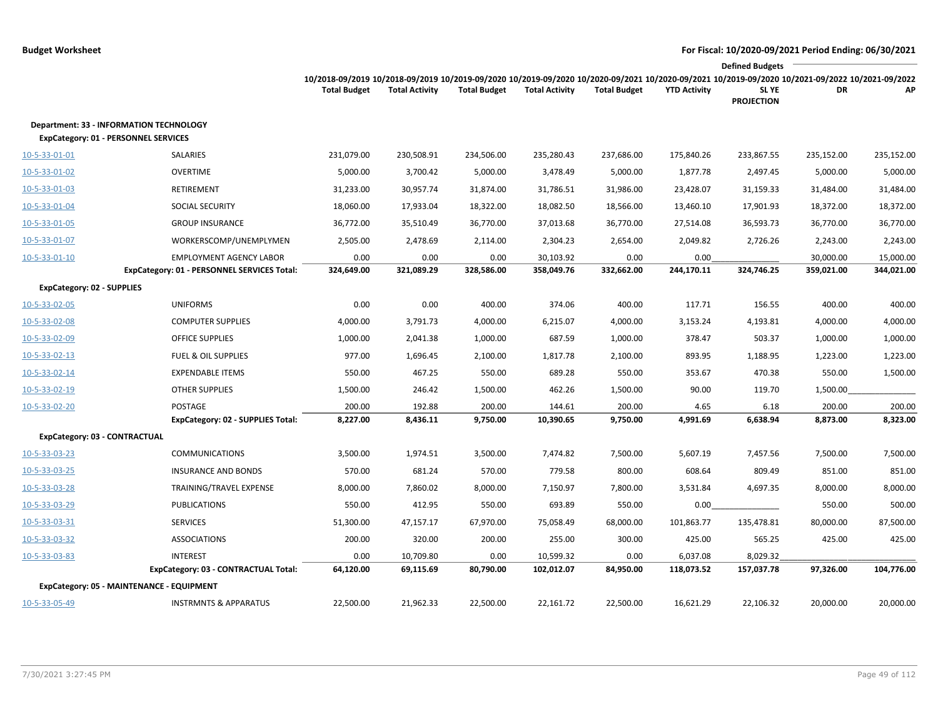|                                                                                               |                                                         |                     |                        |                     |                         |                     |                        | <b>Defined Budgets</b>                                                                                                                                                              |                    |                    |
|-----------------------------------------------------------------------------------------------|---------------------------------------------------------|---------------------|------------------------|---------------------|-------------------------|---------------------|------------------------|-------------------------------------------------------------------------------------------------------------------------------------------------------------------------------------|--------------------|--------------------|
|                                                                                               |                                                         | <b>Total Budget</b> | <b>Total Activity</b>  | <b>Total Budget</b> | <b>Total Activity</b>   | <b>Total Budget</b> | <b>YTD Activity</b>    | 10/2018-09/2019 10/2018-09/2019 10/2019-09/2020 10/2019-09/2020 10/2020-09/2021 10/2020-09/2021 10/2019-09/2020 10/2021-09/2022 10/2021-09/2022<br><b>SLYE</b><br><b>PROJECTION</b> | DR                 | АP                 |
| <b>Department: 33 - INFORMATION TECHNOLOGY</b><br><b>ExpCategory: 01 - PERSONNEL SERVICES</b> |                                                         |                     |                        |                     |                         |                     |                        |                                                                                                                                                                                     |                    |                    |
| 10-5-33-01-01                                                                                 | SALARIES                                                | 231,079.00          | 230,508.91             | 234,506.00          | 235,280.43              | 237,686.00          | 175,840.26             | 233,867.55                                                                                                                                                                          | 235,152.00         | 235,152.00         |
| 10-5-33-01-02                                                                                 | <b>OVERTIME</b>                                         | 5,000.00            | 3,700.42               | 5,000.00            | 3,478.49                | 5,000.00            | 1,877.78               | 2,497.45                                                                                                                                                                            | 5,000.00           | 5,000.00           |
| 10-5-33-01-03                                                                                 | RETIREMENT                                              | 31,233.00           | 30,957.74              | 31,874.00           | 31,786.51               | 31,986.00           | 23,428.07              | 31,159.33                                                                                                                                                                           | 31,484.00          | 31,484.00          |
| 10-5-33-01-04                                                                                 | SOCIAL SECURITY                                         | 18,060.00           | 17,933.04              | 18,322.00           | 18,082.50               | 18,566.00           | 13,460.10              | 17,901.93                                                                                                                                                                           | 18,372.00          | 18,372.00          |
| 10-5-33-01-05                                                                                 | <b>GROUP INSURANCE</b>                                  | 36,772.00           | 35,510.49              | 36,770.00           | 37,013.68               | 36,770.00           | 27,514.08              | 36,593.73                                                                                                                                                                           | 36,770.00          | 36,770.00          |
| 10-5-33-01-07                                                                                 | WORKERSCOMP/UNEMPLYMEN                                  | 2,505.00            | 2,478.69               | 2,114.00            | 2,304.23                | 2,654.00            | 2,049.82               | 2,726.26                                                                                                                                                                            | 2,243.00           | 2,243.00           |
| 10-5-33-01-10                                                                                 | <b>EMPLOYMENT AGENCY LABOR</b>                          | 0.00                | 0.00                   | 0.00                | 30,103.92               | 0.00                | 0.00                   |                                                                                                                                                                                     | 30,000.00          | 15,000.00          |
|                                                                                               | ExpCategory: 01 - PERSONNEL SERVICES Total:             | 324,649.00          | 321,089.29             | 328,586.00          | 358,049.76              | 332,662.00          | 244,170.11             | 324,746.25                                                                                                                                                                          | 359,021.00         | 344,021.00         |
| <b>ExpCategory: 02 - SUPPLIES</b>                                                             |                                                         |                     |                        |                     |                         |                     |                        |                                                                                                                                                                                     |                    |                    |
| 10-5-33-02-05                                                                                 | <b>UNIFORMS</b>                                         | 0.00                | 0.00                   | 400.00              | 374.06                  | 400.00              | 117.71                 | 156.55                                                                                                                                                                              | 400.00             | 400.00             |
| 10-5-33-02-08                                                                                 | <b>COMPUTER SUPPLIES</b>                                | 4,000.00            | 3,791.73               | 4,000.00            | 6,215.07                | 4,000.00            | 3,153.24               | 4,193.81                                                                                                                                                                            | 4,000.00           | 4,000.00           |
| 10-5-33-02-09                                                                                 | <b>OFFICE SUPPLIES</b>                                  | 1,000.00            | 2,041.38               | 1,000.00            | 687.59                  | 1,000.00            | 378.47                 | 503.37                                                                                                                                                                              | 1,000.00           | 1,000.00           |
| 10-5-33-02-13                                                                                 | <b>FUEL &amp; OIL SUPPLIES</b>                          | 977.00              | 1,696.45               | 2,100.00            | 1,817.78                | 2,100.00            | 893.95                 | 1,188.95                                                                                                                                                                            | 1,223.00           | 1,223.00           |
| 10-5-33-02-14                                                                                 | <b>EXPENDABLE ITEMS</b>                                 | 550.00              | 467.25                 | 550.00              | 689.28                  | 550.00              | 353.67                 | 470.38                                                                                                                                                                              | 550.00             | 1,500.00           |
| 10-5-33-02-19                                                                                 | <b>OTHER SUPPLIES</b>                                   | 1,500.00            | 246.42                 | 1,500.00            | 462.26                  | 1,500.00            | 90.00                  | 119.70                                                                                                                                                                              | 1,500.00           |                    |
| 10-5-33-02-20                                                                                 | POSTAGE<br>ExpCategory: 02 - SUPPLIES Total:            | 200.00<br>8,227.00  | 192.88<br>8,436.11     | 200.00<br>9,750.00  | 144.61<br>10,390.65     | 200.00<br>9,750.00  | 4.65<br>4,991.69       | 6.18<br>6,638.94                                                                                                                                                                    | 200.00<br>8,873.00 | 200.00<br>8,323.00 |
| ExpCategory: 03 - CONTRACTUAL                                                                 |                                                         |                     |                        |                     |                         |                     |                        |                                                                                                                                                                                     |                    |                    |
| 10-5-33-03-23                                                                                 | <b>COMMUNICATIONS</b>                                   | 3,500.00            | 1,974.51               |                     | 7,474.82                | 7,500.00            | 5,607.19               | 7,457.56                                                                                                                                                                            | 7,500.00           |                    |
| 10-5-33-03-25                                                                                 | <b>INSURANCE AND BONDS</b>                              | 570.00              | 681.24                 | 3,500.00<br>570.00  | 779.58                  | 800.00              | 608.64                 | 809.49                                                                                                                                                                              | 851.00             | 7,500.00<br>851.00 |
| 10-5-33-03-28                                                                                 | TRAINING/TRAVEL EXPENSE                                 | 8,000.00            | 7,860.02               | 8,000.00            | 7,150.97                | 7,800.00            | 3,531.84               |                                                                                                                                                                                     |                    | 8,000.00           |
| 10-5-33-03-29                                                                                 | <b>PUBLICATIONS</b>                                     |                     |                        |                     |                         |                     |                        | 4,697.35                                                                                                                                                                            | 8,000.00           | 500.00             |
|                                                                                               |                                                         | 550.00              | 412.95                 | 550.00              | 693.89                  | 550.00              | 0.00                   |                                                                                                                                                                                     | 550.00             |                    |
| 10-5-33-03-31                                                                                 | <b>SERVICES</b>                                         | 51,300.00           | 47,157.17              | 67,970.00           | 75,058.49               | 68,000.00           | 101,863.77             | 135,478.81                                                                                                                                                                          | 80,000.00          | 87,500.00          |
| 10-5-33-03-32                                                                                 | <b>ASSOCIATIONS</b>                                     | 200.00              | 320.00                 | 200.00              | 255.00                  | 300.00              | 425.00                 | 565.25                                                                                                                                                                              | 425.00             | 425.00             |
| 10-5-33-03-83                                                                                 | <b>INTEREST</b><br>ExpCategory: 03 - CONTRACTUAL Total: | 0.00<br>64,120.00   | 10,709.80<br>69,115.69 | 0.00<br>80,790.00   | 10,599.32<br>102,012.07 | 0.00<br>84,950.00   | 6,037.08<br>118,073.52 | 8,029.32<br>157,037.78                                                                                                                                                              | 97,326.00          | 104,776.00         |
|                                                                                               | ExpCategory: 05 - MAINTENANCE - EQUIPMENT               |                     |                        |                     |                         |                     |                        |                                                                                                                                                                                     |                    |                    |
| 10-5-33-05-49                                                                                 | <b>INSTRMNTS &amp; APPARATUS</b>                        | 22,500.00           | 21,962.33              | 22,500.00           | 22,161.72               | 22,500.00           | 16,621.29              | 22,106.32                                                                                                                                                                           | 20,000.00          | 20,000.00          |
|                                                                                               |                                                         |                     |                        |                     |                         |                     |                        |                                                                                                                                                                                     |                    |                    |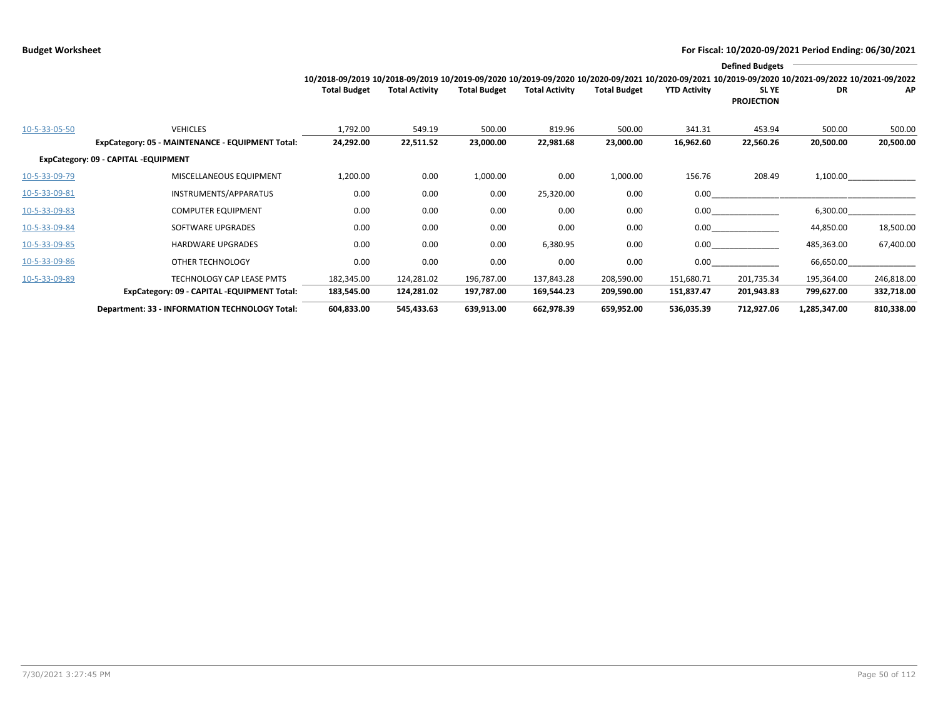|               |                                                                     |                                                                                                                                                                        |                       |                     |                       |                     |                     | <b>Defined Budgets</b>     |                     |                     |
|---------------|---------------------------------------------------------------------|------------------------------------------------------------------------------------------------------------------------------------------------------------------------|-----------------------|---------------------|-----------------------|---------------------|---------------------|----------------------------|---------------------|---------------------|
|               |                                                                     | 10/2018-09/2019 10/2018-09/2019 10/2019-09/2020 10/2019-09/2020 10/2020-09/2021 10/2020-09/2021 10/2019-09/2020 10/2021-09/2022 10/2021-09/2022<br><b>Total Budget</b> | <b>Total Activity</b> | <b>Total Budget</b> | <b>Total Activity</b> | <b>Total Budget</b> | <b>YTD Activity</b> | SL YE<br><b>PROJECTION</b> | DR                  | AP.                 |
| 10-5-33-05-50 | <b>VEHICLES</b><br>ExpCategory: 05 - MAINTENANCE - EQUIPMENT Total: | 1,792.00<br>24,292.00                                                                                                                                                  | 549.19<br>22,511.52   | 500.00<br>23,000.00 | 819.96<br>22,981.68   | 500.00<br>23,000.00 | 341.31<br>16,962.60 | 453.94<br>22,560.26        | 500.00<br>20,500.00 | 500.00<br>20,500.00 |
|               | ExpCategory: 09 - CAPITAL -EQUIPMENT                                |                                                                                                                                                                        |                       |                     |                       |                     |                     |                            |                     |                     |
| 10-5-33-09-79 | MISCELLANEOUS EQUIPMENT                                             | 1,200.00                                                                                                                                                               | 0.00                  | 1,000.00            | 0.00                  | 1,000.00            | 156.76              | 208.49                     |                     | 1,100.00            |
| 10-5-33-09-81 | INSTRUMENTS/APPARATUS                                               | 0.00                                                                                                                                                                   | 0.00                  | 0.00                | 25,320.00             | 0.00                | $0.00\,$            |                            |                     |                     |
| 10-5-33-09-83 | <b>COMPUTER EQUIPMENT</b>                                           | 0.00                                                                                                                                                                   | 0.00                  | 0.00                | 0.00                  | 0.00                | $0.00\,$            |                            | 6,300.00            |                     |
| 10-5-33-09-84 | SOFTWARE UPGRADES                                                   | 0.00                                                                                                                                                                   | 0.00                  | 0.00                | 0.00                  | 0.00                | 0.00                |                            | 44,850.00           | 18,500.00           |
| 10-5-33-09-85 | <b>HARDWARE UPGRADES</b>                                            | 0.00                                                                                                                                                                   | 0.00                  | 0.00                | 6,380.95              | 0.00                | $0.00\,$            |                            | 485,363.00          | 67,400.00           |
| 10-5-33-09-86 | OTHER TECHNOLOGY                                                    | 0.00                                                                                                                                                                   | 0.00                  | 0.00                | 0.00                  | 0.00                | $0.00\,$            |                            | 66,650.00           |                     |
| 10-5-33-09-89 | TECHNOLOGY CAP LEASE PMTS                                           | 182,345.00                                                                                                                                                             | 124,281.02            | 196,787.00          | 137,843.28            | 208,590.00          | 151,680.71          | 201,735.34                 | 195,364.00          | 246,818.00          |
|               | ExpCategory: 09 - CAPITAL -EQUIPMENT Total:                         | 183,545.00                                                                                                                                                             | 124,281.02            | 197,787.00          | 169,544.23            | 209,590.00          | 151,837.47          | 201,943.83                 | 799,627.00          | 332,718.00          |
|               | Department: 33 - INFORMATION TECHNOLOGY Total:                      | 604,833.00                                                                                                                                                             | 545,433.63            | 639,913.00          | 662,978.39            | 659,952.00          | 536,035.39          | 712,927.06                 | 1,285,347.00        | 810,338.00          |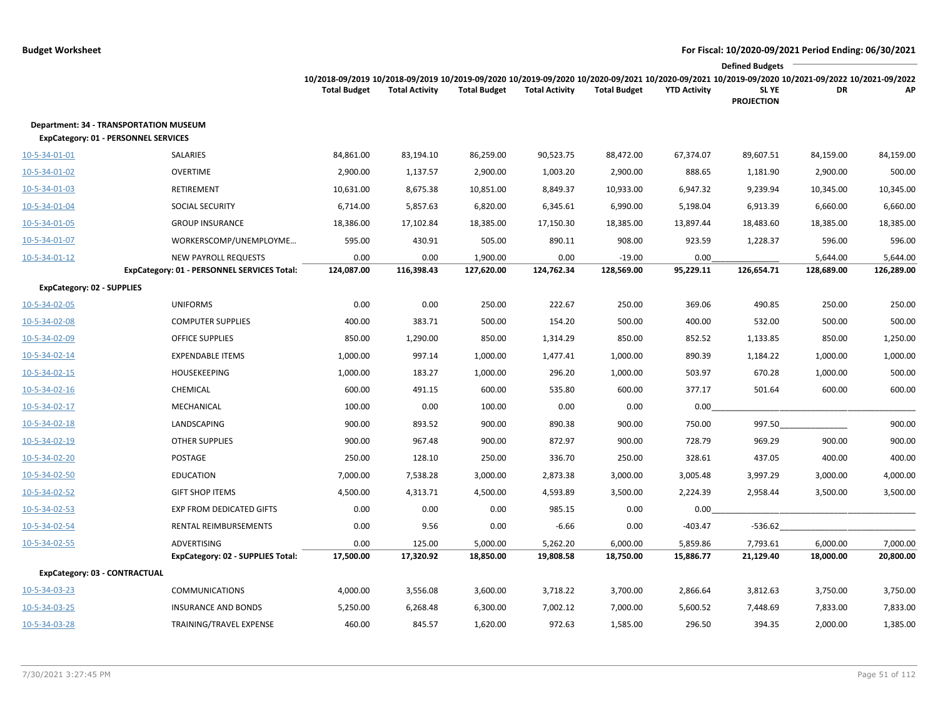|                                                                                              |                                                         |                                                                                                                                                                        |                       |                       |                       |                       |                       | <b>Defined Budgets</b>     |                       |                       |
|----------------------------------------------------------------------------------------------|---------------------------------------------------------|------------------------------------------------------------------------------------------------------------------------------------------------------------------------|-----------------------|-----------------------|-----------------------|-----------------------|-----------------------|----------------------------|-----------------------|-----------------------|
|                                                                                              |                                                         | 10/2018-09/2019 10/2018-09/2019 10/2019-09/2020 10/2019-09/2020 10/2020-09/2021 10/2020-09/2021 10/2019-09/2020 10/2021-09/2022 10/2021-09/2022<br><b>Total Budget</b> | <b>Total Activity</b> | <b>Total Budget</b>   | <b>Total Activity</b> | <b>Total Budget</b>   | <b>YTD Activity</b>   | SL YE<br><b>PROJECTION</b> | DR                    | AP                    |
| <b>Department: 34 - TRANSPORTATION MUSEUM</b><br><b>ExpCategory: 01 - PERSONNEL SERVICES</b> |                                                         |                                                                                                                                                                        |                       |                       |                       |                       |                       |                            |                       |                       |
| 10-5-34-01-01                                                                                | SALARIES                                                | 84,861.00                                                                                                                                                              | 83,194.10             | 86,259.00             | 90,523.75             | 88,472.00             | 67,374.07             | 89,607.51                  | 84,159.00             | 84,159.00             |
| 10-5-34-01-02                                                                                | <b>OVERTIME</b>                                         | 2,900.00                                                                                                                                                               | 1,137.57              | 2,900.00              | 1,003.20              | 2,900.00              | 888.65                | 1,181.90                   | 2,900.00              | 500.00                |
| 10-5-34-01-03                                                                                | RETIREMENT                                              | 10,631.00                                                                                                                                                              | 8,675.38              | 10,851.00             | 8,849.37              | 10,933.00             | 6,947.32              | 9,239.94                   | 10,345.00             | 10,345.00             |
| 10-5-34-01-04                                                                                | SOCIAL SECURITY                                         | 6,714.00                                                                                                                                                               | 5,857.63              | 6,820.00              | 6,345.61              | 6,990.00              | 5,198.04              | 6,913.39                   | 6,660.00              | 6,660.00              |
| 10-5-34-01-05                                                                                | <b>GROUP INSURANCE</b>                                  | 18,386.00                                                                                                                                                              | 17,102.84             | 18,385.00             | 17,150.30             | 18,385.00             | 13,897.44             | 18,483.60                  | 18,385.00             | 18,385.00             |
| 10-5-34-01-07                                                                                | WORKERSCOMP/UNEMPLOYME                                  | 595.00                                                                                                                                                                 | 430.91                | 505.00                | 890.11                | 908.00                | 923.59                | 1,228.37                   | 596.00                | 596.00                |
| 10-5-34-01-12                                                                                | NEW PAYROLL REQUESTS                                    | 0.00                                                                                                                                                                   | 0.00                  | 1,900.00              | 0.00                  | $-19.00$              | 0.00                  |                            | 5,644.00              | 5,644.00              |
|                                                                                              | ExpCategory: 01 - PERSONNEL SERVICES Total:             | 124,087.00                                                                                                                                                             | 116,398.43            | 127,620.00            | 124,762.34            | 128,569.00            | 95,229.11             | 126,654.71                 | 128,689.00            | 126,289.00            |
| <b>ExpCategory: 02 - SUPPLIES</b>                                                            |                                                         |                                                                                                                                                                        |                       |                       |                       |                       |                       |                            |                       |                       |
| 10-5-34-02-05                                                                                | <b>UNIFORMS</b>                                         | 0.00                                                                                                                                                                   | 0.00                  | 250.00                | 222.67                | 250.00                | 369.06                | 490.85                     | 250.00                | 250.00                |
| 10-5-34-02-08                                                                                | <b>COMPUTER SUPPLIES</b>                                | 400.00                                                                                                                                                                 | 383.71                | 500.00                | 154.20                | 500.00                | 400.00                | 532.00                     | 500.00                | 500.00                |
| 10-5-34-02-09                                                                                | <b>OFFICE SUPPLIES</b>                                  | 850.00                                                                                                                                                                 | 1,290.00              | 850.00                | 1,314.29              | 850.00                | 852.52                | 1,133.85                   | 850.00                | 1,250.00              |
| 10-5-34-02-14                                                                                | <b>EXPENDABLE ITEMS</b>                                 | 1,000.00                                                                                                                                                               | 997.14                | 1,000.00              | 1,477.41              | 1,000.00              | 890.39                | 1,184.22                   | 1,000.00              | 1,000.00              |
| 10-5-34-02-15                                                                                | <b>HOUSEKEEPING</b>                                     | 1,000.00                                                                                                                                                               | 183.27                | 1,000.00              | 296.20                | 1,000.00              | 503.97                | 670.28                     | 1,000.00              | 500.00                |
| 10-5-34-02-16                                                                                | CHEMICAL                                                | 600.00                                                                                                                                                                 | 491.15                | 600.00                | 535.80                | 600.00                | 377.17                | 501.64                     | 600.00                | 600.00                |
| 10-5-34-02-17                                                                                | MECHANICAL                                              | 100.00                                                                                                                                                                 | 0.00                  | 100.00                | 0.00                  | 0.00                  | 0.00                  |                            |                       |                       |
| 10-5-34-02-18                                                                                | LANDSCAPING                                             | 900.00                                                                                                                                                                 | 893.52                | 900.00                | 890.38                | 900.00                | 750.00                | 997.50                     |                       | 900.00                |
| 10-5-34-02-19                                                                                | <b>OTHER SUPPLIES</b>                                   | 900.00                                                                                                                                                                 | 967.48                | 900.00                | 872.97                | 900.00                | 728.79                | 969.29                     | 900.00                | 900.00                |
| 10-5-34-02-20                                                                                | POSTAGE                                                 | 250.00                                                                                                                                                                 | 128.10                | 250.00                | 336.70                | 250.00                | 328.61                | 437.05                     | 400.00                | 400.00                |
| 10-5-34-02-50                                                                                | <b>EDUCATION</b>                                        | 7,000.00                                                                                                                                                               | 7,538.28              | 3,000.00              | 2,873.38              | 3,000.00              | 3,005.48              | 3,997.29                   | 3,000.00              | 4,000.00              |
| 10-5-34-02-52                                                                                | <b>GIFT SHOP ITEMS</b>                                  | 4,500.00                                                                                                                                                               | 4,313.71              | 4,500.00              | 4,593.89              | 3,500.00              | 2,224.39              | 2,958.44                   | 3,500.00              | 3,500.00              |
| 10-5-34-02-53                                                                                | <b>EXP FROM DEDICATED GIFTS</b>                         | 0.00                                                                                                                                                                   | 0.00                  | 0.00                  | 985.15                | 0.00                  | 0.00                  |                            |                       |                       |
| 10-5-34-02-54                                                                                | RENTAL REIMBURSEMENTS                                   | 0.00                                                                                                                                                                   | 9.56                  | 0.00                  | $-6.66$               | 0.00                  | $-403.47$             | -536.62                    |                       |                       |
| 10-5-34-02-55                                                                                | <b>ADVERTISING</b><br>ExpCategory: 02 - SUPPLIES Total: | 0.00<br>17,500.00                                                                                                                                                      | 125.00<br>17,320.92   | 5,000.00<br>18,850.00 | 5,262.20<br>19,808.58 | 6,000.00<br>18,750.00 | 5,859.86<br>15,886.77 | 7,793.61<br>21,129.40      | 6,000.00<br>18,000.00 | 7,000.00<br>20,800.00 |
| ExpCategory: 03 - CONTRACTUAL                                                                |                                                         |                                                                                                                                                                        |                       |                       |                       |                       |                       |                            |                       |                       |
| 10-5-34-03-23                                                                                | <b>COMMUNICATIONS</b>                                   | 4,000.00                                                                                                                                                               | 3,556.08              | 3,600.00              | 3,718.22              | 3,700.00              | 2,866.64              | 3,812.63                   | 3,750.00              | 3,750.00              |
| 10-5-34-03-25                                                                                | <b>INSURANCE AND BONDS</b>                              | 5,250.00                                                                                                                                                               | 6,268.48              | 6,300.00              | 7,002.12              | 7,000.00              | 5,600.52              | 7,448.69                   | 7,833.00              | 7,833.00              |
| 10-5-34-03-28                                                                                | TRAINING/TRAVEL EXPENSE                                 | 460.00                                                                                                                                                                 | 845.57                | 1,620.00              | 972.63                | 1,585.00              | 296.50                | 394.35                     | 2,000.00              | 1,385.00              |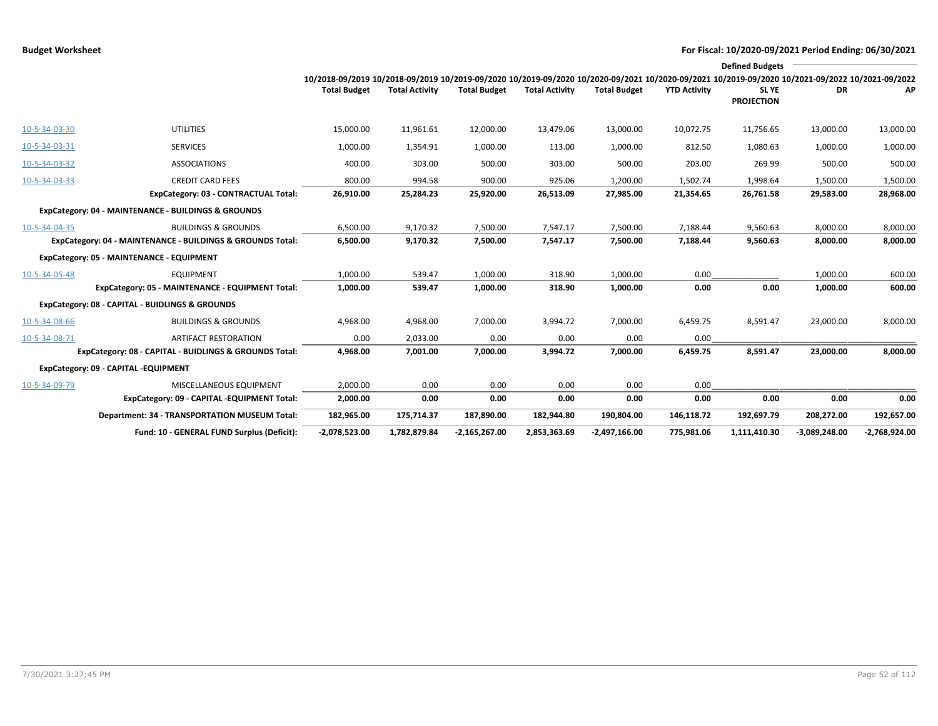|               |                                                            | 10/2018-09/2019 10/2018-09/2019 10/2019-09/2020 10/2019-09/2020 10/2020-09/2021 10/2020-09/2021 10/2019-09/2020 10/2021-09/2022 10/2021-09/2022 |                       |                     |                       |                     |                     | <b>Defined Budgets</b>     |                 |                 |
|---------------|------------------------------------------------------------|-------------------------------------------------------------------------------------------------------------------------------------------------|-----------------------|---------------------|-----------------------|---------------------|---------------------|----------------------------|-----------------|-----------------|
|               |                                                            | <b>Total Budget</b>                                                                                                                             | <b>Total Activity</b> | <b>Total Budget</b> | <b>Total Activity</b> | <b>Total Budget</b> | <b>YTD Activity</b> | SL YE<br><b>PROJECTION</b> | DR              | АP              |
| 10-5-34-03-30 | <b>UTILITIES</b>                                           | 15,000.00                                                                                                                                       | 11,961.61             | 12,000.00           | 13,479.06             | 13,000.00           | 10,072.75           | 11,756.65                  | 13,000.00       | 13,000.00       |
| 10-5-34-03-31 | <b>SERVICES</b>                                            | 1,000.00                                                                                                                                        | 1,354.91              | 1,000.00            | 113.00                | 1,000.00            | 812.50              | 1,080.63                   | 1,000.00        | 1,000.00        |
| 10-5-34-03-32 | <b>ASSOCIATIONS</b>                                        | 400.00                                                                                                                                          | 303.00                | 500.00              | 303.00                | 500.00              | 203.00              | 269.99                     | 500.00          | 500.00          |
| 10-5-34-03-33 | <b>CREDIT CARD FEES</b>                                    | 800.00                                                                                                                                          | 994.58                | 900.00              | 925.06                | 1,200.00            | 1,502.74            | 1.998.64                   | 1,500.00        | 1,500.00        |
|               | ExpCategory: 03 - CONTRACTUAL Total:                       | 26,910.00                                                                                                                                       | 25,284.23             | 25,920.00           | 26,513.09             | 27,985.00           | 21,354.65           | 26,761.58                  | 29,583.00       | 28,968.00       |
|               | ExpCategory: 04 - MAINTENANCE - BUILDINGS & GROUNDS        |                                                                                                                                                 |                       |                     |                       |                     |                     |                            |                 |                 |
| 10-5-34-04-35 | <b>BUILDINGS &amp; GROUNDS</b>                             | 6,500.00                                                                                                                                        | 9,170.32              | 7,500.00            | 7,547.17              | 7,500.00            | 7,188.44            | 9,560.63                   | 8,000.00        | 8,000.00        |
|               | ExpCategory: 04 - MAINTENANCE - BUILDINGS & GROUNDS Total: | 6,500.00                                                                                                                                        | 9,170.32              | 7,500.00            | 7,547.17              | 7,500.00            | 7,188.44            | 9,560.63                   | 8,000.00        | 8,000.00        |
|               | ExpCategory: 05 - MAINTENANCE - EQUIPMENT                  |                                                                                                                                                 |                       |                     |                       |                     |                     |                            |                 |                 |
| 10-5-34-05-48 | <b>EQUIPMENT</b>                                           | 1,000.00                                                                                                                                        | 539.47                | 1,000.00            | 318.90                | 1,000.00            | 0.00                |                            | 1,000.00        | 600.00          |
|               | ExpCategory: 05 - MAINTENANCE - EQUIPMENT Total:           | 1,000.00                                                                                                                                        | 539.47                | 1,000.00            | 318.90                | 1,000.00            | 0.00                | 0.00                       | 1,000.00        | 600.00          |
|               | ExpCategory: 08 - CAPITAL - BUIDLINGS & GROUNDS            |                                                                                                                                                 |                       |                     |                       |                     |                     |                            |                 |                 |
| 10-5-34-08-66 | <b>BUILDINGS &amp; GROUNDS</b>                             | 4,968.00                                                                                                                                        | 4,968.00              | 7,000.00            | 3,994.72              | 7,000.00            | 6,459.75            | 8,591.47                   | 23,000.00       | 8,000.00        |
| 10-5-34-08-71 | <b>ARTIFACT RESTORATION</b>                                | 0.00                                                                                                                                            | 2,033.00              | 0.00                | 0.00                  | 0.00                | 0.00                |                            |                 |                 |
|               | ExpCategory: 08 - CAPITAL - BUIDLINGS & GROUNDS Total:     | 4,968.00                                                                                                                                        | 7,001.00              | 7,000.00            | 3,994.72              | 7,000.00            | 6,459.75            | 8,591.47                   | 23,000.00       | 8,000.00        |
|               | ExpCategory: 09 - CAPITAL -EQUIPMENT                       |                                                                                                                                                 |                       |                     |                       |                     |                     |                            |                 |                 |
| 10-5-34-09-79 | MISCELLANEOUS EQUIPMENT                                    | 2,000.00                                                                                                                                        | 0.00                  | 0.00                | 0.00                  | 0.00                | 0.00                |                            |                 |                 |
|               | ExpCategory: 09 - CAPITAL -EQUIPMENT Total:                | 2,000.00                                                                                                                                        | 0.00                  | 0.00                | 0.00                  | 0.00                | 0.00                | 0.00                       | 0.00            | 0.00            |
|               | Department: 34 - TRANSPORTATION MUSEUM Total:              | 182,965.00                                                                                                                                      | 175,714.37            | 187,890.00          | 182,944.80            | 190,804.00          | 146,118.72          | 192,697.79                 | 208,272.00      | 192,657.00      |
|               | Fund: 10 - GENERAL FUND Surplus (Deficit):                 | $-2,078,523.00$                                                                                                                                 | 1,782,879.84          | $-2,165,267.00$     | 2,853,363.69          | $-2,497,166.00$     | 775,981.06          | 1,111,410.30               | $-3,089,248.00$ | $-2,768,924.00$ |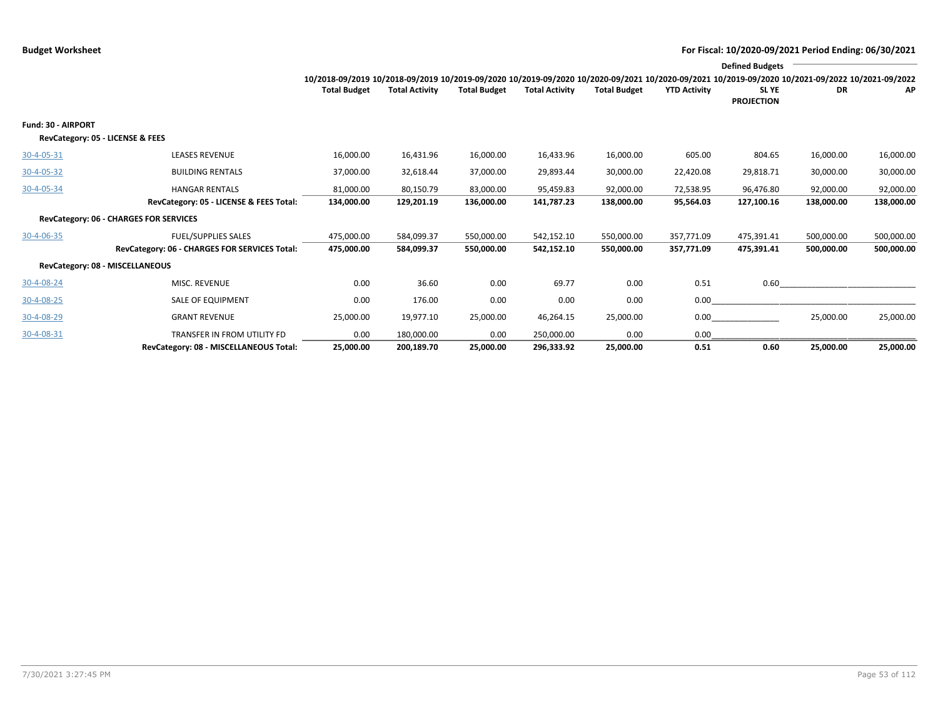|                                                        |                                                                  |                                                                                                                                                 |                         |                         |                         |                         |                        | <b>Defined Budgets</b>     |                         |                         |
|--------------------------------------------------------|------------------------------------------------------------------|-------------------------------------------------------------------------------------------------------------------------------------------------|-------------------------|-------------------------|-------------------------|-------------------------|------------------------|----------------------------|-------------------------|-------------------------|
|                                                        |                                                                  | 10/2018-09/2019 10/2018-09/2019 10/2019-09/2020 10/2019-09/2020 10/2020-09/2021 10/2020-09/2021 10/2019-09/2020 10/2021-09/2022 10/2021-09/2022 |                         |                         |                         |                         |                        |                            |                         |                         |
|                                                        |                                                                  | <b>Total Budget</b>                                                                                                                             | <b>Total Activity</b>   | <b>Total Budget</b>     | <b>Total Activity</b>   | <b>Total Budget</b>     | <b>YTD Activity</b>    | SL YE<br><b>PROJECTION</b> | DR                      | AP                      |
| Fund: 30 - AIRPORT<br>RevCategory: 05 - LICENSE & FEES |                                                                  |                                                                                                                                                 |                         |                         |                         |                         |                        |                            |                         |                         |
| 30-4-05-31                                             | <b>LEASES REVENUE</b>                                            | 16,000.00                                                                                                                                       | 16,431.96               | 16,000.00               | 16,433.96               | 16,000.00               | 605.00                 | 804.65                     | 16,000.00               | 16,000.00               |
| $30 - 4 - 05 - 32$                                     | <b>BUILDING RENTALS</b>                                          | 37,000.00                                                                                                                                       | 32,618.44               | 37,000.00               | 29,893.44               | 30,000.00               | 22,420.08              | 29,818.71                  | 30,000.00               | 30,000.00               |
| 30-4-05-34                                             | <b>HANGAR RENTALS</b><br>RevCategory: 05 - LICENSE & FEES Total: | 81,000.00<br>134,000.00                                                                                                                         | 80,150.79<br>129,201.19 | 83,000.00<br>136,000.00 | 95,459.83<br>141,787.23 | 92,000.00<br>138,000.00 | 72,538.95<br>95,564.03 | 96,476.80<br>127,100.16    | 92,000.00<br>138,000.00 | 92,000.00<br>138,000.00 |
|                                                        | RevCategory: 06 - CHARGES FOR SERVICES                           |                                                                                                                                                 |                         |                         |                         |                         |                        |                            |                         |                         |
| 30-4-06-35                                             | <b>FUEL/SUPPLIES SALES</b>                                       | 475,000.00                                                                                                                                      | 584,099.37              | 550,000.00              | 542,152.10              | 550,000.00              | 357,771.09             | 475,391.41                 | 500,000.00              | 500,000.00              |
|                                                        | RevCategory: 06 - CHARGES FOR SERVICES Total:                    | 475,000.00                                                                                                                                      | 584,099.37              | 550,000.00              | 542,152.10              | 550,000.00              | 357.771.09             | 475,391.41                 | 500,000.00              | 500,000.00              |
|                                                        | RevCategory: 08 - MISCELLANEOUS                                  |                                                                                                                                                 |                         |                         |                         |                         |                        |                            |                         |                         |
| 30-4-08-24                                             | <b>MISC. REVENUE</b>                                             | 0.00                                                                                                                                            | 36.60                   | 0.00                    | 69.77                   | 0.00                    | 0.51                   | 0.60                       |                         |                         |
| 30-4-08-25                                             | SALE OF EQUIPMENT                                                | 0.00                                                                                                                                            | 176.00                  | 0.00                    | 0.00                    | 0.00                    | 0.00                   |                            |                         |                         |
| 30-4-08-29                                             | <b>GRANT REVENUE</b>                                             | 25,000.00                                                                                                                                       | 19,977.10               | 25,000.00               | 46,264.15               | 25,000.00               | 0.00                   |                            | 25,000.00               | 25,000.00               |
| 30-4-08-31                                             | TRANSFER IN FROM UTILITY FD                                      | 0.00                                                                                                                                            | 180,000.00              | 0.00                    | 250,000.00              | 0.00                    | 0.00                   |                            |                         |                         |
|                                                        | RevCategory: 08 - MISCELLANEOUS Total:                           | 25,000.00                                                                                                                                       | 200,189.70              | 25,000.00               | 296,333.92              | 25,000.00               | 0.51                   | 0.60                       | 25,000.00               | 25,000.00               |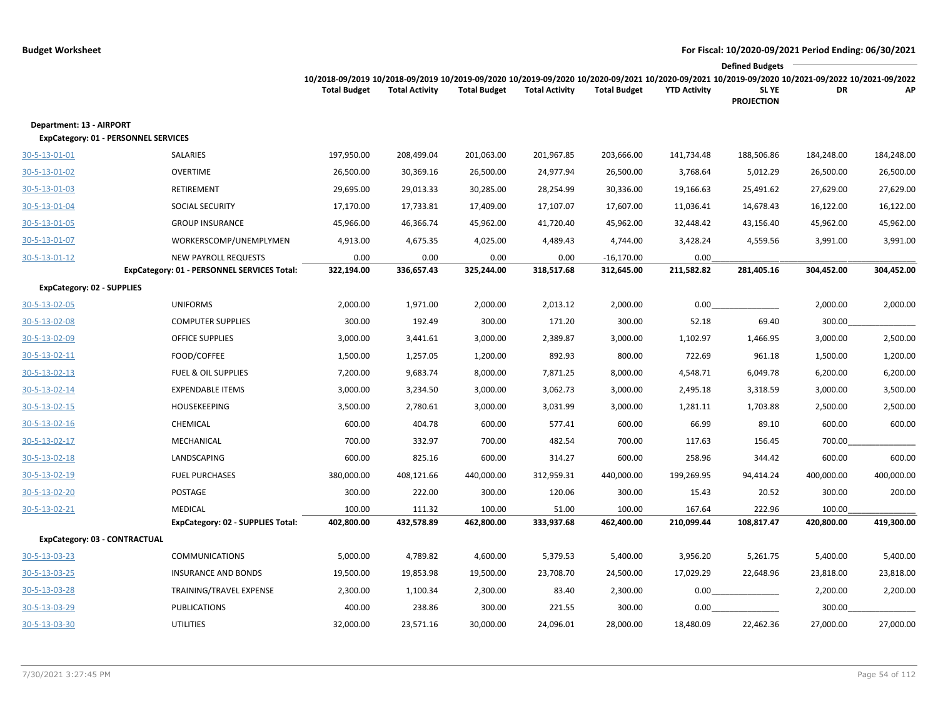|                                                                         |                                                                            |                                                                                                                                                                        |                       |                     |                       |                            |                     | <b>Defined Budgets</b>     |            |            |
|-------------------------------------------------------------------------|----------------------------------------------------------------------------|------------------------------------------------------------------------------------------------------------------------------------------------------------------------|-----------------------|---------------------|-----------------------|----------------------------|---------------------|----------------------------|------------|------------|
|                                                                         |                                                                            | 10/2018-09/2019 10/2018-09/2019 10/2019-09/2020 10/2019-09/2020 10/2020-09/2021 10/2020-09/2021 10/2019-09/2020 10/2021-09/2022 10/2021-09/2022<br><b>Total Budget</b> | <b>Total Activity</b> | <b>Total Budget</b> | <b>Total Activity</b> | <b>Total Budget</b>        | <b>YTD Activity</b> | SL YE<br><b>PROJECTION</b> | DR         | AP         |
| Department: 13 - AIRPORT<br><b>ExpCategory: 01 - PERSONNEL SERVICES</b> |                                                                            |                                                                                                                                                                        |                       |                     |                       |                            |                     |                            |            |            |
| 30-5-13-01-01                                                           | SALARIES                                                                   | 197,950.00                                                                                                                                                             | 208,499.04            | 201,063.00          | 201,967.85            | 203,666.00                 | 141,734.48          | 188,506.86                 | 184,248.00 | 184,248.00 |
| 30-5-13-01-02                                                           | <b>OVERTIME</b>                                                            | 26,500.00                                                                                                                                                              | 30,369.16             | 26,500.00           | 24,977.94             | 26,500.00                  | 3,768.64            | 5,012.29                   | 26,500.00  | 26,500.00  |
| 30-5-13-01-03                                                           | RETIREMENT                                                                 | 29,695.00                                                                                                                                                              | 29,013.33             | 30,285.00           | 28,254.99             | 30,336.00                  | 19,166.63           | 25,491.62                  | 27,629.00  | 27,629.00  |
| 30-5-13-01-04                                                           | SOCIAL SECURITY                                                            | 17,170.00                                                                                                                                                              | 17,733.81             | 17,409.00           | 17,107.07             | 17,607.00                  | 11,036.41           | 14,678.43                  | 16,122.00  | 16,122.00  |
| 30-5-13-01-05                                                           | <b>GROUP INSURANCE</b>                                                     | 45,966.00                                                                                                                                                              | 46,366.74             | 45,962.00           | 41,720.40             | 45,962.00                  | 32,448.42           | 43,156.40                  | 45,962.00  | 45,962.00  |
| 30-5-13-01-07                                                           | WORKERSCOMP/UNEMPLYMEN                                                     | 4,913.00                                                                                                                                                               | 4,675.35              | 4,025.00            | 4,489.43              | 4,744.00                   | 3,428.24            | 4,559.56                   | 3,991.00   | 3,991.00   |
| 30-5-13-01-12                                                           | <b>NEW PAYROLL REQUESTS</b><br>ExpCategory: 01 - PERSONNEL SERVICES Total: | 0.00<br>322,194.00                                                                                                                                                     | 0.00<br>336,657.43    | 0.00<br>325,244.00  | 0.00<br>318,517.68    | $-16,170.00$<br>312,645.00 | 0.00<br>211,582.82  | 281,405.16                 | 304,452.00 | 304,452.00 |
| ExpCategory: 02 - SUPPLIES                                              |                                                                            |                                                                                                                                                                        |                       |                     |                       |                            |                     |                            |            |            |
| 30-5-13-02-05                                                           | <b>UNIFORMS</b>                                                            | 2,000.00                                                                                                                                                               | 1,971.00              | 2,000.00            | 2,013.12              | 2,000.00                   | 0.00                |                            | 2,000.00   | 2,000.00   |
| 30-5-13-02-08                                                           | <b>COMPUTER SUPPLIES</b>                                                   | 300.00                                                                                                                                                                 | 192.49                | 300.00              | 171.20                | 300.00                     | 52.18               | 69.40                      | 300.00     |            |
| 30-5-13-02-09                                                           | <b>OFFICE SUPPLIES</b>                                                     | 3,000.00                                                                                                                                                               | 3,441.61              | 3,000.00            | 2,389.87              | 3,000.00                   | 1,102.97            | 1,466.95                   | 3,000.00   | 2,500.00   |
| 30-5-13-02-11                                                           | FOOD/COFFEE                                                                | 1,500.00                                                                                                                                                               | 1,257.05              | 1,200.00            | 892.93                | 800.00                     | 722.69              | 961.18                     | 1,500.00   | 1,200.00   |
| 30-5-13-02-13                                                           | <b>FUEL &amp; OIL SUPPLIES</b>                                             | 7,200.00                                                                                                                                                               | 9,683.74              | 8,000.00            | 7,871.25              | 8,000.00                   | 4,548.71            | 6,049.78                   | 6,200.00   | 6,200.00   |
| 30-5-13-02-14                                                           | <b>EXPENDABLE ITEMS</b>                                                    | 3,000.00                                                                                                                                                               | 3,234.50              | 3,000.00            | 3,062.73              | 3,000.00                   | 2,495.18            | 3,318.59                   | 3,000.00   | 3,500.00   |
| 30-5-13-02-15                                                           | <b>HOUSEKEEPING</b>                                                        | 3,500.00                                                                                                                                                               | 2,780.61              | 3,000.00            | 3,031.99              | 3,000.00                   | 1,281.11            | 1,703.88                   | 2,500.00   | 2,500.00   |
| 30-5-13-02-16                                                           | CHEMICAL                                                                   | 600.00                                                                                                                                                                 | 404.78                | 600.00              | 577.41                | 600.00                     | 66.99               | 89.10                      | 600.00     | 600.00     |
| 30-5-13-02-17                                                           | <b>MECHANICAL</b>                                                          | 700.00                                                                                                                                                                 | 332.97                | 700.00              | 482.54                | 700.00                     | 117.63              | 156.45                     | 700.00     |            |
| 30-5-13-02-18                                                           | LANDSCAPING                                                                | 600.00                                                                                                                                                                 | 825.16                | 600.00              | 314.27                | 600.00                     | 258.96              | 344.42                     | 600.00     | 600.00     |
| 30-5-13-02-19                                                           | <b>FUEL PURCHASES</b>                                                      | 380,000.00                                                                                                                                                             | 408,121.66            | 440,000.00          | 312,959.31            | 440,000.00                 | 199,269.95          | 94,414.24                  | 400,000.00 | 400,000.00 |
| 30-5-13-02-20                                                           | POSTAGE                                                                    | 300.00                                                                                                                                                                 | 222.00                | 300.00              | 120.06                | 300.00                     | 15.43               | 20.52                      | 300.00     | 200.00     |
| 30-5-13-02-21                                                           | <b>MEDICAL</b>                                                             | 100.00                                                                                                                                                                 | 111.32                | 100.00              | 51.00                 | 100.00                     | 167.64              | 222.96                     | 100.00     |            |
|                                                                         | ExpCategory: 02 - SUPPLIES Total:                                          | 402,800.00                                                                                                                                                             | 432,578.89            | 462,800.00          | 333,937.68            | 462,400.00                 | 210,099.44          | 108,817.47                 | 420,800.00 | 419,300.00 |
| ExpCategory: 03 - CONTRACTUAL                                           |                                                                            |                                                                                                                                                                        |                       |                     |                       |                            |                     |                            |            |            |
| 30-5-13-03-23                                                           | <b>COMMUNICATIONS</b>                                                      | 5,000.00                                                                                                                                                               | 4,789.82              | 4,600.00            | 5,379.53              | 5,400.00                   | 3,956.20            | 5,261.75                   | 5,400.00   | 5,400.00   |
| 30-5-13-03-25                                                           | <b>INSURANCE AND BONDS</b>                                                 | 19,500.00                                                                                                                                                              | 19,853.98             | 19,500.00           | 23,708.70             | 24,500.00                  | 17,029.29           | 22,648.96                  | 23,818.00  | 23,818.00  |
| 30-5-13-03-28                                                           | TRAINING/TRAVEL EXPENSE                                                    | 2,300.00                                                                                                                                                               | 1,100.34              | 2,300.00            | 83.40                 | 2,300.00                   | 0.00                |                            | 2,200.00   | 2,200.00   |
| 30-5-13-03-29                                                           | <b>PUBLICATIONS</b>                                                        | 400.00                                                                                                                                                                 | 238.86                | 300.00              | 221.55                | 300.00                     | 0.00                |                            | 300.00     |            |
| 30-5-13-03-30                                                           | <b>UTILITIES</b>                                                           | 32,000.00                                                                                                                                                              | 23,571.16             | 30,000.00           | 24,096.01             | 28,000.00                  | 18,480.09           | 22,462.36                  | 27,000.00  | 27,000.00  |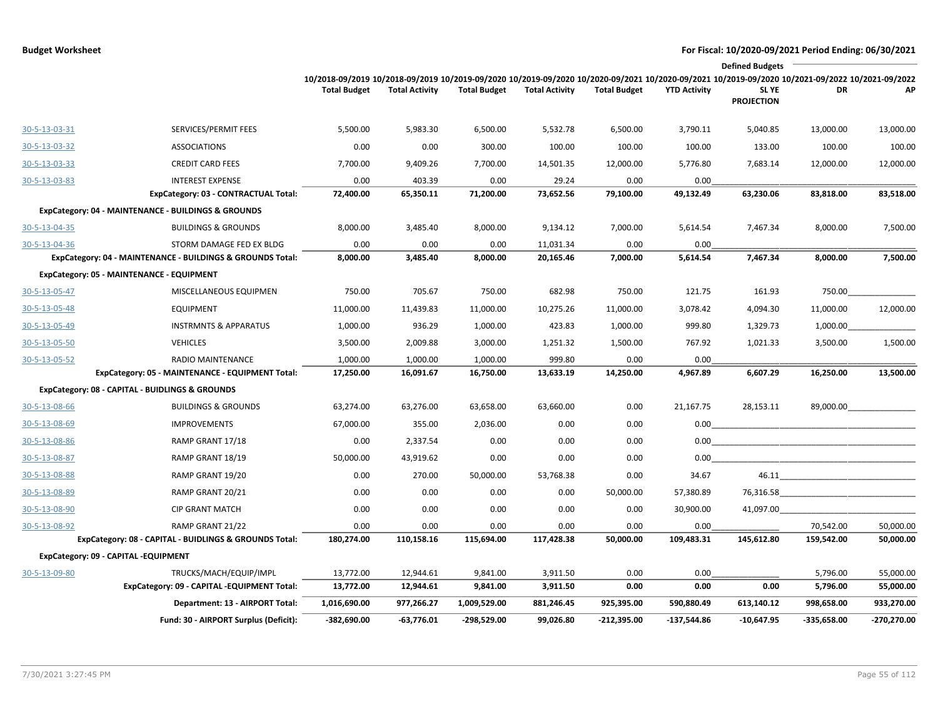|               |                                                            |                                                                                                                                                                        |                       |                     |                       |                     |                     | <b>Defined Budgets</b>     |                                                                                                                                                                                                                                     |               |
|---------------|------------------------------------------------------------|------------------------------------------------------------------------------------------------------------------------------------------------------------------------|-----------------------|---------------------|-----------------------|---------------------|---------------------|----------------------------|-------------------------------------------------------------------------------------------------------------------------------------------------------------------------------------------------------------------------------------|---------------|
|               |                                                            | 10/2018-09/2019 10/2018-09/2019 10/2019-09/2020 10/2019-09/2020 10/2020-09/2021 10/2020-09/2021 10/2019-09/2020 10/2021-09/2022 10/2021-09/2022<br><b>Total Budget</b> | <b>Total Activity</b> | <b>Total Budget</b> | <b>Total Activity</b> | <b>Total Budget</b> | <b>YTD Activity</b> | SL YE<br><b>PROJECTION</b> | DR                                                                                                                                                                                                                                  | АP            |
| 30-5-13-03-31 | SERVICES/PERMIT FEES                                       | 5,500.00                                                                                                                                                               | 5,983.30              | 6,500.00            | 5,532.78              | 6,500.00            | 3,790.11            | 5,040.85                   | 13,000.00                                                                                                                                                                                                                           | 13,000.00     |
| 30-5-13-03-32 | <b>ASSOCIATIONS</b>                                        | 0.00                                                                                                                                                                   | 0.00                  | 300.00              | 100.00                | 100.00              | 100.00              | 133.00                     | 100.00                                                                                                                                                                                                                              | 100.00        |
| 30-5-13-03-33 | <b>CREDIT CARD FEES</b>                                    | 7,700.00                                                                                                                                                               | 9,409.26              | 7,700.00            | 14,501.35             | 12,000.00           | 5,776.80            | 7,683.14                   | 12,000.00                                                                                                                                                                                                                           | 12,000.00     |
| 30-5-13-03-83 | <b>INTEREST EXPENSE</b>                                    | 0.00                                                                                                                                                                   | 403.39                | 0.00                | 29.24                 | 0.00                | 0.00                |                            |                                                                                                                                                                                                                                     |               |
|               | ExpCategory: 03 - CONTRACTUAL Total:                       | 72,400.00                                                                                                                                                              | 65,350.11             | 71,200.00           | 73,652.56             | 79,100.00           | 49,132.49           | 63,230.06                  | 83,818.00                                                                                                                                                                                                                           | 83,518.00     |
|               | ExpCategory: 04 - MAINTENANCE - BUILDINGS & GROUNDS        |                                                                                                                                                                        |                       |                     |                       |                     |                     |                            |                                                                                                                                                                                                                                     |               |
| 30-5-13-04-35 | <b>BUILDINGS &amp; GROUNDS</b>                             | 8,000.00                                                                                                                                                               | 3,485.40              | 8,000.00            | 9,134.12              | 7,000.00            | 5,614.54            | 7,467.34                   | 8,000.00                                                                                                                                                                                                                            | 7,500.00      |
| 30-5-13-04-36 | STORM DAMAGE FED EX BLDG                                   | 0.00                                                                                                                                                                   | 0.00                  | 0.00                | 11,031.34             | 0.00                | 0.00                |                            |                                                                                                                                                                                                                                     |               |
|               | ExpCategory: 04 - MAINTENANCE - BUILDINGS & GROUNDS Total: | 8,000.00                                                                                                                                                               | 3,485.40              | 8,000.00            | 20,165.46             | 7,000.00            | 5,614.54            | 7,467.34                   | 8,000.00                                                                                                                                                                                                                            | 7,500.00      |
|               | ExpCategory: 05 - MAINTENANCE - EQUIPMENT                  |                                                                                                                                                                        |                       |                     |                       |                     |                     |                            |                                                                                                                                                                                                                                     |               |
| 30-5-13-05-47 | MISCELLANEOUS EQUIPMEN                                     | 750.00                                                                                                                                                                 | 705.67                | 750.00              | 682.98                | 750.00              | 121.75              | 161.93                     | 750.00                                                                                                                                                                                                                              |               |
| 30-5-13-05-48 | <b>EQUIPMENT</b>                                           | 11,000.00                                                                                                                                                              | 11,439.83             | 11,000.00           | 10,275.26             | 11,000.00           | 3,078.42            | 4,094.30                   | 11,000.00                                                                                                                                                                                                                           | 12,000.00     |
| 30-5-13-05-49 | <b>INSTRMNTS &amp; APPARATUS</b>                           | 1,000.00                                                                                                                                                               | 936.29                | 1,000.00            | 423.83                | 1,000.00            | 999.80              | 1,329.73                   | 1,000.00                                                                                                                                                                                                                            |               |
| 30-5-13-05-50 | <b>VEHICLES</b>                                            | 3,500.00                                                                                                                                                               | 2,009.88              | 3,000.00            | 1,251.32              | 1,500.00            | 767.92              | 1,021.33                   | 3,500.00                                                                                                                                                                                                                            | 1,500.00      |
| 30-5-13-05-52 | <b>RADIO MAINTENANCE</b>                                   | 1,000.00                                                                                                                                                               | 1,000.00              | 1,000.00            | 999.80                | 0.00                | 0.00                |                            |                                                                                                                                                                                                                                     |               |
|               | ExpCategory: 05 - MAINTENANCE - EQUIPMENT Total:           | 17,250.00                                                                                                                                                              | 16,091.67             | 16,750.00           | 13,633.19             | 14,250.00           | 4,967.89            | 6,607.29                   | 16,250.00                                                                                                                                                                                                                           | 13,500.00     |
|               | ExpCategory: 08 - CAPITAL - BUIDLINGS & GROUNDS            |                                                                                                                                                                        |                       |                     |                       |                     |                     |                            |                                                                                                                                                                                                                                     |               |
| 30-5-13-08-66 | <b>BUILDINGS &amp; GROUNDS</b>                             | 63,274.00                                                                                                                                                              | 63,276.00             | 63,658.00           | 63,660.00             | 0.00                | 21,167.75           | 28,153.11                  | 89,000.00                                                                                                                                                                                                                           |               |
| 30-5-13-08-69 | <b>IMPROVEMENTS</b>                                        | 67,000.00                                                                                                                                                              | 355.00                | 2,036.00            | 0.00                  | 0.00                | 0.00                |                            |                                                                                                                                                                                                                                     |               |
| 30-5-13-08-86 | RAMP GRANT 17/18                                           | 0.00                                                                                                                                                                   | 2,337.54              | 0.00                | 0.00                  | 0.00                | 0.00                |                            |                                                                                                                                                                                                                                     |               |
| 30-5-13-08-87 | RAMP GRANT 18/19                                           | 50,000.00                                                                                                                                                              | 43,919.62             | 0.00                | 0.00                  | 0.00                | 0.00                |                            |                                                                                                                                                                                                                                     |               |
| 30-5-13-08-88 | RAMP GRANT 19/20                                           | 0.00                                                                                                                                                                   | 270.00                | 50,000.00           | 53,768.38             | 0.00                | 34.67               | 46.11                      |                                                                                                                                                                                                                                     |               |
| 30-5-13-08-89 | RAMP GRANT 20/21                                           | 0.00                                                                                                                                                                   | 0.00                  | 0.00                | 0.00                  | 50,000.00           | 57,380.89           |                            | <b>76,316.58</b> and the state of the state of the state of the state of the state of the state of the state of the state of the state of the state of the state of the state of the state of the state of the state of the state o |               |
| 30-5-13-08-90 | <b>CIP GRANT MATCH</b>                                     | 0.00                                                                                                                                                                   | 0.00                  | 0.00                | 0.00                  | 0.00                | 30,900.00           | 41,097.00                  |                                                                                                                                                                                                                                     |               |
| 30-5-13-08-92 | RAMP GRANT 21/22                                           | 0.00                                                                                                                                                                   | 0.00                  | 0.00                | 0.00                  | 0.00                | 0.00                |                            | 70,542.00                                                                                                                                                                                                                           | 50,000.00     |
|               | ExpCategory: 08 - CAPITAL - BUIDLINGS & GROUNDS Total:     | 180,274.00                                                                                                                                                             | 110,158.16            | 115,694.00          | 117,428.38            | 50,000.00           | 109,483.31          | 145,612.80                 | 159,542.00                                                                                                                                                                                                                          | 50,000.00     |
|               | ExpCategory: 09 - CAPITAL -EQUIPMENT                       |                                                                                                                                                                        |                       |                     |                       |                     |                     |                            |                                                                                                                                                                                                                                     |               |
| 30-5-13-09-80 | TRUCKS/MACH/EQUIP/IMPL                                     | 13,772.00                                                                                                                                                              | 12,944.61             | 9,841.00            | 3,911.50              | 0.00                | 0.00                |                            | 5,796.00                                                                                                                                                                                                                            | 55,000.00     |
|               | ExpCategory: 09 - CAPITAL -EQUIPMENT Total:                | 13,772.00                                                                                                                                                              | 12,944.61             | 9,841.00            | 3,911.50              | 0.00                | 0.00                | 0.00                       | 5,796.00                                                                                                                                                                                                                            | 55,000.00     |
|               | Department: 13 - AIRPORT Total:                            | 1,016,690.00                                                                                                                                                           | 977,266.27            | 1,009,529.00        | 881,246.45            | 925,395.00          | 590,880.49          | 613,140.12                 | 998,658.00                                                                                                                                                                                                                          | 933,270.00    |
|               | Fund: 30 - AIRPORT Surplus (Deficit):                      | $-382,690.00$                                                                                                                                                          | $-63,776.01$          | -298,529.00         | 99,026.80             | $-212,395.00$       | $-137,544.86$       | $-10,647.95$               | $-335,658.00$                                                                                                                                                                                                                       | $-270,270.00$ |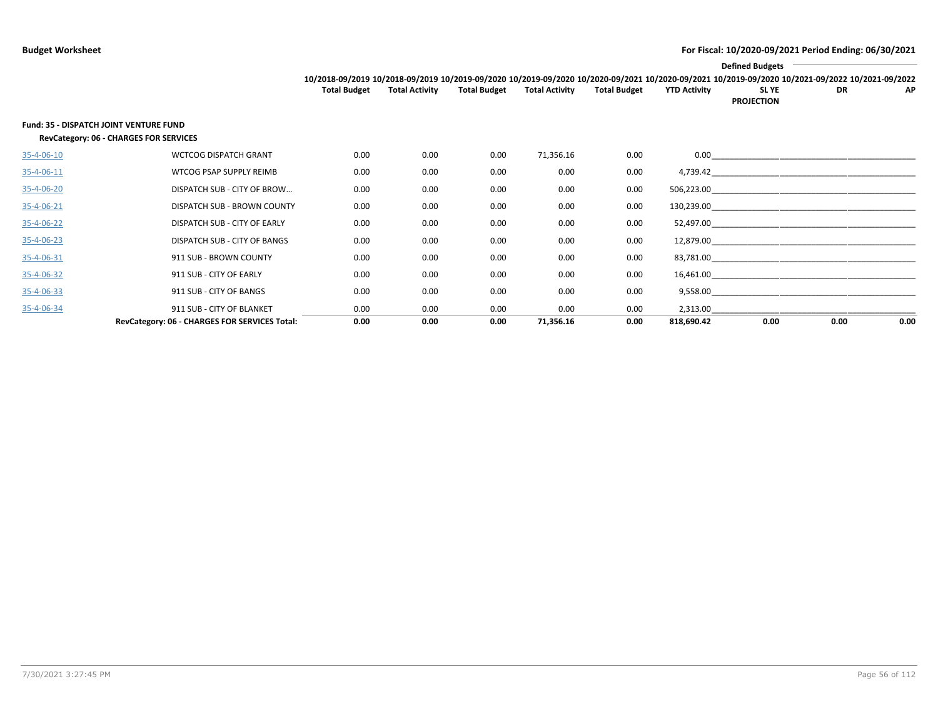|            |                                                                                         |                     |                       |                     |                       |                     |                     | <b>Defined Budgets</b>                                                                                                                          |           |      |
|------------|-----------------------------------------------------------------------------------------|---------------------|-----------------------|---------------------|-----------------------|---------------------|---------------------|-------------------------------------------------------------------------------------------------------------------------------------------------|-----------|------|
|            |                                                                                         |                     |                       |                     |                       |                     |                     | 10/2018-09/2019 10/2018-09/2019 10/2019-09/2020 10/2019-09/2020 10/2020-09/2021 10/2020-09/2021 10/2019-09/2020 10/2021-09/2022 10/2021-09/2022 |           |      |
|            |                                                                                         | <b>Total Budget</b> | <b>Total Activity</b> | <b>Total Budget</b> | <b>Total Activity</b> | <b>Total Budget</b> | <b>YTD Activity</b> | SL YE<br><b>PROJECTION</b>                                                                                                                      | <b>DR</b> | AP   |
|            | <b>Fund: 35 - DISPATCH JOINT VENTURE FUND</b><br>RevCategory: 06 - CHARGES FOR SERVICES |                     |                       |                     |                       |                     |                     |                                                                                                                                                 |           |      |
| 35-4-06-10 | <b>WCTCOG DISPATCH GRANT</b>                                                            | 0.00                | 0.00                  | 0.00                | 71,356.16             | 0.00                |                     |                                                                                                                                                 |           |      |
| 35-4-06-11 | WTCOG PSAP SUPPLY REIMB                                                                 | 0.00                | 0.00                  | 0.00                | 0.00                  | 0.00                |                     |                                                                                                                                                 |           |      |
| 35-4-06-20 | DISPATCH SUB - CITY OF BROW                                                             | 0.00                | 0.00                  | 0.00                | 0.00                  | 0.00                | 506,223.00          |                                                                                                                                                 |           |      |
| 35-4-06-21 | DISPATCH SUB - BROWN COUNTY                                                             | 0.00                | 0.00                  | 0.00                | 0.00                  | 0.00                |                     | $130,239.00$ and $\overline{\phantom{a}1}$                                                                                                      |           |      |
| 35-4-06-22 | DISPATCH SUB - CITY OF EARLY                                                            | 0.00                | 0.00                  | 0.00                | 0.00                  | 0.00                |                     |                                                                                                                                                 |           |      |
| 35-4-06-23 | DISPATCH SUB - CITY OF BANGS                                                            | 0.00                | 0.00                  | 0.00                | 0.00                  | 0.00                |                     |                                                                                                                                                 |           |      |
| 35-4-06-31 | 911 SUB - BROWN COUNTY                                                                  | 0.00                | 0.00                  | 0.00                | 0.00                  | 0.00                |                     |                                                                                                                                                 |           |      |
| 35-4-06-32 | 911 SUB - CITY OF EARLY                                                                 | 0.00                | 0.00                  | 0.00                | 0.00                  | 0.00                | 16,461.00           |                                                                                                                                                 |           |      |
| 35-4-06-33 | 911 SUB - CITY OF BANGS                                                                 | 0.00                | 0.00                  | 0.00                | 0.00                  | 0.00                |                     | 9,558.00                                                                                                                                        |           |      |
| 35-4-06-34 | 911 SUB - CITY OF BLANKET                                                               | 0.00                | 0.00                  | 0.00                | 0.00                  | 0.00                |                     |                                                                                                                                                 |           |      |
|            | RevCategory: 06 - CHARGES FOR SERVICES Total:                                           | 0.00                | 0.00                  | 0.00                | 71,356.16             | 0.00                | 818,690.42          | 0.00                                                                                                                                            | 0.00      | 0.00 |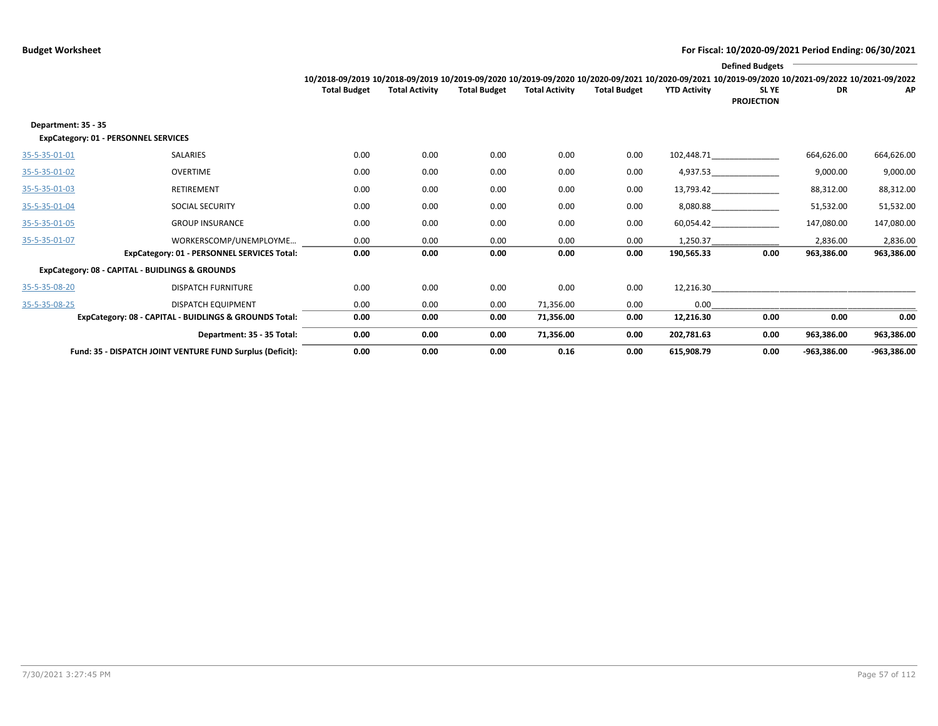|                     |                                                           |                                                                                                                                                 |                       |                     |                       |                     |                     | <b>Defined Budgets</b>           |               |               |
|---------------------|-----------------------------------------------------------|-------------------------------------------------------------------------------------------------------------------------------------------------|-----------------------|---------------------|-----------------------|---------------------|---------------------|----------------------------------|---------------|---------------|
|                     |                                                           | 10/2018-09/2019 10/2018-09/2019 10/2019-09/2020 10/2019-09/2020 10/2020-09/2021 10/2020-09/2021 10/2019-09/2020 10/2021-09/2021 10/2021-09/2022 |                       |                     |                       |                     |                     |                                  |               |               |
|                     |                                                           | <b>Total Budget</b>                                                                                                                             | <b>Total Activity</b> | <b>Total Budget</b> | <b>Total Activity</b> | <b>Total Budget</b> | <b>YTD Activity</b> | <b>SLYE</b><br><b>PROJECTION</b> | DR            | AP            |
| Department: 35 - 35 | ExpCategory: 01 - PERSONNEL SERVICES                      |                                                                                                                                                 |                       |                     |                       |                     |                     |                                  |               |               |
| 35-5-35-01-01       | SALARIES                                                  | 0.00                                                                                                                                            | 0.00                  | 0.00                | 0.00                  | 0.00                |                     | 102,448.71                       | 664,626.00    | 664,626.00    |
| 35-5-35-01-02       | OVERTIME                                                  | 0.00                                                                                                                                            | 0.00                  | 0.00                | 0.00                  | 0.00                |                     | 4,937.53                         | 9,000.00      | 9,000.00      |
| 35-5-35-01-03       | RETIREMENT                                                | 0.00                                                                                                                                            | 0.00                  | 0.00                | 0.00                  | 0.00                |                     | 13,793.42                        | 88,312.00     | 88,312.00     |
| 35-5-35-01-04       | <b>SOCIAL SECURITY</b>                                    | 0.00                                                                                                                                            | 0.00                  | 0.00                | 0.00                  | 0.00                |                     | 8,080.88                         | 51,532.00     | 51,532.00     |
| 35-5-35-01-05       | <b>GROUP INSURANCE</b>                                    | 0.00                                                                                                                                            | 0.00                  | 0.00                | 0.00                  | 0.00                |                     | 60,054.42                        | 147,080.00    | 147,080.00    |
| 35-5-35-01-07       | WORKERSCOMP/UNEMPLOYME                                    | 0.00                                                                                                                                            | 0.00                  | 0.00                | 0.00                  | 0.00                | 1,250.37            |                                  | 2,836.00      | 2,836.00      |
|                     | ExpCategory: 01 - PERSONNEL SERVICES Total:               | 0.00                                                                                                                                            | 0.00                  | 0.00                | 0.00                  | 0.00                | 190,565.33          | 0.00                             | 963,386.00    | 963,386.00    |
|                     | ExpCategory: 08 - CAPITAL - BUIDLINGS & GROUNDS           |                                                                                                                                                 |                       |                     |                       |                     |                     |                                  |               |               |
| 35-5-35-08-20       | <b>DISPATCH FURNITURE</b>                                 | 0.00                                                                                                                                            | 0.00                  | 0.00                | 0.00                  | 0.00                | 12,216.30           |                                  |               |               |
| 35-5-35-08-25       | <b>DISPATCH EQUIPMENT</b>                                 | 0.00                                                                                                                                            | 0.00                  | 0.00                | 71,356.00             | 0.00                | 0.00                |                                  |               |               |
|                     | ExpCategory: 08 - CAPITAL - BUIDLINGS & GROUNDS Total:    | 0.00                                                                                                                                            | 0.00                  | 0.00                | 71,356.00             | 0.00                | 12,216.30           | 0.00                             | 0.00          | 0.00          |
|                     | Department: 35 - 35 Total:                                | 0.00                                                                                                                                            | 0.00                  | 0.00                | 71,356.00             | 0.00                | 202,781.63          | 0.00                             | 963,386.00    | 963,386.00    |
|                     | Fund: 35 - DISPATCH JOINT VENTURE FUND Surplus (Deficit): | 0.00                                                                                                                                            | 0.00                  | 0.00                | 0.16                  | 0.00                | 615,908.79          | 0.00                             | $-963,386.00$ | $-963,386.00$ |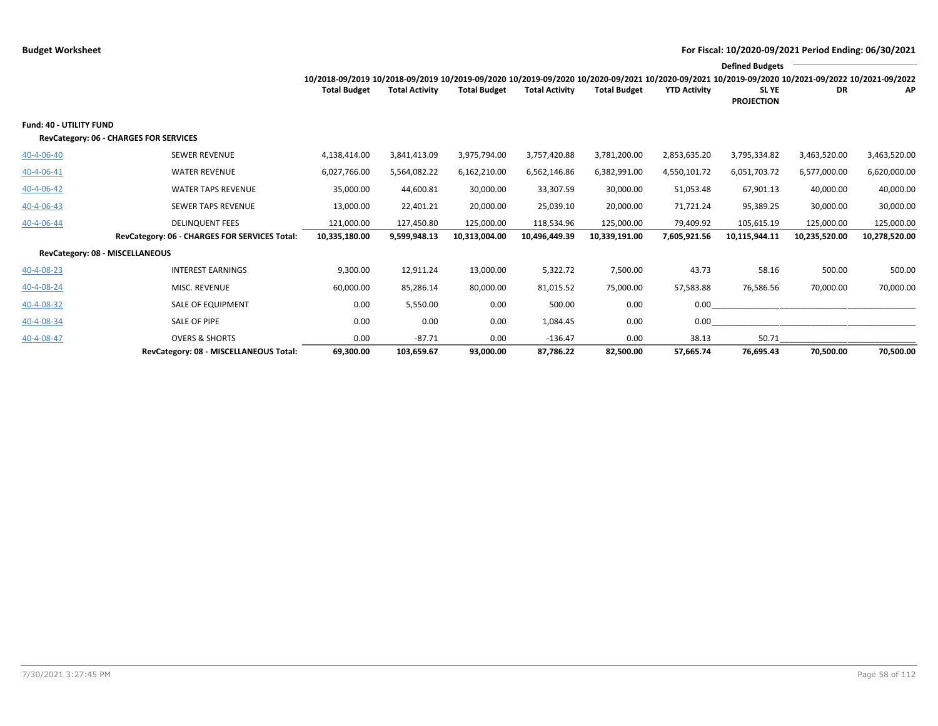|                         |                                               |                                                                                                                                                 |                       |                     |                       |                     |                     | <b>Defined Budgets</b>     |               |               |
|-------------------------|-----------------------------------------------|-------------------------------------------------------------------------------------------------------------------------------------------------|-----------------------|---------------------|-----------------------|---------------------|---------------------|----------------------------|---------------|---------------|
|                         |                                               | 10/2018-09/2019 10/2018-09/2019 10/2019-09/2020 10/2019-09/2020 10/2020-09/2021 10/2020-09/2021 10/2019-09/2020 10/2021-09/2022 10/2021-09/2022 |                       |                     |                       |                     |                     |                            |               |               |
|                         |                                               | <b>Total Budget</b>                                                                                                                             | <b>Total Activity</b> | <b>Total Budget</b> | <b>Total Activity</b> | <b>Total Budget</b> | <b>YTD Activity</b> | SL YE<br><b>PROJECTION</b> | <b>DR</b>     | AP            |
| Fund: 40 - UTILITY FUND |                                               |                                                                                                                                                 |                       |                     |                       |                     |                     |                            |               |               |
|                         | RevCategory: 06 - CHARGES FOR SERVICES        |                                                                                                                                                 |                       |                     |                       |                     |                     |                            |               |               |
| 40-4-06-40              | <b>SEWER REVENUE</b>                          | 4,138,414.00                                                                                                                                    | 3,841,413.09          | 3,975,794.00        | 3,757,420.88          | 3,781,200.00        | 2,853,635.20        | 3,795,334.82               | 3,463,520.00  | 3,463,520.00  |
| 40-4-06-41              | <b>WATER REVENUE</b>                          | 6,027,766.00                                                                                                                                    | 5,564,082.22          | 6,162,210.00        | 6,562,146.86          | 6,382,991.00        | 4,550,101.72        | 6,051,703.72               | 6,577,000.00  | 6,620,000.00  |
| 40-4-06-42              | <b>WATER TAPS REVENUE</b>                     | 35,000.00                                                                                                                                       | 44,600.81             | 30,000.00           | 33,307.59             | 30,000.00           | 51,053.48           | 67,901.13                  | 40,000.00     | 40,000.00     |
| 40-4-06-43              | <b>SEWER TAPS REVENUE</b>                     | 13,000.00                                                                                                                                       | 22,401.21             | 20,000.00           | 25,039.10             | 20,000.00           | 71,721.24           | 95,389.25                  | 30,000.00     | 30,000.00     |
| 40-4-06-44              | <b>DELINQUENT FEES</b>                        | 121,000.00                                                                                                                                      | 127,450.80            | 125,000.00          | 118,534.96            | 125,000.00          | 79,409.92           | 105,615.19                 | 125,000.00    | 125,000.00    |
|                         | RevCategory: 06 - CHARGES FOR SERVICES Total: | 10,335,180.00                                                                                                                                   | 9,599,948.13          | 10,313,004.00       | 10,496,449.39         | 10,339,191.00       | 7,605,921.56        | 10,115,944.11              | 10,235,520.00 | 10,278,520.00 |
|                         | RevCategory: 08 - MISCELLANEOUS               |                                                                                                                                                 |                       |                     |                       |                     |                     |                            |               |               |
| 40-4-08-23              | <b>INTEREST EARNINGS</b>                      | 9,300.00                                                                                                                                        | 12,911.24             | 13,000.00           | 5,322.72              | 7,500.00            | 43.73               | 58.16                      | 500.00        | 500.00        |
| 40-4-08-24              | MISC. REVENUE                                 | 60,000.00                                                                                                                                       | 85,286.14             | 80,000.00           | 81,015.52             | 75,000.00           | 57,583.88           | 76,586.56                  | 70,000.00     | 70,000.00     |
| 40-4-08-32              | SALE OF EQUIPMENT                             | 0.00                                                                                                                                            | 5,550.00              | 0.00                | 500.00                | 0.00                | 0.00                |                            |               |               |
| 40-4-08-34              | SALE OF PIPE                                  | 0.00                                                                                                                                            | 0.00                  | 0.00                | 1,084.45              | 0.00                | 0.00                |                            |               |               |
| 40-4-08-47              | <b>OVERS &amp; SHORTS</b>                     | 0.00                                                                                                                                            | $-87.71$              | 0.00                | $-136.47$             | 0.00                | 38.13               | 50.71                      |               |               |
|                         | RevCategory: 08 - MISCELLANEOUS Total:        | 69,300.00                                                                                                                                       | 103,659.67            | 93,000.00           | 87,786.22             | 82,500.00           | 57,665.74           | 76,695.43                  | 70,500.00     | 70,500.00     |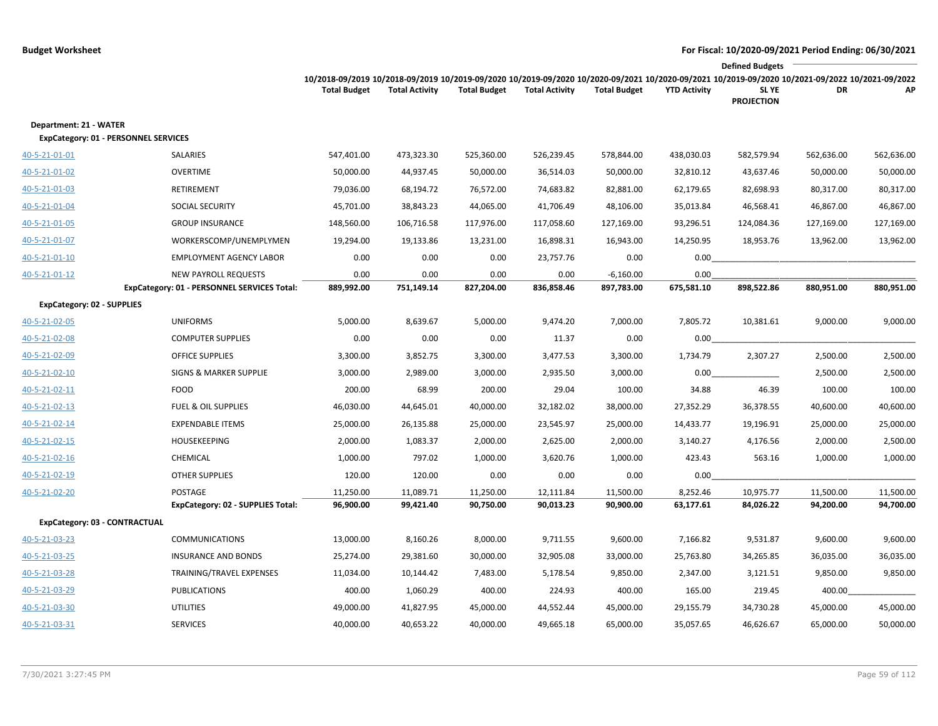|                                                                |                                             |                                                                                                                                                                        |                       |                     |                       |                     |                     | <b>Defined Budgets</b>     |            |            |
|----------------------------------------------------------------|---------------------------------------------|------------------------------------------------------------------------------------------------------------------------------------------------------------------------|-----------------------|---------------------|-----------------------|---------------------|---------------------|----------------------------|------------|------------|
|                                                                |                                             | 10/2018-09/2019 10/2018-09/2019 10/2019-09/2020 10/2019-09/2020 10/2020-09/2021 10/2020-09/2021 10/2019-09/2020 10/2021-09/2022 10/2021-09/2022<br><b>Total Budget</b> | <b>Total Activity</b> | <b>Total Budget</b> | <b>Total Activity</b> | <b>Total Budget</b> | <b>YTD Activity</b> | SL YE<br><b>PROJECTION</b> | DR         | AP         |
| Department: 21 - WATER<br>ExpCategory: 01 - PERSONNEL SERVICES |                                             |                                                                                                                                                                        |                       |                     |                       |                     |                     |                            |            |            |
| 40-5-21-01-01                                                  | SALARIES                                    | 547,401.00                                                                                                                                                             | 473,323.30            | 525,360.00          | 526,239.45            | 578,844.00          | 438,030.03          | 582,579.94                 | 562,636.00 | 562,636.00 |
| 40-5-21-01-02                                                  | <b>OVERTIME</b>                             | 50,000.00                                                                                                                                                              | 44,937.45             | 50,000.00           | 36,514.03             | 50,000.00           | 32,810.12           | 43,637.46                  | 50,000.00  | 50,000.00  |
| 40-5-21-01-03                                                  | RETIREMENT                                  | 79,036.00                                                                                                                                                              | 68,194.72             | 76,572.00           | 74,683.82             | 82,881.00           | 62,179.65           | 82,698.93                  | 80,317.00  | 80,317.00  |
| 40-5-21-01-04                                                  | SOCIAL SECURITY                             | 45,701.00                                                                                                                                                              | 38,843.23             | 44,065.00           | 41,706.49             | 48,106.00           | 35,013.84           | 46,568.41                  | 46,867.00  | 46,867.00  |
| 40-5-21-01-05                                                  | <b>GROUP INSURANCE</b>                      | 148,560.00                                                                                                                                                             | 106,716.58            | 117,976.00          | 117,058.60            | 127,169.00          | 93,296.51           | 124,084.36                 | 127,169.00 | 127,169.00 |
| 40-5-21-01-07                                                  | WORKERSCOMP/UNEMPLYMEN                      | 19,294.00                                                                                                                                                              | 19,133.86             | 13,231.00           | 16,898.31             | 16,943.00           | 14,250.95           | 18,953.76                  | 13,962.00  | 13,962.00  |
| 40-5-21-01-10                                                  | <b>EMPLOYMENT AGENCY LABOR</b>              | 0.00                                                                                                                                                                   | 0.00                  | 0.00                | 23,757.76             | 0.00                | 0.00                |                            |            |            |
| 40-5-21-01-12                                                  | <b>NEW PAYROLL REQUESTS</b>                 | 0.00                                                                                                                                                                   | 0.00                  | 0.00                | 0.00                  | $-6,160.00$         | 0.00                |                            |            |            |
|                                                                | ExpCategory: 01 - PERSONNEL SERVICES Total: | 889,992.00                                                                                                                                                             | 751,149.14            | 827,204.00          | 836,858.46            | 897,783.00          | 675,581.10          | 898,522.86                 | 880,951.00 | 880,951.00 |
| <b>ExpCategory: 02 - SUPPLIES</b>                              |                                             |                                                                                                                                                                        |                       |                     |                       |                     |                     |                            |            |            |
| 40-5-21-02-05                                                  | <b>UNIFORMS</b>                             | 5,000.00                                                                                                                                                               | 8,639.67              | 5,000.00            | 9,474.20              | 7,000.00            | 7,805.72            | 10,381.61                  | 9,000.00   | 9,000.00   |
| 40-5-21-02-08                                                  | <b>COMPUTER SUPPLIES</b>                    | 0.00                                                                                                                                                                   | 0.00                  | 0.00                | 11.37                 | 0.00                | 0.00                |                            |            |            |
| 40-5-21-02-09                                                  | <b>OFFICE SUPPLIES</b>                      | 3,300.00                                                                                                                                                               | 3,852.75              | 3,300.00            | 3,477.53              | 3,300.00            | 1,734.79            | 2,307.27                   | 2,500.00   | 2,500.00   |
| 40-5-21-02-10                                                  | <b>SIGNS &amp; MARKER SUPPLIE</b>           | 3,000.00                                                                                                                                                               | 2,989.00              | 3,000.00            | 2,935.50              | 3,000.00            | 0.00                |                            | 2,500.00   | 2,500.00   |
| 40-5-21-02-11                                                  | <b>FOOD</b>                                 | 200.00                                                                                                                                                                 | 68.99                 | 200.00              | 29.04                 | 100.00              | 34.88               | 46.39                      | 100.00     | 100.00     |
| 40-5-21-02-13                                                  | <b>FUEL &amp; OIL SUPPLIES</b>              | 46,030.00                                                                                                                                                              | 44,645.01             | 40,000.00           | 32,182.02             | 38,000.00           | 27,352.29           | 36,378.55                  | 40,600.00  | 40,600.00  |
| 40-5-21-02-14                                                  | <b>EXPENDABLE ITEMS</b>                     | 25,000.00                                                                                                                                                              | 26,135.88             | 25,000.00           | 23,545.97             | 25,000.00           | 14,433.77           | 19,196.91                  | 25,000.00  | 25,000.00  |
| 40-5-21-02-15                                                  | HOUSEKEEPING                                | 2,000.00                                                                                                                                                               | 1,083.37              | 2,000.00            | 2,625.00              | 2,000.00            | 3,140.27            | 4,176.56                   | 2,000.00   | 2,500.00   |
| 40-5-21-02-16                                                  | CHEMICAL                                    | 1,000.00                                                                                                                                                               | 797.02                | 1,000.00            | 3,620.76              | 1,000.00            | 423.43              | 563.16                     | 1,000.00   | 1,000.00   |
| 40-5-21-02-19                                                  | <b>OTHER SUPPLIES</b>                       | 120.00                                                                                                                                                                 | 120.00                | 0.00                | 0.00                  | 0.00                | 0.00                |                            |            |            |
| 40-5-21-02-20                                                  | POSTAGE                                     | 11,250.00                                                                                                                                                              | 11,089.71             | 11,250.00           | 12,111.84             | 11,500.00           | 8,252.46            | 10,975.77                  | 11,500.00  | 11,500.00  |
|                                                                | ExpCategory: 02 - SUPPLIES Total:           | 96,900.00                                                                                                                                                              | 99,421.40             | 90,750.00           | 90,013.23             | 90,900.00           | 63,177.61           | 84,026.22                  | 94,200.00  | 94,700.00  |
| ExpCategory: 03 - CONTRACTUAL                                  |                                             |                                                                                                                                                                        |                       |                     |                       |                     |                     |                            |            |            |
| 40-5-21-03-23                                                  | <b>COMMUNICATIONS</b>                       | 13,000.00                                                                                                                                                              | 8,160.26              | 8,000.00            | 9,711.55              | 9,600.00            | 7,166.82            | 9,531.87                   | 9,600.00   | 9,600.00   |
| 40-5-21-03-25                                                  | <b>INSURANCE AND BONDS</b>                  | 25,274.00                                                                                                                                                              | 29,381.60             | 30,000.00           | 32,905.08             | 33,000.00           | 25,763.80           | 34,265.85                  | 36,035.00  | 36,035.00  |
| 40-5-21-03-28                                                  | TRAINING/TRAVEL EXPENSES                    | 11,034.00                                                                                                                                                              | 10,144.42             | 7,483.00            | 5,178.54              | 9,850.00            | 2,347.00            | 3,121.51                   | 9,850.00   | 9,850.00   |
| 40-5-21-03-29                                                  | <b>PUBLICATIONS</b>                         | 400.00                                                                                                                                                                 | 1,060.29              | 400.00              | 224.93                | 400.00              | 165.00              | 219.45                     | 400.00     |            |
| 40-5-21-03-30                                                  | <b>UTILITIES</b>                            | 49,000.00                                                                                                                                                              | 41,827.95             | 45,000.00           | 44,552.44             | 45,000.00           | 29,155.79           | 34,730.28                  | 45,000.00  | 45,000.00  |
| 40-5-21-03-31                                                  | <b>SERVICES</b>                             | 40,000.00                                                                                                                                                              | 40,653.22             | 40,000.00           | 49,665.18             | 65,000.00           | 35,057.65           | 46,626.67                  | 65,000.00  | 50,000.00  |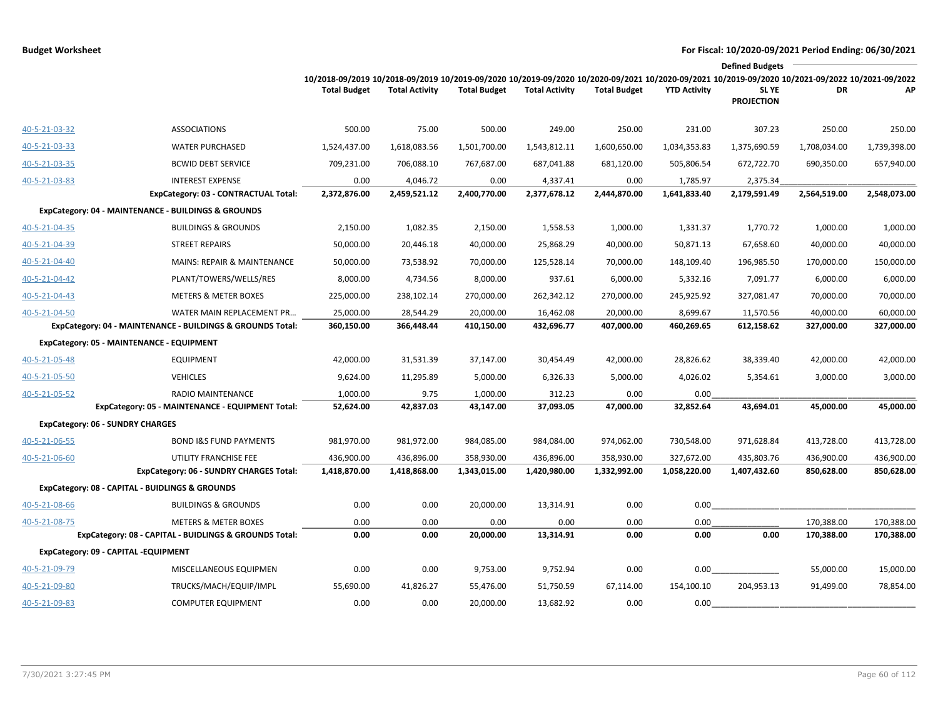|               |                                                            |                                                                                                                                                                        |                       |                     |                       |                     |                     | <b>Defined Budgets</b>           |              |              |
|---------------|------------------------------------------------------------|------------------------------------------------------------------------------------------------------------------------------------------------------------------------|-----------------------|---------------------|-----------------------|---------------------|---------------------|----------------------------------|--------------|--------------|
|               |                                                            | 10/2018-09/2019 10/2018-09/2019 10/2019-09/2020 10/2019-09/2020 10/2020-09/2021 10/2020-09/2021 10/2019-09/2020 10/2021-09/2022 10/2021-09/2022<br><b>Total Budget</b> | <b>Total Activity</b> | <b>Total Budget</b> | <b>Total Activity</b> | <b>Total Budget</b> | <b>YTD Activity</b> | <b>SLYE</b><br><b>PROJECTION</b> | DR           | AP           |
| 40-5-21-03-32 | <b>ASSOCIATIONS</b>                                        | 500.00                                                                                                                                                                 | 75.00                 | 500.00              | 249.00                | 250.00              | 231.00              | 307.23                           | 250.00       | 250.00       |
| 40-5-21-03-33 | <b>WATER PURCHASED</b>                                     | 1,524,437.00                                                                                                                                                           | 1,618,083.56          | 1,501,700.00        | 1,543,812.11          | 1,600,650.00        | 1,034,353.83        | 1,375,690.59                     | 1,708,034.00 | 1,739,398.00 |
| 40-5-21-03-35 | <b>BCWID DEBT SERVICE</b>                                  | 709,231.00                                                                                                                                                             | 706,088.10            | 767,687.00          | 687,041.88            | 681,120.00          | 505,806.54          | 672,722.70                       | 690,350.00   | 657,940.00   |
| 40-5-21-03-83 | <b>INTEREST EXPENSE</b>                                    | 0.00                                                                                                                                                                   | 4,046.72              | 0.00                | 4,337.41              | 0.00                | 1,785.97            | 2,375.34                         |              |              |
|               | ExpCategory: 03 - CONTRACTUAL Total:                       | 2,372,876.00                                                                                                                                                           | 2,459,521.12          | 2,400,770.00        | 2,377,678.12          | 2,444,870.00        | 1,641,833.40        | 2,179,591.49                     | 2,564,519.00 | 2,548,073.00 |
|               | ExpCategory: 04 - MAINTENANCE - BUILDINGS & GROUNDS        |                                                                                                                                                                        |                       |                     |                       |                     |                     |                                  |              |              |
| 40-5-21-04-35 | <b>BUILDINGS &amp; GROUNDS</b>                             | 2,150.00                                                                                                                                                               | 1,082.35              | 2,150.00            | 1,558.53              | 1,000.00            | 1,331.37            | 1,770.72                         | 1,000.00     | 1,000.00     |
| 40-5-21-04-39 | <b>STREET REPAIRS</b>                                      | 50,000.00                                                                                                                                                              | 20,446.18             | 40,000.00           | 25,868.29             | 40,000.00           | 50,871.13           | 67,658.60                        | 40,000.00    | 40,000.00    |
| 40-5-21-04-40 | MAINS: REPAIR & MAINTENANCE                                | 50,000.00                                                                                                                                                              | 73,538.92             | 70,000.00           | 125,528.14            | 70,000.00           | 148,109.40          | 196,985.50                       | 170,000.00   | 150,000.00   |
| 40-5-21-04-42 | PLANT/TOWERS/WELLS/RES                                     | 8,000.00                                                                                                                                                               | 4,734.56              | 8,000.00            | 937.61                | 6,000.00            | 5,332.16            | 7,091.77                         | 6,000.00     | 6,000.00     |
| 40-5-21-04-43 | METERS & METER BOXES                                       | 225,000.00                                                                                                                                                             | 238,102.14            | 270,000.00          | 262,342.12            | 270,000.00          | 245,925.92          | 327,081.47                       | 70,000.00    | 70,000.00    |
| 40-5-21-04-50 | WATER MAIN REPLACEMENT PR                                  | 25,000.00                                                                                                                                                              | 28,544.29             | 20,000.00           | 16,462.08             | 20,000.00           | 8,699.67            | 11,570.56                        | 40,000.00    | 60,000.00    |
|               | ExpCategory: 04 - MAINTENANCE - BUILDINGS & GROUNDS Total: | 360,150.00                                                                                                                                                             | 366,448.44            | 410,150.00          | 432,696.77            | 407,000.00          | 460,269.65          | 612,158.62                       | 327,000.00   | 327,000.00   |
|               | ExpCategory: 05 - MAINTENANCE - EQUIPMENT                  |                                                                                                                                                                        |                       |                     |                       |                     |                     |                                  |              |              |
| 40-5-21-05-48 | <b>EQUIPMENT</b>                                           | 42,000.00                                                                                                                                                              | 31,531.39             | 37,147.00           | 30,454.49             | 42,000.00           | 28,826.62           | 38,339.40                        | 42,000.00    | 42,000.00    |
| 40-5-21-05-50 | <b>VEHICLES</b>                                            | 9,624.00                                                                                                                                                               | 11,295.89             | 5,000.00            | 6,326.33              | 5,000.00            | 4,026.02            | 5,354.61                         | 3,000.00     | 3,000.00     |
| 40-5-21-05-52 | RADIO MAINTENANCE                                          | 1,000.00                                                                                                                                                               | 9.75                  | 1,000.00            | 312.23                | 0.00                | 0.00                |                                  |              |              |
|               | ExpCategory: 05 - MAINTENANCE - EQUIPMENT Total:           | 52,624.00                                                                                                                                                              | 42,837.03             | 43,147.00           | 37,093.05             | 47,000.00           | 32,852.64           | 43,694.01                        | 45,000.00    | 45,000.00    |
|               | <b>ExpCategory: 06 - SUNDRY CHARGES</b>                    |                                                                                                                                                                        |                       |                     |                       |                     |                     |                                  |              |              |
| 40-5-21-06-55 | <b>BOND I&amp;S FUND PAYMENTS</b>                          | 981,970.00                                                                                                                                                             | 981,972.00            | 984,085.00          | 984,084.00            | 974,062.00          | 730,548.00          | 971,628.84                       | 413,728.00   | 413,728.00   |
| 40-5-21-06-60 | UTILITY FRANCHISE FEE                                      | 436,900.00                                                                                                                                                             | 436,896.00            | 358,930.00          | 436,896.00            | 358,930.00          | 327,672.00          | 435,803.76                       | 436,900.00   | 436,900.00   |
|               | ExpCategory: 06 - SUNDRY CHARGES Total:                    | 1,418,870.00                                                                                                                                                           | 1,418,868.00          | 1,343,015.00        | 1,420,980.00          | 1,332,992.00        | 1,058,220.00        | 1,407,432.60                     | 850,628.00   | 850,628.00   |
|               | ExpCategory: 08 - CAPITAL - BUIDLINGS & GROUNDS            |                                                                                                                                                                        |                       |                     |                       |                     |                     |                                  |              |              |
| 40-5-21-08-66 | <b>BUILDINGS &amp; GROUNDS</b>                             | 0.00                                                                                                                                                                   | 0.00                  | 20,000.00           | 13,314.91             | 0.00                | 0.00                |                                  |              |              |
| 40-5-21-08-75 | <b>METERS &amp; METER BOXES</b>                            | 0.00                                                                                                                                                                   | 0.00                  | 0.00                | 0.00                  | 0.00                | 0.00                |                                  | 170,388.00   | 170,388.00   |
|               | ExpCategory: 08 - CAPITAL - BUIDLINGS & GROUNDS Total:     | 0.00                                                                                                                                                                   | 0.00                  | 20,000.00           | 13,314.91             | 0.00                | 0.00                | 0.00                             | 170,388.00   | 170,388.00   |
|               | ExpCategory: 09 - CAPITAL -EQUIPMENT                       |                                                                                                                                                                        |                       |                     |                       |                     |                     |                                  |              |              |
| 40-5-21-09-79 | MISCELLANEOUS EQUIPMEN                                     | 0.00                                                                                                                                                                   | 0.00                  | 9,753.00            | 9,752.94              | 0.00                | 0.00                |                                  | 55,000.00    | 15,000.00    |
| 40-5-21-09-80 | TRUCKS/MACH/EQUIP/IMPL                                     | 55,690.00                                                                                                                                                              | 41,826.27             | 55,476.00           | 51,750.59             | 67,114.00           | 154,100.10          | 204,953.13                       | 91,499.00    | 78,854.00    |
| 40-5-21-09-83 | <b>COMPUTER EQUIPMENT</b>                                  | 0.00                                                                                                                                                                   | 0.00                  | 20,000.00           | 13,682.92             | 0.00                | 0.00                |                                  |              |              |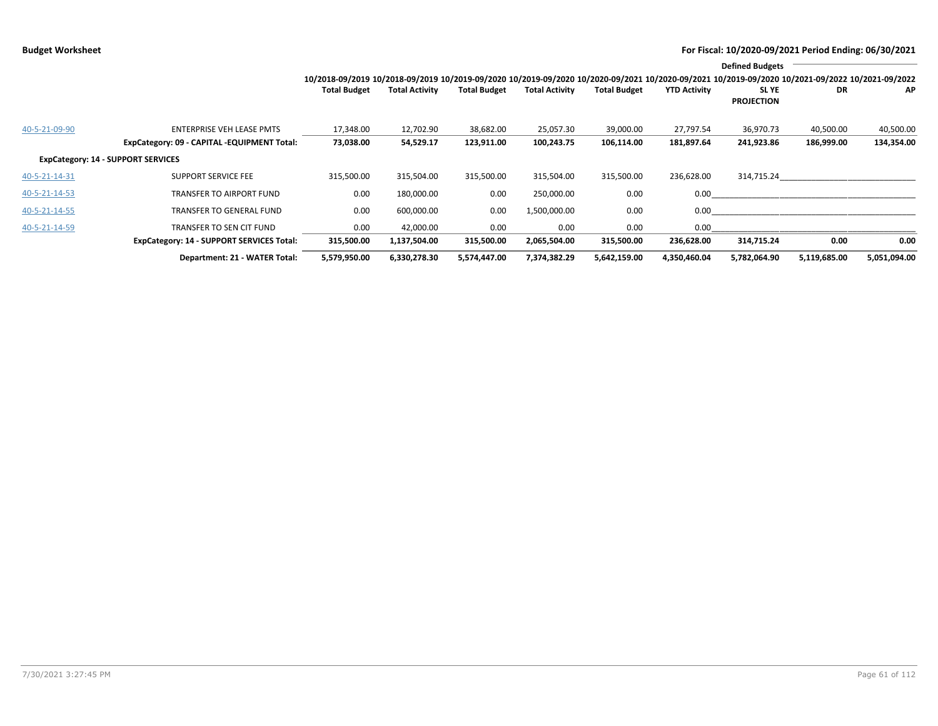|                                           |                                                                                 | 10/2018-09/2019 10/2018-09/2019 10/2019-09/2020 10/2019-09/2020 10/2020-09/2021 10/2020-09/2021 10/2019-09/2020 10/2021-09/2022 10/2021-09/2022 |                        |                         |                         |                         |                         | <b>Defined Budgets</b>     |                         |                         |
|-------------------------------------------|---------------------------------------------------------------------------------|-------------------------------------------------------------------------------------------------------------------------------------------------|------------------------|-------------------------|-------------------------|-------------------------|-------------------------|----------------------------|-------------------------|-------------------------|
|                                           |                                                                                 | <b>Total Budget</b>                                                                                                                             | <b>Total Activity</b>  | <b>Total Budget</b>     | <b>Total Activity</b>   | <b>Total Budget</b>     | <b>YTD Activity</b>     | SL YE<br><b>PROJECTION</b> | DR                      | AP.                     |
| 40-5-21-09-90                             | <b>ENTERPRISE VEH LEASE PMTS</b><br>ExpCategory: 09 - CAPITAL -EQUIPMENT Total: | 17,348.00<br>73,038.00                                                                                                                          | 12,702.90<br>54,529.17 | 38,682.00<br>123,911.00 | 25,057.30<br>100,243.75 | 39,000.00<br>106,114.00 | 27,797.54<br>181,897.64 | 36,970.73<br>241,923.86    | 40,500.00<br>186,999.00 | 40,500.00<br>134,354.00 |
| <b>ExpCategory: 14 - SUPPORT SERVICES</b> |                                                                                 |                                                                                                                                                 |                        |                         |                         |                         |                         |                            |                         |                         |
| 40-5-21-14-31                             | <b>SUPPORT SERVICE FEE</b>                                                      | 315,500.00                                                                                                                                      | 315,504.00             | 315,500.00              | 315,504.00              | 315,500.00              | 236,628.00              | 314,715.24                 |                         |                         |
| 40-5-21-14-53                             | TRANSFER TO AIRPORT FUND                                                        | 0.00                                                                                                                                            | 180,000.00             | 0.00                    | 250,000.00              | 0.00                    | 0.00                    |                            |                         |                         |
| 40-5-21-14-55                             | TRANSFER TO GENERAL FUND                                                        | 0.00                                                                                                                                            | 600,000.00             | 0.00                    | 1,500,000.00            | 0.00                    | 0.00                    |                            |                         |                         |
| 40-5-21-14-59                             | <b>TRANSFER TO SEN CIT FUND</b>                                                 | 0.00                                                                                                                                            | 42,000.00              | 0.00                    | 0.00                    | 0.00                    | 0.00                    |                            |                         |                         |
|                                           | <b>ExpCategory: 14 - SUPPORT SERVICES Total:</b>                                | 315,500.00                                                                                                                                      | 1,137,504.00           | 315,500.00              | 2,065,504.00            | 315,500.00              | 236,628.00              | 314,715.24                 | 0.00                    | 0.00                    |
|                                           | Department: 21 - WATER Total:                                                   | 5,579,950.00                                                                                                                                    | 6,330,278.30           | 5,574,447.00            | 7,374,382.29            | 5,642,159.00            | 4,350,460.04            | 5,782,064.90               | 5,119,685.00            | 5,051,094.00            |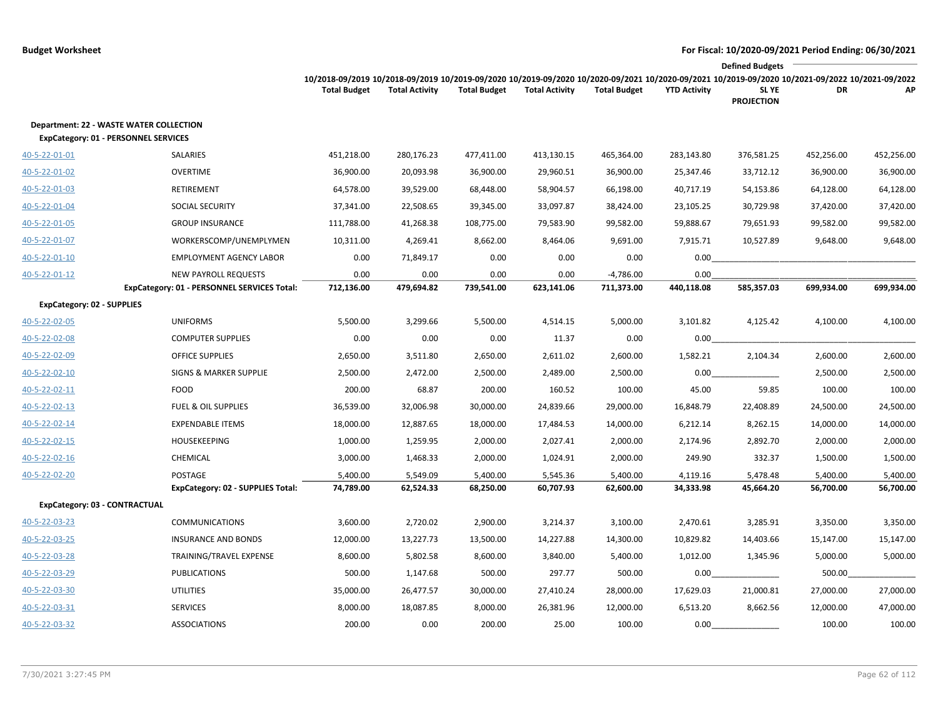|                                                                                        |                                             |                                                                                                                                                                        |                       |                     |                       |                     |                     | <b>Defined Budgets</b>           |            |            |
|----------------------------------------------------------------------------------------|---------------------------------------------|------------------------------------------------------------------------------------------------------------------------------------------------------------------------|-----------------------|---------------------|-----------------------|---------------------|---------------------|----------------------------------|------------|------------|
|                                                                                        |                                             | 10/2018-09/2019 10/2018-09/2019 10/2019-09/2020 10/2019-09/2020 10/2020-09/2021 10/2020-09/2021 10/2019-09/2020 10/2021-09/2022 10/2021-09/2022<br><b>Total Budget</b> | <b>Total Activity</b> | <b>Total Budget</b> | <b>Total Activity</b> | <b>Total Budget</b> | <b>YTD Activity</b> | <b>SLYE</b><br><b>PROJECTION</b> | DR         | АP         |
| <b>Department: 22 - WASTE WATER COLLECTION</b><br>ExpCategory: 01 - PERSONNEL SERVICES |                                             |                                                                                                                                                                        |                       |                     |                       |                     |                     |                                  |            |            |
| 40-5-22-01-01                                                                          | SALARIES                                    | 451,218.00                                                                                                                                                             | 280,176.23            | 477,411.00          | 413,130.15            | 465,364.00          | 283,143.80          | 376,581.25                       | 452,256.00 | 452,256.00 |
| 40-5-22-01-02                                                                          | <b>OVERTIME</b>                             | 36,900.00                                                                                                                                                              | 20,093.98             | 36,900.00           | 29,960.51             | 36,900.00           | 25,347.46           | 33,712.12                        | 36,900.00  | 36,900.00  |
| 40-5-22-01-03                                                                          | <b>RETIREMENT</b>                           | 64,578.00                                                                                                                                                              | 39,529.00             | 68,448.00           | 58,904.57             | 66,198.00           | 40,717.19           | 54,153.86                        | 64,128.00  | 64,128.00  |
| 40-5-22-01-04                                                                          | <b>SOCIAL SECURITY</b>                      | 37,341.00                                                                                                                                                              | 22,508.65             | 39,345.00           | 33,097.87             | 38,424.00           | 23,105.25           | 30,729.98                        | 37,420.00  | 37,420.00  |
| 40-5-22-01-05                                                                          | <b>GROUP INSURANCE</b>                      | 111,788.00                                                                                                                                                             | 41,268.38             | 108,775.00          | 79,583.90             | 99,582.00           | 59,888.67           | 79,651.93                        | 99,582.00  | 99,582.00  |
| 40-5-22-01-07                                                                          | WORKERSCOMP/UNEMPLYMEN                      | 10,311.00                                                                                                                                                              | 4,269.41              | 8,662.00            | 8,464.06              | 9,691.00            | 7,915.71            | 10,527.89                        | 9,648.00   | 9,648.00   |
| 40-5-22-01-10                                                                          | <b>EMPLOYMENT AGENCY LABOR</b>              | 0.00                                                                                                                                                                   | 71,849.17             | 0.00                | 0.00                  | 0.00                | 0.00                |                                  |            |            |
| 40-5-22-01-12                                                                          | <b>NEW PAYROLL REQUESTS</b>                 | 0.00                                                                                                                                                                   | 0.00                  | 0.00                | 0.00                  | $-4,786.00$         | 0.00                |                                  |            |            |
|                                                                                        | ExpCategory: 01 - PERSONNEL SERVICES Total: | 712,136.00                                                                                                                                                             | 479,694.82            | 739,541.00          | 623,141.06            | 711,373.00          | 440,118.08          | 585,357.03                       | 699,934.00 | 699,934.00 |
| <b>ExpCategory: 02 - SUPPLIES</b>                                                      |                                             |                                                                                                                                                                        |                       |                     |                       |                     |                     |                                  |            |            |
| 40-5-22-02-05                                                                          | <b>UNIFORMS</b>                             | 5,500.00                                                                                                                                                               | 3,299.66              | 5,500.00            | 4,514.15              | 5,000.00            | 3,101.82            | 4,125.42                         | 4,100.00   | 4,100.00   |
| 40-5-22-02-08                                                                          | <b>COMPUTER SUPPLIES</b>                    | 0.00                                                                                                                                                                   | 0.00                  | 0.00                | 11.37                 | 0.00                | 0.00                |                                  |            |            |
| 40-5-22-02-09                                                                          | <b>OFFICE SUPPLIES</b>                      | 2,650.00                                                                                                                                                               | 3,511.80              | 2,650.00            | 2,611.02              | 2,600.00            | 1,582.21            | 2,104.34                         | 2,600.00   | 2,600.00   |
| 40-5-22-02-10                                                                          | <b>SIGNS &amp; MARKER SUPPLIE</b>           | 2,500.00                                                                                                                                                               | 2,472.00              | 2,500.00            | 2,489.00              | 2,500.00            | 0.00                |                                  | 2,500.00   | 2,500.00   |
| 40-5-22-02-11                                                                          | FOOD                                        | 200.00                                                                                                                                                                 | 68.87                 | 200.00              | 160.52                | 100.00              | 45.00               | 59.85                            | 100.00     | 100.00     |
| 40-5-22-02-13                                                                          | <b>FUEL &amp; OIL SUPPLIES</b>              | 36,539.00                                                                                                                                                              | 32,006.98             | 30,000.00           | 24,839.66             | 29,000.00           | 16,848.79           | 22,408.89                        | 24,500.00  | 24,500.00  |
| 40-5-22-02-14                                                                          | <b>EXPENDABLE ITEMS</b>                     | 18,000.00                                                                                                                                                              | 12,887.65             | 18,000.00           | 17,484.53             | 14,000.00           | 6,212.14            | 8,262.15                         | 14,000.00  | 14,000.00  |
| 40-5-22-02-15                                                                          | <b>HOUSEKEEPING</b>                         | 1,000.00                                                                                                                                                               | 1,259.95              | 2,000.00            | 2,027.41              | 2,000.00            | 2,174.96            | 2,892.70                         | 2,000.00   | 2,000.00   |
| 40-5-22-02-16                                                                          | CHEMICAL                                    | 3,000.00                                                                                                                                                               | 1,468.33              | 2,000.00            | 1,024.91              | 2,000.00            | 249.90              | 332.37                           | 1,500.00   | 1,500.00   |
| 40-5-22-02-20                                                                          | <b>POSTAGE</b>                              | 5,400.00                                                                                                                                                               | 5,549.09              | 5,400.00            | 5,545.36              | 5,400.00            | 4,119.16            | 5,478.48                         | 5,400.00   | 5,400.00   |
|                                                                                        | ExpCategory: 02 - SUPPLIES Total:           | 74,789.00                                                                                                                                                              | 62,524.33             | 68,250.00           | 60,707.93             | 62,600.00           | 34,333.98           | 45,664.20                        | 56,700.00  | 56,700.00  |
| <b>ExpCategory: 03 - CONTRACTUAL</b>                                                   |                                             |                                                                                                                                                                        |                       |                     |                       |                     |                     |                                  |            |            |
| 40-5-22-03-23                                                                          | <b>COMMUNICATIONS</b>                       | 3,600.00                                                                                                                                                               | 2,720.02              | 2,900.00            | 3,214.37              | 3,100.00            | 2,470.61            | 3,285.91                         | 3,350.00   | 3,350.00   |
| 40-5-22-03-25                                                                          | <b>INSURANCE AND BONDS</b>                  | 12,000.00                                                                                                                                                              | 13,227.73             | 13,500.00           | 14,227.88             | 14,300.00           | 10,829.82           | 14,403.66                        | 15,147.00  | 15,147.00  |
| 40-5-22-03-28                                                                          | TRAINING/TRAVEL EXPENSE                     | 8,600.00                                                                                                                                                               | 5,802.58              | 8,600.00            | 3,840.00              | 5,400.00            | 1,012.00            | 1,345.96                         | 5,000.00   | 5,000.00   |
| 40-5-22-03-29                                                                          | <b>PUBLICATIONS</b>                         | 500.00                                                                                                                                                                 | 1,147.68              | 500.00              | 297.77                | 500.00              | 0.00                |                                  | 500.00     |            |
| 40-5-22-03-30                                                                          | UTILITIES                                   | 35,000.00                                                                                                                                                              | 26,477.57             | 30,000.00           | 27,410.24             | 28,000.00           | 17,629.03           | 21,000.81                        | 27,000.00  | 27,000.00  |
| 40-5-22-03-31                                                                          | <b>SERVICES</b>                             | 8,000.00                                                                                                                                                               | 18,087.85             | 8,000.00            | 26,381.96             | 12,000.00           | 6,513.20            | 8,662.56                         | 12,000.00  | 47,000.00  |
| 40-5-22-03-32                                                                          | <b>ASSOCIATIONS</b>                         | 200.00                                                                                                                                                                 | 0.00                  | 200.00              | 25.00                 | 100.00              | 0.00                |                                  | 100.00     | 100.00     |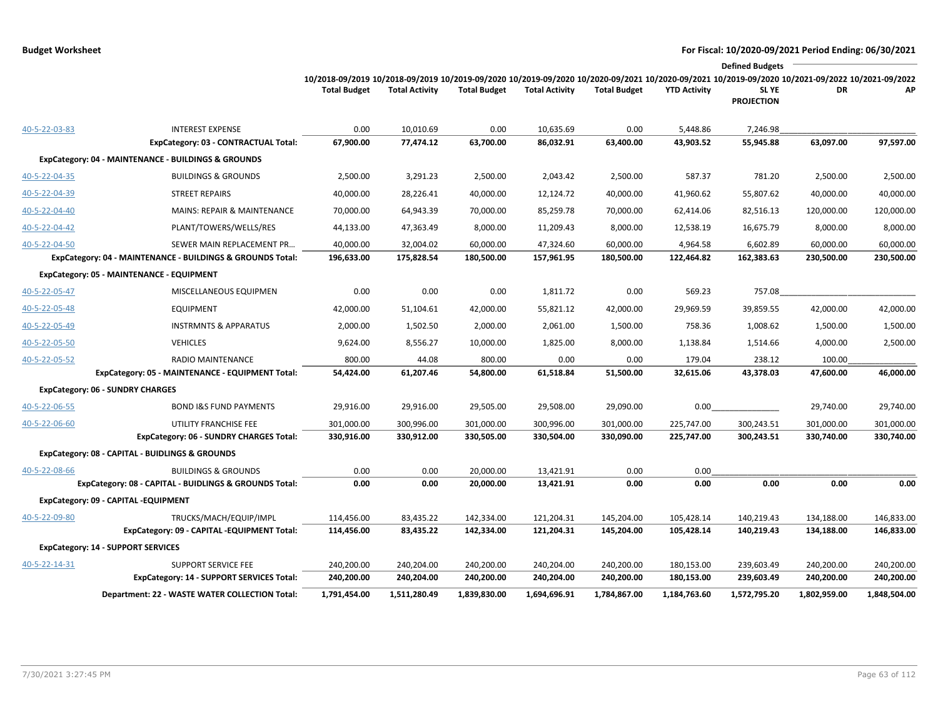|               |                                                            |                                                                                                                                                                        |                       |                     |                       |                     |                     | <b>Defined Budgets</b>     |              |              |
|---------------|------------------------------------------------------------|------------------------------------------------------------------------------------------------------------------------------------------------------------------------|-----------------------|---------------------|-----------------------|---------------------|---------------------|----------------------------|--------------|--------------|
|               |                                                            | 10/2018-09/2019 10/2018-09/2019 10/2019-09/2020 10/2019-09/2020 10/2020-09/2021 10/2020-09/2021 10/2019-09/2020 10/2021-09/2022 10/2021-09/2022<br><b>Total Budget</b> | <b>Total Activity</b> | <b>Total Budget</b> | <b>Total Activity</b> | <b>Total Budget</b> | <b>YTD Activity</b> | SL YE<br><b>PROJECTION</b> | DR           | АP           |
| 40-5-22-03-83 | <b>INTEREST EXPENSE</b>                                    | 0.00                                                                                                                                                                   | 10,010.69             | 0.00                | 10,635.69             | 0.00                | 5,448.86            | 7,246.98                   |              |              |
|               | ExpCategory: 03 - CONTRACTUAL Total:                       | 67,900.00                                                                                                                                                              | 77,474.12             | 63,700.00           | 86,032.91             | 63,400.00           | 43,903.52           | 55,945.88                  | 63,097.00    | 97,597.00    |
|               | ExpCategory: 04 - MAINTENANCE - BUILDINGS & GROUNDS        |                                                                                                                                                                        |                       |                     |                       |                     |                     |                            |              |              |
| 40-5-22-04-35 | <b>BUILDINGS &amp; GROUNDS</b>                             | 2,500.00                                                                                                                                                               | 3,291.23              | 2,500.00            | 2,043.42              | 2,500.00            | 587.37              | 781.20                     | 2,500.00     | 2,500.00     |
| 40-5-22-04-39 | <b>STREET REPAIRS</b>                                      | 40,000.00                                                                                                                                                              | 28,226.41             | 40,000.00           | 12,124.72             | 40,000.00           | 41,960.62           | 55,807.62                  | 40,000.00    | 40,000.00    |
| 40-5-22-04-40 | MAINS: REPAIR & MAINTENANCE                                | 70,000.00                                                                                                                                                              | 64,943.39             | 70,000.00           | 85,259.78             | 70,000.00           | 62,414.06           | 82,516.13                  | 120,000.00   | 120,000.00   |
| 40-5-22-04-42 | PLANT/TOWERS/WELLS/RES                                     | 44,133.00                                                                                                                                                              | 47,363.49             | 8,000.00            | 11,209.43             | 8,000.00            | 12,538.19           | 16,675.79                  | 8,000.00     | 8,000.00     |
| 40-5-22-04-50 | SEWER MAIN REPLACEMENT PR                                  | 40,000.00                                                                                                                                                              | 32,004.02             | 60,000.00           | 47,324.60             | 60,000.00           | 4,964.58            | 6,602.89                   | 60,000.00    | 60,000.00    |
|               | ExpCategory: 04 - MAINTENANCE - BUILDINGS & GROUNDS Total: | 196,633.00                                                                                                                                                             | 175,828.54            | 180,500.00          | 157,961.95            | 180,500.00          | 122,464.82          | 162,383.63                 | 230,500.00   | 230,500.00   |
|               | ExpCategory: 05 - MAINTENANCE - EQUIPMENT                  |                                                                                                                                                                        |                       |                     |                       |                     |                     |                            |              |              |
| 40-5-22-05-47 | MISCELLANEOUS EQUIPMEN                                     | 0.00                                                                                                                                                                   | 0.00                  | 0.00                | 1,811.72              | 0.00                | 569.23              | 757.08                     |              |              |
| 40-5-22-05-48 | <b>EQUIPMENT</b>                                           | 42,000.00                                                                                                                                                              | 51,104.61             | 42,000.00           | 55,821.12             | 42,000.00           | 29,969.59           | 39,859.55                  | 42,000.00    | 42,000.00    |
| 40-5-22-05-49 | <b>INSTRMNTS &amp; APPARATUS</b>                           | 2,000.00                                                                                                                                                               | 1,502.50              | 2,000.00            | 2,061.00              | 1,500.00            | 758.36              | 1,008.62                   | 1,500.00     | 1,500.00     |
| 40-5-22-05-50 | <b>VEHICLES</b>                                            | 9,624.00                                                                                                                                                               | 8,556.27              | 10,000.00           | 1,825.00              | 8,000.00            | 1,138.84            | 1,514.66                   | 4,000.00     | 2,500.00     |
| 40-5-22-05-52 | RADIO MAINTENANCE                                          | 800.00                                                                                                                                                                 | 44.08                 | 800.00              | 0.00                  | 0.00                | 179.04              | 238.12                     | 100.00       |              |
|               | ExpCategory: 05 - MAINTENANCE - EQUIPMENT Total:           | 54,424.00                                                                                                                                                              | 61,207.46             | 54,800.00           | 61,518.84             | 51,500.00           | 32,615.06           | 43,378.03                  | 47,600.00    | 46,000.00    |
|               | <b>ExpCategory: 06 - SUNDRY CHARGES</b>                    |                                                                                                                                                                        |                       |                     |                       |                     |                     |                            |              |              |
| 40-5-22-06-55 | <b>BOND I&amp;S FUND PAYMENTS</b>                          | 29,916.00                                                                                                                                                              | 29,916.00             | 29,505.00           | 29,508.00             | 29,090.00           | 0.00                |                            | 29,740.00    | 29,740.00    |
| 40-5-22-06-60 | UTILITY FRANCHISE FEE                                      | 301,000.00                                                                                                                                                             | 300,996.00            | 301,000.00          | 300,996.00            | 301,000.00          | 225,747.00          | 300,243.51                 | 301,000.00   | 301,000.00   |
|               | ExpCategory: 06 - SUNDRY CHARGES Total:                    | 330,916.00                                                                                                                                                             | 330,912.00            | 330,505.00          | 330,504.00            | 330,090.00          | 225,747.00          | 300,243.51                 | 330,740.00   | 330,740.00   |
|               | ExpCategory: 08 - CAPITAL - BUIDLINGS & GROUNDS            |                                                                                                                                                                        |                       |                     |                       |                     |                     |                            |              |              |
| 40-5-22-08-66 | <b>BUILDINGS &amp; GROUNDS</b>                             | 0.00                                                                                                                                                                   | 0.00                  | 20,000.00           | 13,421.91             | 0.00                | 0.00                |                            |              |              |
|               | ExpCategory: 08 - CAPITAL - BUIDLINGS & GROUNDS Total:     | 0.00                                                                                                                                                                   | 0.00                  | 20,000.00           | 13,421.91             | 0.00                | 0.00                | 0.00                       | 0.00         | 0.00         |
|               | ExpCategory: 09 - CAPITAL -EQUIPMENT                       |                                                                                                                                                                        |                       |                     |                       |                     |                     |                            |              |              |
| 40-5-22-09-80 | TRUCKS/MACH/EQUIP/IMPL                                     | 114,456.00                                                                                                                                                             | 83,435.22             | 142,334.00          | 121,204.31            | 145,204.00          | 105,428.14          | 140,219.43                 | 134,188.00   | 146,833.00   |
|               | ExpCategory: 09 - CAPITAL -EQUIPMENT Total:                | 114,456.00                                                                                                                                                             | 83,435.22             | 142,334.00          | 121,204.31            | 145,204.00          | 105,428.14          | 140,219.43                 | 134,188.00   | 146,833.00   |
|               | <b>ExpCategory: 14 - SUPPORT SERVICES</b>                  |                                                                                                                                                                        |                       |                     |                       |                     |                     |                            |              |              |
| 40-5-22-14-31 | <b>SUPPORT SERVICE FEE</b>                                 | 240,200.00                                                                                                                                                             | 240,204.00            | 240,200.00          | 240,204.00            | 240,200.00          | 180,153.00          | 239,603.49                 | 240,200.00   | 240,200.00   |
|               | <b>ExpCategory: 14 - SUPPORT SERVICES Total:</b>           | 240,200.00                                                                                                                                                             | 240,204.00            | 240,200.00          | 240,204.00            | 240,200.00          | 180,153.00          | 239,603.49                 | 240,200.00   | 240,200.00   |
|               | Department: 22 - WASTE WATER COLLECTION Total:             | 1,791,454.00                                                                                                                                                           | 1,511,280.49          | 1,839,830.00        | 1,694,696.91          | 1,784,867.00        | 1,184,763.60        | 1,572,795.20               | 1,802,959.00 | 1,848,504.00 |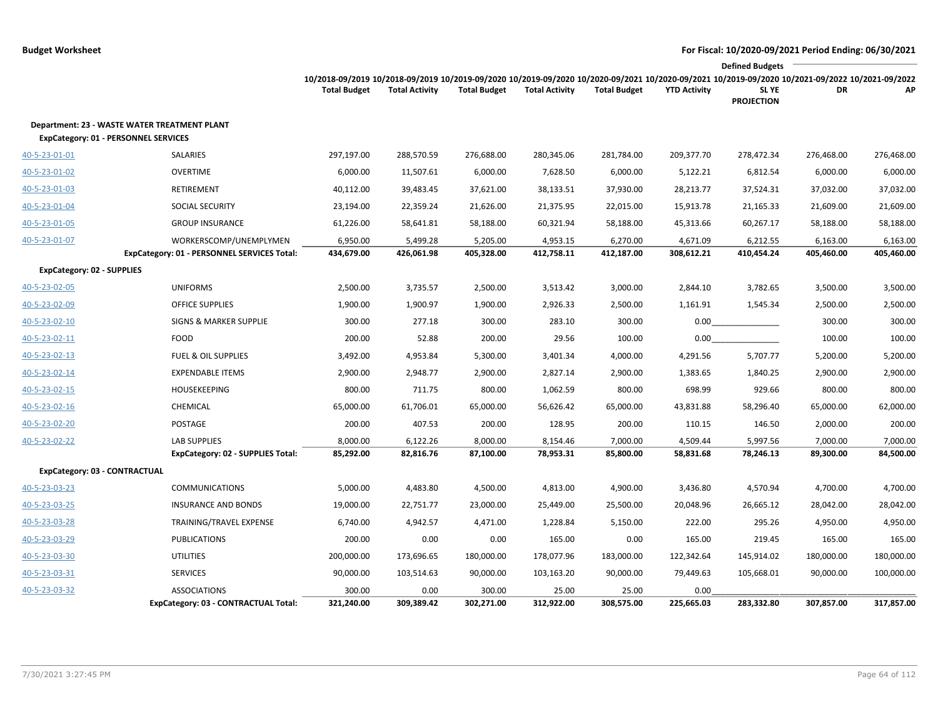|                                   |                                                                                                    |                                                                                                                                                 |                       |                     |                       |                     |                     | <b>Defined Budgets</b>     |            |            |
|-----------------------------------|----------------------------------------------------------------------------------------------------|-------------------------------------------------------------------------------------------------------------------------------------------------|-----------------------|---------------------|-----------------------|---------------------|---------------------|----------------------------|------------|------------|
|                                   |                                                                                                    | 10/2018-09/2019 10/2018-09/2019 10/2019-09/2020 10/2019-09/2020 10/2020-09/2021 10/2020-09/2021 10/2019-09/2020 10/2021-09/2022 10/2021-09/2022 |                       |                     |                       |                     |                     |                            |            |            |
|                                   |                                                                                                    | <b>Total Budget</b>                                                                                                                             | <b>Total Activity</b> | <b>Total Budget</b> | <b>Total Activity</b> | <b>Total Budget</b> | <b>YTD Activity</b> | SL YE<br><b>PROJECTION</b> | DR         | АΡ         |
|                                   | <b>Department: 23 - WASTE WATER TREATMENT PLANT</b><br><b>ExpCategory: 01 - PERSONNEL SERVICES</b> |                                                                                                                                                 |                       |                     |                       |                     |                     |                            |            |            |
| 40-5-23-01-01                     | SALARIES                                                                                           | 297,197.00                                                                                                                                      | 288,570.59            | 276,688.00          | 280,345.06            | 281,784.00          | 209,377.70          | 278,472.34                 | 276,468.00 | 276,468.00 |
| 40-5-23-01-02                     | <b>OVERTIME</b>                                                                                    | 6,000.00                                                                                                                                        | 11,507.61             | 6,000.00            | 7,628.50              | 6,000.00            | 5,122.21            | 6,812.54                   | 6,000.00   | 6,000.00   |
| 40-5-23-01-03                     | RETIREMENT                                                                                         | 40,112.00                                                                                                                                       | 39,483.45             | 37,621.00           | 38,133.51             | 37,930.00           | 28,213.77           | 37,524.31                  | 37,032.00  | 37,032.00  |
| 40-5-23-01-04                     | <b>SOCIAL SECURITY</b>                                                                             | 23,194.00                                                                                                                                       | 22,359.24             | 21,626.00           | 21,375.95             | 22,015.00           | 15,913.78           | 21,165.33                  | 21,609.00  | 21,609.00  |
| 40-5-23-01-05                     | <b>GROUP INSURANCE</b>                                                                             | 61,226.00                                                                                                                                       | 58,641.81             | 58,188.00           | 60,321.94             | 58,188.00           | 45,313.66           | 60,267.17                  | 58,188.00  | 58,188.00  |
| 40-5-23-01-07                     | WORKERSCOMP/UNEMPLYMEN                                                                             | 6,950.00                                                                                                                                        | 5,499.28              | 5,205.00            | 4,953.15              | 6,270.00            | 4,671.09            | 6,212.55                   | 6,163.00   | 6,163.00   |
|                                   | ExpCategory: 01 - PERSONNEL SERVICES Total:                                                        | 434,679.00                                                                                                                                      | 426,061.98            | 405,328.00          | 412,758.11            | 412,187.00          | 308,612.21          | 410,454.24                 | 405,460.00 | 405,460.00 |
| <b>ExpCategory: 02 - SUPPLIES</b> |                                                                                                    |                                                                                                                                                 |                       |                     |                       |                     |                     |                            |            |            |
| 40-5-23-02-05                     | <b>UNIFORMS</b>                                                                                    | 2,500.00                                                                                                                                        | 3,735.57              | 2,500.00            | 3,513.42              | 3,000.00            | 2,844.10            | 3,782.65                   | 3,500.00   | 3,500.00   |
| 40-5-23-02-09                     | <b>OFFICE SUPPLIES</b>                                                                             | 1,900.00                                                                                                                                        | 1,900.97              | 1,900.00            | 2,926.33              | 2,500.00            | 1,161.91            | 1,545.34                   | 2,500.00   | 2,500.00   |
| 40-5-23-02-10                     | <b>SIGNS &amp; MARKER SUPPLIE</b>                                                                  | 300.00                                                                                                                                          | 277.18                | 300.00              | 283.10                | 300.00              | 0.00                |                            | 300.00     | 300.00     |
| 40-5-23-02-11                     | <b>FOOD</b>                                                                                        | 200.00                                                                                                                                          | 52.88                 | 200.00              | 29.56                 | 100.00              | 0.00                |                            | 100.00     | 100.00     |
| 40-5-23-02-13                     | <b>FUEL &amp; OIL SUPPLIES</b>                                                                     | 3,492.00                                                                                                                                        | 4,953.84              | 5,300.00            | 3,401.34              | 4,000.00            | 4,291.56            | 5,707.77                   | 5,200.00   | 5,200.00   |
| 40-5-23-02-14                     | <b>EXPENDABLE ITEMS</b>                                                                            | 2,900.00                                                                                                                                        | 2,948.77              | 2,900.00            | 2,827.14              | 2,900.00            | 1,383.65            | 1,840.25                   | 2,900.00   | 2,900.00   |
| 40-5-23-02-15                     | <b>HOUSEKEEPING</b>                                                                                | 800.00                                                                                                                                          | 711.75                | 800.00              | 1,062.59              | 800.00              | 698.99              | 929.66                     | 800.00     | 800.00     |
| 40-5-23-02-16                     | CHEMICAL                                                                                           | 65,000.00                                                                                                                                       | 61,706.01             | 65,000.00           | 56,626.42             | 65,000.00           | 43,831.88           | 58,296.40                  | 65,000.00  | 62,000.00  |
| 40-5-23-02-20                     | POSTAGE                                                                                            | 200.00                                                                                                                                          | 407.53                | 200.00              | 128.95                | 200.00              | 110.15              | 146.50                     | 2,000.00   | 200.00     |
| 40-5-23-02-22                     | <b>LAB SUPPLIES</b>                                                                                | 8,000.00                                                                                                                                        | 6,122.26              | 8,000.00            | 8,154.46              | 7,000.00            | 4,509.44            | 5,997.56                   | 7,000.00   | 7,000.00   |
|                                   | ExpCategory: 02 - SUPPLIES Total:                                                                  | 85,292.00                                                                                                                                       | 82,816.76             | 87,100.00           | 78,953.31             | 85,800.00           | 58,831.68           | 78,246.13                  | 89,300.00  | 84,500.00  |
|                                   | ExpCategory: 03 - CONTRACTUAL                                                                      |                                                                                                                                                 |                       |                     |                       |                     |                     |                            |            |            |
| 40-5-23-03-23                     | <b>COMMUNICATIONS</b>                                                                              | 5,000.00                                                                                                                                        | 4,483.80              | 4,500.00            | 4,813.00              | 4,900.00            | 3,436.80            | 4,570.94                   | 4,700.00   | 4,700.00   |
| 40-5-23-03-25                     | <b>INSURANCE AND BONDS</b>                                                                         | 19,000.00                                                                                                                                       | 22,751.77             | 23,000.00           | 25,449.00             | 25,500.00           | 20,048.96           | 26,665.12                  | 28,042.00  | 28,042.00  |
| 40-5-23-03-28                     | TRAINING/TRAVEL EXPENSE                                                                            | 6,740.00                                                                                                                                        | 4,942.57              | 4,471.00            | 1,228.84              | 5,150.00            | 222.00              | 295.26                     | 4,950.00   | 4,950.00   |
| 40-5-23-03-29                     | <b>PUBLICATIONS</b>                                                                                | 200.00                                                                                                                                          | 0.00                  | 0.00                | 165.00                | 0.00                | 165.00              | 219.45                     | 165.00     | 165.00     |
| 40-5-23-03-30                     | <b>UTILITIES</b>                                                                                   | 200,000.00                                                                                                                                      | 173,696.65            | 180,000.00          | 178,077.96            | 183,000.00          | 122,342.64          | 145,914.02                 | 180,000.00 | 180,000.00 |
| 40-5-23-03-31                     | <b>SERVICES</b>                                                                                    | 90,000.00                                                                                                                                       | 103,514.63            | 90,000.00           | 103,163.20            | 90,000.00           | 79,449.63           | 105,668.01                 | 90,000.00  | 100,000.00 |
| 40-5-23-03-32                     | <b>ASSOCIATIONS</b>                                                                                | 300.00                                                                                                                                          | 0.00                  | 300.00              | 25.00                 | 25.00               | 0.00                |                            |            |            |
|                                   | ExpCategory: 03 - CONTRACTUAL Total:                                                               | 321,240.00                                                                                                                                      | 309,389.42            | 302,271.00          | 312,922.00            | 308,575.00          | 225,665.03          | 283,332.80                 | 307,857.00 | 317,857.00 |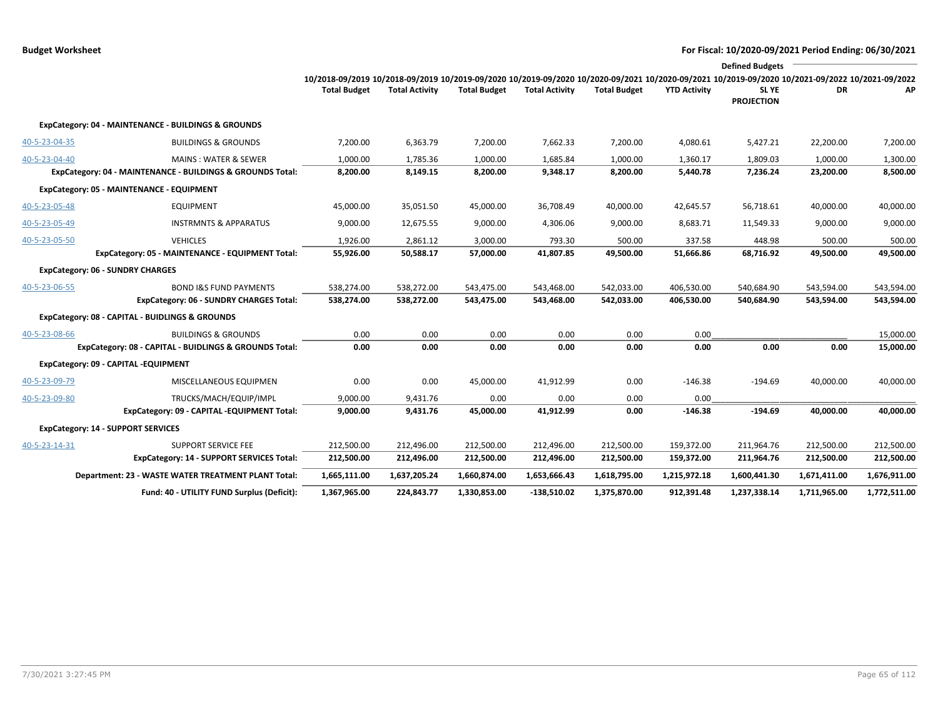|               |                                                            |                                                                                                                                                                        |                       |                     |                       |                     |                     | <b>Defined Budgets</b>     |              |              |
|---------------|------------------------------------------------------------|------------------------------------------------------------------------------------------------------------------------------------------------------------------------|-----------------------|---------------------|-----------------------|---------------------|---------------------|----------------------------|--------------|--------------|
|               |                                                            | 10/2018-09/2019 10/2018-09/2019 10/2019-09/2020 10/2019-09/2020 10/2020-09/2021 10/2020-09/2021 10/2019-09/2020 10/2021-09/2022 10/2021-09/2022<br><b>Total Budget</b> | <b>Total Activity</b> | <b>Total Budget</b> | <b>Total Activity</b> | <b>Total Budget</b> | <b>YTD Activity</b> | SL YE<br><b>PROJECTION</b> | DR.          | АP           |
|               | ExpCategory: 04 - MAINTENANCE - BUILDINGS & GROUNDS        |                                                                                                                                                                        |                       |                     |                       |                     |                     |                            |              |              |
| 40-5-23-04-35 | <b>BUILDINGS &amp; GROUNDS</b>                             | 7,200.00                                                                                                                                                               | 6,363.79              | 7,200.00            | 7,662.33              | 7,200.00            | 4,080.61            | 5,427.21                   | 22,200.00    | 7,200.00     |
| 40-5-23-04-40 | <b>MAINS: WATER &amp; SEWER</b>                            | 1,000.00                                                                                                                                                               | 1,785.36              | 1,000.00            | 1,685.84              | 1,000.00            | 1,360.17            | 1,809.03                   | 1,000.00     | 1,300.00     |
|               | ExpCategory: 04 - MAINTENANCE - BUILDINGS & GROUNDS Total: | 8,200.00                                                                                                                                                               | 8,149.15              | 8,200.00            | 9,348.17              | 8,200.00            | 5,440.78            | 7,236.24                   | 23,200.00    | 8,500.00     |
|               | ExpCategory: 05 - MAINTENANCE - EQUIPMENT                  |                                                                                                                                                                        |                       |                     |                       |                     |                     |                            |              |              |
| 40-5-23-05-48 | <b>EQUIPMENT</b>                                           | 45,000.00                                                                                                                                                              | 35,051.50             | 45,000.00           | 36,708.49             | 40,000.00           | 42,645.57           | 56,718.61                  | 40,000.00    | 40,000.00    |
| 40-5-23-05-49 | <b>INSTRMNTS &amp; APPARATUS</b>                           | 9,000.00                                                                                                                                                               | 12,675.55             | 9,000.00            | 4,306.06              | 9,000.00            | 8,683.71            | 11,549.33                  | 9,000.00     | 9,000.00     |
| 40-5-23-05-50 | <b>VEHICLES</b>                                            | 1,926.00                                                                                                                                                               | 2,861.12              | 3,000.00            | 793.30                | 500.00              | 337.58              | 448.98                     | 500.00       | 500.00       |
|               | ExpCategory: 05 - MAINTENANCE - EQUIPMENT Total:           | 55,926.00                                                                                                                                                              | 50,588.17             | 57,000.00           | 41,807.85             | 49,500.00           | 51,666.86           | 68,716.92                  | 49,500.00    | 49,500.00    |
|               | <b>ExpCategory: 06 - SUNDRY CHARGES</b>                    |                                                                                                                                                                        |                       |                     |                       |                     |                     |                            |              |              |
| 40-5-23-06-55 | <b>BOND I&amp;S FUND PAYMENTS</b>                          | 538,274.00                                                                                                                                                             | 538,272.00            | 543,475.00          | 543,468.00            | 542,033.00          | 406,530.00          | 540,684.90                 | 543,594.00   | 543,594.00   |
|               | <b>ExpCategory: 06 - SUNDRY CHARGES Total:</b>             | 538,274.00                                                                                                                                                             | 538,272.00            | 543,475.00          | 543,468.00            | 542,033.00          | 406,530.00          | 540,684.90                 | 543,594.00   | 543,594.00   |
|               | ExpCategory: 08 - CAPITAL - BUIDLINGS & GROUNDS            |                                                                                                                                                                        |                       |                     |                       |                     |                     |                            |              |              |
| 40-5-23-08-66 | <b>BUILDINGS &amp; GROUNDS</b>                             | 0.00                                                                                                                                                                   | 0.00                  | 0.00                | 0.00                  | 0.00                | 0.00                |                            |              | 15,000.00    |
|               | ExpCategory: 08 - CAPITAL - BUIDLINGS & GROUNDS Total:     | 0.00                                                                                                                                                                   | 0.00                  | 0.00                | 0.00                  | 0.00                | 0.00                | 0.00                       | 0.00         | 15,000.00    |
|               | ExpCategory: 09 - CAPITAL -EQUIPMENT                       |                                                                                                                                                                        |                       |                     |                       |                     |                     |                            |              |              |
| 40-5-23-09-79 | MISCELLANEOUS EQUIPMEN                                     | 0.00                                                                                                                                                                   | 0.00                  | 45,000.00           | 41,912.99             | 0.00                | $-146.38$           | $-194.69$                  | 40,000.00    | 40,000.00    |
| 40-5-23-09-80 | TRUCKS/MACH/EQUIP/IMPL                                     | 9,000.00                                                                                                                                                               | 9,431.76              | 0.00                | 0.00                  | 0.00                | 0.00                |                            |              |              |
|               | ExpCategory: 09 - CAPITAL -EQUIPMENT Total:                | 9,000.00                                                                                                                                                               | 9,431.76              | 45,000.00           | 41,912.99             | 0.00                | $-146.38$           | $-194.69$                  | 40,000.00    | 40,000.00    |
|               | <b>ExpCategory: 14 - SUPPORT SERVICES</b>                  |                                                                                                                                                                        |                       |                     |                       |                     |                     |                            |              |              |
| 40-5-23-14-31 | <b>SUPPORT SERVICE FEE</b>                                 | 212,500.00                                                                                                                                                             | 212,496.00            | 212,500.00          | 212,496.00            | 212,500.00          | 159,372.00          | 211,964.76                 | 212,500.00   | 212,500.00   |
|               | <b>ExpCategory: 14 - SUPPORT SERVICES Total:</b>           | 212,500.00                                                                                                                                                             | 212,496.00            | 212,500.00          | 212,496.00            | 212,500.00          | 159,372.00          | 211,964.76                 | 212,500.00   | 212,500.00   |
|               | <b>Department: 23 - WASTE WATER TREATMENT PLANT Total:</b> | 1,665,111.00                                                                                                                                                           | 1,637,205.24          | 1,660,874.00        | 1,653,666.43          | 1,618,795.00        | 1,215,972.18        | 1,600,441.30               | 1,671,411.00 | 1,676,911.00 |
|               | Fund: 40 - UTILITY FUND Surplus (Deficit):                 | 1,367,965.00                                                                                                                                                           | 224,843.77            | 1,330,853.00        | $-138,510.02$         | 1,375,870.00        | 912,391.48          | 1,237,338.14               | 1,711,965.00 | 1,772,511.00 |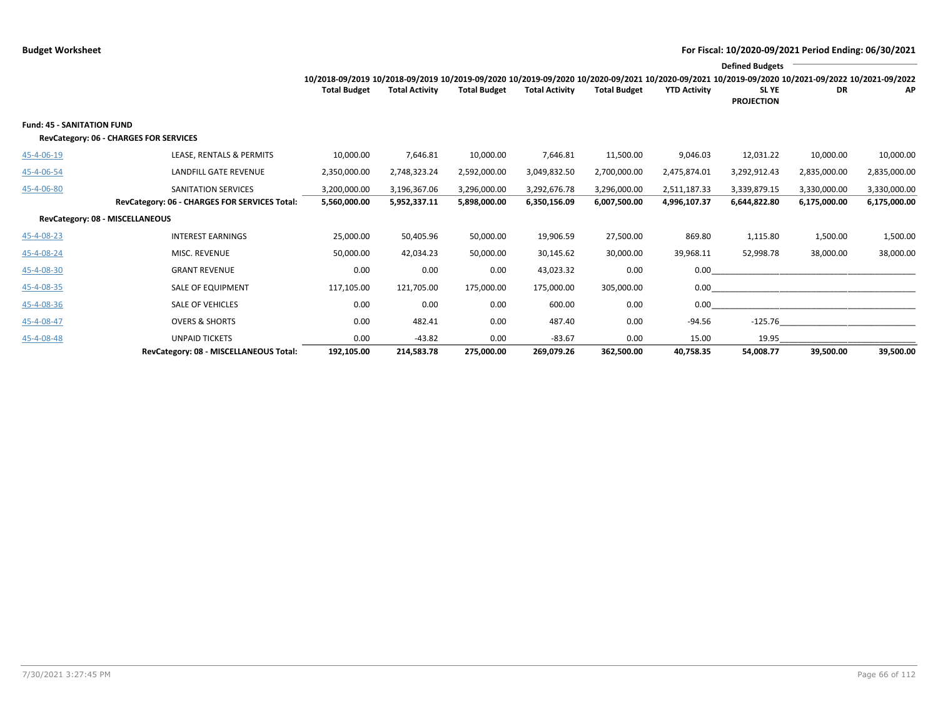|                                   |                                                                             |                              |                              |                              |                              |                              | <b>Defined Budgets</b><br>10/2018-09/2019 10/2018-09/2019 10/2019-09/2020 10/2019-09/2020 10/2020-09/2021 10/2020-09/2021 10/2019-09/2020 10/2021-09/2022 10/2021-09/2022 |                              |                              |                              |  |  |
|-----------------------------------|-----------------------------------------------------------------------------|------------------------------|------------------------------|------------------------------|------------------------------|------------------------------|---------------------------------------------------------------------------------------------------------------------------------------------------------------------------|------------------------------|------------------------------|------------------------------|--|--|
|                                   |                                                                             | <b>Total Budget</b>          | <b>Total Activity</b>        | <b>Total Budget</b>          | <b>Total Activity</b>        | <b>Total Budget</b>          | <b>YTD Activity</b>                                                                                                                                                       | SL YE<br><b>PROJECTION</b>   | DR                           | AP                           |  |  |
| <b>Fund: 45 - SANITATION FUND</b> | <b>RevCategory: 06 - CHARGES FOR SERVICES</b>                               |                              |                              |                              |                              |                              |                                                                                                                                                                           |                              |                              |                              |  |  |
| 45-4-06-19                        | LEASE, RENTALS & PERMITS                                                    | 10,000.00                    | 7,646.81                     | 10,000.00                    | 7,646.81                     | 11,500.00                    | 9,046.03                                                                                                                                                                  | 12,031.22                    | 10,000.00                    | 10,000.00                    |  |  |
| 45-4-06-54                        | <b>LANDFILL GATE REVENUE</b>                                                | 2,350,000.00                 | 2,748,323.24                 | 2,592,000.00                 | 3,049,832.50                 | 2,700,000.00                 | 2,475,874.01                                                                                                                                                              | 3,292,912.43                 | 2,835,000.00                 | 2,835,000.00                 |  |  |
| 45-4-06-80                        | <b>SANITATION SERVICES</b><br>RevCategory: 06 - CHARGES FOR SERVICES Total: | 3,200,000.00<br>5,560,000.00 | 3,196,367.06<br>5,952,337.11 | 3,296,000.00<br>5,898,000.00 | 3,292,676.78<br>6,350,156.09 | 3,296,000.00<br>6,007,500.00 | 2,511,187.33<br>4,996,107.37                                                                                                                                              | 3,339,879.15<br>6,644,822.80 | 3,330,000.00<br>6,175,000.00 | 3,330,000.00<br>6,175,000.00 |  |  |
| RevCategory: 08 - MISCELLANEOUS   |                                                                             |                              |                              |                              |                              |                              |                                                                                                                                                                           |                              |                              |                              |  |  |
| 45-4-08-23                        | <b>INTEREST EARNINGS</b>                                                    | 25,000.00                    | 50,405.96                    | 50,000.00                    | 19,906.59                    | 27,500.00                    | 869.80                                                                                                                                                                    | 1,115.80                     | 1,500.00                     | 1,500.00                     |  |  |
| 45-4-08-24                        | MISC. REVENUE                                                               | 50,000.00                    | 42,034.23                    | 50,000.00                    | 30,145.62                    | 30,000.00                    | 39,968.11                                                                                                                                                                 | 52,998.78                    | 38,000.00                    | 38,000.00                    |  |  |
| 45-4-08-30                        | <b>GRANT REVENUE</b>                                                        | 0.00                         | 0.00                         | 0.00                         | 43,023.32                    | 0.00                         | 0.00                                                                                                                                                                      |                              |                              |                              |  |  |
| 45-4-08-35                        | <b>SALE OF EQUIPMENT</b>                                                    | 117,105.00                   | 121,705.00                   | 175,000.00                   | 175,000.00                   | 305,000.00                   | 0.00                                                                                                                                                                      |                              |                              |                              |  |  |
| 45-4-08-36                        | <b>SALE OF VEHICLES</b>                                                     | 0.00                         | 0.00                         | 0.00                         | 600.00                       | 0.00                         | 0.00                                                                                                                                                                      |                              |                              |                              |  |  |
| 45-4-08-47                        | <b>OVERS &amp; SHORTS</b>                                                   | 0.00                         | 482.41                       | 0.00                         | 487.40                       | 0.00                         | $-94.56$                                                                                                                                                                  | $-125.76$                    |                              |                              |  |  |
| 45-4-08-48                        | <b>UNPAID TICKETS</b>                                                       | 0.00                         | $-43.82$                     | 0.00                         | $-83.67$                     | 0.00                         | 15.00                                                                                                                                                                     | 19.95                        |                              |                              |  |  |
|                                   | RevCategory: 08 - MISCELLANEOUS Total:                                      | 192,105.00                   | 214,583.78                   | 275,000.00                   | 269.079.26                   | 362,500.00                   | 40,758.35                                                                                                                                                                 | 54,008.77                    | 39,500.00                    | 39,500.00                    |  |  |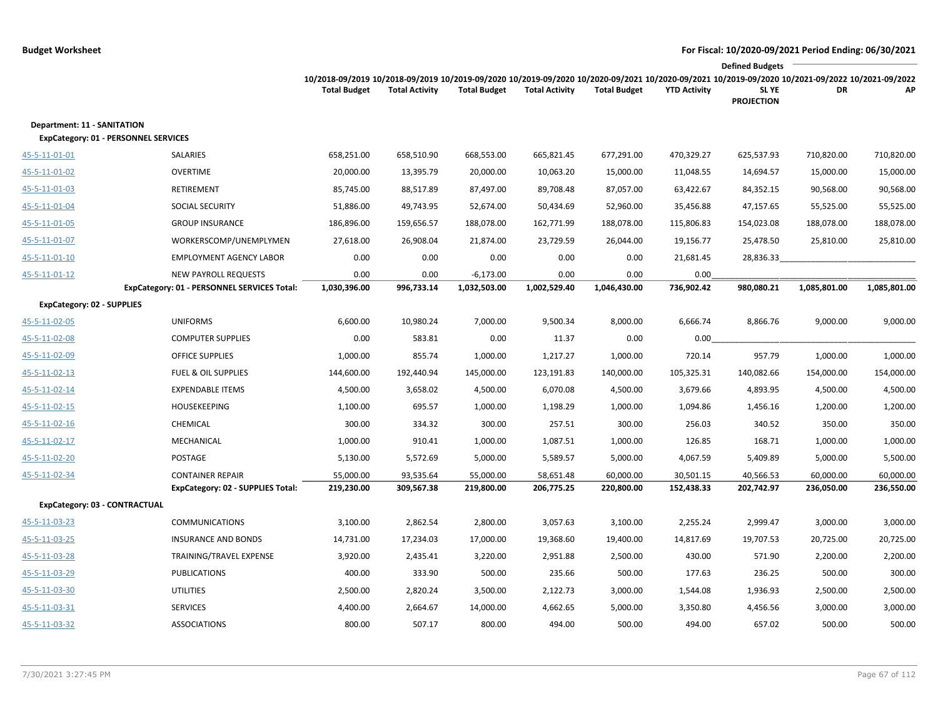|                                                                                   |                                                                            |                                                                                                                                                                        |                       |                             |                       |                      |                     | <b>Defined Budgets</b>     |              |              |
|-----------------------------------------------------------------------------------|----------------------------------------------------------------------------|------------------------------------------------------------------------------------------------------------------------------------------------------------------------|-----------------------|-----------------------------|-----------------------|----------------------|---------------------|----------------------------|--------------|--------------|
|                                                                                   |                                                                            | 10/2018-09/2019 10/2018-09/2019 10/2019-09/2020 10/2019-09/2020 10/2020-09/2021 10/2020-09/2021 10/2019-09/2020 10/2021-09/2022 10/2021-09/2022<br><b>Total Budget</b> | <b>Total Activity</b> | <b>Total Budget</b>         | <b>Total Activity</b> | <b>Total Budget</b>  | <b>YTD Activity</b> | SL YE<br><b>PROJECTION</b> | DR           | АP           |
| <b>Department: 11 - SANITATION</b><br><b>ExpCategory: 01 - PERSONNEL SERVICES</b> |                                                                            |                                                                                                                                                                        |                       |                             |                       |                      |                     |                            |              |              |
| 45-5-11-01-01                                                                     | SALARIES                                                                   | 658,251.00                                                                                                                                                             | 658,510.90            | 668,553.00                  | 665,821.45            | 677,291.00           | 470,329.27          | 625,537.93                 | 710,820.00   | 710,820.00   |
| 45-5-11-01-02                                                                     | <b>OVERTIME</b>                                                            | 20,000.00                                                                                                                                                              | 13,395.79             | 20,000.00                   | 10,063.20             | 15,000.00            | 11,048.55           | 14,694.57                  | 15,000.00    | 15,000.00    |
| 45-5-11-01-03                                                                     | RETIREMENT                                                                 | 85,745.00                                                                                                                                                              | 88,517.89             | 87,497.00                   | 89,708.48             | 87,057.00            | 63,422.67           | 84,352.15                  | 90,568.00    | 90,568.00    |
| 45-5-11-01-04                                                                     | SOCIAL SECURITY                                                            | 51,886.00                                                                                                                                                              | 49,743.95             | 52,674.00                   | 50,434.69             | 52,960.00            | 35,456.88           | 47,157.65                  | 55,525.00    | 55,525.00    |
| 45-5-11-01-05                                                                     | <b>GROUP INSURANCE</b>                                                     | 186,896.00                                                                                                                                                             | 159,656.57            | 188,078.00                  | 162,771.99            | 188,078.00           | 115,806.83          | 154,023.08                 | 188,078.00   | 188,078.00   |
| 45-5-11-01-07                                                                     | WORKERSCOMP/UNEMPLYMEN                                                     | 27,618.00                                                                                                                                                              | 26,908.04             | 21,874.00                   | 23,729.59             | 26,044.00            | 19,156.77           | 25,478.50                  | 25,810.00    | 25,810.00    |
| 45-5-11-01-10                                                                     | <b>EMPLOYMENT AGENCY LABOR</b>                                             | 0.00                                                                                                                                                                   | 0.00                  | 0.00                        | 0.00                  | 0.00                 | 21,681.45           | 28,836.33                  |              |              |
| 45-5-11-01-12                                                                     | <b>NEW PAYROLL REQUESTS</b><br>ExpCategory: 01 - PERSONNEL SERVICES Total: | 0.00<br>1,030,396.00                                                                                                                                                   | 0.00<br>996,733.14    | $-6,173.00$<br>1,032,503.00 | 0.00<br>1,002,529.40  | 0.00<br>1,046,430.00 | 0.00<br>736,902.42  | 980,080.21                 | 1,085,801.00 | 1,085,801.00 |
| <b>ExpCategory: 02 - SUPPLIES</b>                                                 |                                                                            |                                                                                                                                                                        |                       |                             |                       |                      |                     |                            |              |              |
| 45-5-11-02-05                                                                     | <b>UNIFORMS</b>                                                            | 6,600.00                                                                                                                                                               | 10,980.24             | 7,000.00                    | 9,500.34              | 8,000.00             | 6,666.74            | 8,866.76                   | 9,000.00     | 9,000.00     |
| 45-5-11-02-08                                                                     | <b>COMPUTER SUPPLIES</b>                                                   | 0.00                                                                                                                                                                   | 583.81                | 0.00                        | 11.37                 | 0.00                 | 0.00                |                            |              |              |
| 45-5-11-02-09                                                                     | <b>OFFICE SUPPLIES</b>                                                     | 1,000.00                                                                                                                                                               | 855.74                | 1,000.00                    | 1,217.27              | 1,000.00             | 720.14              | 957.79                     | 1,000.00     | 1,000.00     |
| 45-5-11-02-13                                                                     | <b>FUEL &amp; OIL SUPPLIES</b>                                             | 144,600.00                                                                                                                                                             | 192,440.94            | 145,000.00                  | 123,191.83            | 140,000.00           | 105,325.31          | 140,082.66                 | 154,000.00   | 154,000.00   |
| 45-5-11-02-14                                                                     | <b>EXPENDABLE ITEMS</b>                                                    | 4,500.00                                                                                                                                                               | 3,658.02              | 4,500.00                    | 6,070.08              | 4,500.00             | 3,679.66            | 4,893.95                   | 4,500.00     | 4,500.00     |
| 45-5-11-02-15                                                                     | <b>HOUSEKEEPING</b>                                                        | 1,100.00                                                                                                                                                               | 695.57                | 1,000.00                    | 1,198.29              | 1,000.00             | 1,094.86            | 1,456.16                   | 1,200.00     | 1,200.00     |
| 45-5-11-02-16                                                                     | CHEMICAL                                                                   | 300.00                                                                                                                                                                 | 334.32                | 300.00                      | 257.51                | 300.00               | 256.03              | 340.52                     | 350.00       | 350.00       |
| 45-5-11-02-17                                                                     | MECHANICAL                                                                 | 1,000.00                                                                                                                                                               | 910.41                | 1,000.00                    | 1,087.51              | 1,000.00             | 126.85              | 168.71                     | 1,000.00     | 1,000.00     |
| 45-5-11-02-20                                                                     | POSTAGE                                                                    | 5,130.00                                                                                                                                                               | 5,572.69              | 5,000.00                    | 5,589.57              | 5,000.00             | 4,067.59            | 5,409.89                   | 5,000.00     | 5,500.00     |
| 45-5-11-02-34                                                                     | <b>CONTAINER REPAIR</b>                                                    | 55,000.00                                                                                                                                                              | 93,535.64             | 55,000.00                   | 58,651.48             | 60,000.00            | 30,501.15           | 40,566.53                  | 60,000.00    | 60,000.00    |
|                                                                                   | <b>ExpCategory: 02 - SUPPLIES Total:</b>                                   | 219,230.00                                                                                                                                                             | 309,567.38            | 219,800.00                  | 206,775.25            | 220,800.00           | 152,438.33          | 202,742.97                 | 236,050.00   | 236,550.00   |
| ExpCategory: 03 - CONTRACTUAL                                                     |                                                                            |                                                                                                                                                                        |                       |                             |                       |                      |                     |                            |              |              |
| 45-5-11-03-23                                                                     | <b>COMMUNICATIONS</b>                                                      | 3,100.00                                                                                                                                                               | 2,862.54              | 2,800.00                    | 3,057.63              | 3,100.00             | 2,255.24            | 2,999.47                   | 3,000.00     | 3,000.00     |
| 45-5-11-03-25                                                                     | <b>INSURANCE AND BONDS</b>                                                 | 14,731.00                                                                                                                                                              | 17,234.03             | 17,000.00                   | 19,368.60             | 19,400.00            | 14,817.69           | 19,707.53                  | 20,725.00    | 20,725.00    |
| 45-5-11-03-28                                                                     | TRAINING/TRAVEL EXPENSE                                                    | 3,920.00                                                                                                                                                               | 2,435.41              | 3,220.00                    | 2,951.88              | 2,500.00             | 430.00              | 571.90                     | 2,200.00     | 2,200.00     |
| 45-5-11-03-29                                                                     | <b>PUBLICATIONS</b>                                                        | 400.00                                                                                                                                                                 | 333.90                | 500.00                      | 235.66                | 500.00               | 177.63              | 236.25                     | 500.00       | 300.00       |
| 45-5-11-03-30                                                                     | <b>UTILITIES</b>                                                           | 2,500.00                                                                                                                                                               | 2,820.24              | 3,500.00                    | 2,122.73              | 3,000.00             | 1,544.08            | 1,936.93                   | 2,500.00     | 2,500.00     |
| 45-5-11-03-31                                                                     | <b>SERVICES</b>                                                            | 4,400.00                                                                                                                                                               | 2,664.67              | 14,000.00                   | 4,662.65              | 5,000.00             | 3,350.80            | 4,456.56                   | 3,000.00     | 3,000.00     |
| 45-5-11-03-32                                                                     | <b>ASSOCIATIONS</b>                                                        | 800.00                                                                                                                                                                 | 507.17                | 800.00                      | 494.00                | 500.00               | 494.00              | 657.02                     | 500.00       | 500.00       |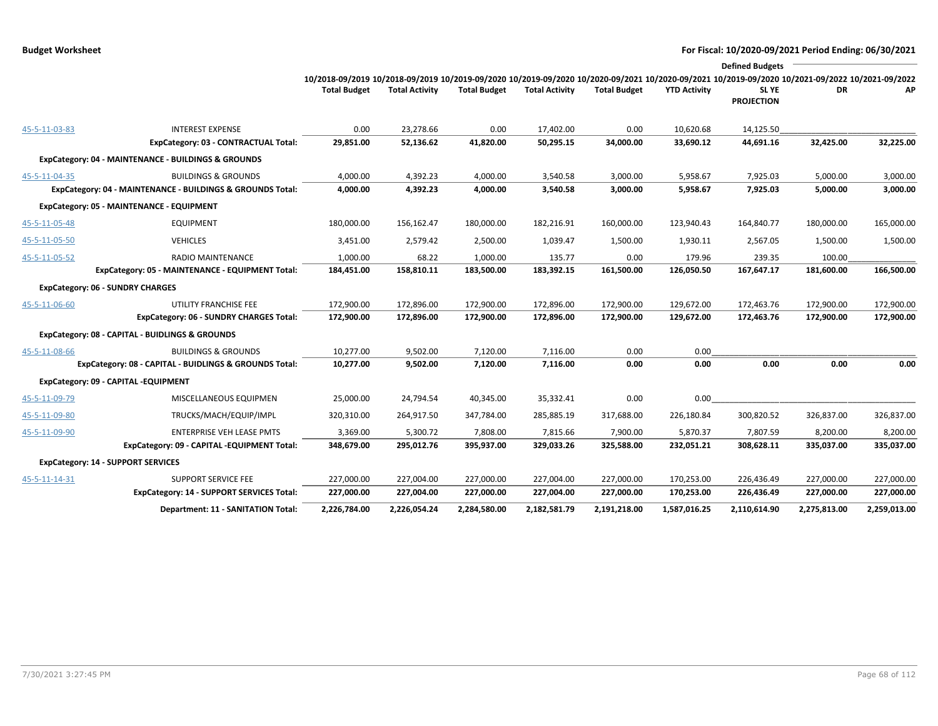|               |                                                            |                                                                                                                                                 |                       |                     |                       |                     |                     | <b>Defined Budgets</b>     |              |              |
|---------------|------------------------------------------------------------|-------------------------------------------------------------------------------------------------------------------------------------------------|-----------------------|---------------------|-----------------------|---------------------|---------------------|----------------------------|--------------|--------------|
|               |                                                            | 10/2018-09/2019 10/2018-09/2019 10/2019-09/2020 10/2019-09/2020 10/2020-09/2021 10/2020-09/2021 10/2019-09/2020 10/2021-09/2022 10/2021-09/2022 |                       |                     |                       |                     |                     |                            |              |              |
|               |                                                            | <b>Total Budget</b>                                                                                                                             | <b>Total Activity</b> | <b>Total Budget</b> | <b>Total Activity</b> | <b>Total Budget</b> | <b>YTD Activity</b> | SL YE<br><b>PROJECTION</b> | DR           | АP           |
| 45-5-11-03-83 | <b>INTEREST EXPENSE</b>                                    | 0.00                                                                                                                                            | 23,278.66             | 0.00                | 17,402.00             | 0.00                | 10,620.68           | 14,125.50                  |              |              |
|               | ExpCategory: 03 - CONTRACTUAL Total:                       | 29,851.00                                                                                                                                       | 52,136.62             | 41,820.00           | 50,295.15             | 34,000.00           | 33,690.12           | 44,691.16                  | 32,425.00    | 32,225.00    |
|               | ExpCategory: 04 - MAINTENANCE - BUILDINGS & GROUNDS        |                                                                                                                                                 |                       |                     |                       |                     |                     |                            |              |              |
| 45-5-11-04-35 | <b>BUILDINGS &amp; GROUNDS</b>                             | 4,000.00                                                                                                                                        | 4,392.23              | 4,000.00            | 3,540.58              | 3,000.00            | 5,958.67            | 7,925.03                   | 5,000.00     | 3,000.00     |
|               | ExpCategory: 04 - MAINTENANCE - BUILDINGS & GROUNDS Total: | 4,000.00                                                                                                                                        | 4,392.23              | 4,000.00            | 3,540.58              | 3,000.00            | 5,958.67            | 7,925.03                   | 5,000.00     | 3,000.00     |
|               | ExpCategory: 05 - MAINTENANCE - EQUIPMENT                  |                                                                                                                                                 |                       |                     |                       |                     |                     |                            |              |              |
| 45-5-11-05-48 | <b>EQUIPMENT</b>                                           | 180,000.00                                                                                                                                      | 156,162.47            | 180,000.00          | 182,216.91            | 160,000.00          | 123,940.43          | 164,840.77                 | 180,000.00   | 165,000.00   |
| 45-5-11-05-50 | <b>VEHICLES</b>                                            | 3,451.00                                                                                                                                        | 2,579.42              | 2,500.00            | 1,039.47              | 1,500.00            | 1,930.11            | 2,567.05                   | 1,500.00     | 1,500.00     |
| 45-5-11-05-52 | RADIO MAINTENANCE                                          | 1,000.00                                                                                                                                        | 68.22                 | 1,000.00            | 135.77                | 0.00                | 179.96              | 239.35                     | 100.00       |              |
|               | ExpCategory: 05 - MAINTENANCE - EQUIPMENT Total:           | 184,451.00                                                                                                                                      | 158,810.11            | 183,500.00          | 183,392.15            | 161,500.00          | 126,050.50          | 167,647.17                 | 181,600.00   | 166,500.00   |
|               | <b>ExpCategory: 06 - SUNDRY CHARGES</b>                    |                                                                                                                                                 |                       |                     |                       |                     |                     |                            |              |              |
| 45-5-11-06-60 | UTILITY FRANCHISE FEE                                      | 172,900.00                                                                                                                                      | 172,896.00            | 172,900.00          | 172,896.00            | 172,900.00          | 129,672.00          | 172,463.76                 | 172,900.00   | 172,900.00   |
|               | <b>ExpCategory: 06 - SUNDRY CHARGES Total:</b>             | 172,900.00                                                                                                                                      | 172,896.00            | 172,900.00          | 172,896.00            | 172,900.00          | 129,672.00          | 172,463.76                 | 172,900.00   | 172,900.00   |
|               | ExpCategory: 08 - CAPITAL - BUIDLINGS & GROUNDS            |                                                                                                                                                 |                       |                     |                       |                     |                     |                            |              |              |
| 45-5-11-08-66 | <b>BUILDINGS &amp; GROUNDS</b>                             | 10,277.00                                                                                                                                       | 9,502.00              | 7,120.00            | 7,116.00              | 0.00                | 0.00                |                            |              |              |
|               | ExpCategory: 08 - CAPITAL - BUIDLINGS & GROUNDS Total:     | 10,277.00                                                                                                                                       | 9,502.00              | 7,120.00            | 7,116.00              | 0.00                | 0.00                | 0.00                       | 0.00         | 0.00         |
|               | ExpCategory: 09 - CAPITAL -EQUIPMENT                       |                                                                                                                                                 |                       |                     |                       |                     |                     |                            |              |              |
| 45-5-11-09-79 | MISCELLANEOUS EQUIPMEN                                     | 25,000.00                                                                                                                                       | 24,794.54             | 40,345.00           | 35,332.41             | 0.00                | 0.00                |                            |              |              |
| 45-5-11-09-80 | TRUCKS/MACH/EQUIP/IMPL                                     | 320,310.00                                                                                                                                      | 264,917.50            | 347,784.00          | 285,885.19            | 317,688.00          | 226,180.84          | 300,820.52                 | 326,837.00   | 326,837.00   |
| 45-5-11-09-90 | <b>ENTERPRISE VEH LEASE PMTS</b>                           | 3,369.00                                                                                                                                        | 5,300.72              | 7,808.00            | 7,815.66              | 7,900.00            | 5,870.37            | 7,807.59                   | 8,200.00     | 8,200.00     |
|               | ExpCategory: 09 - CAPITAL -EQUIPMENT Total:                | 348,679.00                                                                                                                                      | 295,012.76            | 395,937.00          | 329,033.26            | 325,588.00          | 232,051.21          | 308,628.11                 | 335,037.00   | 335,037.00   |
|               | <b>ExpCategory: 14 - SUPPORT SERVICES</b>                  |                                                                                                                                                 |                       |                     |                       |                     |                     |                            |              |              |
| 45-5-11-14-31 | <b>SUPPORT SERVICE FEE</b>                                 | 227,000.00                                                                                                                                      | 227,004.00            | 227,000.00          | 227,004.00            | 227,000.00          | 170,253.00          | 226,436.49                 | 227,000.00   | 227,000.00   |
|               | <b>ExpCategory: 14 - SUPPORT SERVICES Total:</b>           | 227,000.00                                                                                                                                      | 227,004.00            | 227,000.00          | 227,004.00            | 227,000.00          | 170,253.00          | 226,436.49                 | 227,000.00   | 227,000.00   |
|               | Department: 11 - SANITATION Total:                         | 2,226,784.00                                                                                                                                    | 2,226,054.24          | 2,284,580.00        | 2,182,581.79          | 2,191,218.00        | 1,587,016.25        | 2,110,614.90               | 2,275,813.00 | 2,259,013.00 |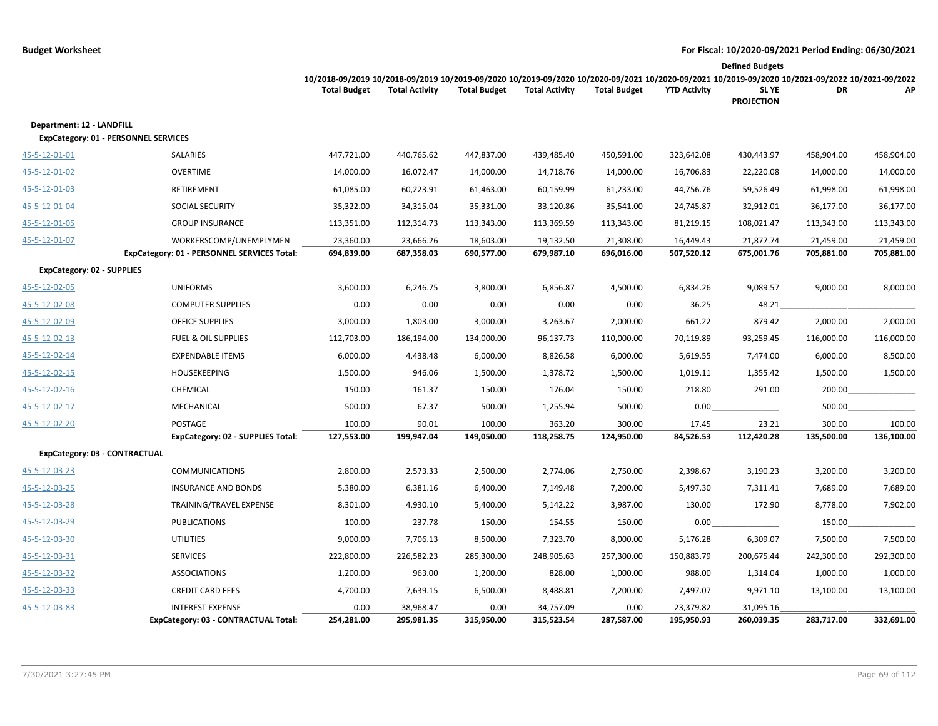|                                             |                                             |                                                                                                                                                 |                       |                     |                       |                     |                     | <b>Defined Budgets</b>     |            |            |
|---------------------------------------------|---------------------------------------------|-------------------------------------------------------------------------------------------------------------------------------------------------|-----------------------|---------------------|-----------------------|---------------------|---------------------|----------------------------|------------|------------|
|                                             |                                             | 10/2018-09/2019 10/2018-09/2019 10/2019-09/2020 10/2019-09/2020 10/2020-09/2021 10/2020-09/2021 10/2019-09/2020 10/2021-09/2022 10/2021-09/2022 |                       |                     |                       |                     |                     |                            |            |            |
|                                             |                                             | <b>Total Budget</b>                                                                                                                             | <b>Total Activity</b> | <b>Total Budget</b> | <b>Total Activity</b> | <b>Total Budget</b> | <b>YTD Activity</b> | SL YE<br><b>PROJECTION</b> | DR         | АP         |
| Department: 12 - LANDFILL                   |                                             |                                                                                                                                                 |                       |                     |                       |                     |                     |                            |            |            |
| <b>ExpCategory: 01 - PERSONNEL SERVICES</b> |                                             |                                                                                                                                                 |                       |                     |                       |                     |                     |                            |            |            |
| 45-5-12-01-01                               | SALARIES                                    | 447,721.00                                                                                                                                      | 440,765.62            | 447,837.00          | 439,485.40            | 450,591.00          | 323,642.08          | 430,443.97                 | 458,904.00 | 458,904.00 |
| 45-5-12-01-02                               | <b>OVERTIME</b>                             | 14,000.00                                                                                                                                       | 16,072.47             | 14,000.00           | 14,718.76             | 14,000.00           | 16,706.83           | 22,220.08                  | 14,000.00  | 14,000.00  |
| 45-5-12-01-03                               | <b>RETIREMENT</b>                           | 61,085.00                                                                                                                                       | 60,223.91             | 61,463.00           | 60,159.99             | 61,233.00           | 44,756.76           | 59,526.49                  | 61,998.00  | 61,998.00  |
| 45-5-12-01-04                               | SOCIAL SECURITY                             | 35,322.00                                                                                                                                       | 34,315.04             | 35,331.00           | 33,120.86             | 35,541.00           | 24,745.87           | 32,912.01                  | 36,177.00  | 36,177.00  |
| 45-5-12-01-05                               | <b>GROUP INSURANCE</b>                      | 113,351.00                                                                                                                                      | 112,314.73            | 113,343.00          | 113,369.59            | 113,343.00          | 81,219.15           | 108,021.47                 | 113,343.00 | 113,343.00 |
| 45-5-12-01-07                               | WORKERSCOMP/UNEMPLYMEN                      | 23,360.00                                                                                                                                       | 23,666.26             | 18,603.00           | 19,132.50             | 21,308.00           | 16,449.43           | 21,877.74                  | 21,459.00  | 21,459.00  |
|                                             | ExpCategory: 01 - PERSONNEL SERVICES Total: | 694,839.00                                                                                                                                      | 687,358.03            | 690,577.00          | 679,987.10            | 696,016.00          | 507,520.12          | 675,001.76                 | 705,881.00 | 705,881.00 |
| <b>ExpCategory: 02 - SUPPLIES</b>           |                                             |                                                                                                                                                 |                       |                     |                       |                     |                     |                            |            |            |
| 45-5-12-02-05                               | <b>UNIFORMS</b>                             | 3,600.00                                                                                                                                        | 6,246.75              | 3,800.00            | 6,856.87              | 4,500.00            | 6,834.26            | 9,089.57                   | 9,000.00   | 8,000.00   |
| 45-5-12-02-08                               | <b>COMPUTER SUPPLIES</b>                    | 0.00                                                                                                                                            | 0.00                  | 0.00                | 0.00                  | 0.00                | 36.25               | 48.21                      |            |            |
| 45-5-12-02-09                               | <b>OFFICE SUPPLIES</b>                      | 3,000.00                                                                                                                                        | 1,803.00              | 3,000.00            | 3,263.67              | 2,000.00            | 661.22              | 879.42                     | 2,000.00   | 2,000.00   |
| 45-5-12-02-13                               | <b>FUEL &amp; OIL SUPPLIES</b>              | 112,703.00                                                                                                                                      | 186,194.00            | 134,000.00          | 96,137.73             | 110,000.00          | 70,119.89           | 93,259.45                  | 116,000.00 | 116,000.00 |
| 45-5-12-02-14                               | <b>EXPENDABLE ITEMS</b>                     | 6,000.00                                                                                                                                        | 4,438.48              | 6,000.00            | 8,826.58              | 6,000.00            | 5,619.55            | 7,474.00                   | 6,000.00   | 8,500.00   |
| 45-5-12-02-15                               | <b>HOUSEKEEPING</b>                         | 1,500.00                                                                                                                                        | 946.06                | 1,500.00            | 1,378.72              | 1,500.00            | 1,019.11            | 1,355.42                   | 1,500.00   | 1,500.00   |
| 45-5-12-02-16                               | CHEMICAL                                    | 150.00                                                                                                                                          | 161.37                | 150.00              | 176.04                | 150.00              | 218.80              | 291.00                     | 200.00     |            |
| 45-5-12-02-17                               | MECHANICAL                                  | 500.00                                                                                                                                          | 67.37                 | 500.00              | 1,255.94              | 500.00              | 0.00                |                            | 500.00     |            |
| 45-5-12-02-20                               | POSTAGE                                     | 100.00                                                                                                                                          | 90.01                 | 100.00              | 363.20                | 300.00              | 17.45               | 23.21                      | 300.00     | 100.00     |
|                                             | ExpCategory: 02 - SUPPLIES Total:           | 127,553.00                                                                                                                                      | 199,947.04            | 149,050.00          | 118,258.75            | 124,950.00          | 84,526.53           | 112,420.28                 | 135,500.00 | 136,100.00 |
| ExpCategory: 03 - CONTRACTUAL               |                                             |                                                                                                                                                 |                       |                     |                       |                     |                     |                            |            |            |
| 45-5-12-03-23                               | <b>COMMUNICATIONS</b>                       | 2,800.00                                                                                                                                        | 2,573.33              | 2,500.00            | 2,774.06              | 2,750.00            | 2,398.67            | 3,190.23                   | 3,200.00   | 3,200.00   |
| 45-5-12-03-25                               | <b>INSURANCE AND BONDS</b>                  | 5,380.00                                                                                                                                        | 6,381.16              | 6,400.00            | 7,149.48              | 7,200.00            | 5,497.30            | 7,311.41                   | 7,689.00   | 7,689.00   |
| 45-5-12-03-28                               | TRAINING/TRAVEL EXPENSE                     | 8,301.00                                                                                                                                        | 4,930.10              | 5,400.00            | 5,142.22              | 3,987.00            | 130.00              | 172.90                     | 8,778.00   | 7,902.00   |
| 45-5-12-03-29                               | <b>PUBLICATIONS</b>                         | 100.00                                                                                                                                          | 237.78                | 150.00              | 154.55                | 150.00              | 0.00                |                            | 150.00     |            |
| 45-5-12-03-30                               | <b>UTILITIES</b>                            | 9,000.00                                                                                                                                        | 7,706.13              | 8,500.00            | 7,323.70              | 8,000.00            | 5,176.28            | 6,309.07                   | 7,500.00   | 7,500.00   |
| 45-5-12-03-31                               | <b>SERVICES</b>                             | 222,800.00                                                                                                                                      | 226,582.23            | 285,300.00          | 248,905.63            | 257,300.00          | 150,883.79          | 200,675.44                 | 242,300.00 | 292,300.00 |
| 45-5-12-03-32                               | <b>ASSOCIATIONS</b>                         | 1,200.00                                                                                                                                        | 963.00                | 1,200.00            | 828.00                | 1,000.00            | 988.00              | 1,314.04                   | 1,000.00   | 1,000.00   |
| 45-5-12-03-33                               | <b>CREDIT CARD FEES</b>                     | 4,700.00                                                                                                                                        | 7,639.15              | 6,500.00            | 8,488.81              | 7,200.00            | 7,497.07            | 9,971.10                   | 13,100.00  | 13,100.00  |
| 45-5-12-03-83                               | <b>INTEREST EXPENSE</b>                     | 0.00                                                                                                                                            | 38,968.47             | 0.00                | 34,757.09             | 0.00                | 23,379.82           | 31,095.16                  |            |            |
|                                             | ExpCategory: 03 - CONTRACTUAL Total:        | 254,281.00                                                                                                                                      | 295,981.35            | 315,950.00          | 315,523.54            | 287,587.00          | 195,950.93          | 260,039.35                 | 283,717.00 | 332,691.00 |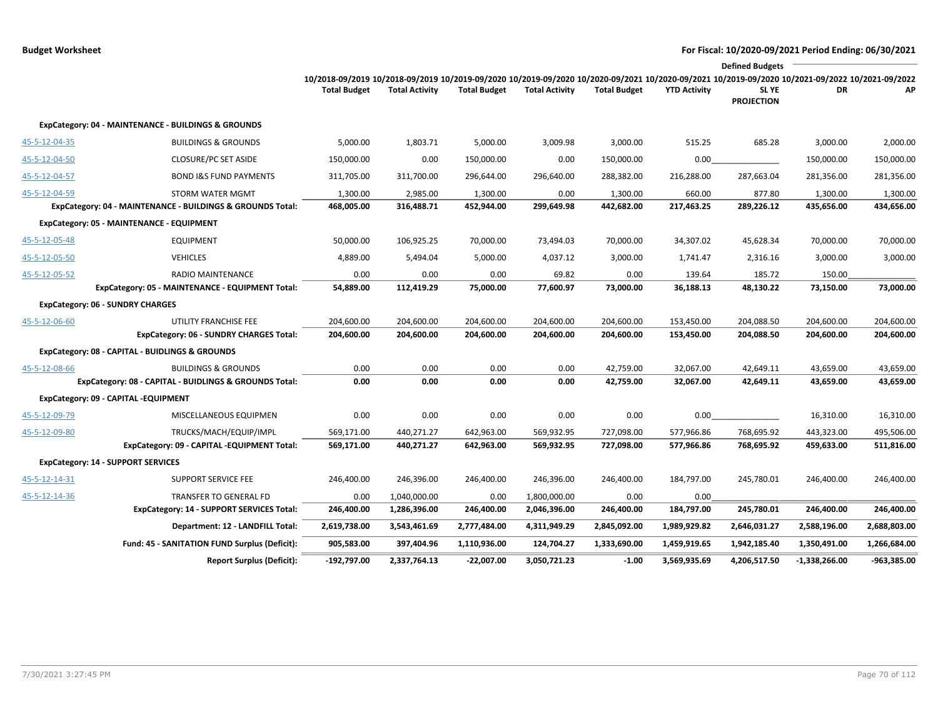|               |                                                            |                                                                                                                                                 |                       |                     |                       |                     |                     | <b>Defined Budgets</b>           |                 |              |
|---------------|------------------------------------------------------------|-------------------------------------------------------------------------------------------------------------------------------------------------|-----------------------|---------------------|-----------------------|---------------------|---------------------|----------------------------------|-----------------|--------------|
|               |                                                            | 10/2018-09/2019 10/2018-09/2019 10/2019-09/2020 10/2019-09/2020 10/2020-09/2021 10/2020-09/2021 10/2019-09/2020 10/2021-09/2022 10/2021-09/2022 |                       |                     |                       |                     |                     |                                  |                 |              |
|               |                                                            | <b>Total Budget</b>                                                                                                                             | <b>Total Activity</b> | <b>Total Budget</b> | <b>Total Activity</b> | <b>Total Budget</b> | <b>YTD Activity</b> | <b>SLYE</b><br><b>PROJECTION</b> | DR              | AP           |
|               | ExpCategory: 04 - MAINTENANCE - BUILDINGS & GROUNDS        |                                                                                                                                                 |                       |                     |                       |                     |                     |                                  |                 |              |
| 45-5-12-04-35 | <b>BUILDINGS &amp; GROUNDS</b>                             | 5,000.00                                                                                                                                        | 1,803.71              | 5,000.00            | 3,009.98              | 3,000.00            | 515.25              | 685.28                           | 3,000.00        | 2,000.00     |
| 45-5-12-04-50 | <b>CLOSURE/PC SET ASIDE</b>                                | 150,000.00                                                                                                                                      | 0.00                  | 150,000.00          | 0.00                  | 150,000.00          | 0.00                |                                  | 150,000.00      | 150,000.00   |
| 45-5-12-04-57 | <b>BOND I&amp;S FUND PAYMENTS</b>                          | 311,705.00                                                                                                                                      | 311,700.00            | 296,644.00          | 296,640.00            | 288,382.00          | 216,288.00          | 287,663.04                       | 281,356.00      | 281,356.00   |
| 45-5-12-04-59 | <b>STORM WATER MGMT</b>                                    | 1,300.00                                                                                                                                        | 2,985.00              | 1,300.00            | 0.00                  | 1,300.00            | 660.00              | 877.80                           | 1,300.00        | 1,300.00     |
|               | ExpCategory: 04 - MAINTENANCE - BUILDINGS & GROUNDS Total: | 468,005.00                                                                                                                                      | 316,488.71            | 452,944.00          | 299,649.98            | 442,682.00          | 217,463.25          | 289,226.12                       | 435,656.00      | 434,656.00   |
|               | ExpCategory: 05 - MAINTENANCE - EQUIPMENT                  |                                                                                                                                                 |                       |                     |                       |                     |                     |                                  |                 |              |
| 45-5-12-05-48 | <b>EQUIPMENT</b>                                           | 50,000.00                                                                                                                                       | 106,925.25            | 70,000.00           | 73,494.03             | 70,000.00           | 34,307.02           | 45,628.34                        | 70,000.00       | 70,000.00    |
| 45-5-12-05-50 | <b>VEHICLES</b>                                            | 4,889.00                                                                                                                                        | 5,494.04              | 5,000.00            | 4,037.12              | 3,000.00            | 1,741.47            | 2,316.16                         | 3,000.00        | 3,000.00     |
| 45-5-12-05-52 | <b>RADIO MAINTENANCE</b>                                   | 0.00                                                                                                                                            | 0.00                  | 0.00                | 69.82                 | 0.00                | 139.64              | 185.72                           | 150.00          |              |
|               | ExpCategory: 05 - MAINTENANCE - EQUIPMENT Total:           | 54,889.00                                                                                                                                       | 112,419.29            | 75,000.00           | 77,600.97             | 73,000.00           | 36,188.13           | 48,130.22                        | 73,150.00       | 73,000.00    |
|               | <b>ExpCategory: 06 - SUNDRY CHARGES</b>                    |                                                                                                                                                 |                       |                     |                       |                     |                     |                                  |                 |              |
| 45-5-12-06-60 | UTILITY FRANCHISE FEE                                      | 204,600.00                                                                                                                                      | 204,600.00            | 204,600.00          | 204,600.00            | 204,600.00          | 153,450.00          | 204,088.50                       | 204,600.00      | 204,600.00   |
|               | ExpCategory: 06 - SUNDRY CHARGES Total:                    | 204,600.00                                                                                                                                      | 204,600.00            | 204,600.00          | 204,600.00            | 204,600.00          | 153,450.00          | 204,088.50                       | 204,600.00      | 204,600.00   |
|               | ExpCategory: 08 - CAPITAL - BUIDLINGS & GROUNDS            |                                                                                                                                                 |                       |                     |                       |                     |                     |                                  |                 |              |
| 45-5-12-08-66 | <b>BUILDINGS &amp; GROUNDS</b>                             | 0.00                                                                                                                                            | 0.00                  | 0.00                | 0.00                  | 42,759.00           | 32,067.00           | 42,649.11                        | 43,659.00       | 43,659.00    |
|               | ExpCategory: 08 - CAPITAL - BUIDLINGS & GROUNDS Total:     | 0.00                                                                                                                                            | 0.00                  | 0.00                | 0.00                  | 42,759.00           | 32,067.00           | 42,649.11                        | 43,659.00       | 43,659.00    |
|               | ExpCategory: 09 - CAPITAL -EQUIPMENT                       |                                                                                                                                                 |                       |                     |                       |                     |                     |                                  |                 |              |
| 45-5-12-09-79 | MISCELLANEOUS EQUIPMEN                                     | 0.00                                                                                                                                            | 0.00                  | 0.00                | 0.00                  | 0.00                | 0.00                |                                  | 16,310.00       | 16,310.00    |
| 45-5-12-09-80 | TRUCKS/MACH/EQUIP/IMPL                                     | 569,171.00                                                                                                                                      | 440,271.27            | 642,963.00          | 569,932.95            | 727,098.00          | 577,966.86          | 768,695.92                       | 443,323.00      | 495,506.00   |
|               | ExpCategory: 09 - CAPITAL -EQUIPMENT Total:                | 569,171.00                                                                                                                                      | 440,271.27            | 642,963.00          | 569,932.95            | 727,098.00          | 577,966.86          | 768,695.92                       | 459,633.00      | 511,816.00   |
|               | <b>ExpCategory: 14 - SUPPORT SERVICES</b>                  |                                                                                                                                                 |                       |                     |                       |                     |                     |                                  |                 |              |
| 45-5-12-14-31 | <b>SUPPORT SERVICE FEE</b>                                 | 246,400.00                                                                                                                                      | 246,396.00            | 246,400.00          | 246,396.00            | 246,400.00          | 184,797.00          | 245,780.01                       | 246,400.00      | 246,400.00   |
| 45-5-12-14-36 | <b>TRANSFER TO GENERAL FD</b>                              | 0.00                                                                                                                                            | 1,040,000.00          | 0.00                | 1,800,000.00          | 0.00                | 0.00                |                                  |                 |              |
|               | <b>ExpCategory: 14 - SUPPORT SERVICES Total:</b>           | 246,400.00                                                                                                                                      | 1,286,396.00          | 246,400.00          | 2,046,396.00          | 246,400.00          | 184,797.00          | 245,780.01                       | 246,400.00      | 246,400.00   |
|               | Department: 12 - LANDFILL Total:                           | 2,619,738.00                                                                                                                                    | 3,543,461.69          | 2,777,484.00        | 4,311,949.29          | 2,845,092.00        | 1,989,929.82        | 2,646,031.27                     | 2,588,196.00    | 2,688,803.00 |
|               | Fund: 45 - SANITATION FUND Surplus (Deficit):              | 905,583.00                                                                                                                                      | 397,404.96            | 1,110,936.00        | 124,704.27            | 1,333,690.00        | 1,459,919.65        | 1,942,185.40                     | 1,350,491.00    | 1,266,684.00 |
|               | <b>Report Surplus (Deficit):</b>                           | -192,797.00                                                                                                                                     | 2,337,764.13          | $-22,007.00$        | 3,050,721.23          | $-1.00$             | 3,569,935.69        | 4,206,517.50                     | $-1,338,266.00$ | -963,385.00  |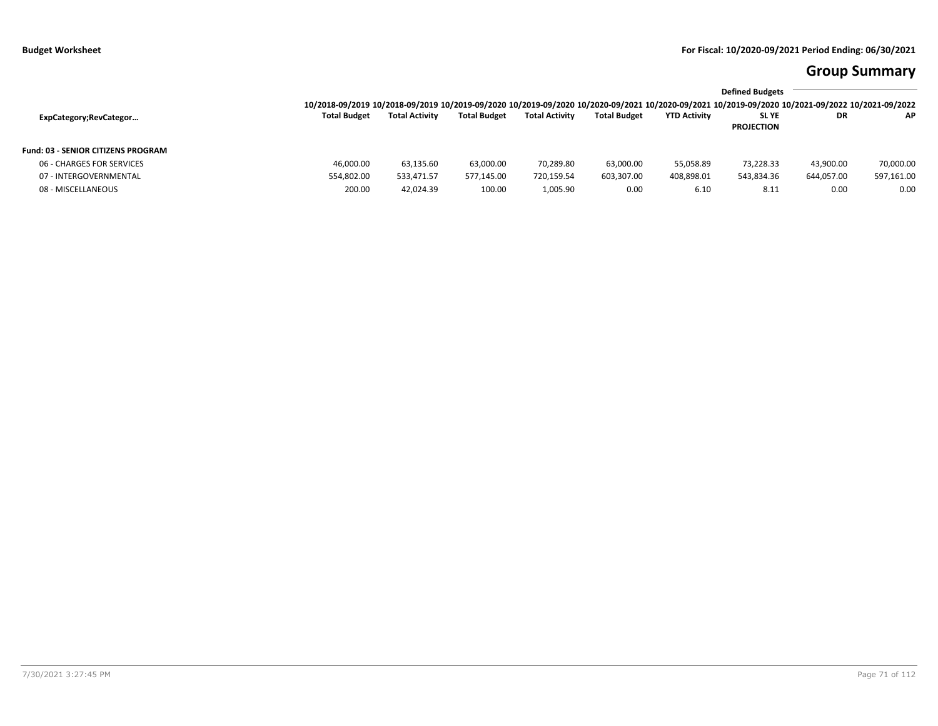# **Group Summary**

|                     |                       |                     |                       |                     |                     | <b>Defined Budgets</b> |            |                                                                                                                                                 |
|---------------------|-----------------------|---------------------|-----------------------|---------------------|---------------------|------------------------|------------|-------------------------------------------------------------------------------------------------------------------------------------------------|
|                     |                       |                     |                       |                     |                     |                        |            |                                                                                                                                                 |
| <b>Total Budget</b> | <b>Total Activity</b> | <b>Total Budget</b> | <b>Total Activity</b> | <b>Total Budget</b> | <b>YTD Activity</b> | <b>SLYE</b>            | DR         | AP.                                                                                                                                             |
|                     |                       |                     |                       |                     |                     | <b>PROJECTION</b>      |            |                                                                                                                                                 |
|                     |                       |                     |                       |                     |                     |                        |            |                                                                                                                                                 |
| 46.000.00           | 63,135.60             | 63.000.00           | 70,289.80             | 63,000.00           | 55.058.89           | 73.228.33              | 43,900.00  | 70,000.00                                                                                                                                       |
| 554,802.00          | 533.471.57            | 577,145.00          | 720,159.54            | 603,307.00          | 408,898.01          | 543,834.36             | 644,057.00 | 597,161.00                                                                                                                                      |
| 200.00              | 42,024.39             | 100.00              | 1,005.90              | 0.00                | 6.10                | 8.11                   | 0.00       | 0.00                                                                                                                                            |
|                     |                       |                     |                       |                     |                     |                        |            | 10/2018-09/2019 10/2018-09/2019 10/2019-09/2020 10/2019-09/2020 10/2020-09/2021 10/2020-09/2021 10/2019-09/2020 10/2021-09/2022 10/2021-09/2022 |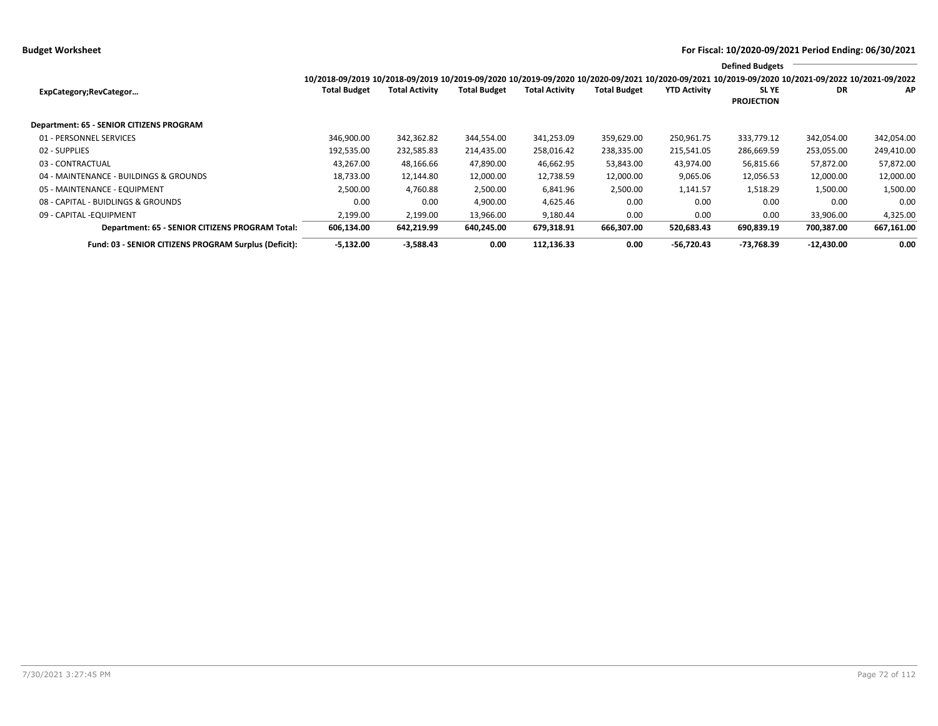**Budget Worksheet For Fiscal: 10/2020-09/2021 Period Ending: 06/30/2021**

|                                                       |                                                                                                                                                 |                       |                     |                       |                     |                     | <b>Defined Budgets</b>     |              |            |
|-------------------------------------------------------|-------------------------------------------------------------------------------------------------------------------------------------------------|-----------------------|---------------------|-----------------------|---------------------|---------------------|----------------------------|--------------|------------|
|                                                       | 10/2018-09/2019 10/2018-09/2019 10/2019-09/2020 10/2019-09/2020 10/2020-09/2021 10/2020-09/2021 10/2019-09/2020 10/2021-09/2022 10/2021-09/2022 |                       |                     |                       |                     |                     |                            |              |            |
| ExpCategory;RevCategor                                | <b>Total Budget</b>                                                                                                                             | <b>Total Activity</b> | <b>Total Budget</b> | <b>Total Activity</b> | <b>Total Budget</b> | <b>YTD Activity</b> | SL YE<br><b>PROJECTION</b> | DR           | AP         |
| <b>Department: 65 - SENIOR CITIZENS PROGRAM</b>       |                                                                                                                                                 |                       |                     |                       |                     |                     |                            |              |            |
| 01 - PERSONNEL SERVICES                               | 346,900.00                                                                                                                                      | 342,362.82            | 344,554.00          | 341,253.09            | 359,629.00          | 250,961.75          | 333,779.12                 | 342,054.00   | 342,054.00 |
| 02 - SUPPLIES                                         | 192,535.00                                                                                                                                      | 232,585.83            | 214,435.00          | 258,016.42            | 238,335.00          | 215,541.05          | 286,669.59                 | 253,055.00   | 249,410.00 |
| 03 - CONTRACTUAL                                      | 43,267.00                                                                                                                                       | 48,166.66             | 47,890.00           | 46,662.95             | 53,843.00           | 43,974.00           | 56,815.66                  | 57,872.00    | 57,872.00  |
| 04 - MAINTENANCE - BUILDINGS & GROUNDS                | 18,733.00                                                                                                                                       | 12,144.80             | 12,000.00           | 12,738.59             | 12,000.00           | 9,065.06            | 12,056.53                  | 12,000.00    | 12,000.00  |
| 05 - MAINTENANCE - EQUIPMENT                          | 2,500.00                                                                                                                                        | 4,760.88              | 2,500.00            | 6,841.96              | 2,500.00            | 1,141.57            | 1,518.29                   | 1,500.00     | 1,500.00   |
| 08 - CAPITAL - BUIDLINGS & GROUNDS                    | 0.00                                                                                                                                            | 0.00                  | 4,900.00            | 4,625.46              | 0.00                | 0.00                | 0.00                       | 0.00         | 0.00       |
| 09 - CAPITAL - EQUIPMENT                              | 2,199.00                                                                                                                                        | 2,199.00              | 13,966.00           | 9,180.44              | 0.00                | 0.00                | 0.00                       | 33,906.00    | 4,325.00   |
| Department: 65 - SENIOR CITIZENS PROGRAM Total:       | 606,134.00                                                                                                                                      | 642,219.99            | 640,245.00          | 679,318.91            | 666,307.00          | 520,683.43          | 690,839.19                 | 700,387.00   | 667,161.00 |
| Fund: 03 - SENIOR CITIZENS PROGRAM Surplus (Deficit): | $-5,132.00$                                                                                                                                     | $-3,588.43$           | 0.00                | 112,136.33            | 0.00                | $-56,720.43$        | $-73,768.39$               | $-12,430.00$ | 0.00       |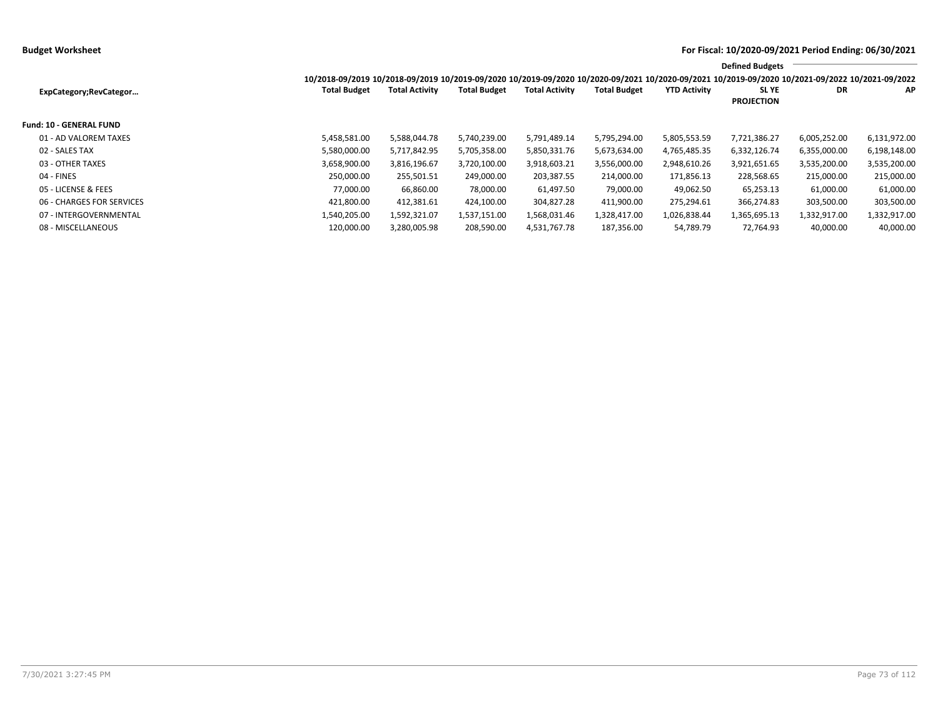|                                |                                                                                                                                                 |                       |                     |                       |                     |                     | <b>Defined Budgets</b>           |              |              |
|--------------------------------|-------------------------------------------------------------------------------------------------------------------------------------------------|-----------------------|---------------------|-----------------------|---------------------|---------------------|----------------------------------|--------------|--------------|
|                                | 10/2018-09/2019 10/2018-09/2019 10/2019-09/2020 10/2019-09/2020 10/2020-09/2021 10/2020-09/2021 10/2019-09/2020 10/2021-09/2022 10/2021-09/2022 |                       |                     |                       |                     |                     |                                  |              |              |
| ExpCategory;RevCategor         | <b>Total Budget</b>                                                                                                                             | <b>Total Activity</b> | <b>Total Budget</b> | <b>Total Activity</b> | <b>Total Budget</b> | <b>YTD Activity</b> | <b>SLYE</b><br><b>PROJECTION</b> | DR           | <b>AP</b>    |
| <b>Fund: 10 - GENERAL FUND</b> |                                                                                                                                                 |                       |                     |                       |                     |                     |                                  |              |              |
| 01 - AD VALOREM TAXES          | 5,458,581.00                                                                                                                                    | 5,588,044.78          | 5,740,239.00        | 5,791,489.14          | 5,795,294.00        | 5,805,553.59        | 7,721,386.27                     | 6,005,252.00 | 6,131,972.00 |
| 02 - SALES TAX                 | 5,580,000.00                                                                                                                                    | 5,717,842.95          | 5,705,358.00        | 5,850,331.76          | 5,673,634.00        | 4,765,485.35        | 6,332,126.74                     | 6,355,000.00 | 6,198,148.00 |
| 03 - OTHER TAXES               | 3,658,900.00                                                                                                                                    | 3,816,196.67          | 3,720,100.00        | 3,918,603.21          | 3,556,000.00        | 2,948,610.26        | 3,921,651.65                     | 3,535,200.00 | 3,535,200.00 |
| 04 - FINES                     | 250,000.00                                                                                                                                      | 255,501.51            | 249,000.00          | 203,387.55            | 214,000.00          | 171,856.13          | 228,568.65                       | 215,000.00   | 215,000.00   |
| 05 - LICENSE & FEES            | 77.000.00                                                                                                                                       | 66,860.00             | 78,000.00           | 61,497.50             | 79,000.00           | 49,062.50           | 65,253.13                        | 61,000.00    | 61,000.00    |
| 06 - CHARGES FOR SERVICES      | 421,800.00                                                                                                                                      | 412,381.61            | 424,100.00          | 304,827.28            | 411,900.00          | 275,294.61          | 366,274.83                       | 303,500.00   | 303,500.00   |
| 07 - INTERGOVERNMENTAL         | 1,540,205.00                                                                                                                                    | 1,592,321.07          | 1,537,151.00        | 1,568,031.46          | 1,328,417.00        | 1,026,838.44        | 1,365,695.13                     | 1,332,917.00 | 1,332,917.00 |
| 08 - MISCELLANEOUS             | 120,000.00                                                                                                                                      | 3,280,005.98          | 208,590.00          | 4,531,767.78          | 187,356.00          | 54,789.79           | 72,764.93                        | 40,000.00    | 40,000.00    |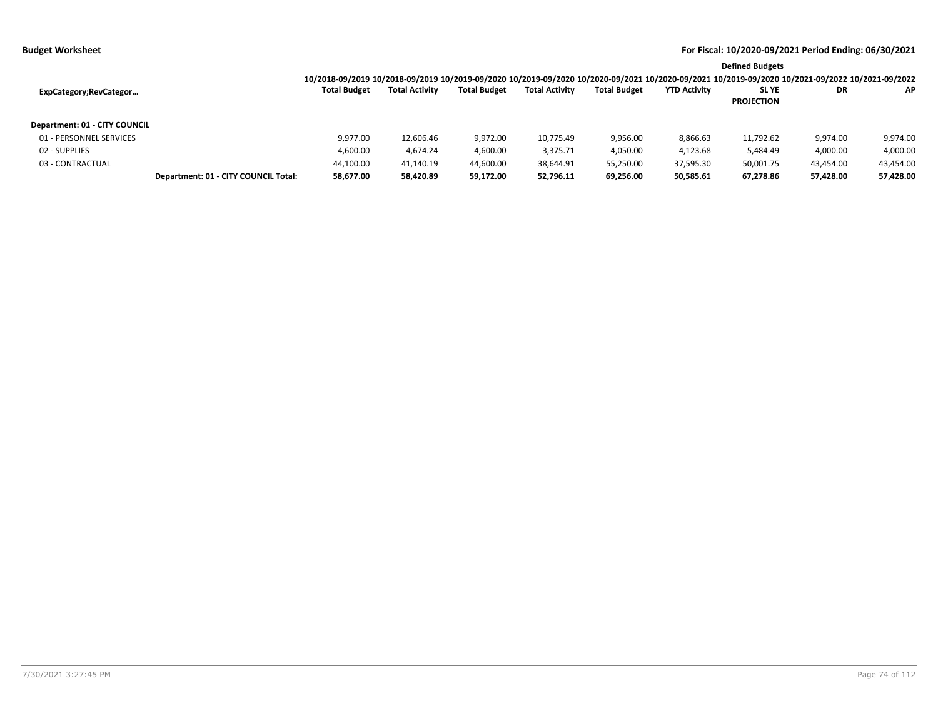|                               |                                      |                     |                       |                     |                       |                     |                     | <b>Defined Budgets</b>                                                                                                                          |           |           |
|-------------------------------|--------------------------------------|---------------------|-----------------------|---------------------|-----------------------|---------------------|---------------------|-------------------------------------------------------------------------------------------------------------------------------------------------|-----------|-----------|
|                               |                                      |                     |                       |                     |                       |                     |                     | 10/2018-09/2019 10/2018-09/2019 10/2019-09/2020 10/2019-09/2020 10/2020-09/2021 10/2020-09/2021 10/2019-09/2020 10/2021-09/2022 10/2021-09/2022 |           |           |
| ExpCategory;RevCategor        |                                      | <b>Total Budget</b> | <b>Total Activity</b> | <b>Total Budget</b> | <b>Total Activity</b> | <b>Total Budget</b> | <b>YTD Activity</b> | SL YE                                                                                                                                           | <b>DR</b> | AP.       |
|                               |                                      |                     |                       |                     |                       |                     |                     | <b>PROJECTION</b>                                                                                                                               |           |           |
| Department: 01 - CITY COUNCIL |                                      |                     |                       |                     |                       |                     |                     |                                                                                                                                                 |           |           |
| 01 - PERSONNEL SERVICES       |                                      | 9.977.00            | 12,606.46             | 9,972.00            | 10,775.49             | 9,956.00            | 8,866.63            | 11,792.62                                                                                                                                       | 9,974.00  | 9,974.00  |
| 02 - SUPPLIES                 |                                      | 4,600.00            | 4,674.24              | 4,600.00            | 3,375.71              | 4,050.00            | 4,123.68            | 5,484.49                                                                                                                                        | 4,000.00  | 4,000.00  |
| 03 - CONTRACTUAL              |                                      | 44,100.00           | 41,140.19             | 44,600.00           | 38,644.91             | 55,250.00           | 37,595.30           | 50,001.75                                                                                                                                       | 43,454.00 | 43,454.00 |
|                               | Department: 01 - CITY COUNCIL Total: | 58,677.00           | 58,420.89             | 59,172.00           | 52.796.11             | 69,256.00           | 50,585.61           | 67,278.86                                                                                                                                       | 57,428.00 | 57,428.00 |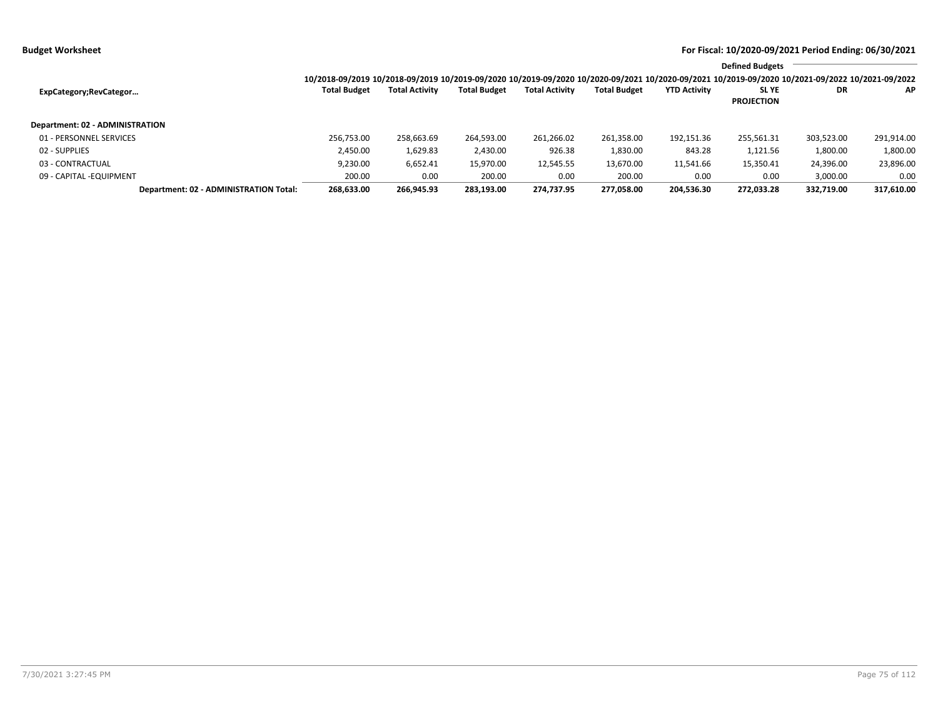|                                        |                                                                                                                                                 |                       |                     |                       |                     |                     | <b>Defined Budgets</b> |            |            |
|----------------------------------------|-------------------------------------------------------------------------------------------------------------------------------------------------|-----------------------|---------------------|-----------------------|---------------------|---------------------|------------------------|------------|------------|
|                                        | 10/2018-09/2019 10/2018-09/2019 10/2019-09/2020 10/2019-09/2020 10/2020-09/2021 10/2020-09/2021 10/2019-09/2020 10/2021-09/2022 10/2021-09/2022 |                       |                     |                       |                     |                     |                        |            |            |
| ExpCategory;RevCategor                 | <b>Total Budget</b>                                                                                                                             | <b>Total Activity</b> | <b>Total Budget</b> | <b>Total Activity</b> | <b>Total Budget</b> | <b>YTD Activity</b> | <b>SLYE</b>            | DR         | <b>AP</b>  |
|                                        |                                                                                                                                                 |                       |                     |                       |                     |                     | <b>PROJECTION</b>      |            |            |
| Department: 02 - ADMINISTRATION        |                                                                                                                                                 |                       |                     |                       |                     |                     |                        |            |            |
| 01 - PERSONNEL SERVICES                | 256,753.00                                                                                                                                      | 258,663.69            | 264,593.00          | 261,266.02            | 261,358.00          | 192,151.36          | 255,561.31             | 303,523.00 | 291,914.00 |
| 02 - SUPPLIES                          | 2,450.00                                                                                                                                        | 1,629.83              | 2,430.00            | 926.38                | 1,830.00            | 843.28              | 1,121.56               | 1,800.00   | 1,800.00   |
| 03 - CONTRACTUAL                       | 9,230.00                                                                                                                                        | 6,652.41              | 15,970.00           | 12,545.55             | 13,670.00           | 11,541.66           | 15.350.41              | 24,396.00  | 23,896.00  |
| 09 - CAPITAL -EQUIPMENT                | 200.00                                                                                                                                          | 0.00                  | 200.00              | 0.00                  | 200.00              | 0.00                | 0.00                   | 3,000.00   | 0.00       |
| Department: 02 - ADMINISTRATION Total: | 268,633.00                                                                                                                                      | 266.945.93            | 283,193.00          | 274,737.95            | 277.058.00          | 204,536.30          | 272,033.28             | 332,719.00 | 317,610.00 |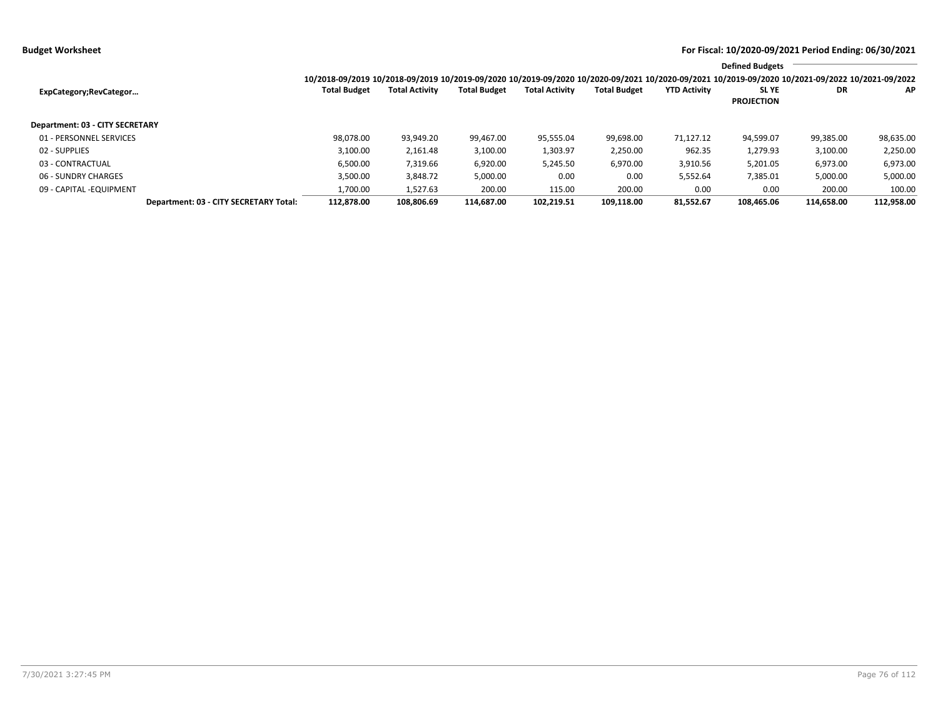|                                        |                                                                                                                                                 |                       |                     |                       |                     |                     | <b>Defined Budgets</b>           |            |            |
|----------------------------------------|-------------------------------------------------------------------------------------------------------------------------------------------------|-----------------------|---------------------|-----------------------|---------------------|---------------------|----------------------------------|------------|------------|
|                                        | 10/2018-09/2019 10/2018-09/2019 10/2019-09/2020 10/2019-09/2020 10/2020-09/2021 10/2020-09/2021 10/2019-09/2020 10/2021-09/2022 10/2021-09/2022 |                       |                     |                       |                     |                     |                                  |            |            |
| ExpCategory; RevCategor                | <b>Total Budget</b>                                                                                                                             | <b>Total Activity</b> | <b>Total Budget</b> | <b>Total Activity</b> | <b>Total Budget</b> | <b>YTD Activity</b> | <b>SLYE</b><br><b>PROJECTION</b> | DR         | AP         |
| Department: 03 - CITY SECRETARY        |                                                                                                                                                 |                       |                     |                       |                     |                     |                                  |            |            |
| 01 - PERSONNEL SERVICES                | 98,078.00                                                                                                                                       | 93,949.20             | 99.467.00           | 95,555.04             | 99,698.00           | 71,127.12           | 94,599.07                        | 99,385.00  | 98,635.00  |
| 02 - SUPPLIES                          | 3,100.00                                                                                                                                        | 2,161.48              | 3,100.00            | 1,303.97              | 2,250.00            | 962.35              | 1,279.93                         | 3,100.00   | 2,250.00   |
| 03 - CONTRACTUAL                       | 6.500.00                                                                                                                                        | 7,319.66              | 6,920.00            | 5,245.50              | 6,970.00            | 3,910.56            | 5,201.05                         | 6,973.00   | 6,973.00   |
| 06 - SUNDRY CHARGES                    | 3.500.00                                                                                                                                        | 3,848.72              | 5,000.00            | 0.00                  | 0.00                | 5,552.64            | 7,385.01                         | 5,000.00   | 5,000.00   |
| 09 - CAPITAL - EQUIPMENT               | 1,700.00                                                                                                                                        | 1,527.63              | 200.00              | 115.00                | 200.00              | 0.00                | 0.00                             | 200.00     | 100.00     |
| Department: 03 - CITY SECRETARY Total: | 112.878.00                                                                                                                                      | 108.806.69            | 114.687.00          | 102.219.51            | 109.118.00          | 81.552.67           | 108.465.06                       | 114.658.00 | 112,958.00 |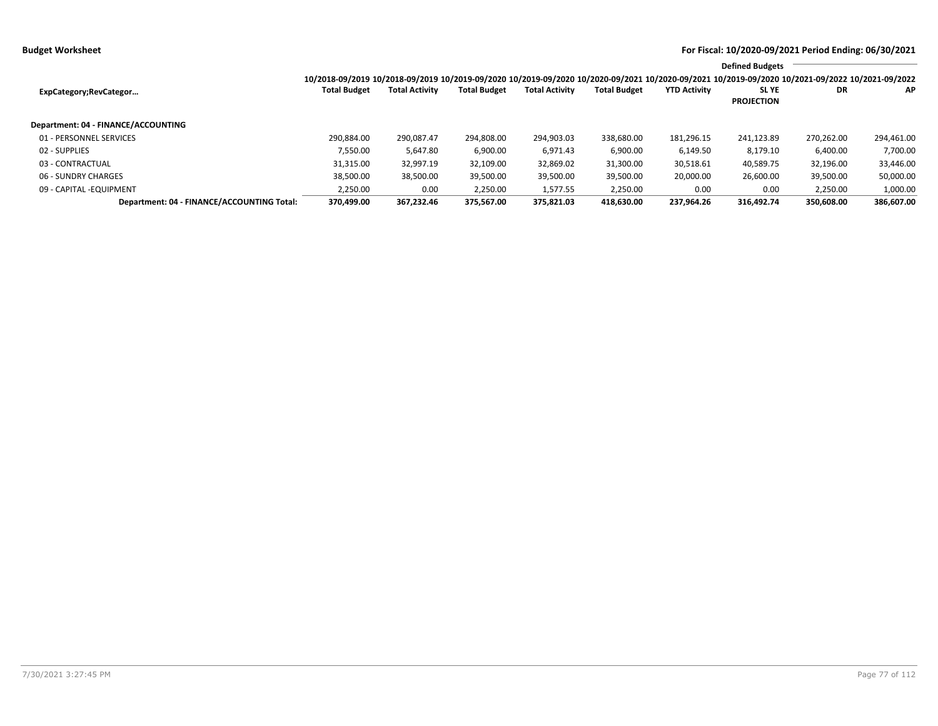|                                            |                                                                                                                                                 |                       |                     |                       |                     |                     | <b>Defined Budgets</b>           |            |            |  |  |  |
|--------------------------------------------|-------------------------------------------------------------------------------------------------------------------------------------------------|-----------------------|---------------------|-----------------------|---------------------|---------------------|----------------------------------|------------|------------|--|--|--|
|                                            | 10/2018-09/2019 10/2018-09/2019 10/2019-09/2020 10/2019-09/2020 10/2020-09/2021 10/2020-09/2021 10/2019-09/2020 10/2021-09/2022 10/2021-09/2022 |                       |                     |                       |                     |                     |                                  |            |            |  |  |  |
| ExpCategory;RevCategor                     | <b>Total Budget</b>                                                                                                                             | <b>Total Activity</b> | <b>Total Budget</b> | <b>Total Activity</b> | <b>Total Budget</b> | <b>YTD Activity</b> | <b>SLYE</b><br><b>PROJECTION</b> | DR         | ΑP         |  |  |  |
| Department: 04 - FINANCE/ACCOUNTING        |                                                                                                                                                 |                       |                     |                       |                     |                     |                                  |            |            |  |  |  |
| 01 - PERSONNEL SERVICES                    | 290.884.00                                                                                                                                      | 290.087.47            | 294.808.00          | 294,903.03            | 338,680.00          | 181,296.15          | 241,123.89                       | 270,262.00 | 294,461.00 |  |  |  |
| 02 - SUPPLIES                              | 7.550.00                                                                                                                                        | 5,647.80              | 6,900.00            | 6,971.43              | 6,900.00            | 6,149.50            | 8,179.10                         | 6,400.00   | 7,700.00   |  |  |  |
| 03 - CONTRACTUAL                           | 31,315.00                                                                                                                                       | 32,997.19             | 32,109.00           | 32,869.02             | 31,300.00           | 30,518.61           | 40,589.75                        | 32,196.00  | 33,446.00  |  |  |  |
| 06 - SUNDRY CHARGES                        | 38,500.00                                                                                                                                       | 38,500.00             | 39,500.00           | 39,500.00             | 39,500.00           | 20,000.00           | 26,600.00                        | 39,500.00  | 50,000.00  |  |  |  |
| 09 - CAPITAL - EQUIPMENT                   | 2,250.00                                                                                                                                        | 0.00                  | 2,250.00            | 1,577.55              | 2,250.00            | 0.00                | 0.00                             | 2,250.00   | 1,000.00   |  |  |  |
| Department: 04 - FINANCE/ACCOUNTING Total: | 370.499.00                                                                                                                                      | 367.232.46            | 375.567.00          | 375.821.03            | 418.630.00          | 237.964.26          | 316.492.74                       | 350.608.00 | 386,607.00 |  |  |  |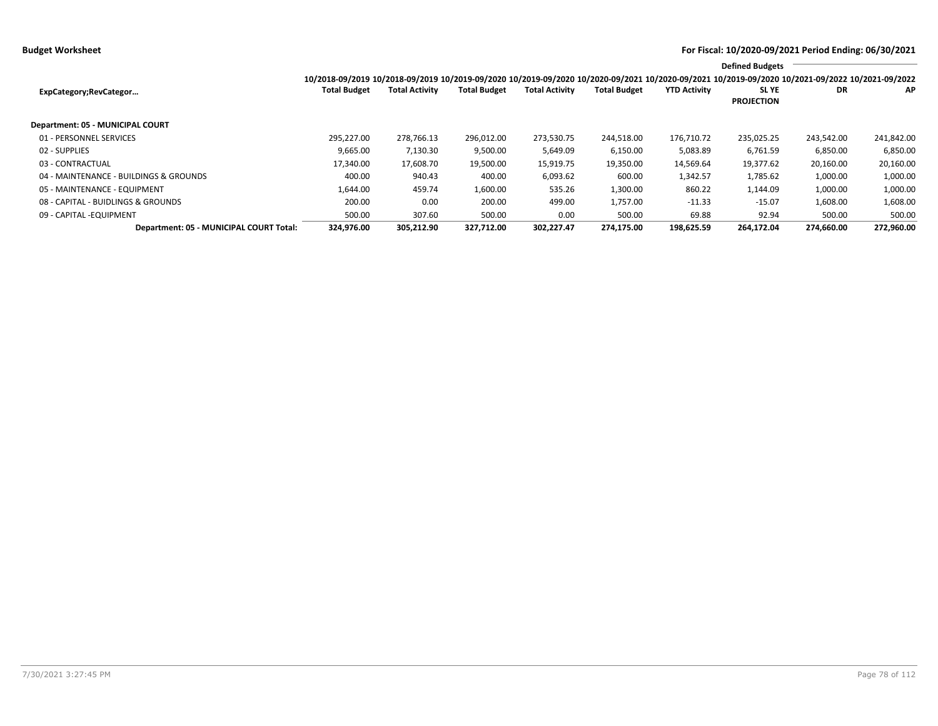**Budget Worksheet For Fiscal: 10/2020-09/2021 Period Ending: 06/30/2021**

|                                         |                                                                                                                                                 |                       |                     |                       |                     |                     | <b>Defined Budgets</b>     |            |            |
|-----------------------------------------|-------------------------------------------------------------------------------------------------------------------------------------------------|-----------------------|---------------------|-----------------------|---------------------|---------------------|----------------------------|------------|------------|
|                                         | 10/2018-09/2019 10/2018-09/2019 10/2019-09/2020 10/2019-09/2020 10/2020-09/2021 10/2020-09/2021 10/2019-09/2020 10/2021-09/2022 10/2021-09/2022 |                       |                     |                       |                     |                     |                            |            |            |
| ExpCategory;RevCategor                  | <b>Total Budget</b>                                                                                                                             | <b>Total Activity</b> | <b>Total Budget</b> | <b>Total Activity</b> | <b>Total Budget</b> | <b>YTD Activity</b> | SL YE<br><b>PROJECTION</b> | DR         | AP.        |
| Department: 05 - MUNICIPAL COURT        |                                                                                                                                                 |                       |                     |                       |                     |                     |                            |            |            |
| 01 - PERSONNEL SERVICES                 | 295.227.00                                                                                                                                      | 278,766.13            | 296,012.00          | 273,530.75            | 244,518.00          | 176,710.72          | 235,025.25                 | 243,542.00 | 241,842.00 |
| 02 - SUPPLIES                           | 9,665.00                                                                                                                                        | 7,130.30              | 9,500.00            | 5,649.09              | 6,150.00            | 5,083.89            | 6,761.59                   | 6,850.00   | 6,850.00   |
| 03 - CONTRACTUAL                        | 17,340.00                                                                                                                                       | 17,608.70             | 19,500.00           | 15,919.75             | 19,350.00           | 14,569.64           | 19,377.62                  | 20,160.00  | 20,160.00  |
| 04 - MAINTENANCE - BUILDINGS & GROUNDS  | 400.00                                                                                                                                          | 940.43                | 400.00              | 6,093.62              | 600.00              | 1,342.57            | 1,785.62                   | 1,000.00   | 1,000.00   |
| 05 - MAINTENANCE - EQUIPMENT            | 1,644.00                                                                                                                                        | 459.74                | 1.600.00            | 535.26                | 1.300.00            | 860.22              | 1.144.09                   | 1,000.00   | 1,000.00   |
| 08 - CAPITAL - BUIDLINGS & GROUNDS      | 200.00                                                                                                                                          | 0.00                  | 200.00              | 499.00                | 1,757.00            | $-11.33$            | $-15.07$                   | 1,608.00   | 1,608.00   |
| 09 - CAPITAL -EQUIPMENT                 | 500.00                                                                                                                                          | 307.60                | 500.00              | 0.00                  | 500.00              | 69.88               | 92.94                      | 500.00     | 500.00     |
| Department: 05 - MUNICIPAL COURT Total: | 324,976.00                                                                                                                                      | 305,212.90            | 327,712.00          | 302,227.47            | 274.175.00          | 198,625.59          | 264,172.04                 | 274,660.00 | 272,960.00 |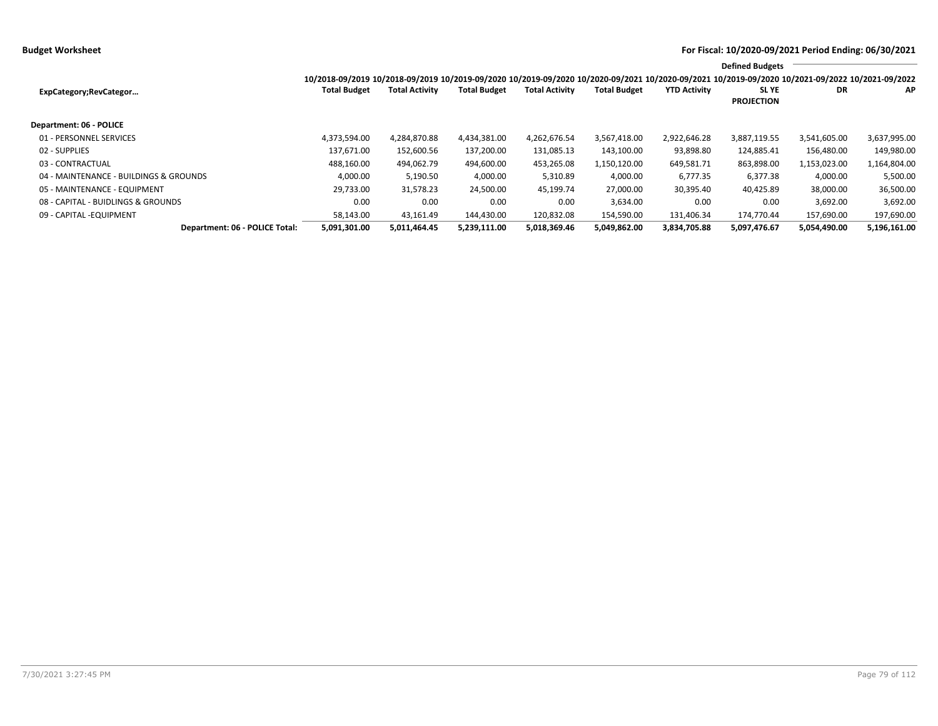|                                        |                                                                                                                                                 |                       |                     |                       |                     |                     | <b>Defined Budgets</b>     |              |              |
|----------------------------------------|-------------------------------------------------------------------------------------------------------------------------------------------------|-----------------------|---------------------|-----------------------|---------------------|---------------------|----------------------------|--------------|--------------|
|                                        | 10/2018-09/2019 10/2018-09/2019 10/2019-09/2020 10/2019-09/2020 10/2020-09/2021 10/2020-09/2021 10/2019-09/2020 10/2021-09/2022 10/2021-09/2022 |                       |                     |                       |                     |                     |                            |              |              |
| ExpCategory;RevCategor                 | <b>Total Budget</b>                                                                                                                             | <b>Total Activity</b> | <b>Total Budget</b> | <b>Total Activity</b> | <b>Total Budget</b> | <b>YTD Activity</b> | SL YE<br><b>PROJECTION</b> | <b>DR</b>    | AP           |
| <b>Department: 06 - POLICE</b>         |                                                                                                                                                 |                       |                     |                       |                     |                     |                            |              |              |
| 01 - PERSONNEL SERVICES                | 4.373.594.00                                                                                                                                    | 4,284,870.88          | 4,434,381.00        | 4,262,676.54          | 3,567,418.00        | 2,922,646.28        | 3,887,119.55               | 3,541,605.00 | 3,637,995.00 |
| 02 - SUPPLIES                          | 137.671.00                                                                                                                                      | 152,600.56            | 137,200.00          | 131,085.13            | 143,100.00          | 93,898.80           | 124,885.41                 | 156,480.00   | 149,980.00   |
| 03 - CONTRACTUAL                       | 488,160.00                                                                                                                                      | 494,062.79            | 494,600.00          | 453,265.08            | 1,150,120.00        | 649,581.71          | 863,898.00                 | 1,153,023.00 | 1,164,804.00 |
| 04 - MAINTENANCE - BUILDINGS & GROUNDS | 4,000.00                                                                                                                                        | 5,190.50              | 4,000.00            | 5,310.89              | 4,000.00            | 6,777.35            | 6,377.38                   | 4,000.00     | 5,500.00     |
| 05 - MAINTENANCE - EQUIPMENT           | 29,733.00                                                                                                                                       | 31,578.23             | 24,500.00           | 45,199.74             | 27,000.00           | 30,395.40           | 40,425.89                  | 38,000.00    | 36,500.00    |
| 08 - CAPITAL - BUIDLINGS & GROUNDS     | 0.00                                                                                                                                            | 0.00                  | 0.00                | 0.00                  | 3,634.00            | 0.00                | 0.00                       | 3,692.00     | 3,692.00     |
| 09 - CAPITAL - EQUIPMENT               | 58,143.00                                                                                                                                       | 43,161.49             | 144,430.00          | 120,832.08            | 154.590.00          | 131.406.34          | 174.770.44                 | 157,690.00   | 197,690.00   |
| Department: 06 - POLICE Total:         | 5,091,301.00                                                                                                                                    | 5,011,464.45          | 5,239,111.00        | 5,018,369.46          | 5,049,862.00        | 3,834,705.88        | 5,097,476.67               | 5,054,490.00 | 5,196,161.00 |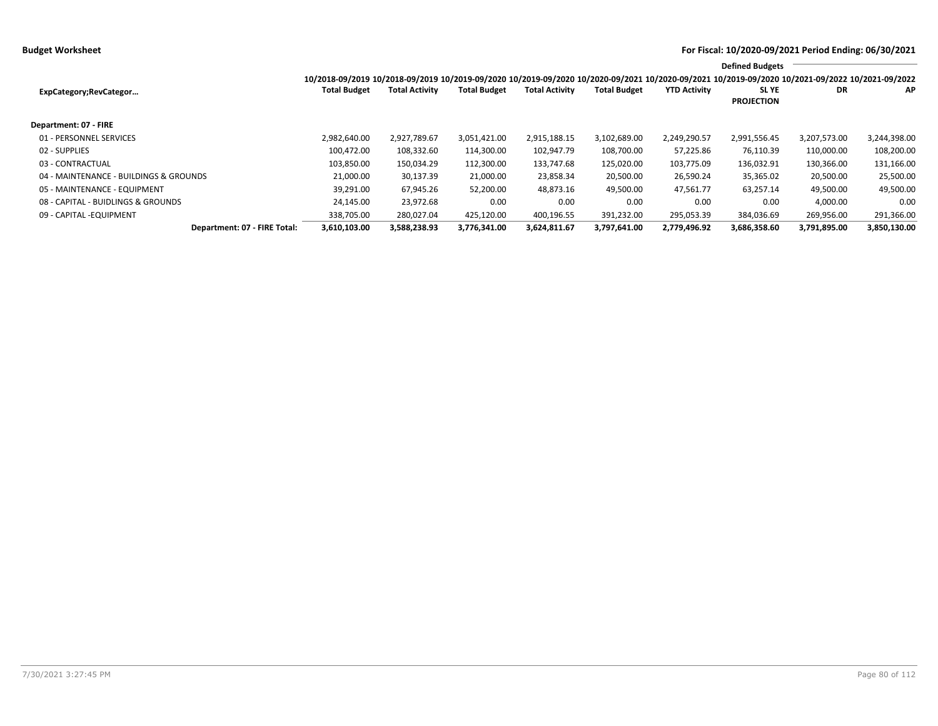|                                        |                                                                                                                                                 |                       |                     |                       |                     |                     | <b>Defined Budgets</b>     |              |              |
|----------------------------------------|-------------------------------------------------------------------------------------------------------------------------------------------------|-----------------------|---------------------|-----------------------|---------------------|---------------------|----------------------------|--------------|--------------|
|                                        | 10/2018-09/2019 10/2018-09/2019 10/2019-09/2020 10/2019-09/2020 10/2020-09/2021 10/2020-09/2021 10/2019-09/2020 10/2021-09/2022 10/2021-09/2022 |                       |                     |                       |                     |                     |                            |              |              |
| ExpCategory;RevCategor                 | <b>Total Budget</b>                                                                                                                             | <b>Total Activity</b> | <b>Total Budget</b> | <b>Total Activity</b> | <b>Total Budget</b> | <b>YTD Activity</b> | SL YE<br><b>PROJECTION</b> | DR           | AP           |
| Department: 07 - FIRE                  |                                                                                                                                                 |                       |                     |                       |                     |                     |                            |              |              |
| 01 - PERSONNEL SERVICES                | 2,982,640.00                                                                                                                                    | 2,927,789.67          | 3,051,421.00        | 2,915,188.15          | 3,102,689.00        | 2,249,290.57        | 2,991,556.45               | 3,207,573.00 | 3,244,398.00 |
| 02 - SUPPLIES                          | 100.472.00                                                                                                                                      | 108,332.60            | 114,300.00          | 102,947.79            | 108,700.00          | 57,225.86           | 76,110.39                  | 110,000.00   | 108,200.00   |
| 03 - CONTRACTUAL                       | 103,850.00                                                                                                                                      | 150,034.29            | 112,300.00          | 133,747.68            | 125,020.00          | 103,775.09          | 136,032.91                 | 130,366.00   | 131,166.00   |
| 04 - MAINTENANCE - BUILDINGS & GROUNDS | 21,000.00                                                                                                                                       | 30,137.39             | 21,000.00           | 23,858.34             | 20,500.00           | 26,590.24           | 35,365.02                  | 20,500.00    | 25,500.00    |
| 05 - MAINTENANCE - EQUIPMENT           | 39,291.00                                                                                                                                       | 67.945.26             | 52,200.00           | 48.873.16             | 49,500.00           | 47.561.77           | 63,257.14                  | 49,500.00    | 49,500.00    |
| 08 - CAPITAL - BUIDLINGS & GROUNDS     | 24,145.00                                                                                                                                       | 23,972.68             | 0.00                | 0.00                  | 0.00                | 0.00                | 0.00                       | 4,000.00     | 0.00         |
| 09 - CAPITAL - EQUIPMENT               | 338,705.00                                                                                                                                      | 280.027.04            | 425,120.00          | 400,196.55            | 391,232.00          | 295,053.39          | 384,036.69                 | 269,956.00   | 291,366.00   |
| Department: 07 - FIRE Total:           | 3,610,103.00                                                                                                                                    | 3,588,238.93          | 3,776,341.00        | 3,624,811.67          | 3,797,641.00        | 2,779,496.92        | 3,686,358.60               | 3,791,895.00 | 3,850,130.00 |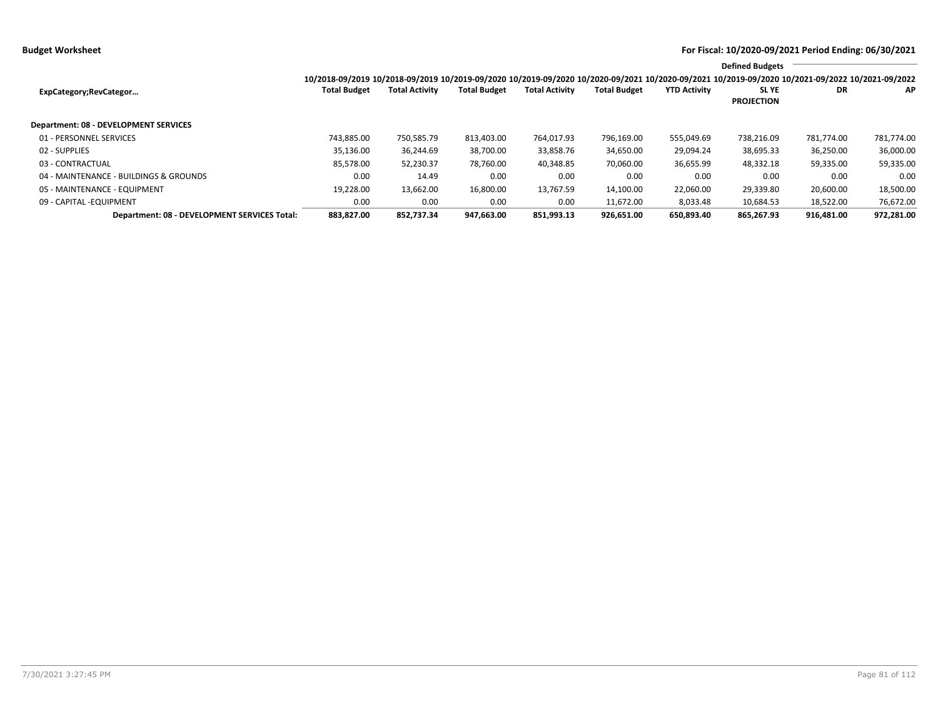**Budget Worksheet For Fiscal: 10/2020-09/2021 Period Ending: 06/30/2021**

|                                              |                                                                                                                                                 |                       |                     |                       |                     |                     | <b>Defined Budgets</b>           |            |            |
|----------------------------------------------|-------------------------------------------------------------------------------------------------------------------------------------------------|-----------------------|---------------------|-----------------------|---------------------|---------------------|----------------------------------|------------|------------|
|                                              | 10/2018-09/2019 10/2018-09/2019 10/2019-09/2020 10/2019-09/2020 10/2020-09/2021 10/2020-09/2021 10/2019-09/2020 10/2021-09/2022 10/2021-09/2022 |                       |                     |                       |                     |                     |                                  |            |            |
| ExpCategory;RevCategor                       | <b>Total Budget</b>                                                                                                                             | <b>Total Activity</b> | <b>Total Budget</b> | <b>Total Activity</b> | <b>Total Budget</b> | <b>YTD Activity</b> | <b>SLYE</b><br><b>PROJECTION</b> | DR         | <b>AP</b>  |
| <b>Department: 08 - DEVELOPMENT SERVICES</b> |                                                                                                                                                 |                       |                     |                       |                     |                     |                                  |            |            |
| 01 - PERSONNEL SERVICES                      | 743.885.00                                                                                                                                      | 750,585.79            | 813,403.00          | 764,017.93            | 796,169.00          | 555,049.69          | 738,216.09                       | 781.774.00 | 781,774.00 |
| 02 - SUPPLIES                                | 35,136.00                                                                                                                                       | 36,244.69             | 38,700.00           | 33,858.76             | 34,650.00           | 29,094.24           | 38,695.33                        | 36,250.00  | 36,000.00  |
| 03 - CONTRACTUAL                             | 85,578.00                                                                                                                                       | 52,230.37             | 78,760.00           | 40,348.85             | 70,060.00           | 36,655.99           | 48,332.18                        | 59,335.00  | 59,335.00  |
| 04 - MAINTENANCE - BUILDINGS & GROUNDS       | 0.00                                                                                                                                            | 14.49                 | 0.00                | 0.00                  | 0.00                | 0.00                | 0.00                             | 0.00       | 0.00       |
| 05 - MAINTENANCE - EQUIPMENT                 | 19,228.00                                                                                                                                       | 13,662.00             | 16,800.00           | 13,767.59             | 14,100.00           | 22,060.00           | 29,339.80                        | 20,600.00  | 18,500.00  |
| 09 - CAPITAL - EQUIPMENT                     | 0.00                                                                                                                                            | 0.00                  | 0.00                | 0.00                  | 11.672.00           | 8,033.48            | 10,684.53                        | 18,522.00  | 76,672.00  |
| Department: 08 - DEVELOPMENT SERVICES Total: | 883.827.00                                                                                                                                      | 852.737.34            | 947.663.00          | 851.993.13            | 926.651.00          | 650.893.40          | 865.267.93                       | 916.481.00 | 972,281.00 |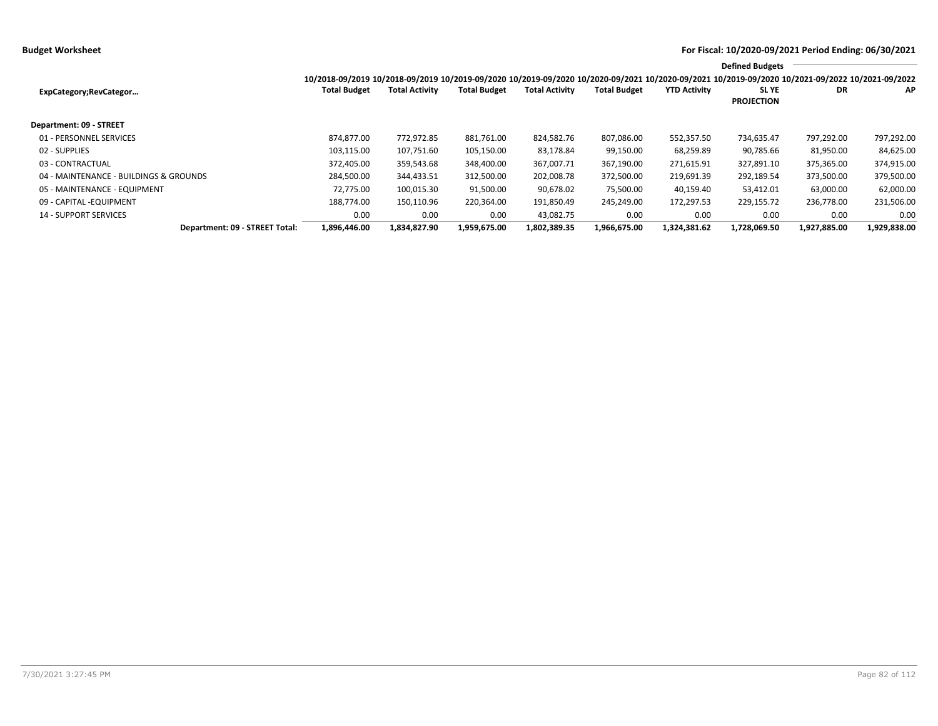|                                        |                                                                                                                                                 |                       |                     |                       |                     |                     | <b>Defined Budgets</b>     |              |              |
|----------------------------------------|-------------------------------------------------------------------------------------------------------------------------------------------------|-----------------------|---------------------|-----------------------|---------------------|---------------------|----------------------------|--------------|--------------|
|                                        | 10/2018-09/2019 10/2018-09/2019 10/2019-09/2020 10/2019-09/2020 10/2020-09/2021 10/2020-09/2021 10/2019-09/2020 10/2021-09/2022 10/2021-09/2022 |                       |                     |                       |                     |                     |                            |              |              |
| ExpCategory;RevCategor                 | <b>Total Budget</b>                                                                                                                             | <b>Total Activity</b> | <b>Total Budget</b> | <b>Total Activity</b> | <b>Total Budget</b> | <b>YTD Activity</b> | SL YE<br><b>PROJECTION</b> | DR           | AP           |
| Department: 09 - STREET                |                                                                                                                                                 |                       |                     |                       |                     |                     |                            |              |              |
| 01 - PERSONNEL SERVICES                | 874.877.00                                                                                                                                      | 772,972.85            | 881,761.00          | 824,582.76            | 807,086.00          | 552,357.50          | 734,635.47                 | 797,292.00   | 797,292.00   |
| 02 - SUPPLIES                          | 103,115.00                                                                                                                                      | 107,751.60            | 105,150.00          | 83,178.84             | 99,150.00           | 68,259.89           | 90,785.66                  | 81,950.00    | 84,625.00    |
| 03 - CONTRACTUAL                       | 372.405.00                                                                                                                                      | 359,543.68            | 348,400.00          | 367,007.71            | 367,190.00          | 271,615.91          | 327,891.10                 | 375,365.00   | 374,915.00   |
| 04 - MAINTENANCE - BUILDINGS & GROUNDS | 284.500.00                                                                                                                                      | 344,433.51            | 312,500.00          | 202,008.78            | 372,500.00          | 219,691.39          | 292,189.54                 | 373,500.00   | 379,500.00   |
| 05 - MAINTENANCE - EQUIPMENT           | 72.775.00                                                                                                                                       | 100.015.30            | 91,500.00           | 90.678.02             | 75,500.00           | 40.159.40           | 53.412.01                  | 63,000.00    | 62,000.00    |
| 09 - CAPITAL - EQUIPMENT               | 188,774.00                                                                                                                                      | 150,110.96            | 220,364.00          | 191,850.49            | 245,249.00          | 172,297.53          | 229,155.72                 | 236,778.00   | 231,506.00   |
| <b>14 - SUPPORT SERVICES</b>           | 0.00                                                                                                                                            | 0.00                  | 0.00                | 43.082.75             | 0.00                | 0.00                | 0.00                       | 0.00         | 0.00         |
| Department: 09 - STREET Total:         | 1,896,446.00                                                                                                                                    | 1,834,827.90          | 1,959,675.00        | 1,802,389.35          | 1,966,675.00        | 1,324,381.62        | 1,728,069.50               | 1,927,885.00 | 1,929,838.00 |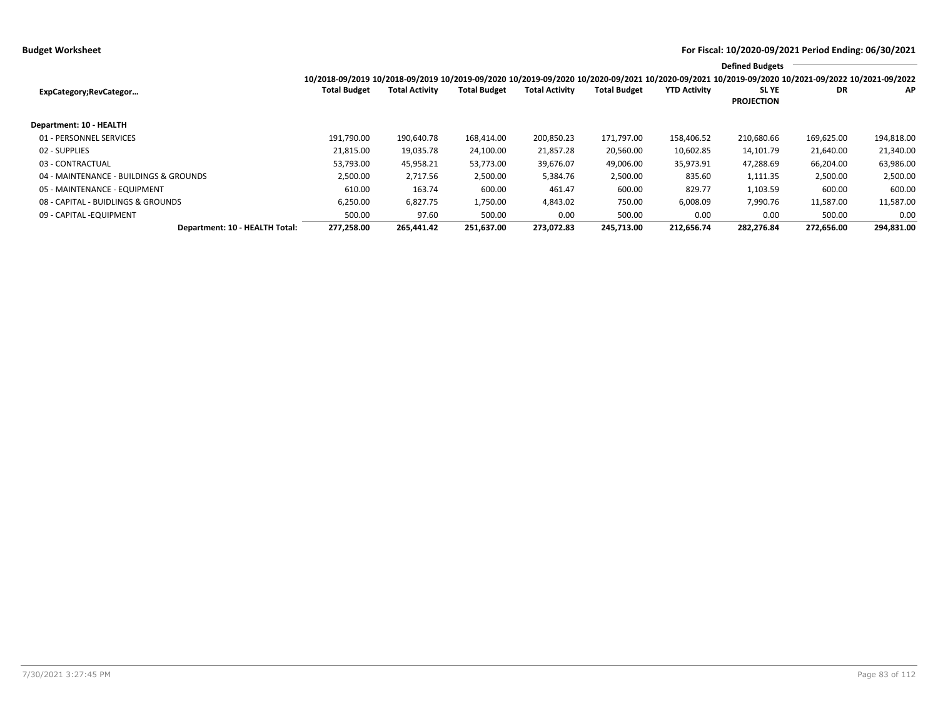**Budget Worksheet For Fiscal: 10/2020-09/2021 Period Ending: 06/30/2021**

|                                        |                                                                                                                                                 |                       |                     |                       |                     |                     | <b>Defined Budgets</b>     |            |            |
|----------------------------------------|-------------------------------------------------------------------------------------------------------------------------------------------------|-----------------------|---------------------|-----------------------|---------------------|---------------------|----------------------------|------------|------------|
|                                        | 10/2018-09/2019 10/2018-09/2019 10/2019-09/2020 10/2019-09/2020 10/2020-09/2021 10/2020-09/2021 10/2019-09/2020 10/2021-09/2022 10/2021-09/2022 |                       |                     |                       |                     |                     |                            |            |            |
| ExpCategory;RevCategor                 | <b>Total Budget</b>                                                                                                                             | <b>Total Activity</b> | <b>Total Budget</b> | <b>Total Activity</b> | <b>Total Budget</b> | <b>YTD Activity</b> | SL YE<br><b>PROJECTION</b> | DR         | AP         |
| Department: 10 - HEALTH                |                                                                                                                                                 |                       |                     |                       |                     |                     |                            |            |            |
| 01 - PERSONNEL SERVICES                | 191,790.00                                                                                                                                      | 190,640.78            | 168,414.00          | 200,850.23            | 171,797.00          | 158,406.52          | 210,680.66                 | 169,625.00 | 194,818.00 |
| 02 - SUPPLIES                          | 21,815.00                                                                                                                                       | 19,035.78             | 24,100.00           | 21,857.28             | 20,560.00           | 10,602.85           | 14,101.79                  | 21,640.00  | 21,340.00  |
| 03 - CONTRACTUAL                       | 53,793.00                                                                                                                                       | 45,958.21             | 53,773.00           | 39,676.07             | 49,006.00           | 35,973.91           | 47,288.69                  | 66,204.00  | 63,986.00  |
| 04 - MAINTENANCE - BUILDINGS & GROUNDS | 2,500.00                                                                                                                                        | 2,717.56              | 2,500.00            | 5,384.76              | 2,500.00            | 835.60              | 1,111.35                   | 2,500.00   | 2,500.00   |
| 05 - MAINTENANCE - EQUIPMENT           | 610.00                                                                                                                                          | 163.74                | 600.00              | 461.47                | 600.00              | 829.77              | 1,103.59                   | 600.00     | 600.00     |
| 08 - CAPITAL - BUIDLINGS & GROUNDS     | 6,250.00                                                                                                                                        | 6,827.75              | 1,750.00            | 4,843.02              | 750.00              | 6,008.09            | 7,990.76                   | 11,587.00  | 11,587.00  |
| 09 - CAPITAL - EQUIPMENT               | 500.00                                                                                                                                          | 97.60                 | 500.00              | 0.00                  | 500.00              | 0.00                | 0.00                       | 500.00     | 0.00       |
| Department: 10 - HEALTH Total:         | 277,258.00                                                                                                                                      | 265,441.42            | 251,637.00          | 273,072.83            | 245,713.00          | 212,656.74          | 282,276.84                 | 272,656.00 | 294,831.00 |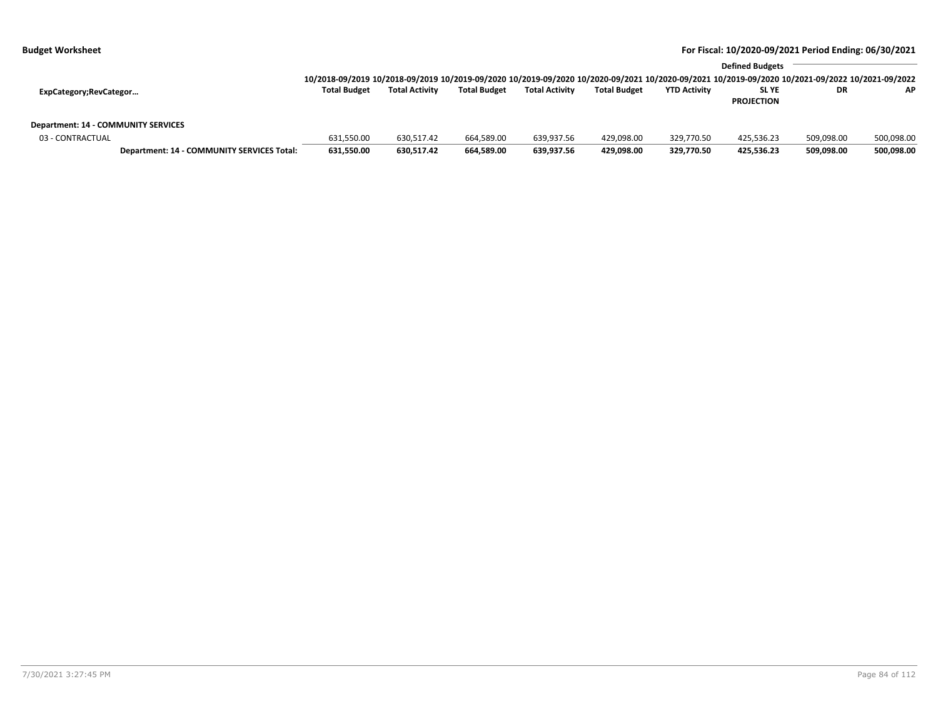|                                     |                                            |                                                                                                                                                                        |                       |                     |                       |                     |                     | <b>Defined Budgets</b>           |            |            |
|-------------------------------------|--------------------------------------------|------------------------------------------------------------------------------------------------------------------------------------------------------------------------|-----------------------|---------------------|-----------------------|---------------------|---------------------|----------------------------------|------------|------------|
| ExpCategory;RevCategor              |                                            | 10/2018-09/2019 10/2018-09/2019 10/2019-09/2020 10/2019-09/2020 10/2020-09/2021 10/2020-09/2021 10/2019-09/2020 10/2021-09/2022 10/2021-09/2022<br><b>Total Budget</b> | <b>Total Activity</b> | <b>Total Budget</b> | <b>Total Activity</b> | <b>Total Budget</b> | <b>YTD Activity</b> | <b>SLYE</b><br><b>PROJECTION</b> | DR         | <b>AP</b>  |
| Department: 14 - COMMUNITY SERVICES |                                            |                                                                                                                                                                        |                       |                     |                       |                     |                     |                                  |            |            |
| 03 - CONTRACTUAL                    |                                            | 631,550.00                                                                                                                                                             | 630.517.42            | 664,589.00          | 639,937.56            | 429,098.00          | 329,770.50          | 425.536.23                       | 509.098.00 | 500,098.00 |
|                                     | Department: 14 - COMMUNITY SERVICES Total: | 631,550.00                                                                                                                                                             | 630.517.42            | 664,589.00          | 639,937.56            | 429,098.00          | 329,770.50          | 425.536.23                       | 509.098.00 | 500,098.00 |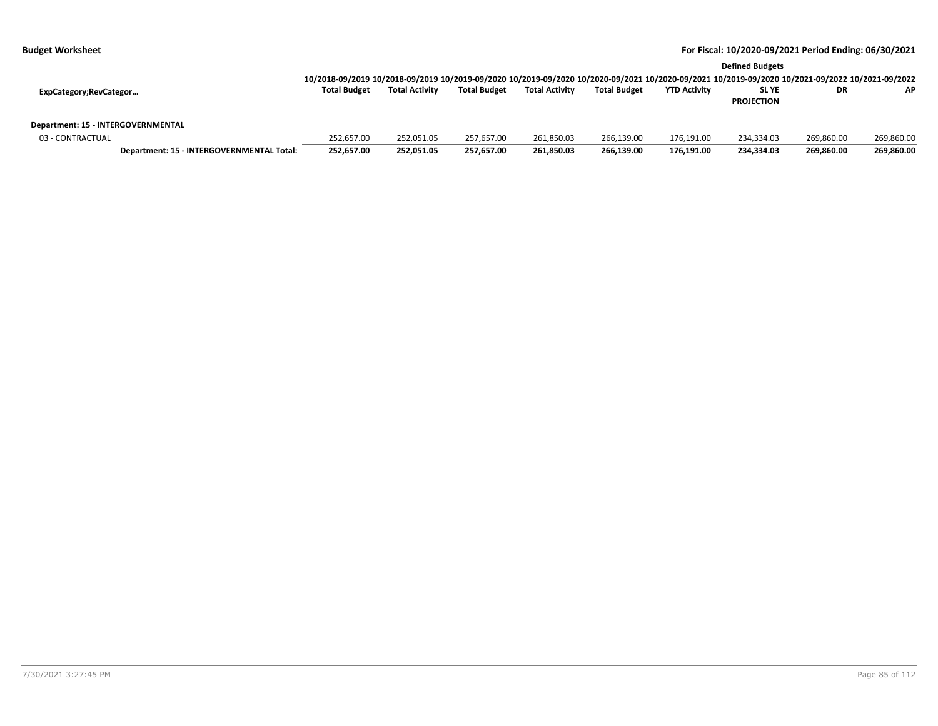| <b>Budget Worksheet</b> | For Fiscal: 10/2020-09/2021 Period Ending: 06/30/2021 |
|-------------------------|-------------------------------------------------------|
|                         |                                                       |

|                                    |                                           |                                                                                                                                                 |                       | <b>Defined Budgets</b> |                       |                     |                     |                   |            |            |  |  |
|------------------------------------|-------------------------------------------|-------------------------------------------------------------------------------------------------------------------------------------------------|-----------------------|------------------------|-----------------------|---------------------|---------------------|-------------------|------------|------------|--|--|
|                                    |                                           | 10/2018-09/2019 10/2018-09/2019 10/2019-09/2020 10/2019-09/2020 10/2020-09/2021 10/2020-09/2021 10/2019-09/2020 10/2021-09/2022 10/2021-09/2022 |                       |                        |                       |                     |                     |                   |            |            |  |  |
| ExpCategory;RevCategor             |                                           | <b>Total Budget</b>                                                                                                                             | <b>Total Activity</b> | <b>Total Budget</b>    | <b>Total Activity</b> | <b>Total Budget</b> | <b>YTD Activity</b> | <b>SLYE</b>       | DR         | <b>AP</b>  |  |  |
|                                    |                                           |                                                                                                                                                 |                       |                        |                       |                     |                     | <b>PROJECTION</b> |            |            |  |  |
|                                    |                                           |                                                                                                                                                 |                       |                        |                       |                     |                     |                   |            |            |  |  |
| Department: 15 - INTERGOVERNMENTAL |                                           |                                                                                                                                                 |                       |                        |                       |                     |                     |                   |            |            |  |  |
| 03 - CONTRACTUAL                   |                                           | 252,657.00                                                                                                                                      | 252.051.05            | 257.657.00             | 261,850.03            | 266,139.00          | 176,191.00          | 234.334.03        | 269.860.00 | 269,860.00 |  |  |
|                                    | Department: 15 - INTERGOVERNMENTAL Total: | 252,657.00                                                                                                                                      | 252,051.05            | 257,657.00             | 261,850.03            | 266,139.00          | 176,191.00          | 234.334.03        | 269,860.00 | 269,860.00 |  |  |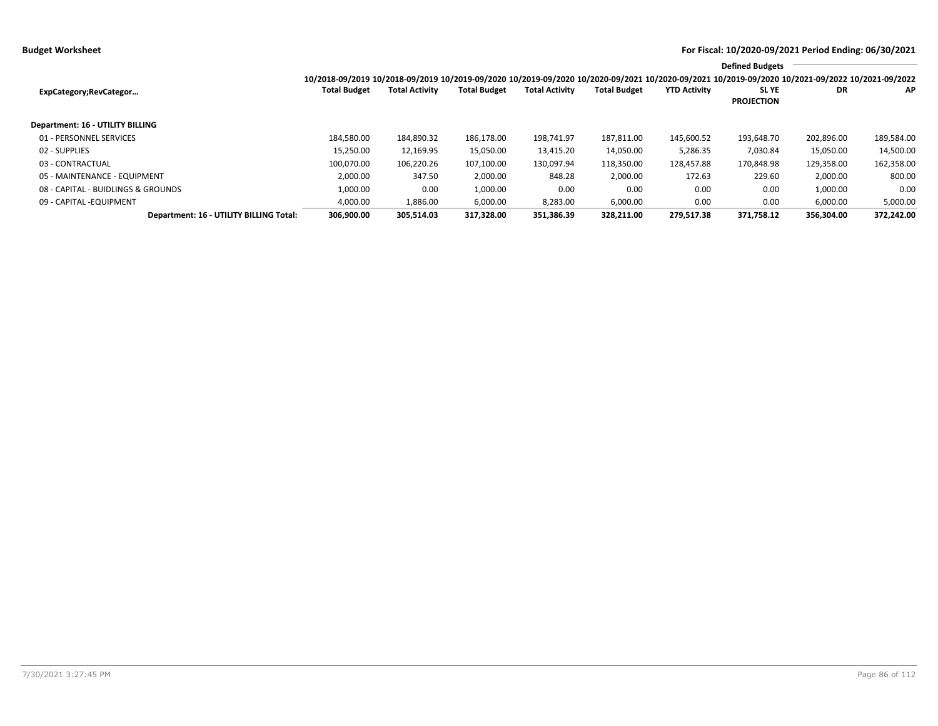|                                         |                                                                                                                                                 |                       |                     |                       |                     |                     | <b>Defined Budgets</b>           |            |            |
|-----------------------------------------|-------------------------------------------------------------------------------------------------------------------------------------------------|-----------------------|---------------------|-----------------------|---------------------|---------------------|----------------------------------|------------|------------|
|                                         | 10/2018-09/2019 10/2018-09/2019 10/2019-09/2020 10/2019-09/2020 10/2020-09/2021 10/2020-09/2021 10/2019-09/2020 10/2021-09/2022 10/2021-09/2022 |                       |                     |                       |                     |                     |                                  |            |            |
| ExpCategory;RevCategor                  | <b>Total Budget</b>                                                                                                                             | <b>Total Activity</b> | <b>Total Budget</b> | <b>Total Activity</b> | <b>Total Budget</b> | <b>YTD Activity</b> | <b>SLYE</b><br><b>PROJECTION</b> | DR         | AP         |
| Department: 16 - UTILITY BILLING        |                                                                                                                                                 |                       |                     |                       |                     |                     |                                  |            |            |
| 01 - PERSONNEL SERVICES                 | 184,580.00                                                                                                                                      | 184,890.32            | 186,178.00          | 198.741.97            | 187,811.00          | 145,600.52          | 193,648.70                       | 202,896.00 | 189,584.00 |
| 02 - SUPPLIES                           | 15,250.00                                                                                                                                       | 12,169.95             | 15,050.00           | 13,415.20             | 14,050.00           | 5,286.35            | 7,030.84                         | 15,050.00  | 14,500.00  |
| 03 - CONTRACTUAL                        | 100,070.00                                                                                                                                      | 106,220.26            | 107,100.00          | 130,097.94            | 118,350.00          | 128,457.88          | 170,848.98                       | 129,358.00 | 162,358.00 |
| 05 - MAINTENANCE - EQUIPMENT            | 2,000.00                                                                                                                                        | 347.50                | 2,000.00            | 848.28                | 2,000.00            | 172.63              | 229.60                           | 2,000.00   | 800.00     |
| 08 - CAPITAL - BUIDLINGS & GROUNDS      | 1,000.00                                                                                                                                        | 0.00                  | 1,000.00            | 0.00                  | 0.00                | 0.00                | 0.00                             | 1,000.00   | 0.00       |
| 09 - CAPITAL - EQUIPMENT                | 4,000.00                                                                                                                                        | 1,886.00              | 6,000.00            | 8,283.00              | 6,000.00            | 0.00                | 0.00                             | 6,000.00   | 5,000.00   |
| Department: 16 - UTILITY BILLING Total: | 306.900.00                                                                                                                                      | 305.514.03            | 317.328.00          | 351.386.39            | 328.211.00          | 279.517.38          | 371.758.12                       | 356.304.00 | 372.242.00 |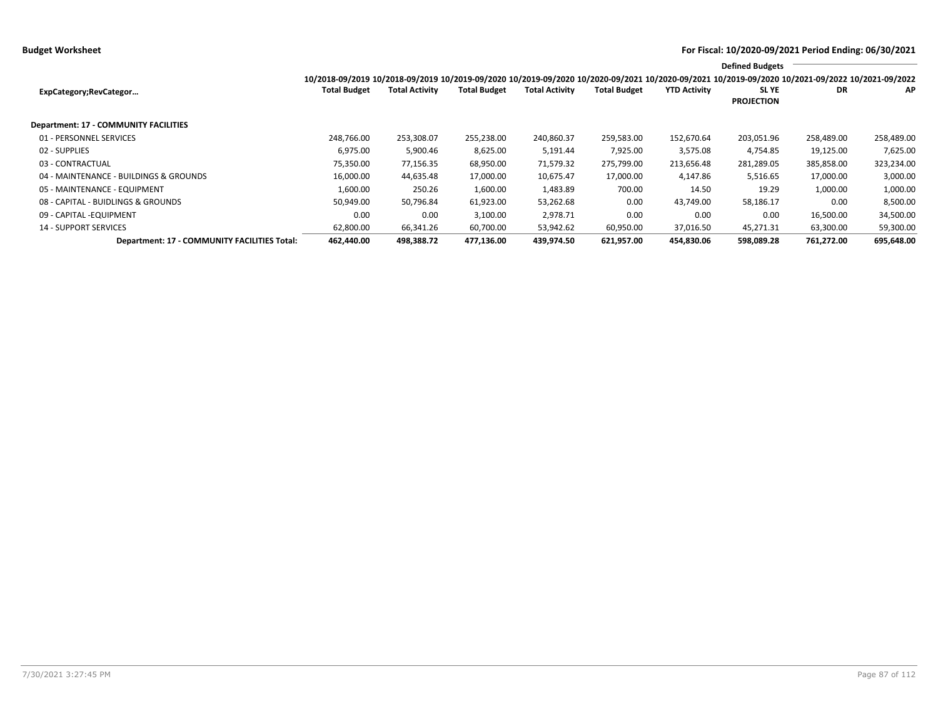**Budget Worksheet For Fiscal: 10/2020-09/2021 Period Ending: 06/30/2021**

|                                              |                                                                                                                                                                        |                       |                     |                       |                     |                     | <b>Defined Budgets</b>     |            |            |
|----------------------------------------------|------------------------------------------------------------------------------------------------------------------------------------------------------------------------|-----------------------|---------------------|-----------------------|---------------------|---------------------|----------------------------|------------|------------|
| ExpCategory;RevCategor                       | 10/2018-09/2019 10/2018-09/2019 10/2019-09/2020 10/2019-09/2020 10/2020-09/2021 10/2020-09/2021 10/2019-09/2020 10/2021-09/2022 10/2021-09/2022<br><b>Total Budget</b> | <b>Total Activity</b> | <b>Total Budget</b> | <b>Total Activity</b> | <b>Total Budget</b> | <b>YTD Activity</b> | SL YE<br><b>PROJECTION</b> | DR         | AP         |
| Department: 17 - COMMUNITY FACILITIES        |                                                                                                                                                                        |                       |                     |                       |                     |                     |                            |            |            |
| 01 - PERSONNEL SERVICES                      | 248,766.00                                                                                                                                                             | 253,308.07            | 255,238.00          | 240,860.37            | 259,583.00          | 152,670.64          | 203,051.96                 | 258,489.00 | 258,489.00 |
| 02 - SUPPLIES                                | 6,975.00                                                                                                                                                               | 5,900.46              | 8,625.00            | 5,191.44              | 7,925.00            | 3,575.08            | 4,754.85                   | 19,125.00  | 7,625.00   |
| 03 - CONTRACTUAL                             | 75,350.00                                                                                                                                                              | 77,156.35             | 68,950.00           | 71,579.32             | 275,799.00          | 213,656.48          | 281,289.05                 | 385,858.00 | 323,234.00 |
| 04 - MAINTENANCE - BUILDINGS & GROUNDS       | 16,000.00                                                                                                                                                              | 44,635.48             | 17,000.00           | 10,675.47             | 17,000.00           | 4,147.86            | 5,516.65                   | 17,000.00  | 3,000.00   |
| 05 - MAINTENANCE - EQUIPMENT                 | 1,600.00                                                                                                                                                               | 250.26                | 1,600.00            | 1,483.89              | 700.00              | 14.50               | 19.29                      | 1,000.00   | 1,000.00   |
| 08 - CAPITAL - BUIDLINGS & GROUNDS           | 50,949.00                                                                                                                                                              | 50,796.84             | 61,923.00           | 53,262.68             | 0.00                | 43,749.00           | 58,186.17                  | 0.00       | 8,500.00   |
| 09 - CAPITAL -EQUIPMENT                      | 0.00                                                                                                                                                                   | 0.00                  | 3,100.00            | 2,978.71              | 0.00                | 0.00                | 0.00                       | 16,500.00  | 34,500.00  |
| <b>14 - SUPPORT SERVICES</b>                 | 62,800.00                                                                                                                                                              | 66,341.26             | 60,700.00           | 53,942.62             | 60,950.00           | 37,016.50           | 45,271.31                  | 63,300.00  | 59,300.00  |
| Department: 17 - COMMUNITY FACILITIES Total: | 462,440.00                                                                                                                                                             | 498,388.72            | 477,136.00          | 439.974.50            | 621,957.00          | 454,830.06          | 598,089.28                 | 761,272.00 | 695,648.00 |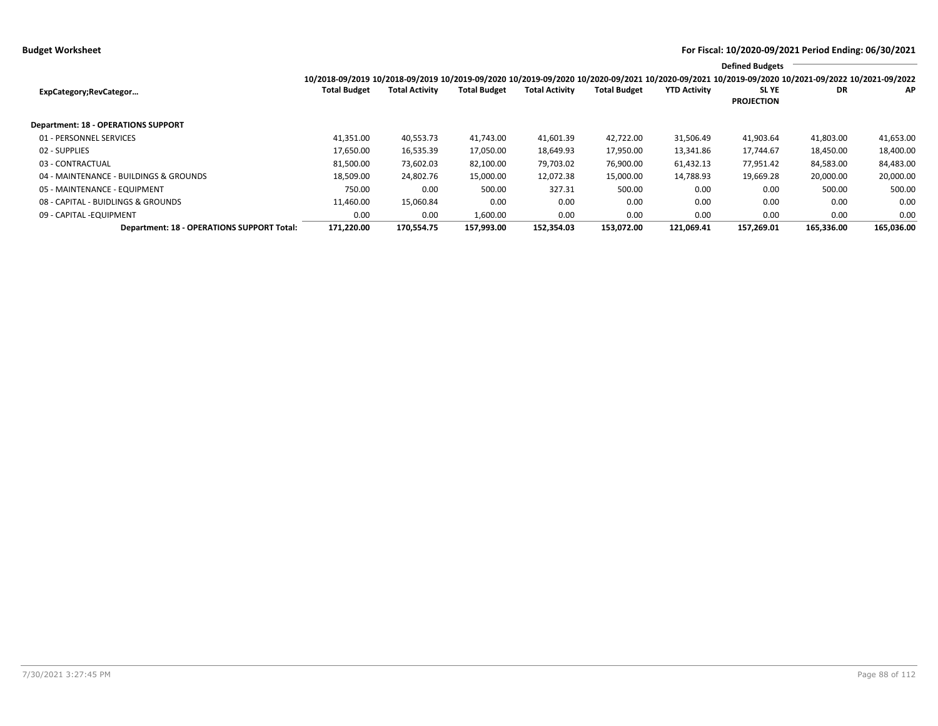**Budget Worksheet For Fiscal: 10/2020-09/2021 Period Ending: 06/30/2021**

|                                            |                                                                                                                                                 |                       |                     |                       |                     |                     | <b>Defined Budgets</b>     |            |            |
|--------------------------------------------|-------------------------------------------------------------------------------------------------------------------------------------------------|-----------------------|---------------------|-----------------------|---------------------|---------------------|----------------------------|------------|------------|
|                                            | 10/2018-09/2019 10/2018-09/2019 10/2019-09/2020 10/2019-09/2020 10/2020-09/2021 10/2020-09/2021 10/2019-09/2020 10/2021-09/2022 10/2021-09/2022 |                       |                     |                       |                     |                     |                            |            |            |
| ExpCategory;RevCategor                     | <b>Total Budget</b>                                                                                                                             | <b>Total Activity</b> | <b>Total Budget</b> | <b>Total Activity</b> | <b>Total Budget</b> | <b>YTD Activity</b> | SL YE<br><b>PROJECTION</b> | DR         | AP.        |
| <b>Department: 18 - OPERATIONS SUPPORT</b> |                                                                                                                                                 |                       |                     |                       |                     |                     |                            |            |            |
| 01 - PERSONNEL SERVICES                    | 41.351.00                                                                                                                                       | 40,553.73             | 41,743.00           | 41,601.39             | 42,722.00           | 31,506.49           | 41,903.64                  | 41,803.00  | 41,653.00  |
| 02 - SUPPLIES                              | 17,650.00                                                                                                                                       | 16,535.39             | 17,050.00           | 18,649.93             | 17.950.00           | 13,341.86           | 17.744.67                  | 18,450.00  | 18,400.00  |
| 03 - CONTRACTUAL                           | 81,500.00                                                                                                                                       | 73,602.03             | 82,100.00           | 79,703.02             | 76,900.00           | 61,432.13           | 77,951.42                  | 84,583.00  | 84,483.00  |
| 04 - MAINTENANCE - BUILDINGS & GROUNDS     | 18,509.00                                                                                                                                       | 24,802.76             | 15,000.00           | 12,072.38             | 15,000.00           | 14,788.93           | 19,669.28                  | 20,000.00  | 20,000.00  |
| 05 - MAINTENANCE - EQUIPMENT               | 750.00                                                                                                                                          | 0.00                  | 500.00              | 327.31                | 500.00              | 0.00                | 0.00                       | 500.00     | 500.00     |
| 08 - CAPITAL - BUIDLINGS & GROUNDS         | 11,460.00                                                                                                                                       | 15,060.84             | 0.00                | 0.00                  | 0.00                | 0.00                | 0.00                       | 0.00       | 0.00       |
| 09 - CAPITAL - EQUIPMENT                   | 0.00                                                                                                                                            | 0.00                  | 1,600.00            | 0.00                  | 0.00                | 0.00                | 0.00                       | 0.00       | 0.00       |
| Department: 18 - OPERATIONS SUPPORT Total: | 171,220.00                                                                                                                                      | 170,554.75            | 157,993.00          | 152,354.03            | 153,072.00          | 121,069.41          | 157,269.01                 | 165,336.00 | 165,036.00 |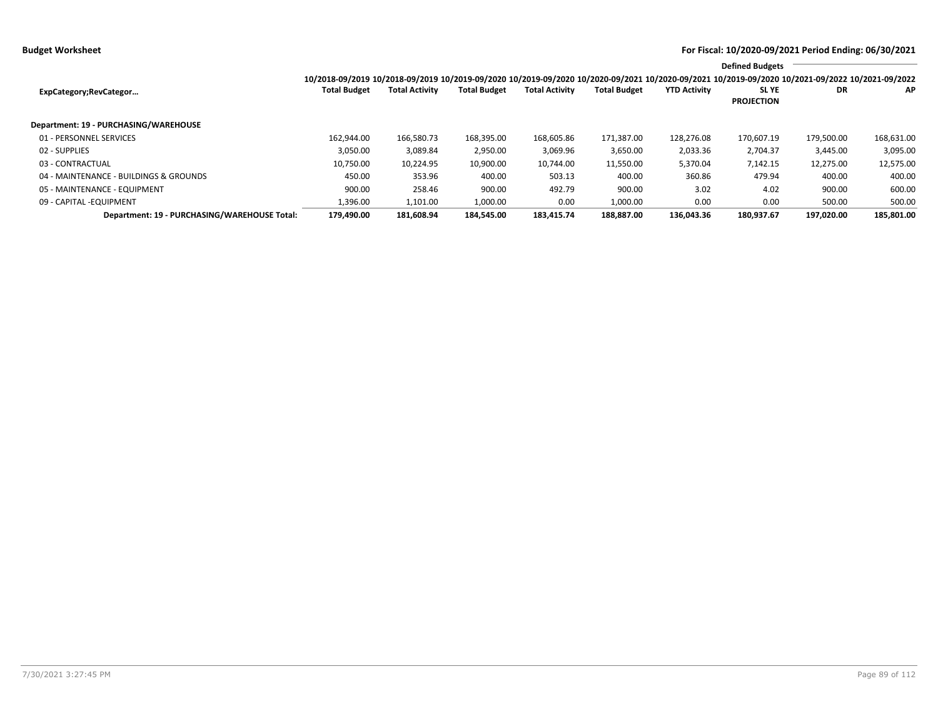**Budget Worksheet For Fiscal: 10/2020-09/2021 Period Ending: 06/30/2021**

|                                              |                                                                                                                                                 |                       |                     |                       |                     |                     | <b>Defined Budgets</b>           |            |            |
|----------------------------------------------|-------------------------------------------------------------------------------------------------------------------------------------------------|-----------------------|---------------------|-----------------------|---------------------|---------------------|----------------------------------|------------|------------|
|                                              | 10/2018-09/2019 10/2018-09/2019 10/2019-09/2020 10/2019-09/2020 10/2020-09/2021 10/2020-09/2021 10/2019-09/2020 10/2021-09/2022 10/2021-09/2022 |                       |                     |                       |                     |                     |                                  |            |            |
| ExpCategory;RevCategor                       | <b>Total Budget</b>                                                                                                                             | <b>Total Activity</b> | <b>Total Budget</b> | <b>Total Activity</b> | <b>Total Budget</b> | <b>YTD Activity</b> | <b>SLYE</b><br><b>PROJECTION</b> | DR         | <b>AP</b>  |
| Department: 19 - PURCHASING/WAREHOUSE        |                                                                                                                                                 |                       |                     |                       |                     |                     |                                  |            |            |
| 01 - PERSONNEL SERVICES                      | 162.944.00                                                                                                                                      | 166,580.73            | 168,395.00          | 168,605.86            | 171,387.00          | 128,276.08          | 170,607.19                       | 179.500.00 | 168,631.00 |
| 02 - SUPPLIES                                | 3,050.00                                                                                                                                        | 3,089.84              | 2,950.00            | 3,069.96              | 3,650.00            | 2,033.36            | 2,704.37                         | 3,445.00   | 3,095.00   |
| 03 - CONTRACTUAL                             | 10,750.00                                                                                                                                       | 10,224.95             | 10,900.00           | 10,744.00             | 11,550.00           | 5,370.04            | 7,142.15                         | 12,275.00  | 12,575.00  |
| 04 - MAINTENANCE - BUILDINGS & GROUNDS       | 450.00                                                                                                                                          | 353.96                | 400.00              | 503.13                | 400.00              | 360.86              | 479.94                           | 400.00     | 400.00     |
| 05 - MAINTENANCE - EQUIPMENT                 | 900.00                                                                                                                                          | 258.46                | 900.00              | 492.79                | 900.00              | 3.02                | 4.02                             | 900.00     | 600.00     |
| 09 - CAPITAL - EQUIPMENT                     | 1,396.00                                                                                                                                        | 1,101.00              | 1,000.00            | 0.00                  | 1.000.00            | 0.00                | 0.00                             | 500.00     | 500.00     |
| Department: 19 - PURCHASING/WAREHOUSE Total: | 179.490.00                                                                                                                                      | 181.608.94            | 184.545.00          | 183.415.74            | 188.887.00          | 136.043.36          | 180.937.67                       | 197.020.00 | 185.801.00 |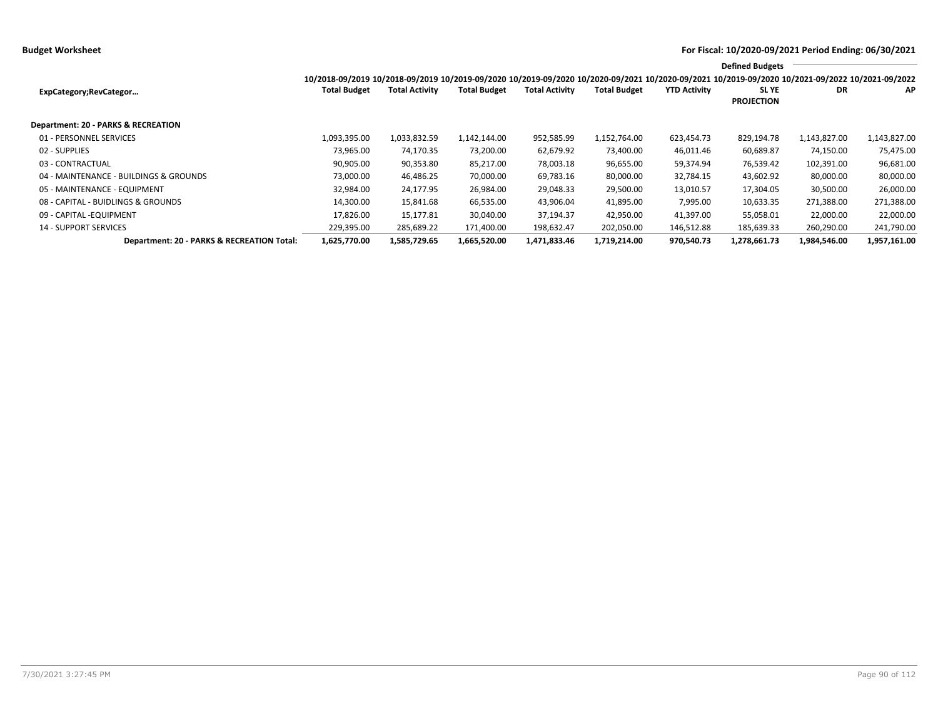**Budget Worksheet For Fiscal: 10/2020-09/2021 Period Ending: 06/30/2021**

|                                            |                                                                                                                                                 |                       |                     |                       |                     |                     | <b>Defined Budgets</b>     |              |              |
|--------------------------------------------|-------------------------------------------------------------------------------------------------------------------------------------------------|-----------------------|---------------------|-----------------------|---------------------|---------------------|----------------------------|--------------|--------------|
|                                            | 10/2018-09/2019 10/2018-09/2019 10/2019-09/2020 10/2019-09/2020 10/2020-09/2021 10/2020-09/2021 10/2019-09/2020 10/2021-09/2022 10/2021-09/2022 |                       |                     |                       |                     |                     |                            |              |              |
| ExpCategory;RevCategor                     | <b>Total Budget</b>                                                                                                                             | <b>Total Activity</b> | <b>Total Budget</b> | <b>Total Activity</b> | <b>Total Budget</b> | <b>YTD Activity</b> | SL YE<br><b>PROJECTION</b> | DR           | AP           |
|                                            |                                                                                                                                                 |                       |                     |                       |                     |                     |                            |              |              |
| Department: 20 - PARKS & RECREATION        |                                                                                                                                                 |                       |                     |                       |                     |                     |                            |              |              |
| 01 - PERSONNEL SERVICES                    | 1,093,395.00                                                                                                                                    | 1,033,832.59          | 1,142,144.00        | 952,585.99            | 1,152,764.00        | 623,454.73          | 829,194.78                 | 1,143,827.00 | 1,143,827.00 |
| 02 - SUPPLIES                              | 73,965.00                                                                                                                                       | 74,170.35             | 73,200.00           | 62,679.92             | 73,400.00           | 46,011.46           | 60,689.87                  | 74,150.00    | 75,475.00    |
| 03 - CONTRACTUAL                           | 90,905.00                                                                                                                                       | 90,353.80             | 85,217.00           | 78,003.18             | 96,655.00           | 59,374.94           | 76,539.42                  | 102,391.00   | 96,681.00    |
| 04 - MAINTENANCE - BUILDINGS & GROUNDS     | 73,000.00                                                                                                                                       | 46,486.25             | 70,000.00           | 69,783.16             | 80,000.00           | 32,784.15           | 43,602.92                  | 80,000.00    | 80,000.00    |
| 05 - MAINTENANCE - EQUIPMENT               | 32,984.00                                                                                                                                       | 24,177.95             | 26,984.00           | 29,048.33             | 29,500.00           | 13,010.57           | 17,304.05                  | 30,500.00    | 26,000.00    |
| 08 - CAPITAL - BUIDLINGS & GROUNDS         | 14,300.00                                                                                                                                       | 15,841.68             | 66,535.00           | 43,906.04             | 41,895.00           | 7,995.00            | 10,633.35                  | 271,388.00   | 271,388.00   |
| 09 - CAPITAL - EQUIPMENT                   | 17.826.00                                                                                                                                       | 15,177.81             | 30,040.00           | 37,194.37             | 42,950.00           | 41,397.00           | 55,058.01                  | 22,000.00    | 22,000.00    |
| <b>14 - SUPPORT SERVICES</b>               | 229,395.00                                                                                                                                      | 285,689.22            | 171,400.00          | 198,632.47            | 202,050.00          | 146,512.88          | 185,639.33                 | 260,290.00   | 241,790.00   |
| Department: 20 - PARKS & RECREATION Total: | 1,625,770.00                                                                                                                                    | 1,585,729.65          | 1,665,520.00        | 1,471,833.46          | 1,719,214.00        | 970,540.73          | 1,278,661.73               | 1,984,546.00 | 1,957,161.00 |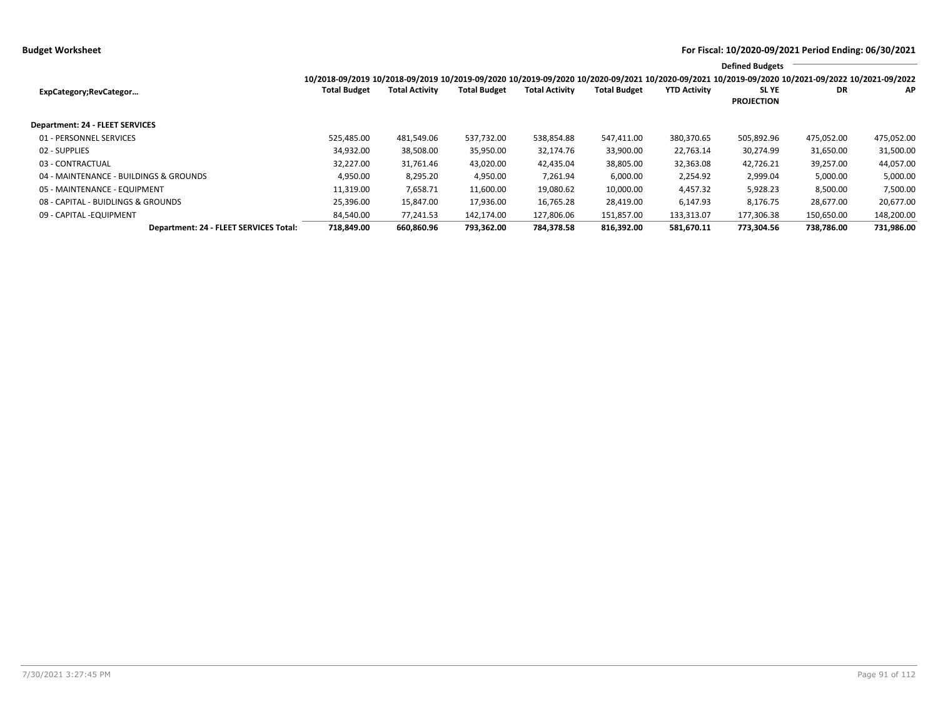**Budget Worksheet For Fiscal: 10/2020-09/2021 Period Ending: 06/30/2021**

|                                        |                                                                                                                                                                        |                       |                     |                       |                     |                     | <b>Defined Budgets</b>           |            |            |
|----------------------------------------|------------------------------------------------------------------------------------------------------------------------------------------------------------------------|-----------------------|---------------------|-----------------------|---------------------|---------------------|----------------------------------|------------|------------|
| ExpCategory;RevCategor                 | 10/2018-09/2019 10/2018-09/2019 10/2019-09/2020 10/2019-09/2020 10/2020-09/2021 10/2020-09/2021 10/2019-09/2020 10/2021-09/2022 10/2021-09/2022<br><b>Total Budget</b> | <b>Total Activity</b> | <b>Total Budget</b> | <b>Total Activity</b> | <b>Total Budget</b> | <b>YTD Activity</b> | <b>SLYE</b><br><b>PROJECTION</b> | DR         | <b>AP</b>  |
| Department: 24 - FLEET SERVICES        |                                                                                                                                                                        |                       |                     |                       |                     |                     |                                  |            |            |
| 01 - PERSONNEL SERVICES                | 525.485.00                                                                                                                                                             | 481,549.06            | 537,732.00          | 538,854.88            | 547,411.00          | 380,370.65          | 505,892.96                       | 475,052.00 | 475,052.00 |
| 02 - SUPPLIES                          | 34,932.00                                                                                                                                                              | 38,508.00             | 35,950.00           | 32,174.76             | 33,900.00           | 22,763.14           | 30,274.99                        | 31,650.00  | 31,500.00  |
| 03 - CONTRACTUAL                       | 32,227.00                                                                                                                                                              | 31,761.46             | 43,020.00           | 42,435.04             | 38,805.00           | 32,363.08           | 42,726.21                        | 39,257.00  | 44,057.00  |
| 04 - MAINTENANCE - BUILDINGS & GROUNDS | 4,950.00                                                                                                                                                               | 8,295.20              | 4,950.00            | 7,261.94              | 6,000.00            | 2,254.92            | 2,999.04                         | 5,000.00   | 5,000.00   |
| 05 - MAINTENANCE - EQUIPMENT           | 11,319.00                                                                                                                                                              | 7,658.71              | 11,600.00           | 19,080.62             | 10,000.00           | 4,457.32            | 5,928.23                         | 8,500.00   | 7,500.00   |
| 08 - CAPITAL - BUIDLINGS & GROUNDS     | 25,396.00                                                                                                                                                              | 15,847.00             | 17,936.00           | 16,765.28             | 28,419.00           | 6.147.93            | 8,176.75                         | 28,677.00  | 20,677.00  |
| 09 - CAPITAL - EQUIPMENT               | 84,540.00                                                                                                                                                              | 77,241.53             | 142,174.00          | 127,806.06            | 151,857.00          | 133,313.07          | 177,306.38                       | 150,650.00 | 148,200.00 |
| Department: 24 - FLEET SERVICES Total: | 718,849.00                                                                                                                                                             | 660,860.96            | 793,362.00          | 784,378.58            | 816.392.00          | 581.670.11          | 773,304.56                       | 738,786.00 | 731,986.00 |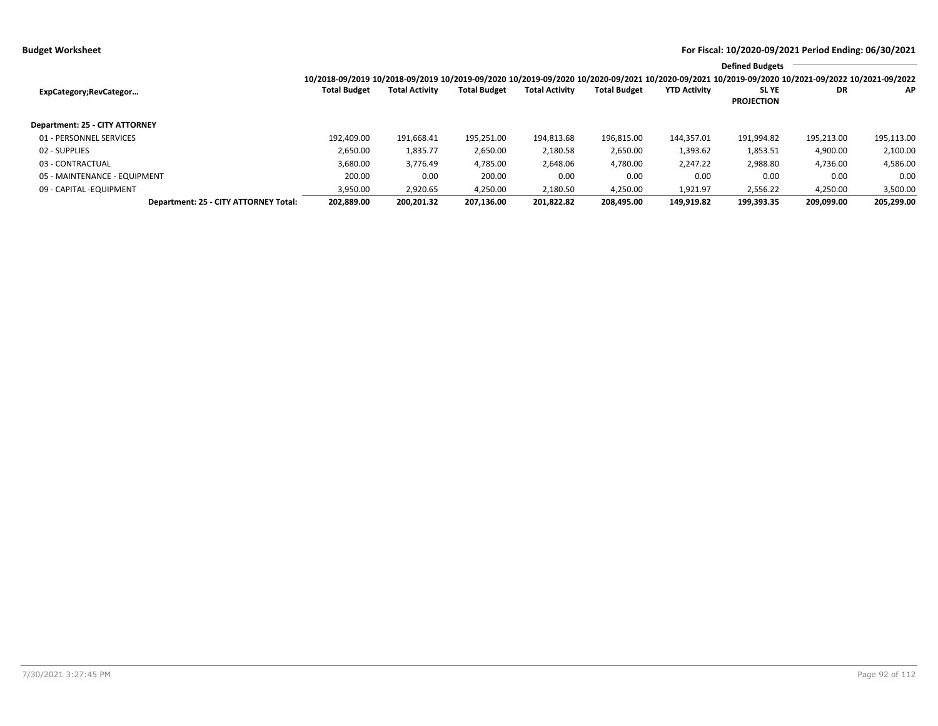|                                       |                                                                                                                                                 |                       |                     |                       |                     |                     | <b>Defined Budgets</b>           |            |            |
|---------------------------------------|-------------------------------------------------------------------------------------------------------------------------------------------------|-----------------------|---------------------|-----------------------|---------------------|---------------------|----------------------------------|------------|------------|
|                                       | 10/2018-09/2019 10/2018-09/2019 10/2019-09/2020 10/2019-09/2020 10/2020-09/2021 10/2020-09/2021 10/2019-09/2020 10/2021-09/2022 10/2021-09/2022 |                       |                     |                       |                     |                     |                                  |            |            |
| ExpCategory;RevCategor                | <b>Total Budget</b>                                                                                                                             | <b>Total Activity</b> | <b>Total Budget</b> | <b>Total Activity</b> | <b>Total Budget</b> | <b>YTD Activity</b> | <b>SLYE</b><br><b>PROJECTION</b> | DR         | ΑP         |
| Department: 25 - CITY ATTORNEY        |                                                                                                                                                 |                       |                     |                       |                     |                     |                                  |            |            |
| 01 - PERSONNEL SERVICES               | 192.409.00                                                                                                                                      | 191,668.41            | 195,251.00          | 194,813.68            | 196,815.00          | 144.357.01          | 191,994.82                       | 195,213.00 | 195,113.00 |
| 02 - SUPPLIES                         | 2,650.00                                                                                                                                        | 1,835.77              | 2,650.00            | 2,180.58              | 2,650.00            | 1,393.62            | 1,853.51                         | 4,900.00   | 2,100.00   |
| 03 - CONTRACTUAL                      | 3,680.00                                                                                                                                        | 3,776.49              | 4,785.00            | 2,648.06              | 4,780.00            | 2,247.22            | 2,988.80                         | 4,736.00   | 4,586.00   |
| 05 - MAINTENANCE - EQUIPMENT          | 200.00                                                                                                                                          | 0.00                  | 200.00              | 0.00                  | 0.00                | 0.00                | 0.00                             | 0.00       | 0.00       |
| 09 - CAPITAL - EQUIPMENT              | 3,950.00                                                                                                                                        | 2,920.65              | 4,250.00            | 2,180.50              | 4,250.00            | 1,921.97            | 2,556.22                         | 4,250.00   | 3,500.00   |
| Department: 25 - CITY ATTORNEY Total: | 202.889.00                                                                                                                                      | 200.201.32            | 207.136.00          | 201.822.82            | 208.495.00          | 149.919.82          | 199.393.35                       | 209.099.00 | 205,299.00 |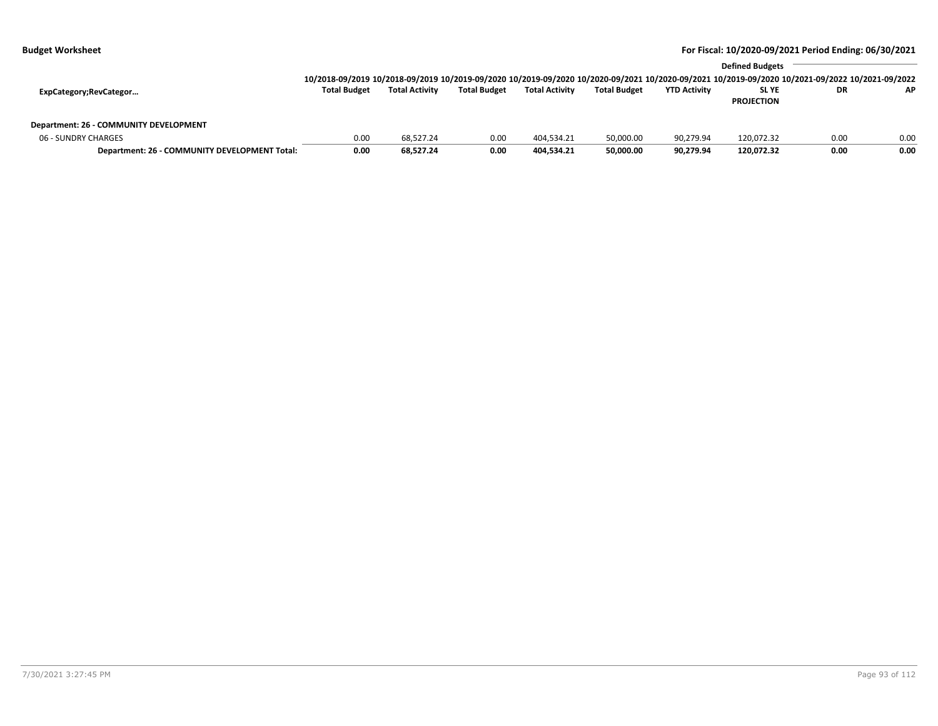|                                               |                                                                                                                                                 |                       |                     |                       |                     | <b>Defined Budgets</b> |                   |      |      |  |  |
|-----------------------------------------------|-------------------------------------------------------------------------------------------------------------------------------------------------|-----------------------|---------------------|-----------------------|---------------------|------------------------|-------------------|------|------|--|--|
|                                               | 10/2018-09/2019 10/2018-09/2019 10/2019-09/2020 10/2019-09/2020 10/2020-09/2021 10/2020-09/2021 10/2019-09/2020 10/2021-09/2022 10/2021-09/2022 |                       |                     |                       |                     |                        |                   |      |      |  |  |
| ExpCategory;RevCategor                        | <b>Total Budget</b>                                                                                                                             | <b>Total Activity</b> | <b>Total Budget</b> | <b>Total Activity</b> | <b>Total Budget</b> | <b>YTD Activity</b>    | <b>SLYE</b>       | DR   | AP   |  |  |
|                                               |                                                                                                                                                 |                       |                     |                       |                     |                        | <b>PROJECTION</b> |      |      |  |  |
|                                               |                                                                                                                                                 |                       |                     |                       |                     |                        |                   |      |      |  |  |
| Department: 26 - COMMUNITY DEVELOPMENT        |                                                                                                                                                 |                       |                     |                       |                     |                        |                   |      |      |  |  |
| 06 - SUNDRY CHARGES                           | 0.00                                                                                                                                            | 68.527.24             | 0.00                | 404.534.21            | 50,000.00           | 90,279.94              | 120.072.32        | 0.00 | 0.00 |  |  |
| Department: 26 - COMMUNITY DEVELOPMENT Total: | 0.00                                                                                                                                            | 68,527.24             | 0.00                | 404.534.21            | 50,000.00           | 90,279.94              | 120,072.32        | 0.00 | 0.00 |  |  |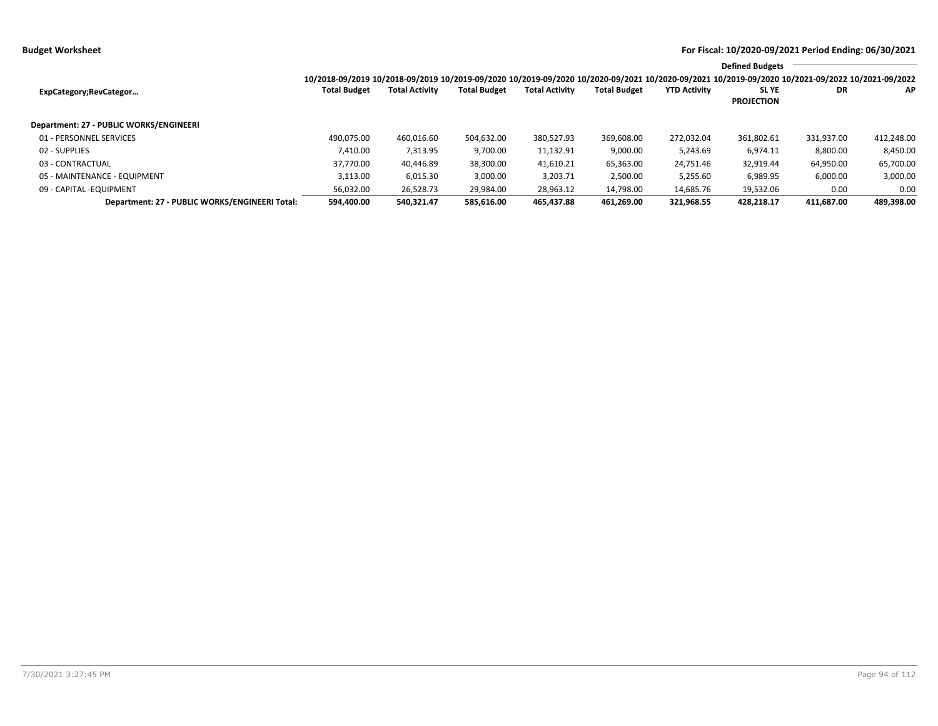|                                                |                                                                                                                                                 |                       |                     |                       |                     |                     | <b>Defined Budgets</b>           |            |            |
|------------------------------------------------|-------------------------------------------------------------------------------------------------------------------------------------------------|-----------------------|---------------------|-----------------------|---------------------|---------------------|----------------------------------|------------|------------|
|                                                | 10/2018-09/2019 10/2018-09/2019 10/2019-09/2020 10/2019-09/2020 10/2020-09/2021 10/2020-09/2021 10/2019-09/2020 10/2021-09/2022 10/2021-09/2022 |                       |                     |                       |                     |                     |                                  |            |            |
| ExpCategory;RevCategor                         | <b>Total Budget</b>                                                                                                                             | <b>Total Activity</b> | <b>Total Budget</b> | <b>Total Activity</b> | <b>Total Budget</b> | <b>YTD Activity</b> | <b>SLYE</b><br><b>PROJECTION</b> | DR         | AP         |
| Department: 27 - PUBLIC WORKS/ENGINEERI        |                                                                                                                                                 |                       |                     |                       |                     |                     |                                  |            |            |
| 01 - PERSONNEL SERVICES                        | 490.075.00                                                                                                                                      | 460,016.60            | 504.632.00          | 380,527.93            | 369,608.00          | 272,032.04          | 361.802.61                       | 331.937.00 | 412,248.00 |
| 02 - SUPPLIES                                  | 7.410.00                                                                                                                                        | 7,313.95              | 9,700.00            | 11,132.91             | 9,000.00            | 5,243.69            | 6.974.11                         | 8,800.00   | 8.450.00   |
| 03 - CONTRACTUAL                               | 37.770.00                                                                                                                                       | 40.446.89             | 38,300.00           | 41,610.21             | 65,363.00           | 24,751.46           | 32,919.44                        | 64,950.00  | 65,700.00  |
| 05 - MAINTENANCE - EQUIPMENT                   | 3.113.00                                                                                                                                        | 6.015.30              | 3.000.00            | 3,203.71              | 2,500.00            | 5,255.60            | 6,989.95                         | 6,000.00   | 3,000.00   |
| 09 - CAPITAL - EQUIPMENT                       | 56,032.00                                                                                                                                       | 26,528.73             | 29,984.00           | 28,963.12             | 14,798.00           | 14,685.76           | 19,532.06                        | 0.00       | 0.00       |
| Department: 27 - PUBLIC WORKS/ENGINEERI Total: | 594,400.00                                                                                                                                      | 540,321.47            | 585,616.00          | 465.437.88            | 461.269.00          | 321,968.55          | 428.218.17                       | 411.687.00 | 489,398.00 |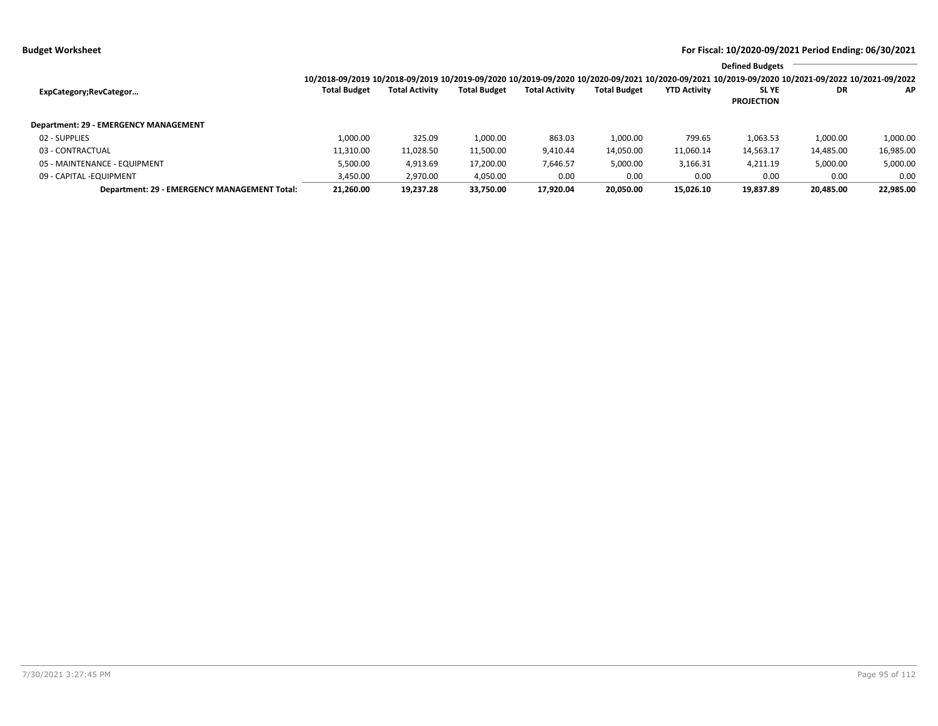|                                              |                     |                       |                     |                       |                     |                     | <b>Defined Budgets</b>                                                                                                                          |           |           |
|----------------------------------------------|---------------------|-----------------------|---------------------|-----------------------|---------------------|---------------------|-------------------------------------------------------------------------------------------------------------------------------------------------|-----------|-----------|
|                                              |                     |                       |                     |                       |                     |                     | 10/2018-09/2019 10/2018-09/2019 10/2019-09/2020 10/2019-09/2020 10/2020-09/2021 10/2020-09/2021 10/2019-09/2020 10/2021-09/2022 10/2021-09/2022 |           |           |
| ExpCategory;RevCategor                       | <b>Total Budget</b> | <b>Total Activity</b> | <b>Total Budget</b> | <b>Total Activity</b> | <b>Total Budget</b> | <b>YTD Activity</b> | SL YE                                                                                                                                           | <b>DR</b> | AP.       |
|                                              |                     |                       |                     |                       |                     |                     | <b>PROJECTION</b>                                                                                                                               |           |           |
| Department: 29 - EMERGENCY MANAGEMENT        |                     |                       |                     |                       |                     |                     |                                                                                                                                                 |           |           |
| 02 - SUPPLIES                                | 1.000.00            | 325.09                | 1,000.00            | 863.03                | 1.000.00            | 799.65              | 1,063.53                                                                                                                                        | 1,000.00  | 1,000.00  |
| 03 - CONTRACTUAL                             | 11,310.00           | 11,028.50             | 11,500.00           | 9,410.44              | 14,050.00           | 11,060.14           | 14,563.17                                                                                                                                       | 14,485.00 | 16,985.00 |
| 05 - MAINTENANCE - EQUIPMENT                 | 5,500.00            | 4,913.69              | 17,200.00           | 7,646.57              | 5,000.00            | 3,166.31            | 4,211.19                                                                                                                                        | 5,000.00  | 5,000.00  |
| 09 - CAPITAL - EQUIPMENT                     | 3,450.00            | 2,970.00              | 4,050.00            | 0.00                  | 0.00                | 0.00                | 0.00                                                                                                                                            | 0.00      | 0.00      |
| Department: 29 - EMERGENCY MANAGEMENT Total: | 21.260.00           | 19.237.28             | 33.750.00           | 17.920.04             | 20.050.00           | 15.026.10           | 19,837.89                                                                                                                                       | 20.485.00 | 22,985.00 |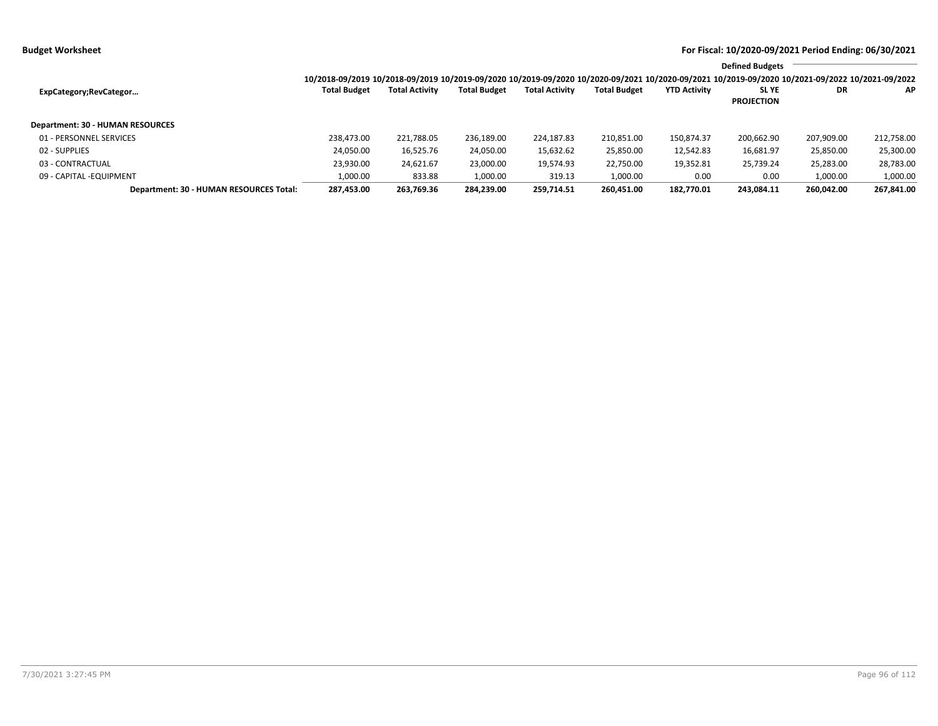|                                         |                                                                                                                                                 |                       |                     |                       |                     |                     | <b>Defined Budgets</b> |            |            |
|-----------------------------------------|-------------------------------------------------------------------------------------------------------------------------------------------------|-----------------------|---------------------|-----------------------|---------------------|---------------------|------------------------|------------|------------|
|                                         | 10/2018-09/2019 10/2018-09/2019 10/2019-09/2020 10/2019-09/2020 10/2020-09/2021 10/2020-09/2021 10/2019-09/2020 10/2021-09/2022 10/2021-09/2022 |                       |                     |                       |                     |                     |                        |            |            |
| ExpCategory;RevCategor                  | <b>Total Budget</b>                                                                                                                             | <b>Total Activity</b> | <b>Total Budget</b> | <b>Total Activity</b> | <b>Total Budget</b> | <b>YTD Activity</b> | <b>SLYE</b>            | DR         | AP.        |
|                                         |                                                                                                                                                 |                       |                     |                       |                     |                     | <b>PROJECTION</b>      |            |            |
| Department: 30 - HUMAN RESOURCES        |                                                                                                                                                 |                       |                     |                       |                     |                     |                        |            |            |
| 01 - PERSONNEL SERVICES                 | 238.473.00                                                                                                                                      | 221,788.05            | 236,189.00          | 224,187.83            | 210,851.00          | 150,874.37          | 200,662.90             | 207,909.00 | 212,758.00 |
| 02 - SUPPLIES                           | 24.050.00                                                                                                                                       | 16,525.76             | 24,050.00           | 15,632.62             | 25,850.00           | 12.542.83           | 16,681.97              | 25,850.00  | 25,300.00  |
| 03 - CONTRACTUAL                        | 23,930.00                                                                                                                                       | 24,621.67             | 23,000.00           | 19,574.93             | 22,750.00           | 19,352.81           | 25,739.24              | 25,283.00  | 28,783.00  |
| 09 - CAPITAL -EQUIPMENT                 | 1,000.00                                                                                                                                        | 833.88                | 1,000.00            | 319.13                | 1,000.00            | 0.00                | 0.00                   | 1,000.00   | 1,000.00   |
| Department: 30 - HUMAN RESOURCES Total: | 287.453.00                                                                                                                                      | 263.769.36            | 284,239.00          | 259,714.51            | 260.451.00          | 182.770.01          | 243.084.11             | 260.042.00 | 267.841.00 |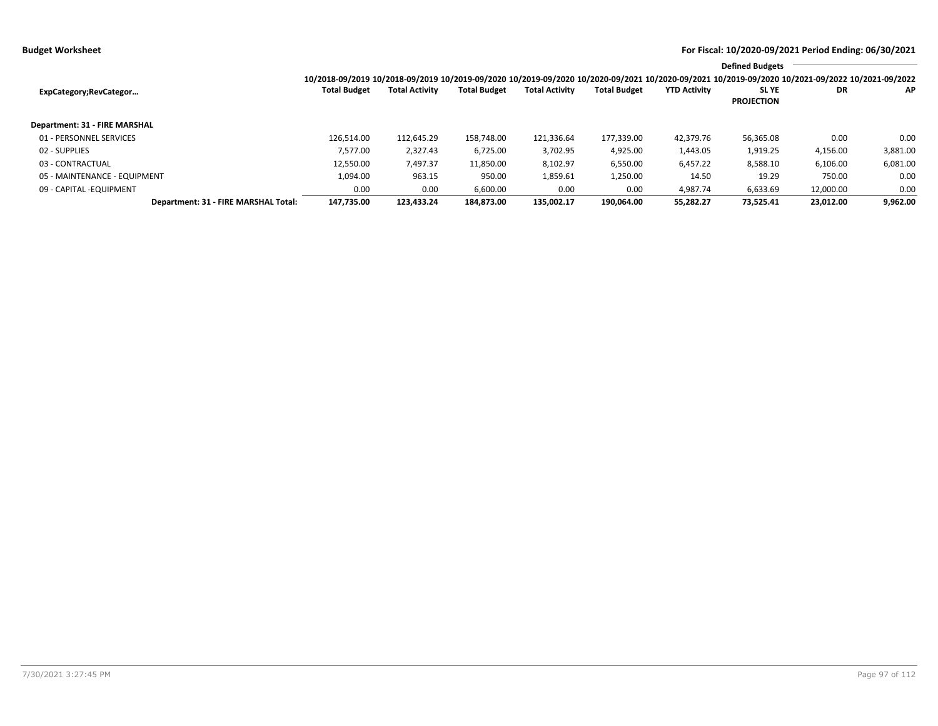|                                      |                     |                       |                     |                       |                     |                     | <b>Defined Budgets</b>                                                                                                                          |           |          |
|--------------------------------------|---------------------|-----------------------|---------------------|-----------------------|---------------------|---------------------|-------------------------------------------------------------------------------------------------------------------------------------------------|-----------|----------|
|                                      |                     |                       |                     |                       |                     |                     | 10/2018-09/2019 10/2018-09/2019 10/2019-09/2020 10/2019-09/2020 10/2020-09/2021 10/2020-09/2021 10/2019-09/2020 10/2021-09/2022 10/2021-09/2022 |           |          |
| ExpCategory;RevCategor               | <b>Total Budget</b> | <b>Total Activity</b> | <b>Total Budget</b> | <b>Total Activity</b> | <b>Total Budget</b> | <b>YTD Activity</b> | <b>SLYE</b><br><b>PROJECTION</b>                                                                                                                | DR        | ΑP       |
| Department: 31 - FIRE MARSHAL        |                     |                       |                     |                       |                     |                     |                                                                                                                                                 |           |          |
| 01 - PERSONNEL SERVICES              | 126.514.00          | 112,645.29            | 158.748.00          | 121,336.64            | 177,339.00          | 42,379.76           | 56,365.08                                                                                                                                       | 0.00      | 0.00     |
| 02 - SUPPLIES                        | 7.577.00            | 2,327.43              | 6,725.00            | 3,702.95              | 4,925.00            | 1,443.05            | 1,919.25                                                                                                                                        | 4,156.00  | 3,881.00 |
| 03 - CONTRACTUAL                     | 12,550.00           | 7,497.37              | 11,850.00           | 8,102.97              | 6,550.00            | 6,457.22            | 8,588.10                                                                                                                                        | 6,106.00  | 6,081.00 |
| 05 - MAINTENANCE - EQUIPMENT         | 1,094.00            | 963.15                | 950.00              | 1,859.61              | 1,250.00            | 14.50               | 19.29                                                                                                                                           | 750.00    | 0.00     |
| 09 - CAPITAL - EQUIPMENT             | 0.00                | 0.00                  | 6,600.00            | 0.00                  | 0.00                | 4.987.74            | 6,633.69                                                                                                                                        | 12,000.00 | 0.00     |
| Department: 31 - FIRE MARSHAL Total: | 147.735.00          | 123.433.24            | 184.873.00          | 135.002.17            | 190.064.00          | 55.282.27           | 73.525.41                                                                                                                                       | 23.012.00 | 9.962.00 |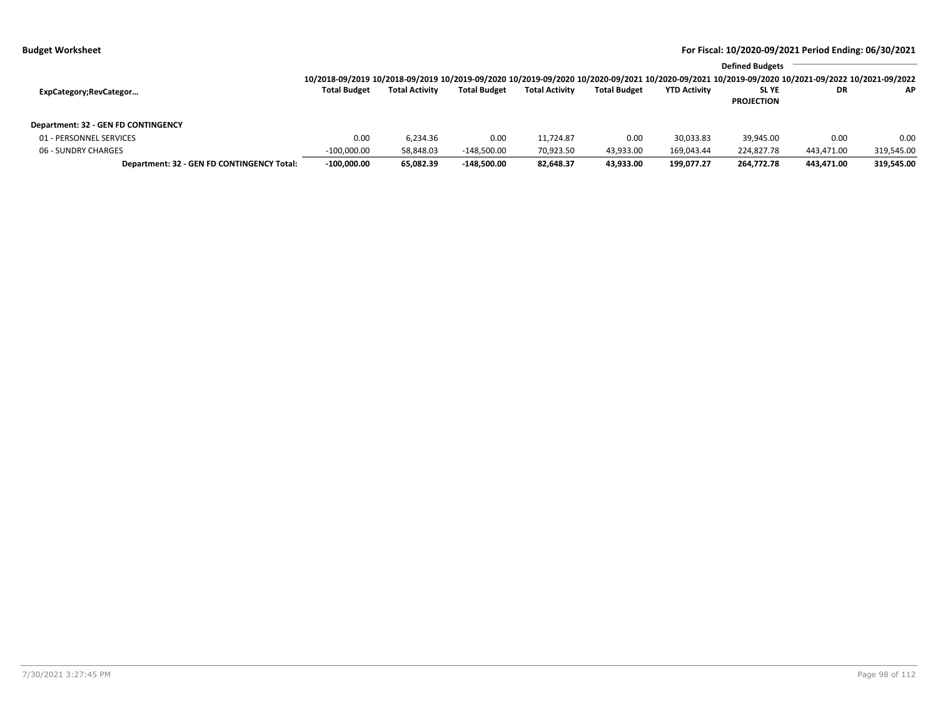|  | <b>Budget Worksheet</b> |
|--|-------------------------|
|--|-------------------------|

|                                            |                                                                                                                                                 |                       |                     |                       |                     |                     | <b>Defined Budgets</b>     |            |            |
|--------------------------------------------|-------------------------------------------------------------------------------------------------------------------------------------------------|-----------------------|---------------------|-----------------------|---------------------|---------------------|----------------------------|------------|------------|
|                                            | 10/2018-09/2019 10/2018-09/2019 10/2019-09/2020 10/2019-09/2020 10/2020-09/2021 10/2020-09/2021 10/2019-09/2020 10/2021-09/2022 10/2021-09/2022 |                       |                     |                       |                     |                     |                            |            |            |
| ExpCategory;RevCategor                     | <b>Total Budget</b>                                                                                                                             | <b>Total Activity</b> | <b>Total Budget</b> | <b>Total Activity</b> | <b>Total Budget</b> | <b>YTD Activity</b> | SL YE<br><b>PROJECTION</b> | DR         | AP.        |
|                                            |                                                                                                                                                 |                       |                     |                       |                     |                     |                            |            |            |
| Department: 32 - GEN FD CONTINGENCY        |                                                                                                                                                 |                       |                     |                       |                     |                     |                            |            |            |
| 01 - PERSONNEL SERVICES                    | 0.00                                                                                                                                            | 6.234.36              | 0.00                | 11.724.87             | 0.00                | 30,033.83           | 39.945.00                  | 0.00       | 0.00       |
| 06 - SUNDRY CHARGES                        | $-100.000.00$                                                                                                                                   | 58.848.03             | $-148.500.00$       | 70,923.50             | 43,933.00           | 169.043.44          | 224,827.78                 | 443,471.00 | 319,545.00 |
| Department: 32 - GEN FD CONTINGENCY Total: | $-100.000.00$                                                                                                                                   | 65,082.39             | $-148.500.00$       | 82,648.37             | 43,933.00           | 199.077.27          | 264,772.78                 | 443,471.00 | 319,545.00 |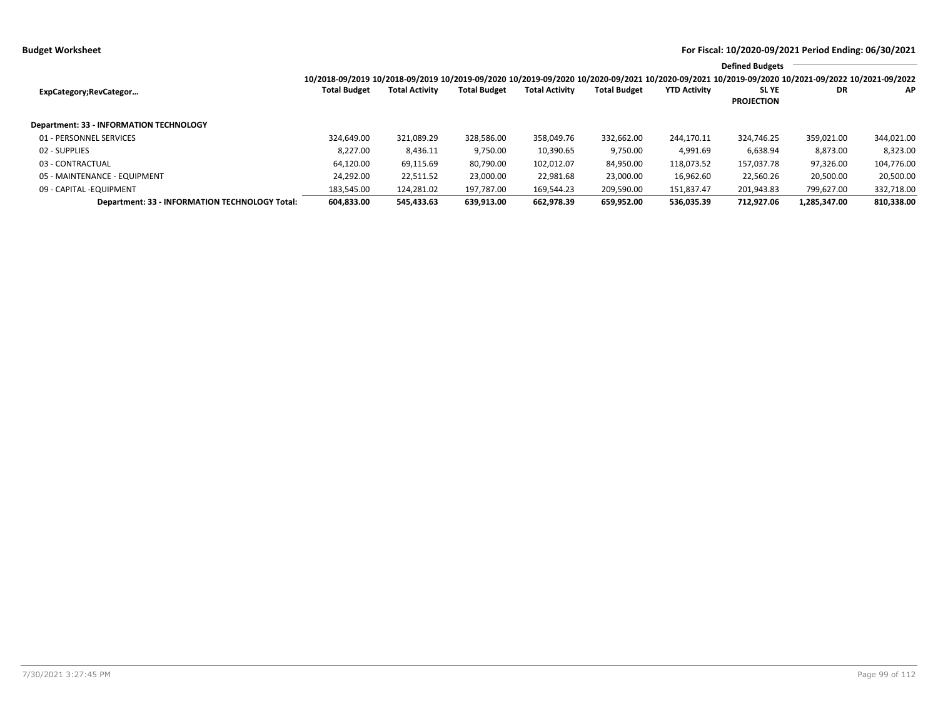|                                                       |                                                                                                                                                 |                       |                     |                       |                     |                     | <b>Defined Budgets</b>           |              |            |
|-------------------------------------------------------|-------------------------------------------------------------------------------------------------------------------------------------------------|-----------------------|---------------------|-----------------------|---------------------|---------------------|----------------------------------|--------------|------------|
|                                                       | 10/2018-09/2019 10/2018-09/2019 10/2019-09/2020 10/2019-09/2020 10/2020-09/2021 10/2020-09/2021 10/2019-09/2020 10/2021-09/2022 10/2021-09/2022 |                       |                     |                       |                     |                     |                                  |              |            |
| ExpCategory;RevCategor                                | <b>Total Budget</b>                                                                                                                             | <b>Total Activity</b> | <b>Total Budget</b> | <b>Total Activity</b> | <b>Total Budget</b> | <b>YTD Activity</b> | <b>SLYE</b><br><b>PROJECTION</b> | DR           | ΑP         |
| <b>Department: 33 - INFORMATION TECHNOLOGY</b>        |                                                                                                                                                 |                       |                     |                       |                     |                     |                                  |              |            |
| 01 - PERSONNEL SERVICES                               | 324,649.00                                                                                                                                      | 321,089.29            | 328,586.00          | 358,049.76            | 332,662.00          | 244,170.11          | 324.746.25                       | 359,021.00   | 344,021.00 |
| 02 - SUPPLIES                                         | 8.227.00                                                                                                                                        | 8,436.11              | 9,750.00            | 10,390.65             | 9,750.00            | 4,991.69            | 6,638.94                         | 8,873.00     | 8,323.00   |
| 03 - CONTRACTUAL                                      | 64,120.00                                                                                                                                       | 69,115.69             | 80,790.00           | 102,012.07            | 84,950.00           | 118,073.52          | 157,037.78                       | 97,326.00    | 104,776.00 |
| 05 - MAINTENANCE - EQUIPMENT                          | 24,292.00                                                                                                                                       | 22,511.52             | 23.000.00           | 22,981.68             | 23,000.00           | 16,962.60           | 22,560.26                        | 20,500.00    | 20,500.00  |
| 09 - CAPITAL -EQUIPMENT                               | 183,545.00                                                                                                                                      | 124.281.02            | 197.787.00          | 169.544.23            | 209,590.00          | 151,837.47          | 201.943.83                       | 799,627.00   | 332,718.00 |
| <b>Department: 33 - INFORMATION TECHNOLOGY Total:</b> | 604.833.00                                                                                                                                      | 545.433.63            | 639.913.00          | 662.978.39            | 659.952.00          | 536.035.39          | 712.927.06                       | 1.285.347.00 | 810.338.00 |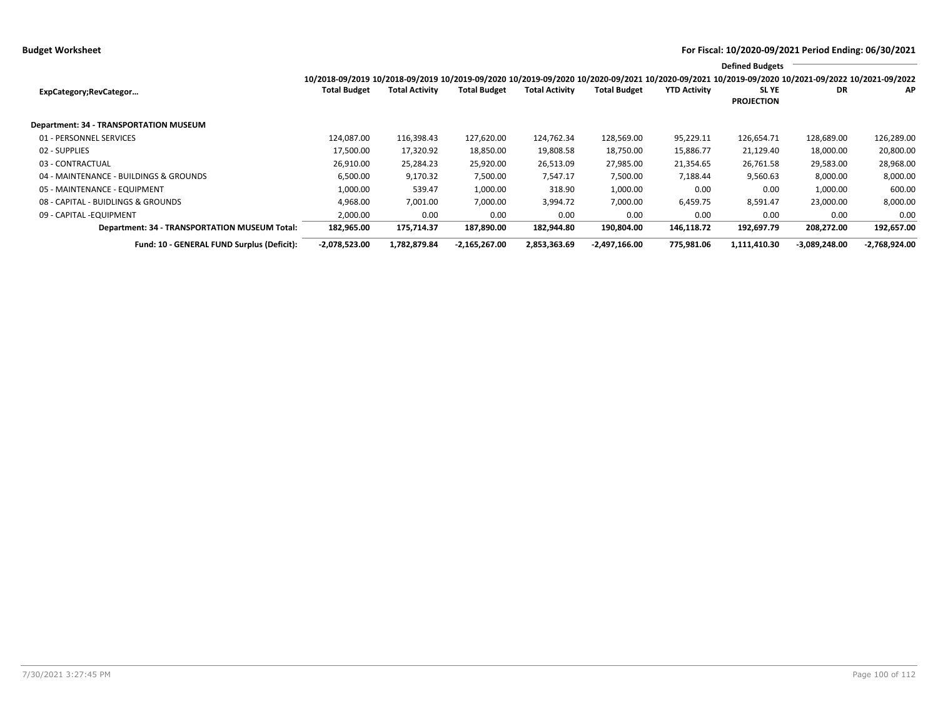**Budget Worksheet For Fiscal: 10/2020-09/2021 Period Ending: 06/30/2021**

|                                               |                                                                                                                                                 |                       |                     |                       |                     |                     | <b>Defined Budgets</b>           |                 |               |
|-----------------------------------------------|-------------------------------------------------------------------------------------------------------------------------------------------------|-----------------------|---------------------|-----------------------|---------------------|---------------------|----------------------------------|-----------------|---------------|
|                                               | 10/2018-09/2019 10/2018-09/2019 10/2019-09/2020 10/2019-09/2020 10/2020-09/2021 10/2020-09/2021 10/2019-09/2020 10/2021-09/2022 10/2021-09/2022 |                       |                     |                       |                     |                     |                                  |                 |               |
| ExpCategory;RevCategor                        | <b>Total Budget</b>                                                                                                                             | <b>Total Activity</b> | <b>Total Budget</b> | <b>Total Activity</b> | <b>Total Budget</b> | <b>YTD Activity</b> | <b>SLYE</b><br><b>PROJECTION</b> | DR              | AP            |
| Department: 34 - TRANSPORTATION MUSEUM        |                                                                                                                                                 |                       |                     |                       |                     |                     |                                  |                 |               |
| 01 - PERSONNEL SERVICES                       | 124.087.00                                                                                                                                      | 116,398.43            | 127,620.00          | 124,762.34            | 128,569.00          | 95,229.11           | 126,654.71                       | 128,689.00      | 126,289.00    |
| 02 - SUPPLIES                                 | 17,500.00                                                                                                                                       | 17,320.92             | 18,850.00           | 19,808.58             | 18,750.00           | 15,886.77           | 21,129.40                        | 18,000.00       | 20,800.00     |
| 03 - CONTRACTUAL                              | 26,910.00                                                                                                                                       | 25,284.23             | 25,920.00           | 26,513.09             | 27,985.00           | 21,354.65           | 26,761.58                        | 29,583.00       | 28,968.00     |
| 04 - MAINTENANCE - BUILDINGS & GROUNDS        | 6,500.00                                                                                                                                        | 9,170.32              | 7,500.00            | 7,547.17              | 7,500.00            | 7,188.44            | 9,560.63                         | 8,000.00        | 8,000.00      |
| 05 - MAINTENANCE - EQUIPMENT                  | 1,000.00                                                                                                                                        | 539.47                | 1,000.00            | 318.90                | 1,000.00            | 0.00                | 0.00                             | 1,000.00        | 600.00        |
| 08 - CAPITAL - BUIDLINGS & GROUNDS            | 4,968.00                                                                                                                                        | 7,001.00              | 7,000.00            | 3,994.72              | 7,000.00            | 6,459.75            | 8,591.47                         | 23,000.00       | 8,000.00      |
| 09 - CAPITAL - EQUIPMENT                      | 2,000.00                                                                                                                                        | 0.00                  | 0.00                | 0.00                  | 0.00                | 0.00                | 0.00                             | 0.00            | 0.00          |
| Department: 34 - TRANSPORTATION MUSEUM Total: | 182,965.00                                                                                                                                      | 175,714.37            | 187,890.00          | 182,944.80            | 190,804.00          | 146,118.72          | 192,697.79                       | 208,272.00      | 192,657.00    |
| Fund: 10 - GENERAL FUND Surplus (Deficit):    | $-2,078,523.00$                                                                                                                                 | 1,782,879.84          | $-2,165,267.00$     | 2,853,363.69          | $-2,497,166.00$     | 775.981.06          | 1,111,410.30                     | $-3,089,248.00$ | -2,768,924.00 |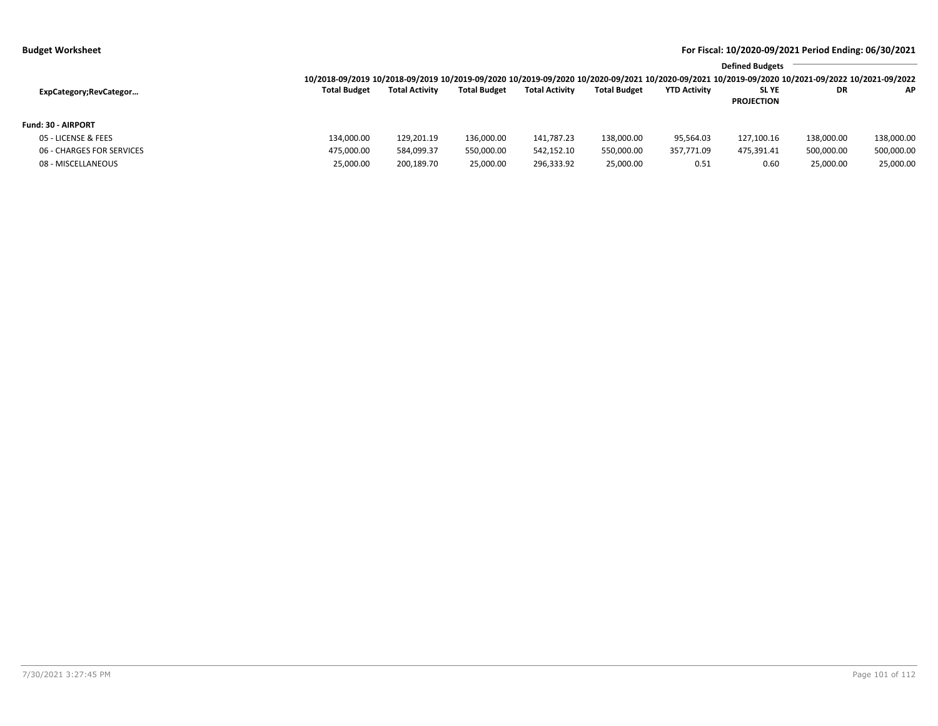|  | <b>Budget Worksheet</b> |
|--|-------------------------|
|--|-------------------------|

|                           |                                                                                                                                                 |                       |                     |                       |                     |                     | <b>Defined Budgets</b>     |            |            |
|---------------------------|-------------------------------------------------------------------------------------------------------------------------------------------------|-----------------------|---------------------|-----------------------|---------------------|---------------------|----------------------------|------------|------------|
|                           | 10/2018-09/2019 10/2018-09/2019 10/2019-09/2020 10/2019-09/2020 10/2020-09/2021 10/2020-09/2021 10/2019-09/2020 10/2021-09/2022 10/2021-09/2022 |                       |                     |                       |                     |                     |                            |            |            |
| ExpCategory;RevCategor    | <b>Total Budget</b>                                                                                                                             | <b>Total Activity</b> | <b>Total Budget</b> | <b>Total Activity</b> | <b>Total Budget</b> | <b>YTD Activity</b> | SL YE<br><b>PROJECTION</b> | DR         | AP.        |
| <b>Fund: 30 - AIRPORT</b> |                                                                                                                                                 |                       |                     |                       |                     |                     |                            |            |            |
| 05 - LICENSE & FEES       | 134,000.00                                                                                                                                      | 129,201.19            | 136,000.00          | 141,787.23            | 138,000.00          | 95,564.03           | 127,100.16                 | 138,000.00 | 138,000.00 |
| 06 - CHARGES FOR SERVICES | 475,000.00                                                                                                                                      | 584,099.37            | 550,000.00          | 542,152.10            | 550,000.00          | 357,771.09          | 475,391.41                 | 500,000.00 | 500,000.00 |
| 08 - MISCELLANEOUS        | 25,000.00                                                                                                                                       | 200,189.70            | 25,000.00           | 296,333.92            | 25,000.00           | 0.51                | 0.60                       | 25,000.00  | 25,000.00  |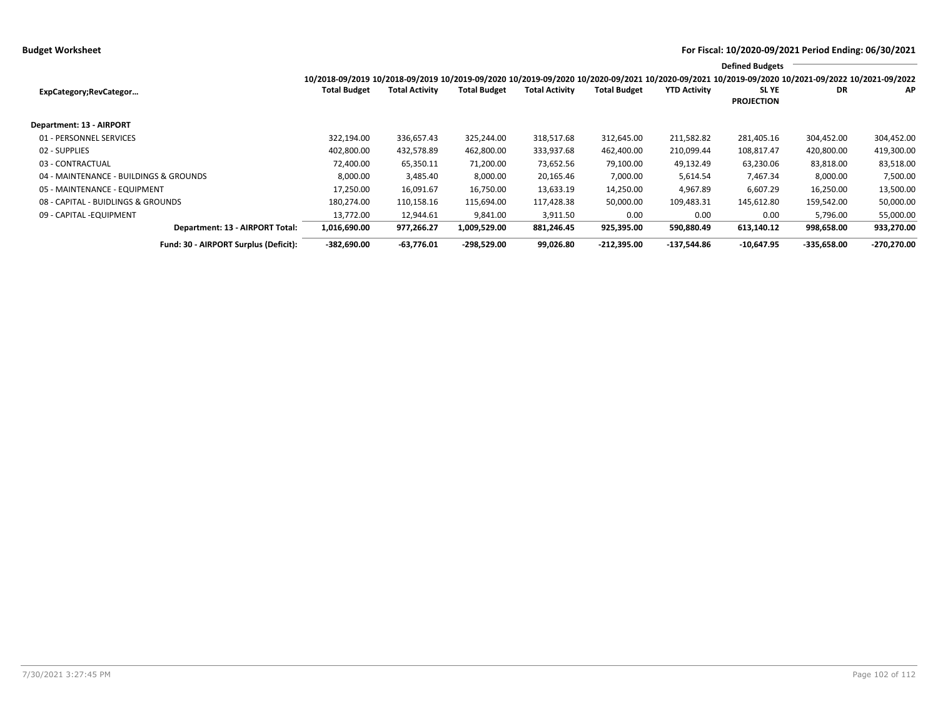**Budget Worksheet For Fiscal: 10/2020-09/2021 Period Ending: 06/30/2021**

|                                        |                                                                                                                                                 |                       |                     |                       |                     |                     | <b>Defined Budgets</b>     |               |               |
|----------------------------------------|-------------------------------------------------------------------------------------------------------------------------------------------------|-----------------------|---------------------|-----------------------|---------------------|---------------------|----------------------------|---------------|---------------|
|                                        | 10/2018-09/2019 10/2018-09/2019 10/2019-09/2020 10/2019-09/2020 10/2020-09/2021 10/2020-09/2021 10/2019-09/2020 10/2021-09/2022 10/2021-09/2022 |                       |                     |                       |                     |                     |                            |               |               |
| ExpCategory;RevCategor                 | <b>Total Budget</b>                                                                                                                             | <b>Total Activity</b> | <b>Total Budget</b> | <b>Total Activity</b> | <b>Total Budget</b> | <b>YTD Activity</b> | SL YE<br><b>PROJECTION</b> | <b>DR</b>     | AP            |
| <b>Department: 13 - AIRPORT</b>        |                                                                                                                                                 |                       |                     |                       |                     |                     |                            |               |               |
| 01 - PERSONNEL SERVICES                | 322.194.00                                                                                                                                      | 336,657.43            | 325,244.00          | 318,517.68            | 312,645.00          | 211,582.82          | 281,405.16                 | 304,452.00    | 304,452.00    |
| 02 - SUPPLIES                          | 402,800.00                                                                                                                                      | 432,578.89            | 462,800.00          | 333,937.68            | 462,400.00          | 210,099.44          | 108,817.47                 | 420,800.00    | 419,300.00    |
| 03 - CONTRACTUAL                       | 72,400.00                                                                                                                                       | 65,350.11             | 71,200.00           | 73,652.56             | 79,100.00           | 49,132.49           | 63,230.06                  | 83,818.00     | 83,518.00     |
| 04 - MAINTENANCE - BUILDINGS & GROUNDS | 8,000.00                                                                                                                                        | 3,485.40              | 8,000.00            | 20,165.46             | 7,000.00            | 5,614.54            | 7,467.34                   | 8,000.00      | 7,500.00      |
| 05 - MAINTENANCE - EQUIPMENT           | 17,250.00                                                                                                                                       | 16,091.67             | 16,750.00           | 13,633.19             | 14,250.00           | 4,967.89            | 6,607.29                   | 16,250.00     | 13,500.00     |
| 08 - CAPITAL - BUIDLINGS & GROUNDS     | 180,274.00                                                                                                                                      | 110,158.16            | 115,694.00          | 117,428.38            | 50,000.00           | 109,483.31          | 145,612.80                 | 159,542.00    | 50,000.00     |
| 09 - CAPITAL - EQUIPMENT               | 13,772.00                                                                                                                                       | 12,944.61             | 9,841.00            | 3,911.50              | 0.00                | 0.00                | 0.00                       | 5,796.00      | 55,000.00     |
| Department: 13 - AIRPORT Total:        | 1,016,690.00                                                                                                                                    | 977,266.27            | 1,009,529.00        | 881,246.45            | 925,395.00          | 590,880.49          | 613,140.12                 | 998,658.00    | 933,270.00    |
| Fund: 30 - AIRPORT Surplus (Deficit):  | $-382,690.00$                                                                                                                                   | $-63,776.01$          | $-298,529.00$       | 99,026.80             | $-212,395.00$       | -137.544.86         | $-10.647.95$               | $-335,658.00$ | $-270,270.00$ |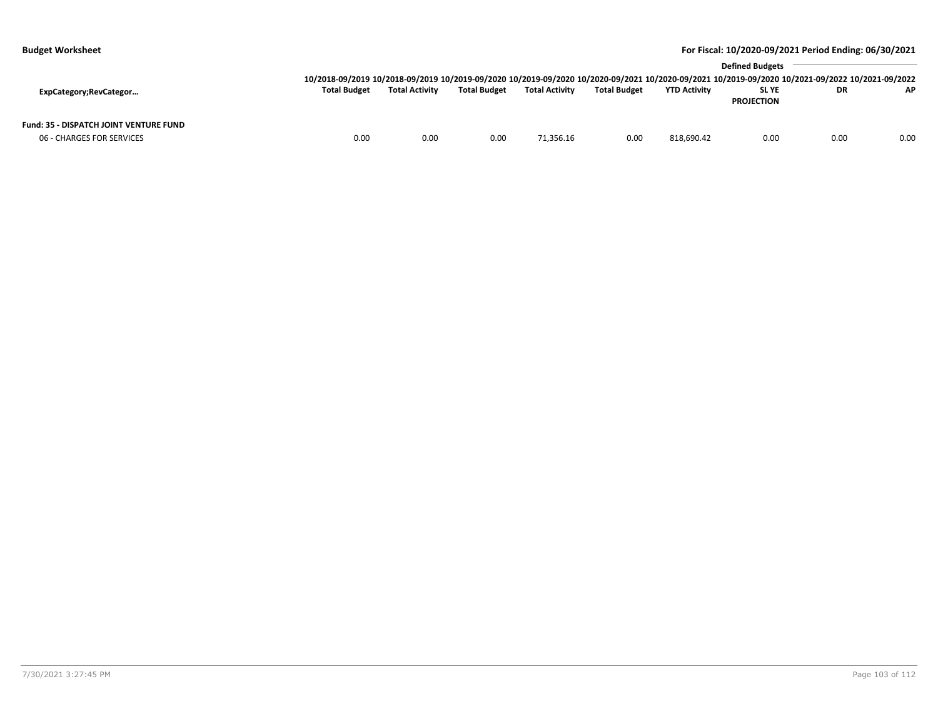| <b>Budget Worksheet</b>                       |                     |                       |                     |                       |                     |                     | For Fiscal: 10/2020-09/2021 Period Ending: 06/30/2021                                                                                           |           |      |
|-----------------------------------------------|---------------------|-----------------------|---------------------|-----------------------|---------------------|---------------------|-------------------------------------------------------------------------------------------------------------------------------------------------|-----------|------|
|                                               |                     |                       |                     |                       |                     |                     | <b>Defined Budgets</b>                                                                                                                          |           |      |
|                                               |                     |                       |                     |                       |                     |                     | 10/2018-09/2019 10/2018-09/2019 10/2019-09/2020 10/2019-09/2020 10/2020-09/2021 10/2020-09/2021 10/2019-09/2020 10/2021-09/2022 10/2021-09/2022 |           |      |
| ExpCategory;RevCategor                        | <b>Total Budget</b> | <b>Total Activity</b> | <b>Total Budget</b> | <b>Total Activity</b> | <b>Total Budget</b> | <b>YTD Activity</b> | <b>SLYE</b>                                                                                                                                     | <b>DR</b> | AP.  |
|                                               |                     |                       |                     |                       |                     |                     | <b>PROJECTION</b>                                                                                                                               |           |      |
| <b>Fund: 35 - DISPATCH JOINT VENTURE FUND</b> |                     |                       |                     |                       |                     |                     |                                                                                                                                                 |           |      |
| 06 - CHARGES FOR SERVICES                     | 0.00                | 0.00                  | 0.00                | 71,356.16             | 0.00                | 818,690.42          | 0.00                                                                                                                                            | 0.00      | 0.00 |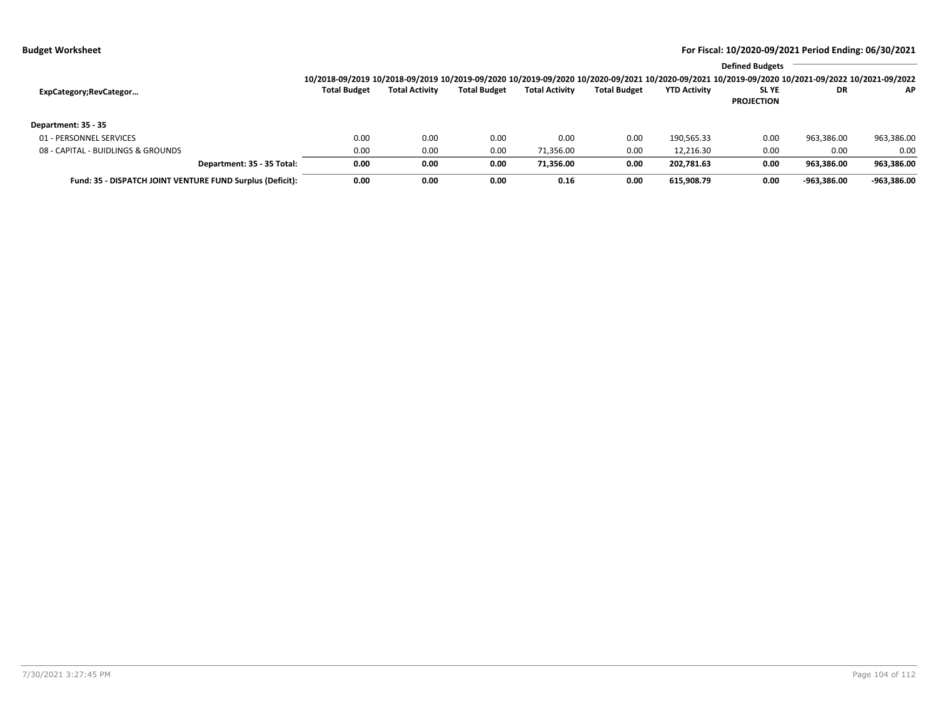|                                                           |                                                                                                                                                 |                       |                     |                       |                     |                     | <b>Defined Budgets</b>           |             |               |
|-----------------------------------------------------------|-------------------------------------------------------------------------------------------------------------------------------------------------|-----------------------|---------------------|-----------------------|---------------------|---------------------|----------------------------------|-------------|---------------|
|                                                           | 10/2018-09/2019 10/2018-09/2019 10/2019-09/2020 10/2019-09/2020 10/2020-09/2021 10/2020-09/2021 10/2019-09/2020 10/2021-09/2022 10/2021-09/2022 |                       |                     |                       |                     |                     |                                  |             |               |
| ExpCategory;RevCategor                                    | <b>Total Budget</b>                                                                                                                             | <b>Total Activity</b> | <b>Total Budget</b> | <b>Total Activity</b> | <b>Total Budget</b> | <b>YTD Activity</b> | <b>SLYE</b><br><b>PROJECTION</b> | DR          | AP.           |
| Department: 35 - 35                                       |                                                                                                                                                 |                       |                     |                       |                     |                     |                                  |             |               |
| 01 - PERSONNEL SERVICES                                   | 0.00                                                                                                                                            | 0.00                  | 0.00                | 0.00                  | 0.00                | 190,565.33          | 0.00                             | 963,386.00  | 963,386.00    |
| 08 - CAPITAL - BUIDLINGS & GROUNDS                        | 0.00                                                                                                                                            | 0.00                  | 0.00                | 71,356.00             | 0.00                | 12.216.30           | 0.00                             | 0.00        | 0.00          |
| Department: 35 - 35 Total:                                | 0.00                                                                                                                                            | 0.00                  | 0.00                | 71.356.00             | 0.00                | 202.781.63          | 0.00                             | 963.386.00  | 963,386.00    |
| Fund: 35 - DISPATCH JOINT VENTURE FUND Surplus (Deficit): | 0.00                                                                                                                                            | 0.00                  | 0.00                | 0.16                  | 0.00                | 615.908.79          | 0.00                             | -963.386.00 | $-963.386.00$ |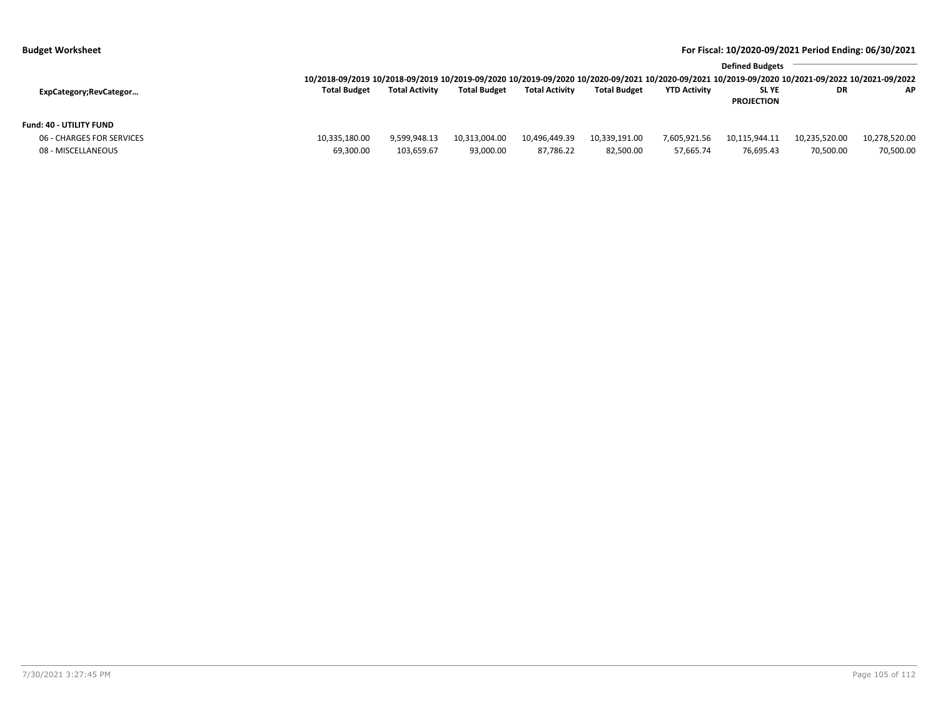| <b>Budget Worksheet</b> | For Fiscal: 10/2020-09/2021 Period Ending: 06/30/2021 |
|-------------------------|-------------------------------------------------------|
|                         |                                                       |

|                           | <b>Defined Budgets</b>                                                                                                                          |                       |                     |                       |                     |                     |                                  |               |               |
|---------------------------|-------------------------------------------------------------------------------------------------------------------------------------------------|-----------------------|---------------------|-----------------------|---------------------|---------------------|----------------------------------|---------------|---------------|
|                           | 10/2018-09/2019 10/2018-09/2019 10/2019-09/2020 10/2019-09/2020 10/2020-09/2021 10/2020-09/2021 10/2019-09/2020 10/2021-09/2022 10/2021-09/2022 |                       |                     |                       |                     |                     |                                  |               |               |
| ExpCategory;RevCategor    | <b>Total Budget</b>                                                                                                                             | <b>Total Activity</b> | <b>Total Budget</b> | <b>Total Activity</b> | <b>Total Budget</b> | <b>YTD Activity</b> | <b>SLYE</b><br><b>PROJECTION</b> | DR            | <b>AP</b>     |
| Fund: 40 - UTILITY FUND   |                                                                                                                                                 |                       |                     |                       |                     |                     |                                  |               |               |
| 06 - CHARGES FOR SERVICES | 10,335,180.00                                                                                                                                   | 9.599.948.13          | 10,313,004.00       | 10.496.449.39         | 10,339,191.00       | 7,605,921.56        | 10,115,944.11                    | 10,235,520.00 | 10,278,520.00 |
| 08 - MISCELLANEOUS        | 69.300.00                                                                                                                                       | 103,659.67            | 93.000.00           | 87.786.22             | 82,500.00           | 57,665.74           | 76,695.43                        | 70,500.00     | 70,500.00     |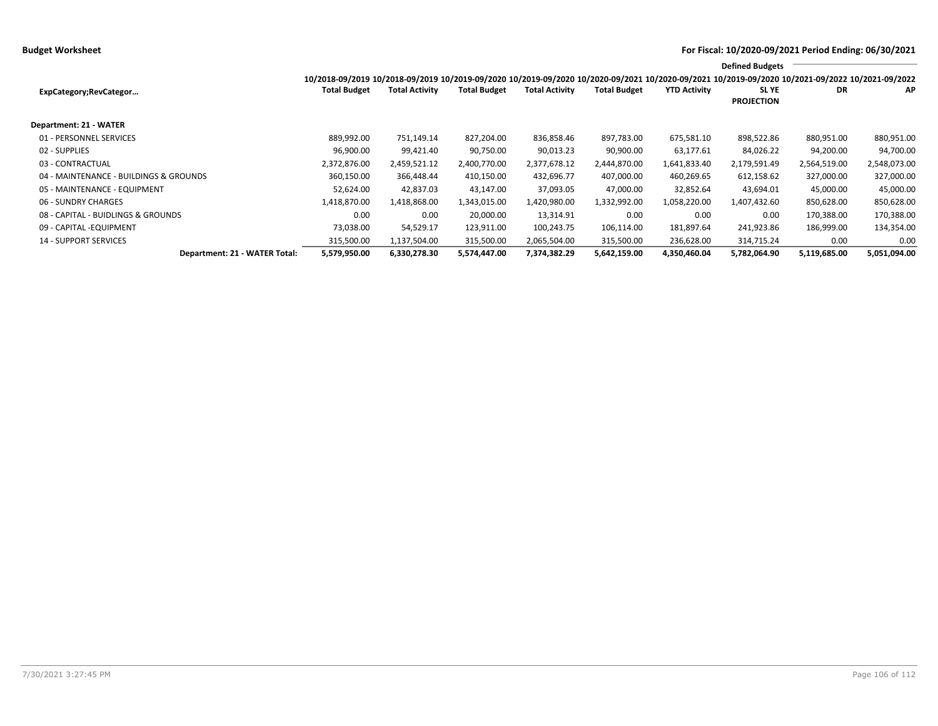**Defined Budgets**

| 10/2018-09/2019 10/2018-09/2019 10/2019-09/2020 10/2019-0 |
|-----------------------------------------------------------|

|                                        | 10/2018-09/2019 10/2018-09/2019 10/2019-09/2020 10/2019-09/2020 10/2020-09/2021 10/2020-09/2021 10/2019-09/2020 10/2021-09/2022 10/2021-09/2022 |                       |                     |                       |                     |                     |                   |              |              |
|----------------------------------------|-------------------------------------------------------------------------------------------------------------------------------------------------|-----------------------|---------------------|-----------------------|---------------------|---------------------|-------------------|--------------|--------------|
| ExpCategory;RevCategor                 | <b>Total Budget</b>                                                                                                                             | <b>Total Activity</b> | <b>Total Budget</b> | <b>Total Activity</b> | <b>Total Budget</b> | <b>YTD Activity</b> | SL YE             | <b>DR</b>    | AP           |
|                                        |                                                                                                                                                 |                       |                     |                       |                     |                     | <b>PROJECTION</b> |              |              |
| Department: 21 - WATER                 |                                                                                                                                                 |                       |                     |                       |                     |                     |                   |              |              |
| 01 - PERSONNEL SERVICES                | 889,992.00                                                                                                                                      | 751,149.14            | 827,204.00          | 836,858.46            | 897,783.00          | 675,581.10          | 898,522.86        | 880,951.00   | 880,951.00   |
| 02 - SUPPLIES                          | 96,900.00                                                                                                                                       | 99,421.40             | 90,750.00           | 90,013.23             | 90,900.00           | 63,177.61           | 84,026.22         | 94,200.00    | 94,700.00    |
| 03 - CONTRACTUAL                       | 2.372.876.00                                                                                                                                    | 2,459,521.12          | 2.400.770.00        | 2,377,678.12          | 2.444.870.00        | 1,641,833.40        | 2,179,591.49      | 2,564,519.00 | 2,548,073.00 |
| 04 - MAINTENANCE - BUILDINGS & GROUNDS | 360,150.00                                                                                                                                      | 366,448.44            | 410,150.00          | 432,696.77            | 407,000.00          | 460,269.65          | 612,158.62        | 327,000.00   | 327,000.00   |
| 05 - MAINTENANCE - EQUIPMENT           | 52.624.00                                                                                                                                       | 42.837.03             | 43,147.00           | 37,093.05             | 47,000.00           | 32,852.64           | 43,694.01         | 45,000.00    | 45,000.00    |
| 06 - SUNDRY CHARGES                    | 1,418,870.00                                                                                                                                    | 1,418,868.00          | 1,343,015.00        | 1,420,980.00          | 1,332,992.00        | 1,058,220.00        | 1,407,432.60      | 850,628.00   | 850,628.00   |
| 08 - CAPITAL - BUIDLINGS & GROUNDS     | 0.00                                                                                                                                            | 0.00                  | 20,000.00           | 13,314.91             | 0.00                | 0.00                | 0.00              | 170,388.00   | 170,388.00   |
| 09 - CAPITAL - EQUIPMENT               | 73,038.00                                                                                                                                       | 54,529.17             | 123,911.00          | 100,243.75            | 106,114.00          | 181,897.64          | 241,923.86        | 186,999.00   | 134,354.00   |
| <b>14 - SUPPORT SERVICES</b>           | 315,500.00                                                                                                                                      | 1,137,504.00          | 315,500.00          | 2,065,504.00          | 315,500.00          | 236,628.00          | 314,715.24        | 0.00         | 0.00         |
| Department: 21 - WATER Total:          | 5,579,950.00                                                                                                                                    | 6,330,278.30          | 5,574,447.00        | 7,374,382.29          | 5,642,159.00        | 4,350,460.04        | 5,782,064.90      | 5,119,685.00 | 5,051,094.00 |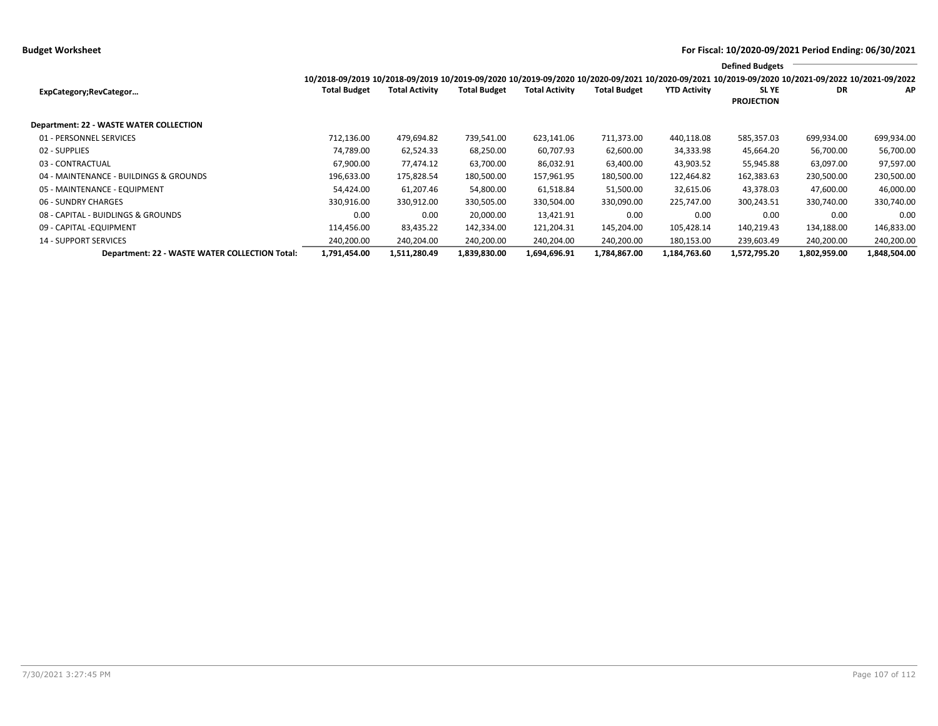**Budget Worksheet For Fiscal: 10/2020-09/2021 Period Ending: 06/30/2021**

|                                                | <b>Defined Budgets</b><br>10/2018-09/2019 10/2018-09/2019 10/2019-09/2020 10/2019-09/2020 10/2020-09/2021 10/2020-09/2021 10/2019-09/2020 10/2021-09/2022 10/2021-09/2022 |                       |                     |                       |                     |                     |                                  |              |              |  |
|------------------------------------------------|---------------------------------------------------------------------------------------------------------------------------------------------------------------------------|-----------------------|---------------------|-----------------------|---------------------|---------------------|----------------------------------|--------------|--------------|--|
| ExpCategory;RevCategor                         | <b>Total Budget</b>                                                                                                                                                       | <b>Total Activity</b> | <b>Total Budget</b> | <b>Total Activity</b> | <b>Total Budget</b> | <b>YTD Activity</b> | <b>SLYE</b><br><b>PROJECTION</b> | DR           | ΑP           |  |
| <b>Department: 22 - WASTE WATER COLLECTION</b> |                                                                                                                                                                           |                       |                     |                       |                     |                     |                                  |              |              |  |
| 01 - PERSONNEL SERVICES                        | 712,136.00                                                                                                                                                                | 479,694.82            | 739,541.00          | 623,141.06            | 711,373.00          | 440,118.08          | 585,357.03                       | 699,934.00   | 699,934.00   |  |
| 02 - SUPPLIES                                  | 74,789.00                                                                                                                                                                 | 62,524.33             | 68,250.00           | 60,707.93             | 62,600.00           | 34,333.98           | 45,664.20                        | 56,700.00    | 56,700.00    |  |
| 03 - CONTRACTUAL                               | 67,900.00                                                                                                                                                                 | 77,474.12             | 63,700.00           | 86,032.91             | 63,400.00           | 43,903.52           | 55,945.88                        | 63,097.00    | 97,597.00    |  |
| 04 - MAINTENANCE - BUILDINGS & GROUNDS         | 196,633.00                                                                                                                                                                | 175,828.54            | 180,500.00          | 157,961.95            | 180,500.00          | 122,464.82          | 162,383.63                       | 230,500.00   | 230,500.00   |  |
| 05 - MAINTENANCE - EQUIPMENT                   | 54,424.00                                                                                                                                                                 | 61,207.46             | 54,800.00           | 61,518.84             | 51,500.00           | 32,615.06           | 43,378.03                        | 47,600.00    | 46,000.00    |  |
| 06 - SUNDRY CHARGES                            | 330,916.00                                                                                                                                                                | 330,912.00            | 330,505.00          | 330,504.00            | 330,090.00          | 225,747.00          | 300,243.51                       | 330,740.00   | 330,740.00   |  |
| 08 - CAPITAL - BUIDLINGS & GROUNDS             | 0.00                                                                                                                                                                      | 0.00                  | 20,000.00           | 13,421.91             | 0.00                | 0.00                | 0.00                             | 0.00         | 0.00         |  |
| 09 - CAPITAL - EQUIPMENT                       | 114,456.00                                                                                                                                                                | 83,435.22             | 142,334.00          | 121,204.31            | 145,204.00          | 105,428.14          | 140,219.43                       | 134,188.00   | 146,833.00   |  |
| <b>14 - SUPPORT SERVICES</b>                   | 240,200.00                                                                                                                                                                | 240,204.00            | 240,200.00          | 240,204.00            | 240,200.00          | 180,153.00          | 239,603.49                       | 240,200.00   | 240,200.00   |  |
| Department: 22 - WASTE WATER COLLECTION Total: | 1,791,454.00                                                                                                                                                              | 1,511,280.49          | 1,839,830.00        | 1,694,696.91          | 1,784,867.00        | 1,184,763.60        | 1,572,795.20                     | 1,802,959.00 | 1,848,504.00 |  |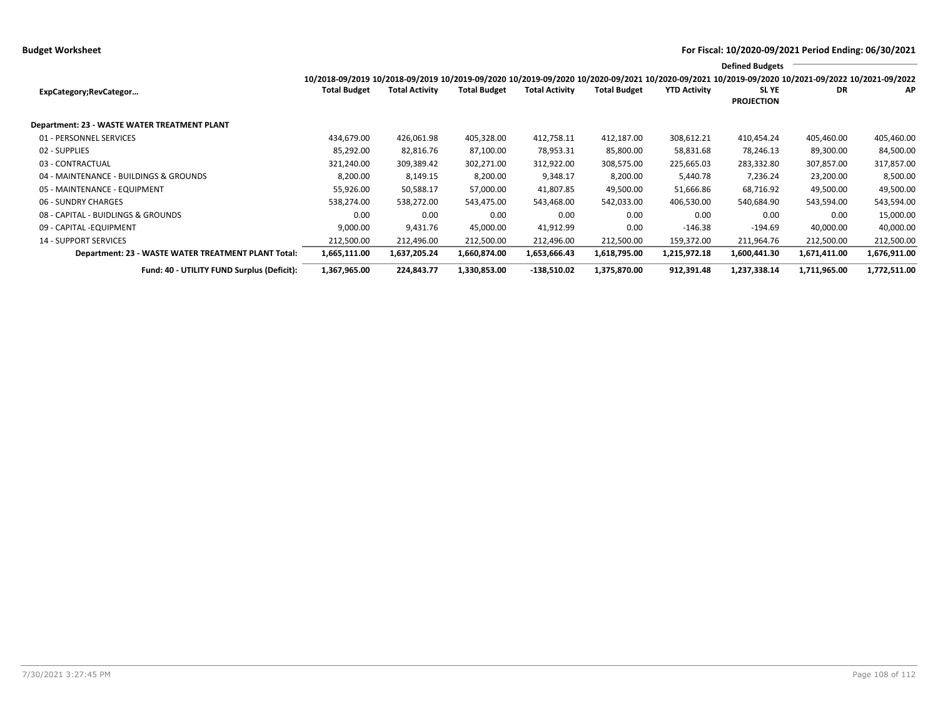**Budget Worksheet For Fiscal: 10/2020-09/2021 Period Ending: 06/30/2021**

|                                                     | <b>Defined Budgets</b><br>10/2018-09/2019 10/2018-09/2019 10/2019-09/2020 10/2019-09/2020 10/2020-09/2021 10/2020-09/2021 10/2019-09/2020 10/2021-09/2022 10/2021-09/2022 |                       |                     |                       |                     |                     |                                  |              |              |  |
|-----------------------------------------------------|---------------------------------------------------------------------------------------------------------------------------------------------------------------------------|-----------------------|---------------------|-----------------------|---------------------|---------------------|----------------------------------|--------------|--------------|--|
|                                                     |                                                                                                                                                                           |                       |                     |                       |                     |                     |                                  |              |              |  |
| ExpCategory;RevCategor                              | <b>Total Budget</b>                                                                                                                                                       | <b>Total Activity</b> | <b>Total Budget</b> | <b>Total Activity</b> | <b>Total Budget</b> | <b>YTD Activity</b> | <b>SLYE</b><br><b>PROJECTION</b> | DR           | AP           |  |
| Department: 23 - WASTE WATER TREATMENT PLANT        |                                                                                                                                                                           |                       |                     |                       |                     |                     |                                  |              |              |  |
| 01 - PERSONNEL SERVICES                             | 434,679.00                                                                                                                                                                | 426,061.98            | 405,328.00          | 412,758.11            | 412,187.00          | 308,612.21          | 410,454.24                       | 405,460.00   | 405,460.00   |  |
| 02 - SUPPLIES                                       | 85,292.00                                                                                                                                                                 | 82,816.76             | 87,100.00           | 78,953.31             | 85,800.00           | 58,831.68           | 78,246.13                        | 89,300.00    | 84,500.00    |  |
| 03 - CONTRACTUAL                                    | 321,240.00                                                                                                                                                                | 309,389.42            | 302,271.00          | 312,922.00            | 308,575.00          | 225,665.03          | 283,332.80                       | 307,857.00   | 317,857.00   |  |
| 04 - MAINTENANCE - BUILDINGS & GROUNDS              | 8,200.00                                                                                                                                                                  | 8,149.15              | 8,200.00            | 9,348.17              | 8,200.00            | 5,440.78            | 7,236.24                         | 23,200.00    | 8,500.00     |  |
| 05 - MAINTENANCE - EQUIPMENT                        | 55,926.00                                                                                                                                                                 | 50,588.17             | 57,000.00           | 41,807.85             | 49,500.00           | 51,666.86           | 68,716.92                        | 49,500.00    | 49,500.00    |  |
| 06 - SUNDRY CHARGES                                 | 538,274.00                                                                                                                                                                | 538,272.00            | 543,475.00          | 543,468.00            | 542,033.00          | 406,530.00          | 540,684.90                       | 543,594.00   | 543,594.00   |  |
| 08 - CAPITAL - BUIDLINGS & GROUNDS                  | 0.00                                                                                                                                                                      | 0.00                  | 0.00                | 0.00                  | 0.00                | 0.00                | 0.00                             | 0.00         | 15,000.00    |  |
| 09 - CAPITAL -EQUIPMENT                             | 9,000.00                                                                                                                                                                  | 9,431.76              | 45,000.00           | 41,912.99             | 0.00                | $-146.38$           | $-194.69$                        | 40,000.00    | 40,000.00    |  |
| <b>14 - SUPPORT SERVICES</b>                        | 212,500.00                                                                                                                                                                | 212,496.00            | 212,500.00          | 212,496.00            | 212,500.00          | 159,372.00          | 211,964.76                       | 212,500.00   | 212,500.00   |  |
| Department: 23 - WASTE WATER TREATMENT PLANT Total: | 1,665,111.00                                                                                                                                                              | 1,637,205.24          | 1,660,874.00        | 1,653,666.43          | 1,618,795.00        | 1,215,972.18        | 1,600,441.30                     | 1,671,411.00 | 1,676,911.00 |  |
| Fund: 40 - UTILITY FUND Surplus (Deficit):          | 1,367,965.00                                                                                                                                                              | 224,843.77            | 1,330,853.00        | $-138,510.02$         | 1,375,870.00        | 912,391.48          | 1,237,338.14                     | 1,711,965.00 | 1,772,511.00 |  |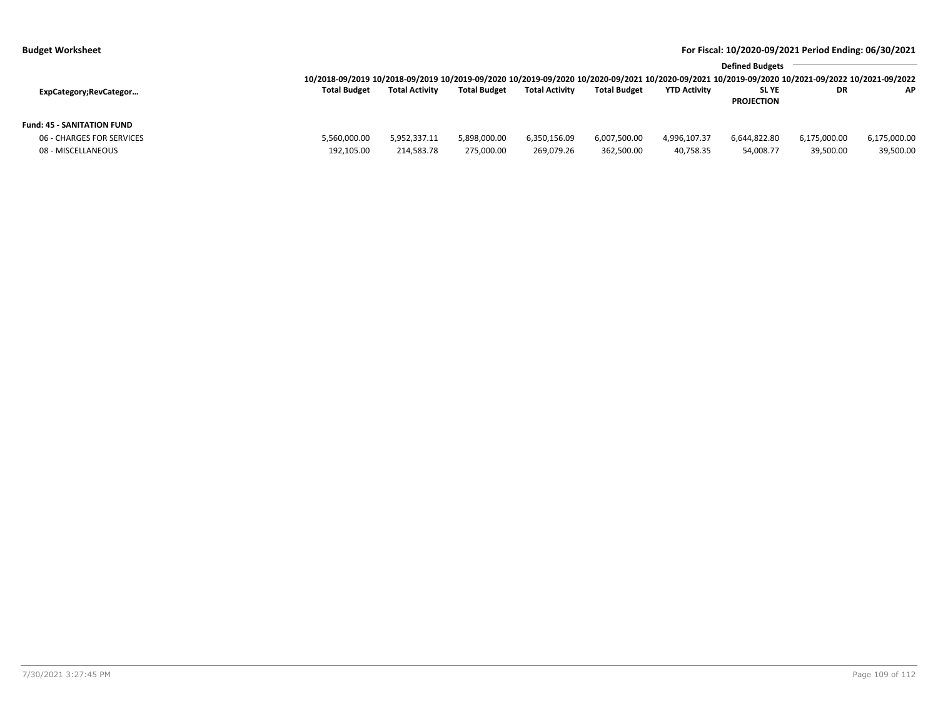**Budget Worksheet For Fiscal: 10/2020-09/2021 Period Ending: 06/30/2021**

|                            | <b>Defined Budgets</b>                                                                                                                          |                       |                     |                       |                     |                     |                   |              |              |  |
|----------------------------|-------------------------------------------------------------------------------------------------------------------------------------------------|-----------------------|---------------------|-----------------------|---------------------|---------------------|-------------------|--------------|--------------|--|
|                            | 10/2018-09/2019 10/2018-09/2019 10/2019-09/2020 10/2019-09/2020 10/2020-09/2021 10/2020-09/2021 10/2019-09/2020 10/2021-09/2022 10/2021-09/2022 |                       |                     |                       |                     |                     |                   |              |              |  |
| ExpCategory;RevCategor     | <b>Total Budget</b>                                                                                                                             | <b>Total Activity</b> | <b>Total Budget</b> | <b>Total Activity</b> | <b>Total Budget</b> | <b>YTD Activity</b> | <b>SLYE</b>       | DR           | <b>AP</b>    |  |
|                            |                                                                                                                                                 |                       |                     |                       |                     |                     | <b>PROJECTION</b> |              |              |  |
| Fund: 45 - SANITATION FUND |                                                                                                                                                 |                       |                     |                       |                     |                     |                   |              |              |  |
| 06 - CHARGES FOR SERVICES  | 5,560,000.00                                                                                                                                    | 5,952,337.11          | 5,898,000.00        | 6,350,156.09          | 6,007,500.00        | 4,996,107.37        | 6,644,822.80      | 6,175,000.00 | 6,175,000.00 |  |
| 08 - MISCELLANEOUS         | 192,105.00                                                                                                                                      | 214,583.78            | 275,000.00          | 269,079.26            | 362,500.00          | 40,758.35           | 54,008.77         | 39,500.00    | 39,500.00    |  |
|                            |                                                                                                                                                 |                       |                     |                       |                     |                     |                   |              |              |  |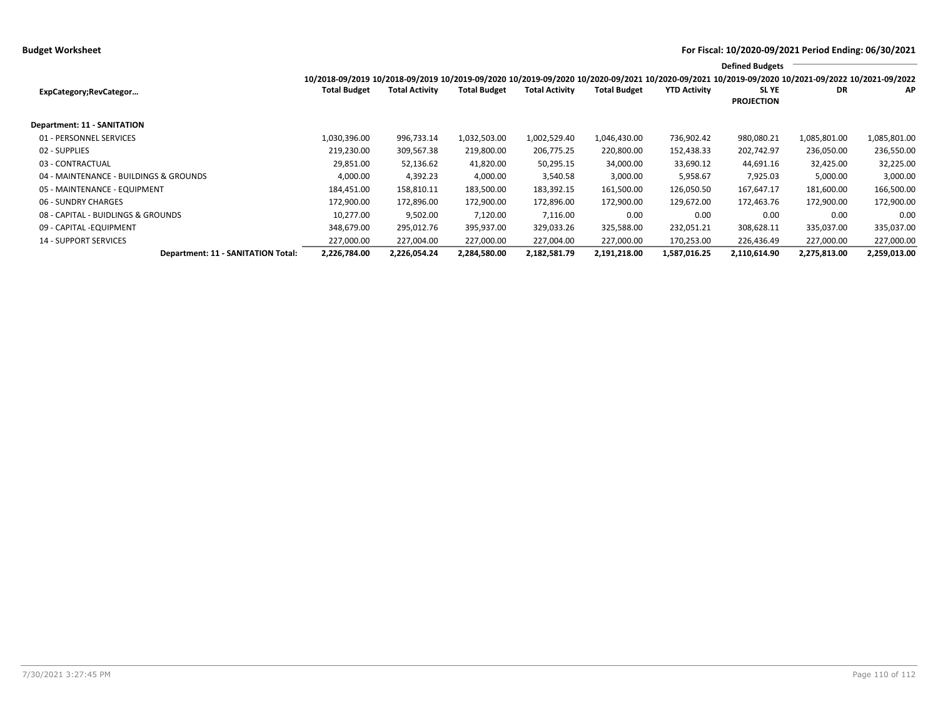**Budget Worksheet For Fiscal: 10/2020-09/2021 Period Ending: 06/30/2021**

|                                        |                                                                                                                                                 |                |                     |                       |                     |                     | <b>Defined Budgets</b>     |              |              |
|----------------------------------------|-------------------------------------------------------------------------------------------------------------------------------------------------|----------------|---------------------|-----------------------|---------------------|---------------------|----------------------------|--------------|--------------|
|                                        | 10/2018-09/2019 10/2018-09/2019 10/2019-09/2020 10/2019-09/2020 10/2020-09/2021 10/2020-09/2021 10/2019-09/2020 10/2021-09/2022 10/2021-09/2022 |                |                     |                       |                     |                     |                            |              |              |
| ExpCategory;RevCategor                 | <b>Total Budget</b>                                                                                                                             | Total Activity | <b>Total Budget</b> | <b>Total Activity</b> | <b>Total Budget</b> | <b>YTD Activity</b> | SL YE<br><b>PROJECTION</b> | DR           | AP           |
| <b>Department: 11 - SANITATION</b>     |                                                                                                                                                 |                |                     |                       |                     |                     |                            |              |              |
| 01 - PERSONNEL SERVICES                | 1,030,396.00                                                                                                                                    | 996,733.14     | 1,032,503.00        | 1,002,529.40          | 1,046,430.00        | 736,902.42          | 980,080.21                 | 1,085,801.00 | 1,085,801.00 |
| 02 - SUPPLIES                          | 219,230.00                                                                                                                                      | 309,567.38     | 219,800.00          | 206,775.25            | 220,800.00          | 152,438.33          | 202,742.97                 | 236,050.00   | 236,550.00   |
| 03 - CONTRACTUAL                       | 29,851.00                                                                                                                                       | 52,136.62      | 41,820.00           | 50,295.15             | 34,000.00           | 33,690.12           | 44,691.16                  | 32,425.00    | 32,225.00    |
| 04 - MAINTENANCE - BUILDINGS & GROUNDS | 4,000.00                                                                                                                                        | 4,392.23       | 4,000.00            | 3,540.58              | 3,000.00            | 5,958.67            | 7,925.03                   | 5,000.00     | 3,000.00     |
| 05 - MAINTENANCE - EQUIPMENT           | 184,451.00                                                                                                                                      | 158,810.11     | 183,500.00          | 183,392.15            | 161,500.00          | 126,050.50          | 167,647.17                 | 181,600.00   | 166,500.00   |
| 06 - SUNDRY CHARGES                    | 172,900.00                                                                                                                                      | 172,896.00     | 172,900.00          | 172,896.00            | 172,900.00          | 129,672.00          | 172,463.76                 | 172,900.00   | 172,900.00   |
| 08 - CAPITAL - BUIDLINGS & GROUNDS     | 10.277.00                                                                                                                                       | 9,502.00       | 7,120.00            | 7,116.00              | 0.00                | 0.00                | 0.00                       | 0.00         | 0.00         |
| 09 - CAPITAL - EQUIPMENT               | 348,679.00                                                                                                                                      | 295,012.76     | 395,937.00          | 329,033.26            | 325,588.00          | 232,051.21          | 308,628.11                 | 335,037.00   | 335,037.00   |
| <b>14 - SUPPORT SERVICES</b>           | 227,000.00                                                                                                                                      | 227,004.00     | 227,000.00          | 227,004.00            | 227,000.00          | 170,253.00          | 226,436.49                 | 227,000.00   | 227,000.00   |
| Department: 11 - SANITATION Total:     | 2,226,784.00                                                                                                                                    | 2,226,054.24   | 2,284,580.00        | 2,182,581.79          | 2,191,218.00        | 1,587,016.25        | 2,110,614.90               | 2,275,813.00 | 2,259,013.00 |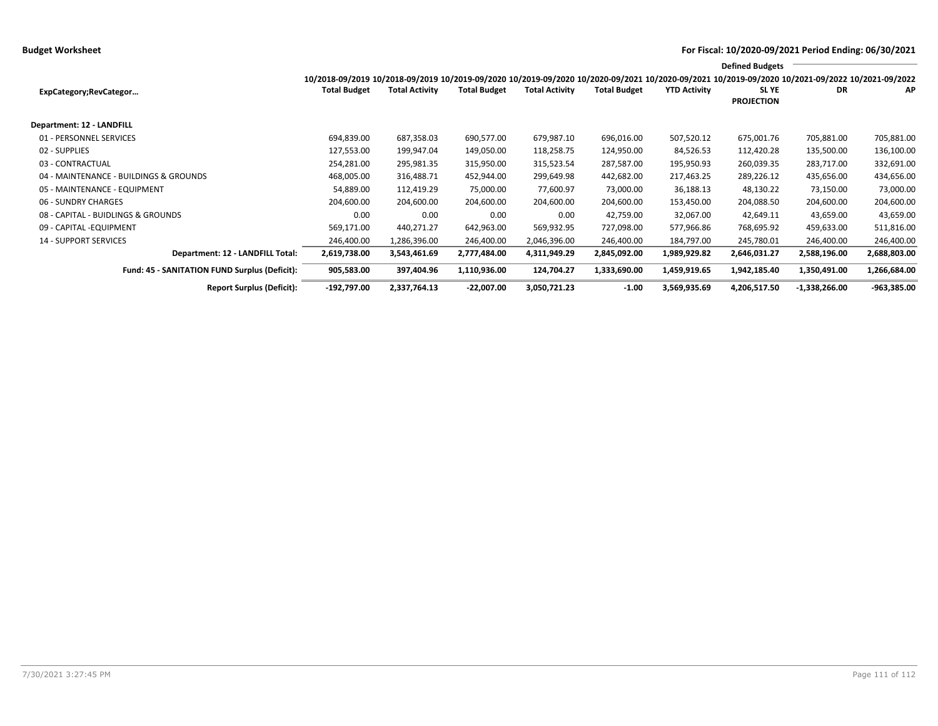## **Budget Worksheet For Fiscal: 10/2020-09/2021 Period Ending: 06/30/2021**

|                                                      |                                                                                                                                                 |                       |                     |                       |                     |                     | <b>Defined Budgets</b>           |                 |               |
|------------------------------------------------------|-------------------------------------------------------------------------------------------------------------------------------------------------|-----------------------|---------------------|-----------------------|---------------------|---------------------|----------------------------------|-----------------|---------------|
|                                                      | 10/2018-09/2019 10/2018-09/2019 10/2019-09/2020 10/2019-09/2020 10/2020-09/2021 10/2020-09/2021 10/2019-09/2020 10/2021-09/2022 10/2021-09/2022 |                       |                     |                       |                     |                     |                                  |                 |               |
| ExpCategory;RevCategor                               | <b>Total Budget</b>                                                                                                                             | <b>Total Activity</b> | <b>Total Budget</b> | <b>Total Activity</b> | <b>Total Budget</b> | <b>YTD Activity</b> | <b>SLYE</b><br><b>PROJECTION</b> | DR              | AP            |
|                                                      |                                                                                                                                                 |                       |                     |                       |                     |                     |                                  |                 |               |
| Department: 12 - LANDFILL                            |                                                                                                                                                 |                       |                     |                       |                     |                     |                                  |                 |               |
| 01 - PERSONNEL SERVICES                              | 694,839.00                                                                                                                                      | 687,358.03            | 690,577.00          | 679,987.10            | 696,016.00          | 507,520.12          | 675,001.76                       | 705,881.00      | 705,881.00    |
| 02 - SUPPLIES                                        | 127,553.00                                                                                                                                      | 199,947.04            | 149,050.00          | 118,258.75            | 124,950.00          | 84,526.53           | 112,420.28                       | 135,500.00      | 136,100.00    |
| 03 - CONTRACTUAL                                     | 254,281.00                                                                                                                                      | 295,981.35            | 315,950.00          | 315,523.54            | 287,587.00          | 195,950.93          | 260,039.35                       | 283,717.00      | 332,691.00    |
| 04 - MAINTENANCE - BUILDINGS & GROUNDS               | 468,005.00                                                                                                                                      | 316,488.71            | 452,944.00          | 299,649.98            | 442,682.00          | 217,463.25          | 289,226.12                       | 435,656.00      | 434,656.00    |
| 05 - MAINTENANCE - EQUIPMENT                         | 54,889.00                                                                                                                                       | 112,419.29            | 75,000.00           | 77,600.97             | 73,000.00           | 36,188.13           | 48,130.22                        | 73,150.00       | 73,000.00     |
| 06 - SUNDRY CHARGES                                  | 204,600.00                                                                                                                                      | 204,600.00            | 204,600.00          | 204,600.00            | 204,600.00          | 153,450.00          | 204,088.50                       | 204,600.00      | 204,600.00    |
| 08 - CAPITAL - BUIDLINGS & GROUNDS                   | 0.00                                                                                                                                            | 0.00                  | 0.00                | 0.00                  | 42,759.00           | 32,067.00           | 42,649.11                        | 43,659.00       | 43,659.00     |
| 09 - CAPITAL - EQUIPMENT                             | 569,171.00                                                                                                                                      | 440,271.27            | 642,963.00          | 569,932.95            | 727,098.00          | 577,966.86          | 768,695.92                       | 459,633.00      | 511,816.00    |
| <b>14 - SUPPORT SERVICES</b>                         | 246,400.00                                                                                                                                      | 1,286,396.00          | 246,400.00          | 2,046,396.00          | 246,400.00          | 184,797.00          | 245,780.01                       | 246,400.00      | 246,400.00    |
| Department: 12 - LANDFILL Total:                     | 2,619,738.00                                                                                                                                    | 3,543,461.69          | 2,777,484.00        | 4,311,949.29          | 2,845,092.00        | 1,989,929.82        | 2,646,031.27                     | 2,588,196.00    | 2,688,803.00  |
| <b>Fund: 45 - SANITATION FUND Surplus (Deficit):</b> | 905,583.00                                                                                                                                      | 397,404.96            | 1,110,936.00        | 124,704.27            | 1,333,690.00        | 1,459,919.65        | 1,942,185.40                     | 1,350,491.00    | 1,266,684.00  |
| <b>Report Surplus (Deficit):</b>                     | -192,797.00                                                                                                                                     | 2,337,764.13          | $-22,007.00$        | 3,050,721.23          | $-1.00$             | 3,569,935.69        | 4,206,517.50                     | $-1,338,266.00$ | $-963,385.00$ |